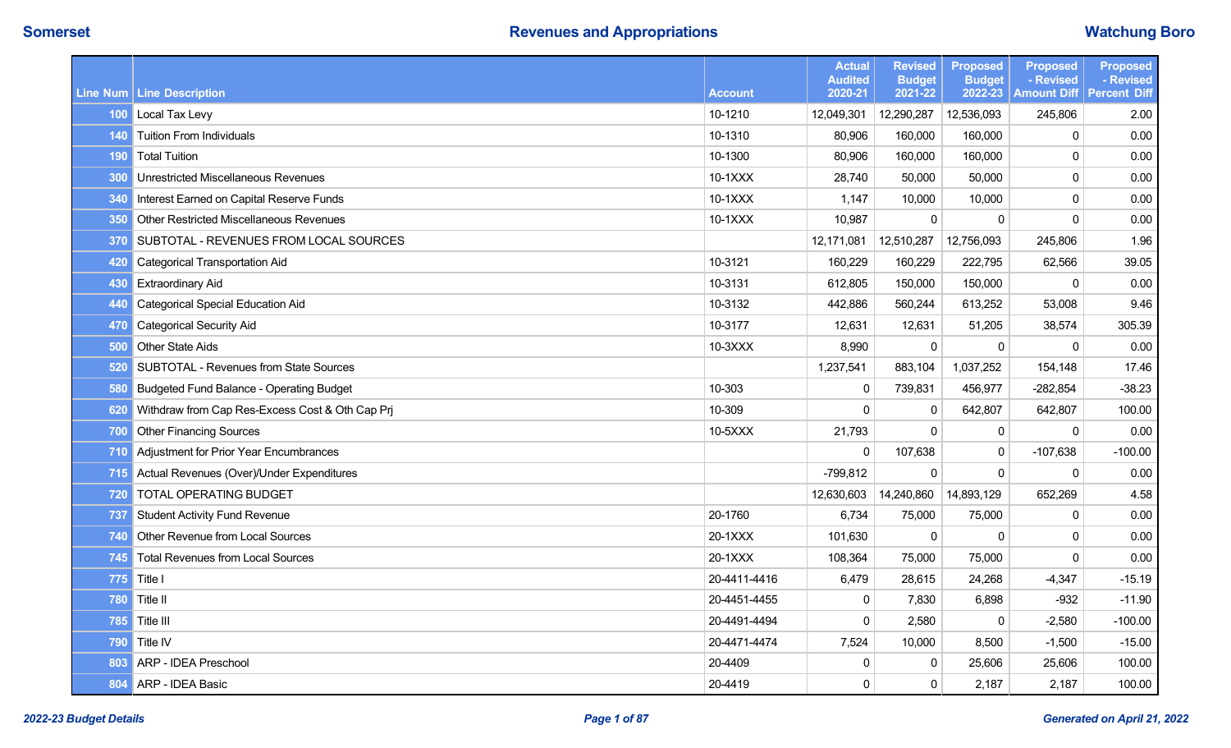|     | Line Num   Line Description                          | <b>Account</b> | <b>Actual</b><br><b>Audited</b><br>2020-21 | <b>Revised</b><br><b>Budget</b><br>2021-22 | <b>Proposed</b><br><b>Budget</b><br>2022-23 | <b>Proposed</b><br>- Revised<br><b>Amount Diff</b> | <b>Proposed</b><br>- Revised<br><b>Percent Diff</b> |
|-----|------------------------------------------------------|----------------|--------------------------------------------|--------------------------------------------|---------------------------------------------|----------------------------------------------------|-----------------------------------------------------|
|     | 100 Local Tax Levy                                   | 10-1210        | 12,049,301                                 | 12,290,287                                 | 12,536,093                                  | 245,806                                            | 2.00                                                |
|     | 140 Tuition From Individuals                         | 10-1310        | 80,906                                     | 160,000                                    | 160,000                                     | $\mathbf 0$                                        | 0.00                                                |
|     | 190 Total Tuition                                    | 10-1300        | 80,906                                     | 160,000                                    | 160,000                                     | $\mathbf 0$                                        | 0.00                                                |
| 300 | Unrestricted Miscellaneous Revenues                  | 10-1XXX        | 28,740                                     | 50,000                                     | 50,000                                      | $\mathbf 0$                                        | 0.00                                                |
|     | 340 Interest Earned on Capital Reserve Funds         | 10-1XXX        | 1,147                                      | 10,000                                     | 10,000                                      | $\mathbf 0$                                        | 0.00                                                |
| 350 | <b>Other Restricted Miscellaneous Revenues</b>       | 10-1XXX        | 10,987                                     | 0                                          | $\Omega$                                    | $\mathbf 0$                                        | 0.00                                                |
|     | 370 SUBTOTAL - REVENUES FROM LOCAL SOURCES           |                | 12,171,081                                 | 12,510,287                                 | 12,756,093                                  | 245,806                                            | 1.96                                                |
| 420 | <b>Categorical Transportation Aid</b>                | 10-3121        | 160,229                                    | 160,229                                    | 222,795                                     | 62,566                                             | 39.05                                               |
| 430 | <b>Extraordinary Aid</b>                             | 10-3131        | 612,805                                    | 150,000                                    | 150,000                                     | $\mathbf{0}$                                       | 0.00                                                |
| 440 | <b>Categorical Special Education Aid</b>             | 10-3132        | 442,886                                    | 560,244                                    | 613,252                                     | 53,008                                             | 9.46                                                |
| 470 | <b>Categorical Security Aid</b>                      | 10-3177        | 12,631                                     | 12,631                                     | 51,205                                      | 38,574                                             | 305.39                                              |
| 500 | <b>Other State Aids</b>                              | 10-3XXX        | 8,990                                      | 0                                          | 0                                           | $\mathbf{0}$                                       | 0.00                                                |
| 520 | SUBTOTAL - Revenues from State Sources               |                | 1,237,541                                  | 883,104                                    | 1,037,252                                   | 154,148                                            | 17.46                                               |
| 580 | <b>Budgeted Fund Balance - Operating Budget</b>      | 10-303         | $\mathbf 0$                                | 739,831                                    | 456,977                                     | $-282,854$                                         | $-38.23$                                            |
| 620 | Withdraw from Cap Res-Excess Cost & Oth Cap Prj      | 10-309         | $\mathbf 0$                                | $\mathbf{0}$                               | 642,807                                     | 642,807                                            | 100.00                                              |
| 700 | <b>Other Financing Sources</b>                       | 10-5XXX        | 21,793                                     | $\mathbf{0}$                               | $\mathbf 0$                                 | $\mathbf{0}$                                       | 0.00                                                |
| 710 | Adjustment for Prior Year Encumbrances               |                | $\mathbf 0$                                | 107,638                                    | $\mathbf{0}$                                | $-107,638$                                         | $-100.00$                                           |
|     | <b>715</b> Actual Revenues (Over)/Under Expenditures |                | $-799,812$                                 | $\mathbf 0$                                | $\mathbf 0$                                 | $\mathbf 0$                                        | 0.00                                                |
| 720 | <b>TOTAL OPERATING BUDGET</b>                        |                | 12,630,603                                 | 14,240,860                                 | 14,893,129                                  | 652,269                                            | 4.58                                                |
|     | 737 Student Activity Fund Revenue                    | 20-1760        | 6,734                                      | 75,000                                     | 75,000                                      | $\mathbf 0$                                        | 0.00                                                |
| 740 | Other Revenue from Local Sources                     | 20-1XXX        | 101,630                                    | $\mathbf 0$                                | $\Omega$                                    | $\mathbf 0$                                        | 0.00                                                |
|     | 745 Total Revenues from Local Sources                | 20-1XXX        | 108,364                                    | 75,000                                     | 75,000                                      | $\mathbf 0$                                        | 0.00                                                |
| 775 | Title I                                              | 20-4411-4416   | 6,479                                      | 28,615                                     | 24,268                                      | $-4,347$                                           | $-15.19$                                            |
| 780 | Title II                                             | 20-4451-4455   | $\mathbf 0$                                | 7,830                                      | 6,898                                       | $-932$                                             | $-11.90$                                            |
| 785 | Title III                                            | 20-4491-4494   | $\mathbf 0$                                | 2,580                                      | $\mathbf{0}$                                | $-2,580$                                           | $-100.00$                                           |
|     | 790 Title IV                                         | 20-4471-4474   | 7,524                                      | 10,000                                     | 8,500                                       | $-1,500$                                           | $-15.00$                                            |
| 803 | ARP - IDEA Preschool                                 | 20-4409        | $\mathbf 0$                                | $\mathbf{0}$                               | 25,606                                      | 25,606                                             | 100.00                                              |
|     | 804 ARP - IDEA Basic                                 | 20-4419        | $\mathbf 0$                                | $\mathbf{0}$                               | 2,187                                       | 2,187                                              | 100.00                                              |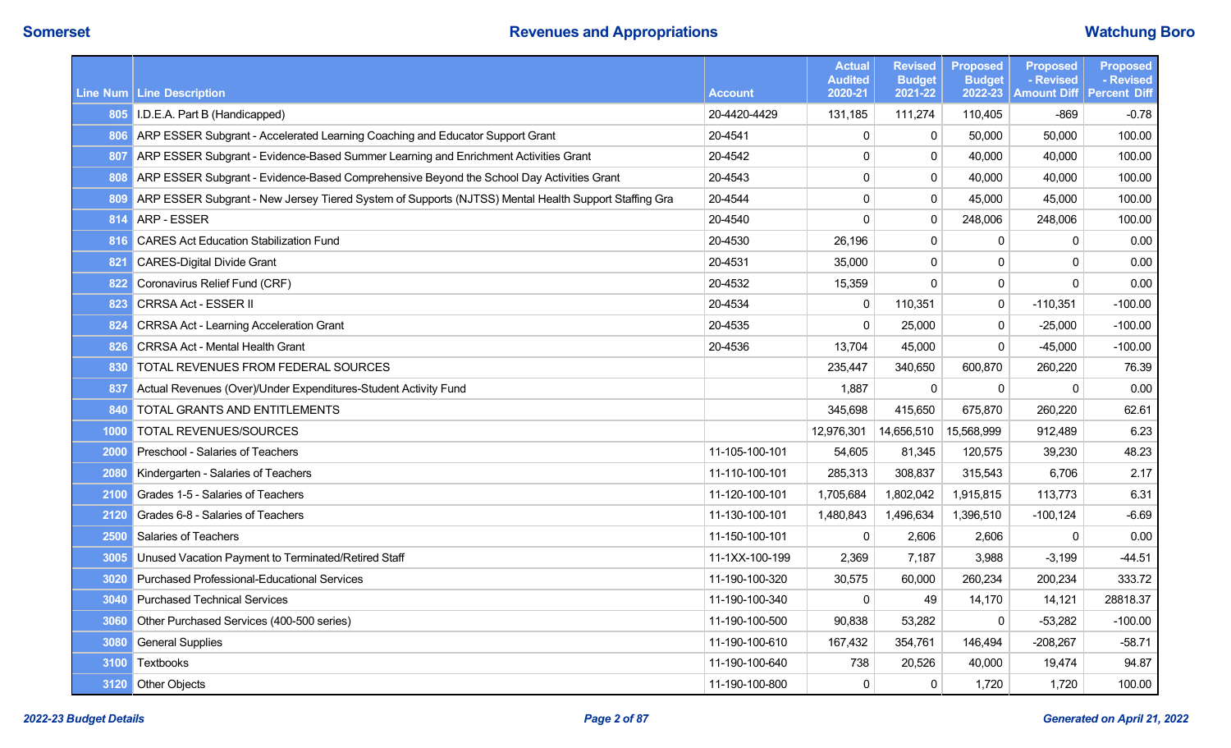|      |                                                                                                          |                | <b>Actual</b><br><b>Audited</b> | <b>Revised</b><br><b>Budget</b> | <b>Proposed</b><br><b>Budget</b> | <b>Proposed</b><br>- Revised | <b>Proposed</b><br>- Revised |
|------|----------------------------------------------------------------------------------------------------------|----------------|---------------------------------|---------------------------------|----------------------------------|------------------------------|------------------------------|
|      | Line Num Line Description                                                                                | <b>Account</b> | 2020-21                         | 2021-22                         | 2022-23                          | <b>Amount Diff</b>           | <b>Percent Diff</b>          |
|      | 805 I.D.E.A. Part B (Handicapped)                                                                        | 20-4420-4429   | 131,185                         | 111,274                         | 110,405                          | $-869$                       | $-0.78$                      |
| 806  | ARP ESSER Subgrant - Accelerated Learning Coaching and Educator Support Grant                            | 20-4541        | $\mathbf 0$                     | 0                               | 50,000                           | 50,000                       | 100.00                       |
| 807  | ARP ESSER Subgrant - Evidence-Based Summer Learning and Enrichment Activities Grant                      | 20-4542        | $\pmb{0}$                       | 0                               | 40,000                           | 40,000                       | 100.00                       |
| 808  | ARP ESSER Subgrant - Evidence-Based Comprehensive Beyond the School Day Activities Grant                 | 20-4543        | $\mathbf 0$                     | 0                               | 40,000                           | 40,000                       | 100.00                       |
|      | 809 ARP ESSER Subgrant - New Jersey Tiered System of Supports (NJTSS) Mental Health Support Staffing Gra | 20-4544        | $\pmb{0}$                       | 0                               | 45,000                           | 45,000                       | 100.00                       |
| 814  | <b>ARP - ESSER</b>                                                                                       | 20-4540        | $\mathbf 0$                     | $\mathbf 0$                     | 248,006                          | 248,006                      | 100.00                       |
| 816  | <b>CARES Act Education Stabilization Fund</b>                                                            | 20-4530        | 26,196                          | 0                               | 0                                | 0                            | 0.00                         |
| 821  | <b>CARES-Digital Divide Grant</b>                                                                        | 20-4531        | 35,000                          | 0                               | $\mathbf{0}$                     | $\mathbf 0$                  | 0.00                         |
|      | 822 Coronavirus Relief Fund (CRF)                                                                        | 20-4532        | 15,359                          | 0                               | $\mathbf 0$                      | $\Omega$                     | 0.00                         |
| 823  | <b>CRRSA Act - ESSER II</b>                                                                              | 20-4534        | $\mathbf 0$                     | 110,351                         | 0                                | $-110,351$                   | $-100.00$                    |
| 824  | <b>CRRSA Act - Learning Acceleration Grant</b>                                                           | 20-4535        | $\mathbf 0$                     | 25,000                          | $\mathbf{0}$                     | $-25,000$                    | $-100.00$                    |
| 826  | <b>CRRSA Act - Mental Health Grant</b>                                                                   | 20-4536        | 13,704                          | 45,000                          | 0                                | $-45,000$                    | $-100.00$                    |
| 830  | <b>TOTAL REVENUES FROM FEDERAL SOURCES</b>                                                               |                | 235,447                         | 340,650                         | 600,870                          | 260,220                      | 76.39                        |
| 837  | Actual Revenues (Over)/Under Expenditures-Student Activity Fund                                          |                | 1,887                           | 0                               | $\mathbf{0}$                     | $\mathbf{0}$                 | 0.00                         |
| 840  | TOTAL GRANTS AND ENTITLEMENTS                                                                            |                | 345,698                         | 415,650                         | 675,870                          | 260,220                      | 62.61                        |
| 1000 | TOTAL REVENUES/SOURCES                                                                                   |                | 12,976,301                      | 14,656,510                      | 15,568,999                       | 912,489                      | 6.23                         |
| 2000 | Preschool - Salaries of Teachers                                                                         | 11-105-100-101 | 54,605                          | 81,345                          | 120,575                          | 39,230                       | 48.23                        |
| 2080 | Kindergarten - Salaries of Teachers                                                                      | 11-110-100-101 | 285,313                         | 308,837                         | 315,543                          | 6,706                        | 2.17                         |
| 2100 | Grades 1-5 - Salaries of Teachers                                                                        | 11-120-100-101 | 1,705,684                       | 1,802,042                       | 1,915,815                        | 113,773                      | 6.31                         |
| 2120 | Grades 6-8 - Salaries of Teachers                                                                        | 11-130-100-101 | 1,480,843                       | 1,496,634                       | 1,396,510                        | $-100, 124$                  | $-6.69$                      |
| 2500 | <b>Salaries of Teachers</b>                                                                              | 11-150-100-101 | $\mathbf 0$                     | 2,606                           | 2,606                            | $\mathbf 0$                  | 0.00                         |
| 3005 | Unused Vacation Payment to Terminated/Retired Staff                                                      | 11-1XX-100-199 | 2,369                           | 7,187                           | 3,988                            | $-3.199$                     | $-44.51$                     |
| 3020 | <b>Purchased Professional-Educational Services</b>                                                       | 11-190-100-320 | 30,575                          | 60,000                          | 260,234                          | 200,234                      | 333.72                       |
| 3040 | <b>Purchased Technical Services</b>                                                                      | 11-190-100-340 | $\mathbf 0$                     | 49                              | 14,170                           | 14,121                       | 28818.37                     |
| 3060 | Other Purchased Services (400-500 series)                                                                | 11-190-100-500 | 90,838                          | 53,282                          | 0                                | $-53,282$                    | $-100.00$                    |
| 3080 | <b>General Supplies</b>                                                                                  | 11-190-100-610 | 167,432                         | 354.761                         | 146.494                          | $-208,267$                   | $-58.71$                     |
| 3100 | Textbooks                                                                                                | 11-190-100-640 | 738                             | 20,526                          | 40,000                           | 19,474                       | 94.87                        |
|      | 3120 Other Objects                                                                                       | 11-190-100-800 | $\mathbf 0$                     | 0                               | 1,720                            | 1,720                        | 100.00                       |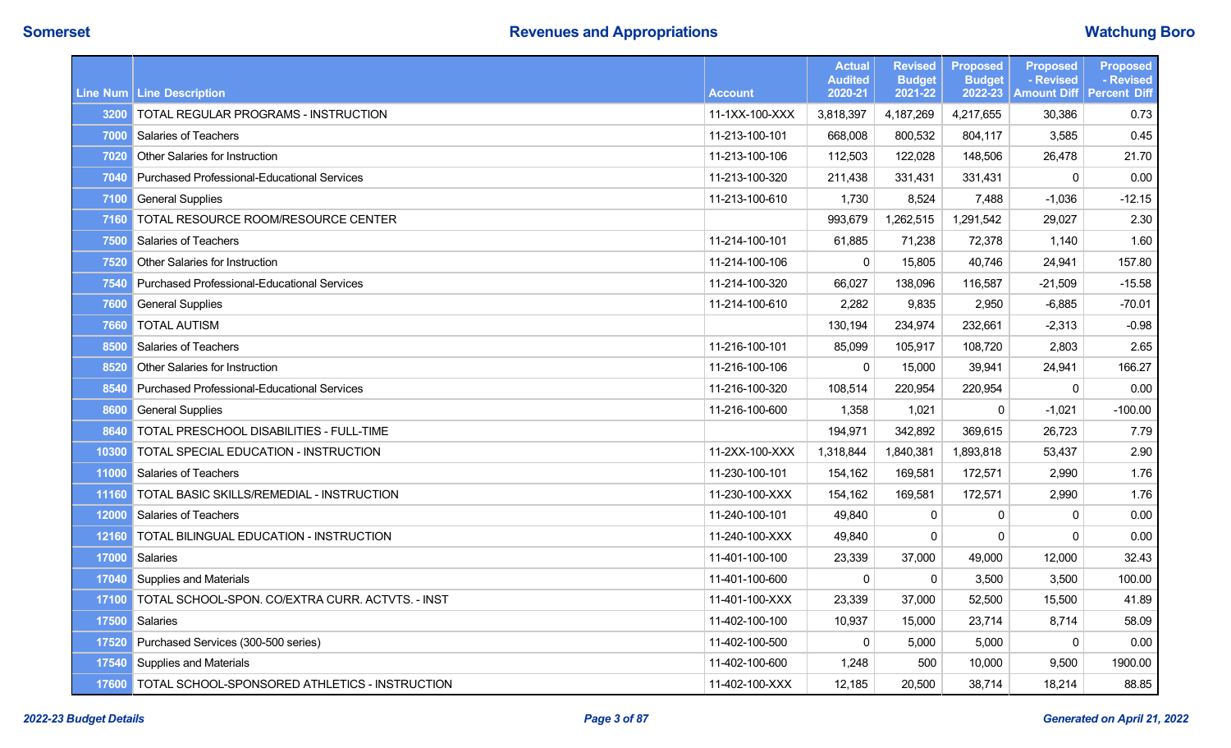|       |                                                      |                | <b>Actual</b><br><b>Audited</b> | <b>Revised</b><br><b>Budget</b> | <b>Proposed</b><br><b>Budget</b> | <b>Proposed</b><br>- Revised | <b>Proposed</b><br>- Revised |
|-------|------------------------------------------------------|----------------|---------------------------------|---------------------------------|----------------------------------|------------------------------|------------------------------|
|       | <b>Line Num   Line Description</b>                   | <b>Account</b> | 2020-21                         | 2021-22                         | 2022-23                          | <b>Amount Diff</b>           | <b>Percent Diff</b>          |
| 3200  | TOTAL REGULAR PROGRAMS - INSTRUCTION                 | 11-1XX-100-XXX | 3,818,397                       | 4,187,269                       | 4,217,655                        | 30,386                       | 0.73                         |
| 7000  | <b>Salaries of Teachers</b>                          | 11-213-100-101 | 668,008                         | 800,532                         | 804,117                          | 3,585                        | 0.45                         |
| 7020  | Other Salaries for Instruction                       | 11-213-100-106 | 112,503                         | 122,028                         | 148,506                          | 26,478                       | 21.70                        |
| 7040  | <b>Purchased Professional-Educational Services</b>   | 11-213-100-320 | 211,438                         | 331,431                         | 331,431                          | $\pmb{0}$                    | 0.00                         |
| 7100  | <b>General Supplies</b>                              | 11-213-100-610 | 1,730                           | 8,524                           | 7,488                            | $-1,036$                     | $-12.15$                     |
| 7160  | TOTAL RESOURCE ROOM/RESOURCE CENTER                  |                | 993,679                         | 1,262,515                       | 1,291,542                        | 29,027                       | 2.30                         |
| 7500  | <b>Salaries of Teachers</b>                          | 11-214-100-101 | 61,885                          | 71,238                          | 72,378                           | 1,140                        | 1.60                         |
| 7520  | Other Salaries for Instruction                       | 11-214-100-106 | $\mathbf 0$                     | 15,805                          | 40,746                           | 24,941                       | 157.80                       |
| 7540  | <b>Purchased Professional-Educational Services</b>   | 11-214-100-320 | 66,027                          | 138,096                         | 116,587                          | $-21,509$                    | $-15.58$                     |
| 7600  | <b>General Supplies</b>                              | 11-214-100-610 | 2,282                           | 9,835                           | 2,950                            | $-6,885$                     | $-70.01$                     |
| 7660  | <b>TOTAL AUTISM</b>                                  |                | 130,194                         | 234,974                         | 232,661                          | $-2,313$                     | $-0.98$                      |
| 8500  | <b>Salaries of Teachers</b>                          | 11-216-100-101 | 85,099                          | 105,917                         | 108,720                          | 2,803                        | 2.65                         |
| 8520  | Other Salaries for Instruction                       | 11-216-100-106 | 0                               | 15,000                          | 39,941                           | 24,941                       | 166.27                       |
| 8540  | Purchased Professional-Educational Services          | 11-216-100-320 | 108,514                         | 220,954                         | 220,954                          | $\mathbf{0}$                 | 0.00                         |
| 8600  | <b>General Supplies</b>                              | 11-216-100-600 | 1,358                           | 1,021                           | $\Omega$                         | $-1,021$                     | $-100.00$                    |
| 8640  | TOTAL PRESCHOOL DISABILITIES - FULL-TIME             |                | 194,971                         | 342,892                         | 369,615                          | 26,723                       | 7.79                         |
| 10300 | TOTAL SPECIAL EDUCATION - INSTRUCTION                | 11-2XX-100-XXX | 1,318,844                       | 1,840,381                       | 1,893,818                        | 53,437                       | 2.90                         |
|       | 11000 Salaries of Teachers                           | 11-230-100-101 | 154,162                         | 169,581                         | 172,571                          | 2,990                        | 1.76                         |
| 11160 | TOTAL BASIC SKILLS/REMEDIAL - INSTRUCTION            | 11-230-100-XXX | 154,162                         | 169,581                         | 172,571                          | 2,990                        | 1.76                         |
| 12000 | Salaries of Teachers                                 | 11-240-100-101 | 49,840                          | $\pmb{0}$                       | 0                                | 0                            | 0.00                         |
| 12160 | TOTAL BILINGUAL EDUCATION - INSTRUCTION              | 11-240-100-XXX | 49,840                          | $\mathbf{0}$                    | $\mathbf{0}$                     | $\Omega$                     | 0.00                         |
|       | 17000 Salaries                                       | 11-401-100-100 | 23,339                          | 37,000                          | 49,000                           | 12,000                       | 32.43                        |
| 17040 | Supplies and Materials                               | 11-401-100-600 | $\Omega$                        | $\mathbf{0}$                    | 3,500                            | 3,500                        | 100.00                       |
| 17100 | TOTAL SCHOOL-SPON. CO/EXTRA CURR. ACTVTS. - INST     | 11-401-100-XXX | 23,339                          | 37,000                          | 52,500                           | 15,500                       | 41.89                        |
| 17500 | Salaries                                             | 11-402-100-100 | 10,937                          | 15,000                          | 23,714                           | 8,714                        | 58.09                        |
| 17520 | Purchased Services (300-500 series)                  | 11-402-100-500 | $\mathbf 0$                     | 5,000                           | 5,000                            | $\mathbf{0}$                 | 0.00                         |
| 17540 | Supplies and Materials                               | 11-402-100-600 | 1,248                           | 500                             | 10,000                           | 9,500                        | 1900.00                      |
|       | 17600 TOTAL SCHOOL-SPONSORED ATHLETICS - INSTRUCTION | 11-402-100-XXX | 12,185                          | 20,500                          | 38,714                           | 18,214                       | 88.85                        |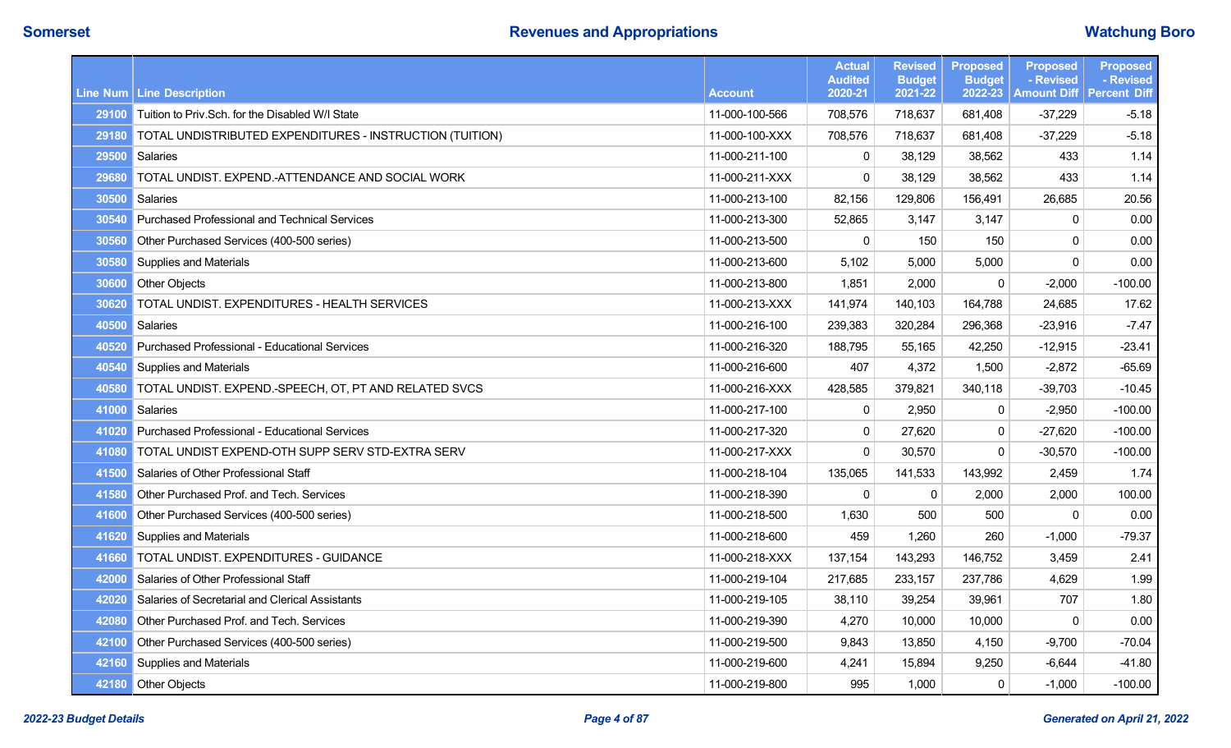|       |                                                          |                | <b>Actual</b><br><b>Audited</b> | <b>Revised</b><br><b>Budget</b> | <b>Proposed</b><br><b>Budget</b> | <b>Proposed</b><br>- Revised | <b>Proposed</b><br>- Revised |
|-------|----------------------------------------------------------|----------------|---------------------------------|---------------------------------|----------------------------------|------------------------------|------------------------------|
|       | Line Num Line Description                                | <b>Account</b> | 2020-21                         | 2021-22                         | 2022-23                          | <b>Amount Diff</b>           | <b>Percent Diff</b>          |
|       | 29100 Tuition to Priv. Sch. for the Disabled W/I State   | 11-000-100-566 | 708,576                         | 718.637                         | 681.408                          | $-37,229$                    | $-5.18$                      |
| 29180 | TOTAL UNDISTRIBUTED EXPENDITURES - INSTRUCTION (TUITION) | 11-000-100-XXX | 708,576                         | 718,637                         | 681,408                          | $-37,229$                    | $-5.18$                      |
|       | 29500 Salaries                                           | 11-000-211-100 | $\mathbf 0$                     | 38.129                          | 38,562                           | 433                          | 1.14                         |
| 29680 | TOTAL UNDIST. EXPEND.-ATTENDANCE AND SOCIAL WORK         | 11-000-211-XXX | $\pmb{0}$                       | 38,129                          | 38,562                           | 433                          | 1.14                         |
| 30500 | Salaries                                                 | 11-000-213-100 | 82,156                          | 129,806                         | 156,491                          | 26,685                       | 20.56                        |
| 30540 | <b>Purchased Professional and Technical Services</b>     | 11-000-213-300 | 52,865                          | 3,147                           | 3,147                            | 0                            | 0.00                         |
| 30560 | Other Purchased Services (400-500 series)                | 11-000-213-500 | $\mathbf 0$                     | 150                             | 150                              | $\mathbf 0$                  | 0.00                         |
| 30580 | Supplies and Materials                                   | 11-000-213-600 | 5,102                           | 5,000                           | 5,000                            | $\Omega$                     | 0.00                         |
| 30600 | <b>Other Objects</b>                                     | 11-000-213-800 | 1,851                           | 2,000                           | 0                                | $-2,000$                     | $-100.00$                    |
| 30620 | TOTAL UNDIST. EXPENDITURES - HEALTH SERVICES             | 11-000-213-XXX | 141,974                         | 140,103                         | 164,788                          | 24,685                       | 17.62                        |
| 40500 | <b>Salaries</b>                                          | 11-000-216-100 | 239,383                         | 320,284                         | 296,368                          | -23,916                      | $-7.47$                      |
| 40520 | <b>Purchased Professional - Educational Services</b>     | 11-000-216-320 | 188,795                         | 55,165                          | 42,250                           | $-12,915$                    | $-23.41$                     |
|       | 40540 Supplies and Materials                             | 11-000-216-600 | 407                             | 4,372                           | 1,500                            | $-2,872$                     | $-65.69$                     |
| 40580 | TOTAL UNDIST. EXPEND.-SPEECH, OT, PT AND RELATED SVCS    | 11-000-216-XXX | 428,585                         | 379,821                         | 340,118                          | $-39,703$                    | $-10.45$                     |
| 41000 | Salaries                                                 | 11-000-217-100 | 0                               | 2,950                           | 0                                | $-2,950$                     | $-100.00$                    |
| 41020 | <b>Purchased Professional - Educational Services</b>     | 11-000-217-320 | $\mathbf 0$                     | 27,620                          | 0                                | $-27,620$                    | $-100.00$                    |
| 41080 | TOTAL UNDIST EXPEND-OTH SUPP SERV STD-EXTRA SERV         | 11-000-217-XXX | 0                               | 30,570                          | $\Omega$                         | $-30,570$                    | $-100.00$                    |
| 41500 | Salaries of Other Professional Staff                     | 11-000-218-104 | 135,065                         | 141,533                         | 143,992                          | 2,459                        | 1.74                         |
| 41580 | Other Purchased Prof. and Tech. Services                 | 11-000-218-390 | 0                               | $\mathbf{0}$                    | 2,000                            | 2,000                        | 100.00                       |
| 41600 | Other Purchased Services (400-500 series)                | 11-000-218-500 | 1,630                           | 500                             | 500                              | 0                            | 0.00                         |
| 41620 | <b>Supplies and Materials</b>                            | 11-000-218-600 | 459                             | 1,260                           | 260                              | $-1,000$                     | $-79.37$                     |
| 41660 | TOTAL UNDIST. EXPENDITURES - GUIDANCE                    | 11-000-218-XXX | 137,154                         | 143,293                         | 146,752                          | 3,459                        | 2.41                         |
| 42000 | Salaries of Other Professional Staff                     | 11-000-219-104 | 217,685                         | 233,157                         | 237,786                          | 4,629                        | 1.99                         |
| 42020 | Salaries of Secretarial and Clerical Assistants          | 11-000-219-105 | 38,110                          | 39,254                          | 39,961                           | 707                          | 1.80                         |
| 42080 | Other Purchased Prof. and Tech. Services                 | 11-000-219-390 | 4,270                           | 10,000                          | 10,000                           | $\mathbf 0$                  | 0.00                         |
| 42100 | Other Purchased Services (400-500 series)                | 11-000-219-500 | 9,843                           | 13,850                          | 4,150                            | $-9,700$                     | $-70.04$                     |
| 42160 | Supplies and Materials                                   | 11-000-219-600 | 4,241                           | 15,894                          | 9,250                            | $-6,644$                     | $-41.80$                     |
|       | 42180 Other Objects                                      | 11-000-219-800 | 995                             | 1,000                           | $\mathbf 0$                      | $-1,000$                     | $-100.00$                    |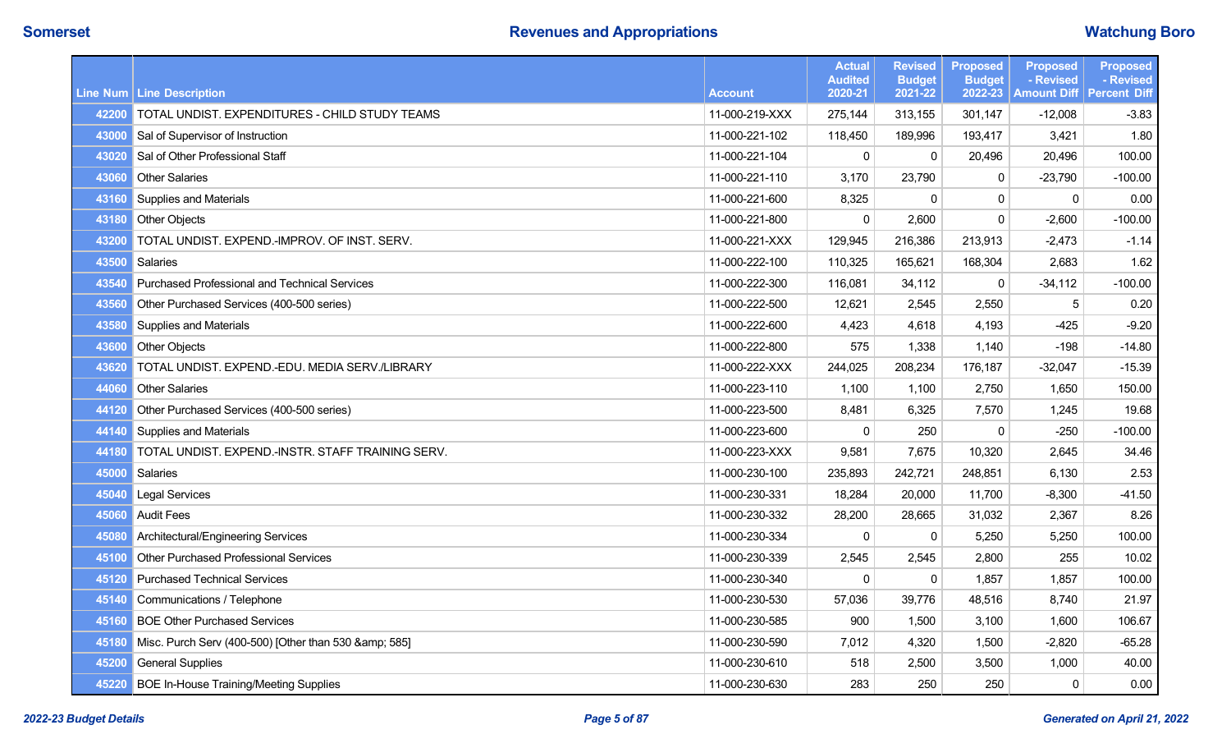|       |                                                      |                | <b>Actual</b><br><b>Audited</b> | <b>Revised</b><br><b>Budget</b> | <b>Proposed</b><br><b>Budget</b> | <b>Proposed</b><br>- Revised | <b>Proposed</b><br>- Revised |
|-------|------------------------------------------------------|----------------|---------------------------------|---------------------------------|----------------------------------|------------------------------|------------------------------|
|       | Line Num Line Description                            | <b>Account</b> | 2020-21                         | 2021-22                         | 2022-23                          | <b>Amount Diff</b>           | <b>Percent Diff</b>          |
| 42200 | TOTAL UNDIST. EXPENDITURES - CHILD STUDY TEAMS       | 11-000-219-XXX | 275,144                         | 313,155                         | 301,147                          | $-12,008$                    | $-3.83$                      |
| 43000 | Sal of Supervisor of Instruction                     | 11-000-221-102 | 118,450                         | 189,996                         | 193,417                          | 3,421                        | 1.80                         |
| 43020 | Sal of Other Professional Staff                      | 11-000-221-104 | $\mathbf 0$                     | $\mathbf 0$                     | 20,496                           | 20,496                       | 100.00                       |
| 43060 | <b>Other Salaries</b>                                | 11-000-221-110 | 3,170                           | 23,790                          | 0                                | $-23,790$                    | $-100.00$                    |
|       | 43160 Supplies and Materials                         | 11-000-221-600 | 8,325                           | 0                               | $\Omega$                         | $\mathbf{0}$                 | 0.00                         |
| 43180 | <b>Other Objects</b>                                 | 11-000-221-800 | $\mathbf{0}$                    | 2,600                           | $\Omega$                         | $-2,600$                     | $-100.00$                    |
| 43200 | TOTAL UNDIST. EXPEND.-IMPROV. OF INST. SERV.         | 11-000-221-XXX | 129,945                         | 216,386                         | 213,913                          | $-2,473$                     | $-1.14$                      |
| 43500 | Salaries                                             | 11-000-222-100 | 110,325                         | 165,621                         | 168,304                          | 2,683                        | 1.62                         |
| 43540 | <b>Purchased Professional and Technical Services</b> | 11-000-222-300 | 116,081                         | 34,112                          | $\mathbf 0$                      | $-34,112$                    | $-100.00$                    |
| 43560 | Other Purchased Services (400-500 series)            | 11-000-222-500 | 12,621                          | 2,545                           | 2,550                            | 5                            | 0.20                         |
| 43580 | Supplies and Materials                               | 11-000-222-600 | 4,423                           | 4,618                           | 4,193                            | -425                         | $-9.20$                      |
| 43600 | <b>Other Objects</b>                                 | 11-000-222-800 | 575                             | 1,338                           | 1,140                            | $-198$                       | $-14.80$                     |
| 43620 | TOTAL UNDIST. EXPEND.-EDU. MEDIA SERV./LIBRARY       | 11-000-222-XXX | 244,025                         | 208,234                         | 176,187                          | $-32,047$                    | $-15.39$                     |
| 44060 | <b>Other Salaries</b>                                | 11-000-223-110 | 1,100                           | 1,100                           | 2,750                            | 1,650                        | 150.00                       |
| 44120 | Other Purchased Services (400-500 series)            | 11-000-223-500 | 8,481                           | 6,325                           | 7,570                            | 1,245                        | 19.68                        |
| 44140 | Supplies and Materials                               | 11-000-223-600 | $\mathbf 0$                     | 250                             | 0                                | $-250$                       | $-100.00$                    |
| 44180 | TOTAL UNDIST. EXPEND.-INSTR. STAFF TRAINING SERV.    | 11-000-223-XXX | 9,581                           | 7,675                           | 10,320                           | 2,645                        | 34.46                        |
| 45000 | Salaries                                             | 11-000-230-100 | 235,893                         | 242,721                         | 248,851                          | 6,130                        | 2.53                         |
| 45040 | Legal Services                                       | 11-000-230-331 | 18,284                          | 20,000                          | 11,700                           | $-8,300$                     | $-41.50$                     |
| 45060 | <b>Audit Fees</b>                                    | 11-000-230-332 | 28,200                          | 28,665                          | 31,032                           | 2,367                        | 8.26                         |
| 45080 | Architectural/Engineering Services                   | 11-000-230-334 | $\mathbf{0}$                    | 0                               | 5,250                            | 5,250                        | 100.00                       |
| 45100 | <b>Other Purchased Professional Services</b>         | 11-000-230-339 | 2,545                           | 2,545                           | 2,800                            | 255                          | 10.02                        |
| 45120 | <b>Purchased Technical Services</b>                  | 11-000-230-340 | $\mathbf{0}$                    | $\Omega$                        | 1,857                            | 1,857                        | 100.00                       |
| 45140 | Communications / Telephone                           | 11-000-230-530 | 57,036                          | 39,776                          | 48,516                           | 8,740                        | 21.97                        |
| 45160 | <b>BOE Other Purchased Services</b>                  | 11-000-230-585 | 900                             | 1,500                           | 3,100                            | 1,600                        | 106.67                       |
| 45180 | Misc. Purch Serv (400-500) [Other than 530 & 585]    | 11-000-230-590 | 7,012                           | 4,320                           | 1,500                            | $-2,820$                     | $-65.28$                     |
| 45200 | <b>General Supplies</b>                              | 11-000-230-610 | 518                             | 2,500                           | 3,500                            | 1,000                        | 40.00                        |
| 45220 | <b>BOE In-House Training/Meeting Supplies</b>        | 11-000-230-630 | 283                             | 250                             | 250                              | $\mathbf 0$                  | 0.00                         |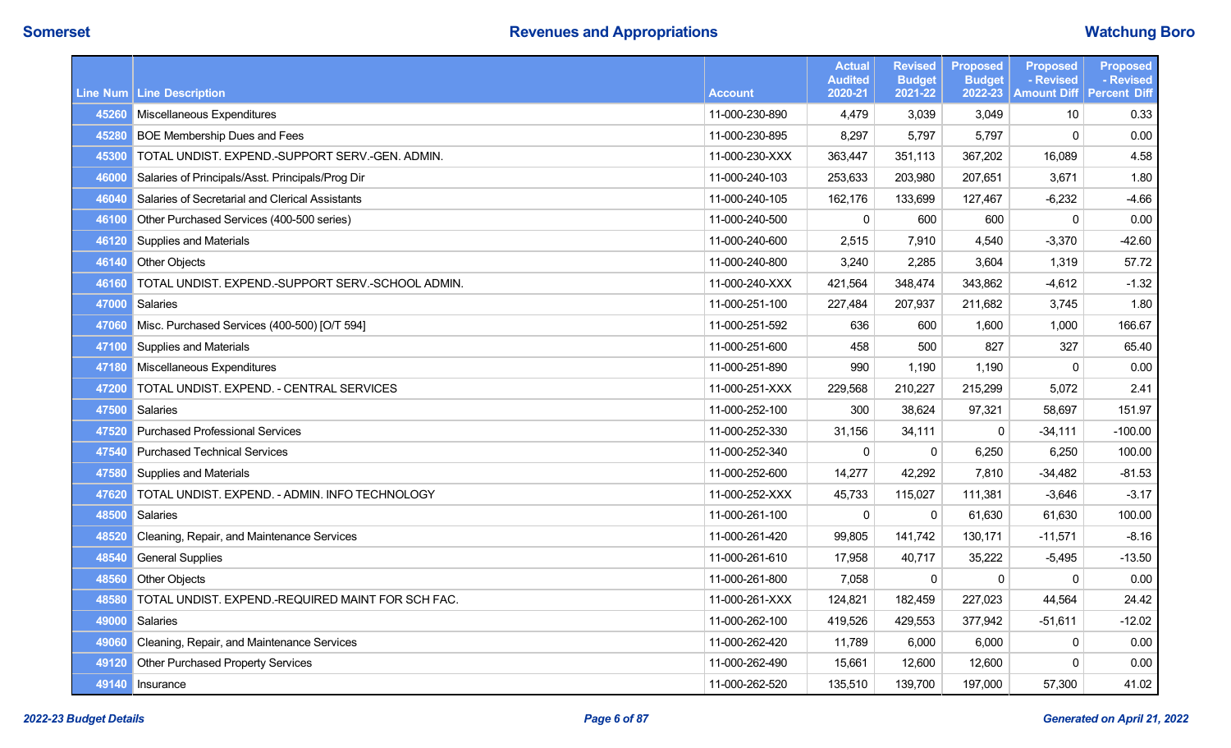|       |                                                   |                | <b>Actual</b><br><b>Audited</b> | <b>Revised</b><br><b>Budget</b> | <b>Proposed</b><br><b>Budget</b> | <b>Proposed</b><br>- Revised | <b>Proposed</b><br>- Revised |
|-------|---------------------------------------------------|----------------|---------------------------------|---------------------------------|----------------------------------|------------------------------|------------------------------|
|       | Line Num Line Description                         | <b>Account</b> | 2020-21                         | 2021-22                         | 2022-23                          | <b>Amount Diff</b>           | <b>Percent Diff</b>          |
|       | 45260 Miscellaneous Expenditures                  | 11-000-230-890 | 4,479                           | 3,039                           | 3,049                            | 10                           | 0.33                         |
| 45280 | <b>BOE Membership Dues and Fees</b>               | 11-000-230-895 | 8,297                           | 5,797                           | 5,797                            | $\mathbf 0$                  | 0.00                         |
| 45300 | TOTAL UNDIST. EXPEND.-SUPPORT SERV.-GEN. ADMIN.   | 11-000-230-XXX | 363,447                         | 351,113                         | 367,202                          | 16,089                       | 4.58                         |
| 46000 | Salaries of Principals/Asst. Principals/Prog Dir  | 11-000-240-103 | 253,633                         | 203,980                         | 207,651                          | 3,671                        | 1.80                         |
| 46040 | Salaries of Secretarial and Clerical Assistants   | 11-000-240-105 | 162,176                         | 133,699                         | 127,467                          | $-6,232$                     | $-4.66$                      |
| 46100 | Other Purchased Services (400-500 series)         | 11-000-240-500 | $\mathbf{0}$                    | 600                             | 600                              | $\mathbf{0}$                 | 0.00                         |
| 46120 | Supplies and Materials                            | 11-000-240-600 | 2,515                           | 7,910                           | 4,540                            | $-3,370$                     | $-42.60$                     |
| 46140 | Other Objects                                     | 11-000-240-800 | 3,240                           | 2,285                           | 3,604                            | 1,319                        | 57.72                        |
| 46160 | TOTAL UNDIST. EXPEND.-SUPPORT SERV.-SCHOOL ADMIN. | 11-000-240-XXX | 421,564                         | 348,474                         | 343,862                          | $-4,612$                     | $-1.32$                      |
| 47000 | Salaries                                          | 11-000-251-100 | 227,484                         | 207,937                         | 211,682                          | 3,745                        | 1.80                         |
| 47060 | Misc. Purchased Services (400-500) [O/T 594]      | 11-000-251-592 | 636                             | 600                             | 1,600                            | 1,000                        | 166.67                       |
| 47100 | <b>Supplies and Materials</b>                     | 11-000-251-600 | 458                             | 500                             | 827                              | 327                          | 65.40                        |
| 47180 | Miscellaneous Expenditures                        | 11-000-251-890 | 990                             | 1,190                           | 1,190                            | 0                            | 0.00                         |
| 47200 | TOTAL UNDIST. EXPEND. - CENTRAL SERVICES          | 11-000-251-XXX | 229,568                         | 210,227                         | 215,299                          | 5,072                        | 2.41                         |
| 47500 | Salaries                                          | 11-000-252-100 | 300                             | 38,624                          | 97,321                           | 58,697                       | 151.97                       |
| 47520 | <b>Purchased Professional Services</b>            | 11-000-252-330 | 31,156                          | 34,111                          | 0                                | $-34,111$                    | $-100.00$                    |
| 47540 | <b>Purchased Technical Services</b>               | 11-000-252-340 | $\mathbf{0}$                    | 0                               | 6,250                            | 6,250                        | 100.00                       |
| 47580 | <b>Supplies and Materials</b>                     | 11-000-252-600 | 14,277                          | 42,292                          | 7,810                            | $-34,482$                    | $-81.53$                     |
| 47620 | TOTAL UNDIST. EXPEND. - ADMIN. INFO TECHNOLOGY    | 11-000-252-XXX | 45,733                          | 115,027                         | 111,381                          | $-3,646$                     | $-3.17$                      |
| 48500 | <b>Salaries</b>                                   | 11-000-261-100 | $\mathbf 0$                     | $\mathbf 0$                     | 61,630                           | 61,630                       | 100.00                       |
| 48520 | Cleaning, Repair, and Maintenance Services        | 11-000-261-420 | 99,805                          | 141,742                         | 130,171                          | $-11,571$                    | $-8.16$                      |
| 48540 | <b>General Supplies</b>                           | 11-000-261-610 | 17,958                          | 40,717                          | 35,222                           | $-5,495$                     | $-13.50$                     |
| 48560 | <b>Other Objects</b>                              | 11-000-261-800 | 7,058                           | $\mathbf{0}$                    | $\mathbf{0}$                     | $\Omega$                     | 0.00                         |
| 48580 | TOTAL UNDIST. EXPEND.-REQUIRED MAINT FOR SCH FAC. | 11-000-261-XXX | 124,821                         | 182,459                         | 227,023                          | 44,564                       | 24.42                        |
| 49000 | Salaries                                          | 11-000-262-100 | 419,526                         | 429,553                         | 377,942                          | $-51,611$                    | $-12.02$                     |
| 49060 | Cleaning, Repair, and Maintenance Services        | 11-000-262-420 | 11,789                          | 6,000                           | 6,000                            | 0                            | 0.00                         |
| 49120 | <b>Other Purchased Property Services</b>          | 11-000-262-490 | 15,661                          | 12,600                          | 12,600                           | $\Omega$                     | 0.00                         |
|       | 49140 Insurance                                   | 11-000-262-520 | 135,510                         | 139,700                         | 197,000                          | 57,300                       | 41.02                        |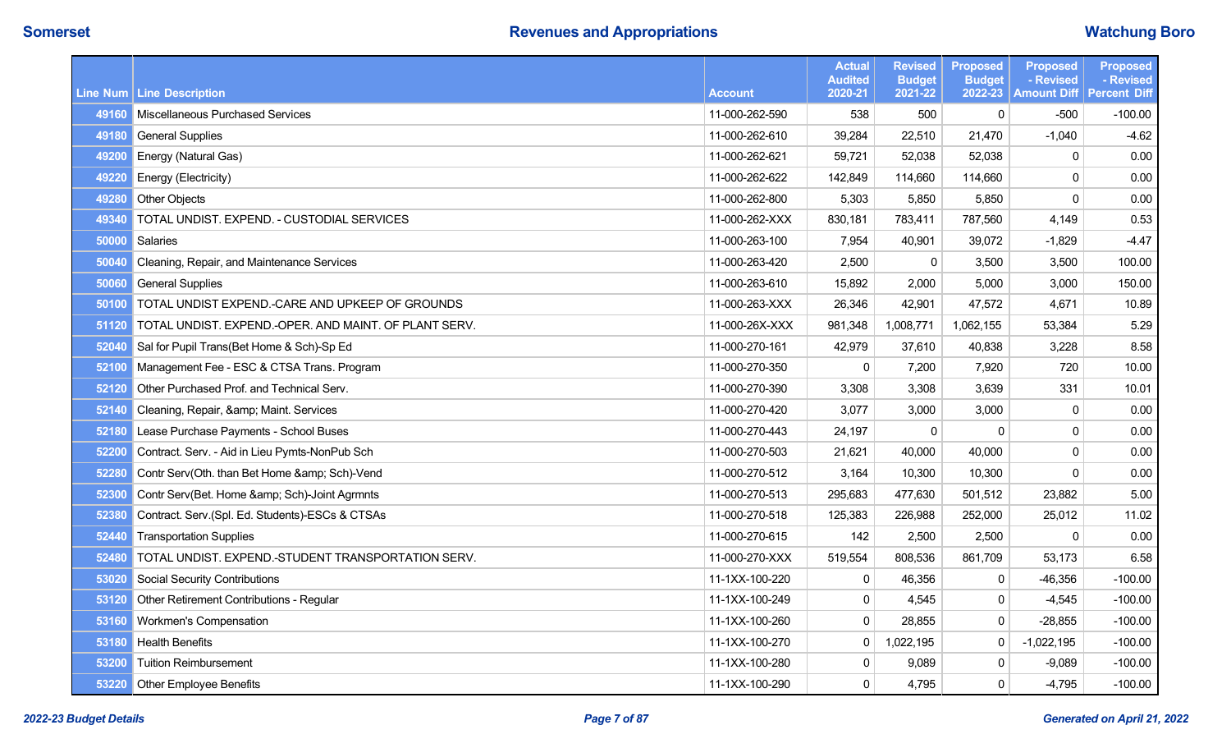|       |                                                       |                | <b>Actual</b><br><b>Audited</b> | <b>Revised</b><br><b>Budget</b> | <b>Proposed</b><br><b>Budget</b> | <b>Proposed</b><br>- Revised | <b>Proposed</b><br>- Revised |
|-------|-------------------------------------------------------|----------------|---------------------------------|---------------------------------|----------------------------------|------------------------------|------------------------------|
|       | Line Num   Line Description                           | <b>Account</b> | 2020-21                         | 2021-22                         | 2022-23                          | <b>Amount Diff</b>           | <b>Percent Diff</b>          |
|       | 49160 Miscellaneous Purchased Services                | 11-000-262-590 | 538                             | 500                             | $\mathbf{0}$                     | $-500$                       | $-100.00$                    |
| 49180 | <b>General Supplies</b>                               | 11-000-262-610 | 39,284                          | 22,510                          | 21,470                           | $-1,040$                     | $-4.62$                      |
| 49200 | Energy (Natural Gas)                                  | 11-000-262-621 | 59,721                          | 52,038                          | 52,038                           | 0                            | 0.00                         |
| 49220 | Energy (Electricity)                                  | 11-000-262-622 | 142,849                         | 114,660                         | 114,660                          | 0                            | 0.00                         |
| 49280 | <b>Other Objects</b>                                  | 11-000-262-800 | 5,303                           | 5,850                           | 5,850                            | 0                            | 0.00                         |
| 49340 | TOTAL UNDIST. EXPEND. - CUSTODIAL SERVICES            | 11-000-262-XXX | 830,181                         | 783,411                         | 787,560                          | 4,149                        | 0.53                         |
| 50000 | Salaries                                              | 11-000-263-100 | 7,954                           | 40,901                          | 39,072                           | $-1,829$                     | $-4.47$                      |
| 50040 | Cleaning, Repair, and Maintenance Services            | 11-000-263-420 | 2,500                           | 0                               | 3,500                            | 3,500                        | 100.00                       |
| 50060 | <b>General Supplies</b>                               | 11-000-263-610 | 15,892                          | 2,000                           | 5,000                            | 3,000                        | 150.00                       |
| 50100 | TOTAL UNDIST EXPEND.-CARE AND UPKEEP OF GROUNDS       | 11-000-263-XXX | 26,346                          | 42,901                          | 47,572                           | 4,671                        | 10.89                        |
| 51120 | TOTAL UNDIST. EXPEND.-OPER. AND MAINT. OF PLANT SERV. | 11-000-26X-XXX | 981,348                         | 1,008,771                       | 1,062,155                        | 53,384                       | 5.29                         |
| 52040 | Sal for Pupil Trans(Bet Home & Sch)-Sp Ed             | 11-000-270-161 | 42,979                          | 37,610                          | 40,838                           | 3,228                        | 8.58                         |
| 52100 | Management Fee - ESC & CTSA Trans. Program            | 11-000-270-350 | 0                               | 7,200                           | 7,920                            | 720                          | 10.00                        |
| 52120 | Other Purchased Prof. and Technical Serv.             | 11-000-270-390 | 3,308                           | 3,308                           | 3,639                            | 331                          | 10.01                        |
| 52140 | Cleaning, Repair, & Maint. Services                   | 11-000-270-420 | 3,077                           | 3,000                           | 3,000                            | 0                            | 0.00                         |
| 52180 | Lease Purchase Payments - School Buses                | 11-000-270-443 | 24.197                          | $\mathbf 0$                     | $\Omega$                         | 0                            | 0.00                         |
| 52200 | Contract. Serv. - Aid in Lieu Pymts-NonPub Sch        | 11-000-270-503 | 21,621                          | 40,000                          | 40,000                           | 0                            | 0.00                         |
| 52280 | Contr Serv(Oth. than Bet Home & Sch)-Vend             | 11-000-270-512 | 3,164                           | 10,300                          | 10,300                           | 0                            | 0.00                         |
| 52300 | Contr Serv(Bet. Home & Sch)-Joint Agrmnts             | 11-000-270-513 | 295,683                         | 477,630                         | 501,512                          | 23,882                       | 5.00                         |
| 52380 | Contract. Serv.(Spl. Ed. Students)-ESCs & CTSAs       | 11-000-270-518 | 125,383                         | 226,988                         | 252,000                          | 25,012                       | 11.02                        |
| 52440 | <b>Transportation Supplies</b>                        | 11-000-270-615 | 142                             | 2,500                           | 2,500                            | $\Omega$                     | 0.00                         |
| 52480 | TOTAL UNDIST. EXPEND.-STUDENT TRANSPORTATION SERV.    | 11-000-270-XXX | 519,554                         | 808,536                         | 861,709                          | 53,173                       | 6.58                         |
| 53020 | <b>Social Security Contributions</b>                  | 11-1XX-100-220 | $\pmb{0}$                       | 46,356                          | 0                                | $-46,356$                    | $-100.00$                    |
| 53120 | Other Retirement Contributions - Regular              | 11-1XX-100-249 | $\pmb{0}$                       | 4,545                           | 0                                | $-4,545$                     | $-100.00$                    |
| 53160 | Workmen's Compensation                                | 11-1XX-100-260 | $\pmb{0}$                       | 28,855                          | $\mathbf{0}$                     | -28,855                      | $-100.00$                    |
| 53180 | <b>Health Benefits</b>                                | 11-1XX-100-270 | $\pmb{0}$                       | 1,022,195                       | 0                                | $-1,022,195$                 | $-100.00$                    |
| 53200 | <b>Tuition Reimbursement</b>                          | 11-1XX-100-280 | $\pmb{0}$                       | 9,089                           | 0                                | $-9,089$                     | $-100.00$                    |
| 53220 | Other Employee Benefits                               | 11-1XX-100-290 | 0                               | 4,795                           | 0                                | $-4,795$                     | $-100.00$                    |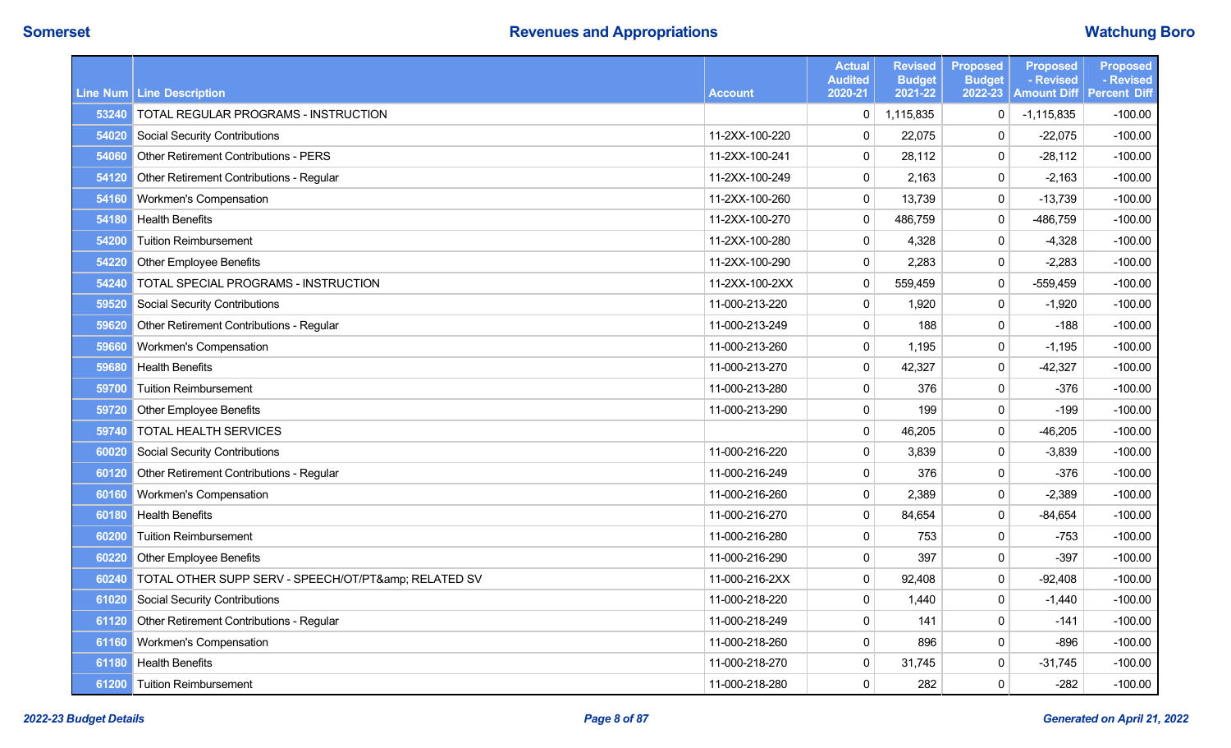|       | Line Num   Line Description                      | <b>Account</b> | <b>Actual</b><br><b>Audited</b><br>2020-21 | <b>Revised</b><br><b>Budget</b><br>2021-22 | <b>Proposed</b><br><b>Budget</b><br>2022-23 | <b>Proposed</b><br>- Revised<br><b>Amount Diff Percent Diff</b> | <b>Proposed</b><br>- Revised |
|-------|--------------------------------------------------|----------------|--------------------------------------------|--------------------------------------------|---------------------------------------------|-----------------------------------------------------------------|------------------------------|
| 53240 | <b>TOTAL REGULAR PROGRAMS - INSTRUCTION</b>      |                | 0                                          | 1,115,835                                  | $\mathbf 0$                                 | $-1,115,835$                                                    | $-100.00$                    |
| 54020 | <b>Social Security Contributions</b>             | 11-2XX-100-220 | $\pmb{0}$                                  | 22,075                                     | $\mathbf{0}$                                | $-22,075$                                                       | $-100.00$                    |
| 54060 | <b>Other Retirement Contributions - PERS</b>     | 11-2XX-100-241 | 0                                          | 28,112                                     | 0                                           | $-28,112$                                                       | $-100.00$                    |
| 54120 | Other Retirement Contributions - Regular         | 11-2XX-100-249 | $\pmb{0}$                                  | 2,163                                      | 0                                           | $-2,163$                                                        | $-100.00$                    |
| 54160 | Workmen's Compensation                           | 11-2XX-100-260 | $\pmb{0}$                                  | 13,739                                     | $\mathbf 0$                                 | $-13,739$                                                       | $-100.00$                    |
| 54180 | <b>Health Benefits</b>                           | 11-2XX-100-270 | $\pmb{0}$                                  | 486,759                                    | 0                                           | -486,759                                                        | $-100.00$                    |
| 54200 | <b>Tuition Reimbursement</b>                     | 11-2XX-100-280 | $\pmb{0}$                                  | 4,328                                      | $\mathsf 0$                                 | $-4,328$                                                        | $-100.00$                    |
| 54220 | <b>Other Employee Benefits</b>                   | 11-2XX-100-290 | $\pmb{0}$                                  | 2,283                                      | $\pmb{0}$                                   | $-2,283$                                                        | $-100.00$                    |
| 54240 | TOTAL SPECIAL PROGRAMS - INSTRUCTION             | 11-2XX-100-2XX | $\pmb{0}$                                  | 559,459                                    | $\mathsf 0$                                 | $-559,459$                                                      | $-100.00$                    |
| 59520 | <b>Social Security Contributions</b>             | 11-000-213-220 | $\pmb{0}$                                  | 1,920                                      | $\mathbf{0}$                                | $-1,920$                                                        | $-100.00$                    |
| 59620 | Other Retirement Contributions - Regular         | 11-000-213-249 | $\pmb{0}$                                  | 188                                        | 0                                           | $-188$                                                          | $-100.00$                    |
| 59660 | Workmen's Compensation                           | 11-000-213-260 | $\pmb{0}$                                  | 1,195                                      | $\mathsf 0$                                 | $-1,195$                                                        | $-100.00$                    |
| 59680 | <b>Health Benefits</b>                           | 11-000-213-270 | $\pmb{0}$                                  | 42,327                                     | $\mathsf 0$                                 | $-42,327$                                                       | $-100.00$                    |
| 59700 | <b>Tuition Reimbursement</b>                     | 11-000-213-280 | $\pmb{0}$                                  | 376                                        | $\mathsf 0$                                 | $-376$                                                          | $-100.00$                    |
| 59720 | <b>Other Employee Benefits</b>                   | 11-000-213-290 | $\pmb{0}$                                  | 199                                        | $\mathsf 0$                                 | $-199$                                                          | $-100.00$                    |
| 59740 | <b>TOTAL HEALTH SERVICES</b>                     |                | $\pmb{0}$                                  | 46,205                                     | $\pmb{0}$                                   | $-46,205$                                                       | $-100.00$                    |
| 60020 | <b>Social Security Contributions</b>             | 11-000-216-220 | $\pmb{0}$                                  | 3,839                                      | $\mathbf 0$                                 | $-3,839$                                                        | $-100.00$                    |
| 60120 | Other Retirement Contributions - Regular         | 11-000-216-249 | $\pmb{0}$                                  | 376                                        | $\mathsf 0$                                 | $-376$                                                          | $-100.00$                    |
| 60160 | Workmen's Compensation                           | 11-000-216-260 | $\pmb{0}$                                  | 2,389                                      | $\mathbf 0$                                 | $-2,389$                                                        | $-100.00$                    |
| 60180 | <b>Health Benefits</b>                           | 11-000-216-270 | $\pmb{0}$                                  | 84,654                                     | $\mathsf 0$                                 | $-84,654$                                                       | $-100.00$                    |
| 60200 | <b>Tuition Reimbursement</b>                     | 11-000-216-280 | $\pmb{0}$                                  | 753                                        | $\mathsf 0$                                 | $-753$                                                          | $-100.00$                    |
| 60220 | <b>Other Employee Benefits</b>                   | 11-000-216-290 | $\pmb{0}$                                  | 397                                        | $\mathbf{0}$                                | $-397$                                                          | $-100.00$                    |
| 60240 | TOTAL OTHER SUPP SERV - SPEECH/OT/PT& RELATED SV | 11-000-216-2XX | $\pmb{0}$                                  | 92,408                                     | $\mathsf 0$                                 | $-92,408$                                                       | $-100.00$                    |
| 61020 | <b>Social Security Contributions</b>             | 11-000-218-220 | $\pmb{0}$                                  | 1,440                                      | $\mathsf 0$                                 | $-1,440$                                                        | $-100.00$                    |
| 61120 | Other Retirement Contributions - Regular         | 11-000-218-249 | $\pmb{0}$                                  | 141                                        | 0                                           | $-141$                                                          | $-100.00$                    |
| 61160 | <b>Workmen's Compensation</b>                    | 11-000-218-260 | $\pmb{0}$                                  | 896                                        | $\mathbf 0$                                 | $-896$                                                          | $-100.00$                    |
| 61180 | <b>Health Benefits</b>                           | 11-000-218-270 | $\pmb{0}$                                  | 31,745                                     | 0                                           | $-31,745$                                                       | $-100.00$                    |
|       | 61200 Tuition Reimbursement                      | 11-000-218-280 | 0                                          | 282                                        | $\mathbf{0}$                                | $-282$                                                          | $-100.00$                    |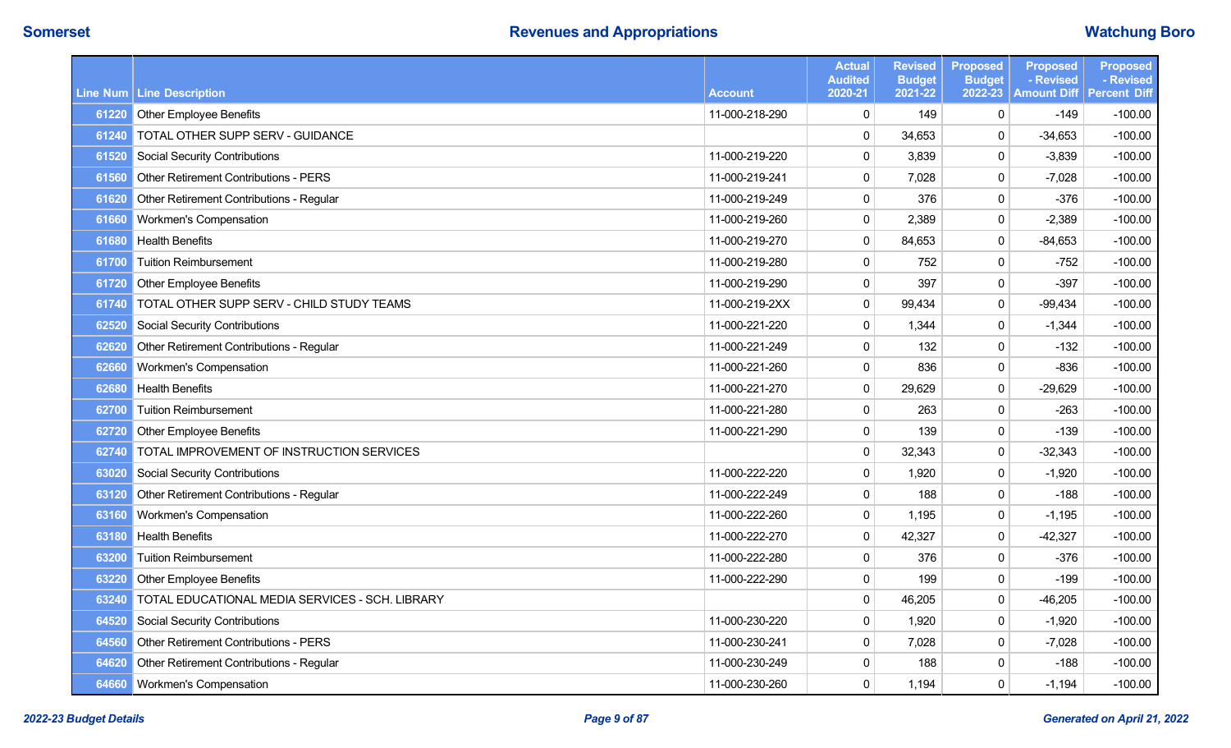|       |                                                       |                | <b>Actual</b><br><b>Audited</b> | <b>Revised</b><br><b>Budget</b> | <b>Proposed</b><br><b>Budget</b> | <b>Proposed</b><br>- Revised | <b>Proposed</b><br>- Revised |
|-------|-------------------------------------------------------|----------------|---------------------------------|---------------------------------|----------------------------------|------------------------------|------------------------------|
|       | Line Num Line Description                             | <b>Account</b> | 2020-21                         | 2021-22                         | 2022-23                          | <b>Amount Diff</b>           | <b>Percent Diff</b>          |
| 61220 | Other Employee Benefits                               | 11-000-218-290 | 0                               | 149                             | 0                                | $-149$                       | $-100.00$                    |
| 61240 | TOTAL OTHER SUPP SERV - GUIDANCE                      |                | $\pmb{0}$                       | 34,653                          | 0                                | $-34,653$                    | $-100.00$                    |
| 61520 | <b>Social Security Contributions</b>                  | 11-000-219-220 | 0                               | 3,839                           | $\mathbf 0$                      | $-3,839$                     | $-100.00$                    |
| 61560 | <b>Other Retirement Contributions - PERS</b>          | 11-000-219-241 | 0                               | 7,028                           | $\mathbf 0$                      | $-7,028$                     | $-100.00$                    |
| 61620 | Other Retirement Contributions - Regular              | 11-000-219-249 | 0                               | 376                             | 0                                | $-376$                       | $-100.00$                    |
| 61660 | Workmen's Compensation                                | 11-000-219-260 | $\pmb{0}$                       | 2,389                           | 0                                | $-2,389$                     | $-100.00$                    |
| 61680 | <b>Health Benefits</b>                                | 11-000-219-270 | $\pmb{0}$                       | 84,653                          | 0                                | $-84,653$                    | $-100.00$                    |
| 61700 | <b>Tuition Reimbursement</b>                          | 11-000-219-280 | 0                               | 752                             | 0                                | $-752$                       | $-100.00$                    |
| 61720 | <b>Other Employee Benefits</b>                        | 11-000-219-290 | $\pmb{0}$                       | 397                             | 0                                | $-397$                       | $-100.00$                    |
| 61740 | TOTAL OTHER SUPP SERV - CHILD STUDY TEAMS             | 11-000-219-2XX | $\pmb{0}$                       | 99,434                          | $\pmb{0}$                        | $-99,434$                    | $-100.00$                    |
| 62520 | <b>Social Security Contributions</b>                  | 11-000-221-220 | $\pmb{0}$                       | 1,344                           | 0                                | $-1,344$                     | $-100.00$                    |
| 62620 | Other Retirement Contributions - Regular              | 11-000-221-249 | 0                               | 132                             | 0                                | $-132$                       | $-100.00$                    |
| 62660 | <b>Workmen's Compensation</b>                         | 11-000-221-260 | 0                               | 836                             | 0                                | $-836$                       | $-100.00$                    |
| 62680 | <b>Health Benefits</b>                                | 11-000-221-270 | $\pmb{0}$                       | 29,629                          | $\pmb{0}$                        | $-29,629$                    | $-100.00$                    |
| 62700 | <b>Tuition Reimbursement</b>                          | 11-000-221-280 | 0                               | 263                             | 0                                | $-263$                       | $-100.00$                    |
| 62720 | <b>Other Employee Benefits</b>                        | 11-000-221-290 | $\pmb{0}$                       | 139                             | 0                                | $-139$                       | $-100.00$                    |
| 62740 | TOTAL IMPROVEMENT OF INSTRUCTION SERVICES             |                | $\pmb{0}$                       | 32,343                          | 0                                | $-32,343$                    | $-100.00$                    |
| 63020 | <b>Social Security Contributions</b>                  | 11-000-222-220 | 0                               | 1,920                           | 0                                | $-1,920$                     | $-100.00$                    |
| 63120 | Other Retirement Contributions - Regular              | 11-000-222-249 | $\pmb{0}$                       | 188                             | $\pmb{0}$                        | $-188$                       | $-100.00$                    |
| 63160 | Workmen's Compensation                                | 11-000-222-260 | 0                               | 1,195                           | 0                                | $-1,195$                     | $-100.00$                    |
| 63180 | <b>Health Benefits</b>                                | 11-000-222-270 | 0                               | 42,327                          | 0                                | $-42,327$                    | $-100.00$                    |
| 63200 | <b>Tuition Reimbursement</b>                          | 11-000-222-280 | 0                               | 376                             | 0                                | $-376$                       | $-100.00$                    |
| 63220 | Other Employee Benefits                               | 11-000-222-290 | 0                               | 199                             | 0                                | $-199$                       | $-100.00$                    |
|       | 63240 TOTAL EDUCATIONAL MEDIA SERVICES - SCH. LIBRARY |                | $\pmb{0}$                       | 46,205                          | $\Omega$                         | $-46,205$                    | $-100.00$                    |
| 64520 | Social Security Contributions                         | 11-000-230-220 | $\pmb{0}$                       | 1,920                           | 0                                | $-1,920$                     | $-100.00$                    |
| 64560 | <b>Other Retirement Contributions - PERS</b>          | 11-000-230-241 | $\pmb{0}$                       | 7,028                           | 0                                | $-7,028$                     | $-100.00$                    |
| 64620 | Other Retirement Contributions - Regular              | 11-000-230-249 | 0                               | 188                             | 0                                | $-188$                       | $-100.00$                    |
| 64660 | Workmen's Compensation                                | 11-000-230-260 | 0                               | 1,194                           | 0                                | $-1,194$                     | $-100.00$                    |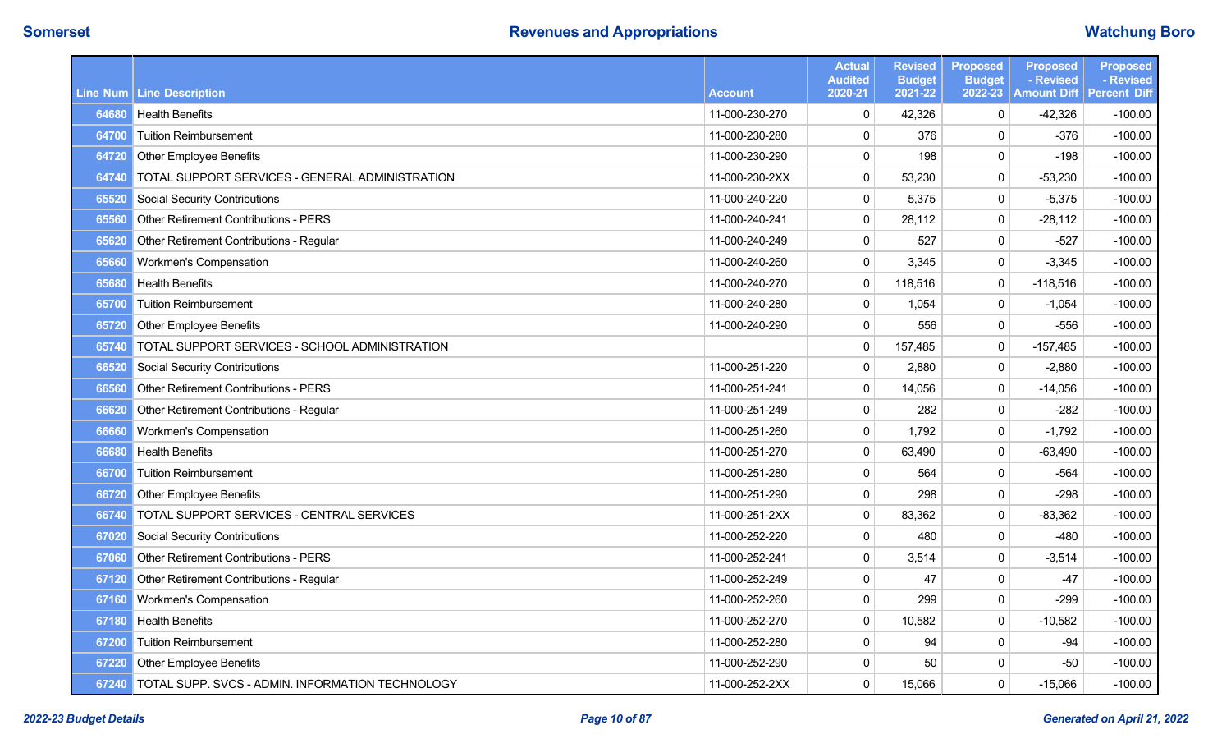|       |                                                        |                | <b>Actual</b><br><b>Audited</b> | <b>Revised</b><br><b>Budget</b> | <b>Proposed</b><br><b>Budget</b> | <b>Proposed</b><br>- Revised | <b>Proposed</b><br>- Revised |
|-------|--------------------------------------------------------|----------------|---------------------------------|---------------------------------|----------------------------------|------------------------------|------------------------------|
|       | Line Num Line Description                              | <b>Account</b> | 2020-21                         | 2021-22                         | 2022-23                          | <b>Amount Diff</b>           | <b>Percent Diff</b>          |
| 64680 | <b>Health Benefits</b>                                 | 11-000-230-270 | $\pmb{0}$                       | 42,326                          | 0                                | $-42,326$                    | $-100.00$                    |
| 64700 | <b>Tuition Reimbursement</b>                           | 11-000-230-280 | $\pmb{0}$                       | 376                             | $\mathbf{0}$                     | $-376$                       | $-100.00$                    |
| 64720 | <b>Other Employee Benefits</b>                         | 11-000-230-290 | $\pmb{0}$                       | 198                             | $\mathbf 0$                      | $-198$                       | $-100.00$                    |
| 64740 | TOTAL SUPPORT SERVICES - GENERAL ADMINISTRATION        | 11-000-230-2XX | $\pmb{0}$                       | 53,230                          | $\mathbf 0$                      | $-53,230$                    | $-100.00$                    |
| 65520 | <b>Social Security Contributions</b>                   | 11-000-240-220 | $\pmb{0}$                       | 5,375                           | $\mathbf 0$                      | $-5,375$                     | $-100.00$                    |
| 65560 | Other Retirement Contributions - PERS                  | 11-000-240-241 | $\pmb{0}$                       | 28,112                          | 0                                | $-28,112$                    | $-100.00$                    |
| 65620 | Other Retirement Contributions - Regular               | 11-000-240-249 | 0                               | 527                             | $\mathbf 0$                      | $-527$                       | $-100.00$                    |
| 65660 | Workmen's Compensation                                 | 11-000-240-260 | $\pmb{0}$                       | 3,345                           | 0                                | $-3,345$                     | $-100.00$                    |
| 65680 | <b>Health Benefits</b>                                 | 11-000-240-270 | $\pmb{0}$                       | 118,516                         | 0                                | $-118,516$                   | $-100.00$                    |
| 65700 | <b>Tuition Reimbursement</b>                           | 11-000-240-280 | $\pmb{0}$                       | 1,054                           | 0                                | $-1,054$                     | $-100.00$                    |
| 65720 | Other Employee Benefits                                | 11-000-240-290 | 0                               | 556                             | $\mathbf 0$                      | $-556$                       | $-100.00$                    |
| 65740 | TOTAL SUPPORT SERVICES - SCHOOL ADMINISTRATION         |                | $\pmb{0}$                       | 157,485                         | 0                                | $-157,485$                   | $-100.00$                    |
| 66520 | <b>Social Security Contributions</b>                   | 11-000-251-220 | 0                               | 2,880                           | 0                                | $-2,880$                     | $-100.00$                    |
| 66560 | Other Retirement Contributions - PERS                  | 11-000-251-241 | $\pmb{0}$                       | 14,056                          | $\mathbf 0$                      | $-14,056$                    | $-100.00$                    |
| 66620 | Other Retirement Contributions - Regular               | 11-000-251-249 | $\pmb{0}$                       | 282                             | 0                                | $-282$                       | $-100.00$                    |
| 66660 | Workmen's Compensation                                 | 11-000-251-260 | $\pmb{0}$                       | 1,792                           | 0                                | $-1,792$                     | $-100.00$                    |
| 66680 | <b>Health Benefits</b>                                 | 11-000-251-270 | $\pmb{0}$                       | 63,490                          | 0                                | -63,490                      | $-100.00$                    |
| 66700 | <b>Tuition Reimbursement</b>                           | 11-000-251-280 | $\pmb{0}$                       | 564                             | $\mathbf 0$                      | -564                         | $-100.00$                    |
| 66720 | <b>Other Employee Benefits</b>                         | 11-000-251-290 | $\pmb{0}$                       | 298                             | $\mathbf 0$                      | $-298$                       | $-100.00$                    |
| 66740 | TOTAL SUPPORT SERVICES - CENTRAL SERVICES              | 11-000-251-2XX | $\pmb{0}$                       | 83,362                          | $\mathbf 0$                      | $-83,362$                    | $-100.00$                    |
| 67020 | <b>Social Security Contributions</b>                   | 11-000-252-220 | $\pmb{0}$                       | 480                             | $\mathbf 0$                      | $-480$                       | $-100.00$                    |
| 67060 | Other Retirement Contributions - PERS                  | 11-000-252-241 | $\pmb{0}$                       | 3,514                           | $\mathbf{0}$                     | $-3,514$                     | $-100.00$                    |
| 67120 | Other Retirement Contributions - Regular               | 11-000-252-249 | $\pmb{0}$                       | 47                              | 0                                | $-47$                        | $-100.00$                    |
| 67160 | Workmen's Compensation                                 | 11-000-252-260 | 0                               | 299                             | $\mathbf{0}$                     | $-299$                       | $-100.00$                    |
| 67180 | <b>Health Benefits</b>                                 | 11-000-252-270 | $\pmb{0}$                       | 10,582                          | 0                                | $-10,582$                    | $-100.00$                    |
| 67200 | <b>Tuition Reimbursement</b>                           | 11-000-252-280 | 0                               | 94                              | 0                                | $-94$                        | $-100.00$                    |
| 67220 | <b>Other Employee Benefits</b>                         | 11-000-252-290 | $\pmb{0}$                       | 50                              | $\mathbf{0}$                     | $-50$                        | $-100.00$                    |
|       | 67240 TOTAL SUPP. SVCS - ADMIN. INFORMATION TECHNOLOGY | 11-000-252-2XX | 0                               | 15,066                          | 0                                | $-15,066$                    | $-100.00$                    |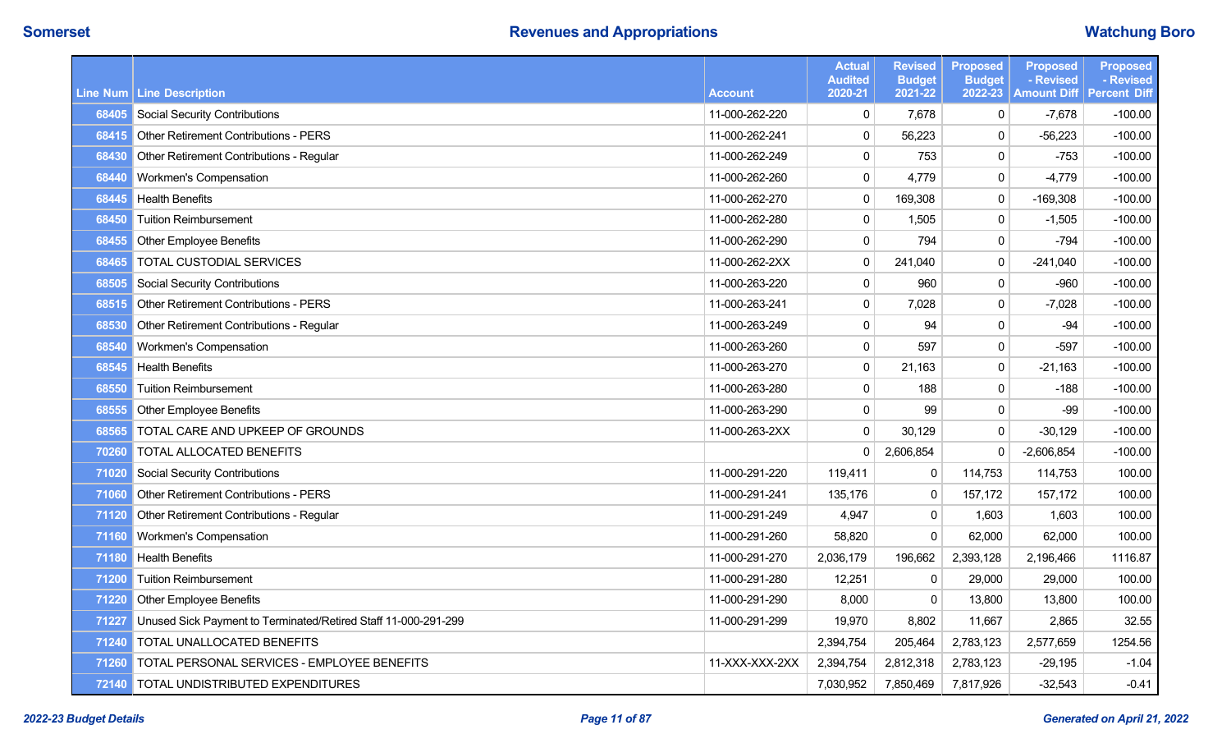|       |                                                                |                | <b>Actual</b><br><b>Audited</b> | <b>Revised</b><br><b>Budget</b> | <b>Proposed</b><br><b>Budget</b> | <b>Proposed</b><br>- Revised      | <b>Proposed</b><br>- Revised |
|-------|----------------------------------------------------------------|----------------|---------------------------------|---------------------------------|----------------------------------|-----------------------------------|------------------------------|
|       | Line Num   Line Description                                    | <b>Account</b> | 2020-21                         | 2021-22                         | 2022-23                          | <b>Amount Diff   Percent Diff</b> |                              |
| 68405 | <b>Social Security Contributions</b>                           | 11-000-262-220 | $\mathbf 0$                     | 7,678                           | $\mathbf 0$                      | $-7,678$                          | $-100.00$                    |
| 68415 | <b>Other Retirement Contributions - PERS</b>                   | 11-000-262-241 | $\mathbf 0$                     | 56,223                          | $\mathbf 0$                      | $-56,223$                         | $-100.00$                    |
| 68430 | Other Retirement Contributions - Regular                       | 11-000-262-249 | $\pmb{0}$                       | 753                             | $\mathbf 0$                      | $-753$                            | $-100.00$                    |
| 68440 | Workmen's Compensation                                         | 11-000-262-260 | $\mathbf 0$                     | 4,779                           | $\mathbf 0$                      | $-4,779$                          | $-100.00$                    |
| 68445 | <b>Health Benefits</b>                                         | 11-000-262-270 | $\pmb{0}$                       | 169,308                         | $\mathbf 0$                      | $-169,308$                        | $-100.00$                    |
| 68450 | <b>Tuition Reimbursement</b>                                   | 11-000-262-280 | $\mathbf 0$                     | 1,505                           | $\mathbf{0}$                     | $-1,505$                          | $-100.00$                    |
| 68455 | <b>Other Employee Benefits</b>                                 | 11-000-262-290 | $\mathbf 0$                     | 794                             | $\mathbf 0$                      | $-794$                            | $-100.00$                    |
| 68465 | TOTAL CUSTODIAL SERVICES                                       | 11-000-262-2XX | $\pmb{0}$                       | 241,040                         | $\mathbf{0}$                     | $-241,040$                        | $-100.00$                    |
| 68505 | <b>Social Security Contributions</b>                           | 11-000-263-220 | $\pmb{0}$                       | 960                             | 0                                | $-960$                            | $-100.00$                    |
| 68515 | <b>Other Retirement Contributions - PERS</b>                   | 11-000-263-241 | $\pmb{0}$                       | 7,028                           | $\mathbf{0}$                     | $-7,028$                          | $-100.00$                    |
| 68530 | Other Retirement Contributions - Regular                       | 11-000-263-249 | $\pmb{0}$                       | 94                              | $\mathbf 0$                      | $-94$                             | $-100.00$                    |
| 68540 | Workmen's Compensation                                         | 11-000-263-260 | $\pmb{0}$                       | 597                             | $\pmb{0}$                        | $-597$                            | $-100.00$                    |
| 68545 | <b>Health Benefits</b>                                         | 11-000-263-270 | $\pmb{0}$                       | 21,163                          | $\mathbf 0$                      | $-21,163$                         | $-100.00$                    |
| 68550 | <b>Tuition Reimbursement</b>                                   | 11-000-263-280 | $\pmb{0}$                       | 188                             | $\mathbf 0$                      | $-188$                            | $-100.00$                    |
| 68555 | <b>Other Employee Benefits</b>                                 | 11-000-263-290 | $\mathbf 0$                     | 99                              | $\mathbf 0$                      | $-99$                             | $-100.00$                    |
| 68565 | TOTAL CARE AND UPKEEP OF GROUNDS                               | 11-000-263-2XX | $\pmb{0}$                       | 30,129                          | $\mathbf 0$                      | $-30,129$                         | $-100.00$                    |
| 70260 | TOTAL ALLOCATED BENEFITS                                       |                | $\mathbf 0$                     | 2,606,854                       | $\Omega$                         | $-2,606,854$                      | $-100.00$                    |
| 71020 | Social Security Contributions                                  | 11-000-291-220 | 119,411                         | $\mathbf 0$                     | 114,753                          | 114,753                           | 100.00                       |
| 71060 | <b>Other Retirement Contributions - PERS</b>                   | 11-000-291-241 | 135,176                         | $\mathbf 0$                     | 157,172                          | 157,172                           | 100.00                       |
| 71120 | Other Retirement Contributions - Regular                       | 11-000-291-249 | 4,947                           | $\mathbf 0$                     | 1,603                            | 1,603                             | 100.00                       |
| 71160 | Workmen's Compensation                                         | 11-000-291-260 | 58,820                          | $\mathbf 0$                     | 62,000                           | 62,000                            | 100.00                       |
| 71180 | <b>Health Benefits</b>                                         | 11-000-291-270 | 2,036,179                       | 196,662                         | 2,393,128                        | 2,196,466                         | 1116.87                      |
| 71200 | <b>Tuition Reimbursement</b>                                   | 11-000-291-280 | 12,251                          | 0                               | 29,000                           | 29,000                            | 100.00                       |
| 71220 | Other Employee Benefits                                        | 11-000-291-290 | 8,000                           | $\mathbf 0$                     | 13,800                           | 13,800                            | 100.00                       |
| 71227 | Unused Sick Payment to Terminated/Retired Staff 11-000-291-299 | 11-000-291-299 | 19,970                          | 8,802                           | 11,667                           | 2,865                             | 32.55                        |
| 71240 | TOTAL UNALLOCATED BENEFITS                                     |                | 2,394,754                       | 205,464                         | 2,783,123                        | 2,577,659                         | 1254.56                      |
| 71260 | TOTAL PERSONAL SERVICES - EMPLOYEE BENEFITS                    | 11-XXX-XXX-2XX | 2,394,754                       | 2,812,318                       | 2,783,123                        | $-29,195$                         | $-1.04$                      |
| 72140 | TOTAL UNDISTRIBUTED EXPENDITURES                               |                | 7,030,952                       | 7,850,469                       | 7,817,926                        | $-32,543$                         | $-0.41$                      |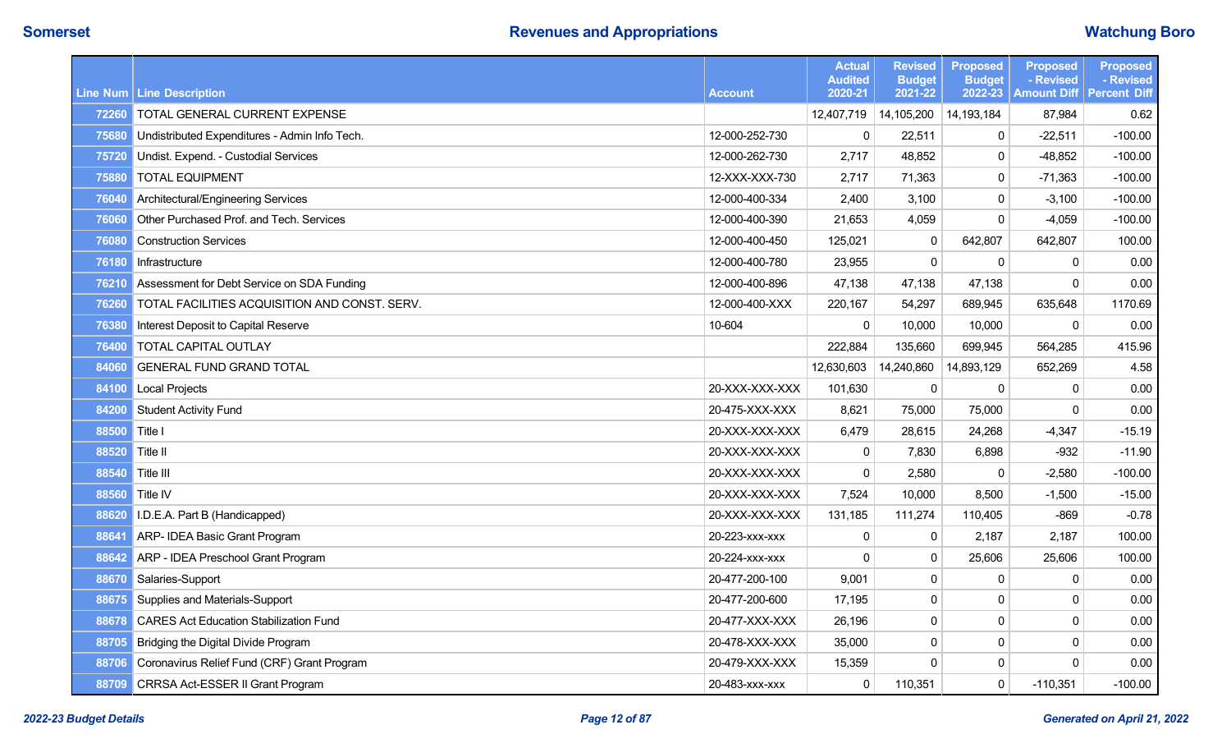|       |                                               |                | <b>Actual</b><br><b>Audited</b> | <b>Revised</b><br><b>Budget</b> | <b>Proposed</b><br><b>Budget</b> | <b>Proposed</b><br>- Revised | <b>Proposed</b><br>- Revised |
|-------|-----------------------------------------------|----------------|---------------------------------|---------------------------------|----------------------------------|------------------------------|------------------------------|
|       | Line Num   Line Description                   | <b>Account</b> | 2020-21                         | 2021-22                         | 2022-23                          | <b>Amount Diff</b>           | <b>Percent Diff</b>          |
| 72260 | TOTAL GENERAL CURRENT EXPENSE                 |                | 12,407,719                      | 14,105,200                      | 14,193,184                       | 87,984                       | 0.62                         |
| 75680 | Undistributed Expenditures - Admin Info Tech. | 12-000-252-730 | $\mathbf 0$                     | 22,511                          | $\mathbf{0}$                     | $-22,511$                    | $-100.00$                    |
| 75720 | Undist. Expend. - Custodial Services          | 12-000-262-730 | 2,717                           | 48,852                          | 0                                | $-48,852$                    | $-100.00$                    |
| 75880 | <b>TOTAL EQUIPMENT</b>                        | 12-XXX-XXX-730 | 2,717                           | 71,363                          | $\mathbf{0}$                     | $-71,363$                    | $-100.00$                    |
| 76040 | Architectural/Engineering Services            | 12-000-400-334 | 2,400                           | 3,100                           | 0                                | $-3,100$                     | $-100.00$                    |
| 76060 | Other Purchased Prof. and Tech. Services      | 12-000-400-390 | 21,653                          | 4,059                           | $\mathbf{0}$                     | $-4,059$                     | $-100.00$                    |
| 76080 | <b>Construction Services</b>                  | 12-000-400-450 | 125,021                         | 0                               | 642,807                          | 642,807                      | 100.00                       |
| 76180 | Infrastructure                                | 12-000-400-780 | 23,955                          | $\mathbf 0$                     | $\mathbf 0$                      | 0                            | 0.00                         |
| 76210 | Assessment for Debt Service on SDA Funding    | 12-000-400-896 | 47,138                          | 47,138                          | 47,138                           | $\Omega$                     | 0.00                         |
| 76260 | TOTAL FACILITIES ACQUISITION AND CONST. SERV. | 12-000-400-XXX | 220,167                         | 54,297                          | 689,945                          | 635,648                      | 1170.69                      |
| 76380 | Interest Deposit to Capital Reserve           | 10-604         | $\mathbf 0$                     | 10,000                          | 10,000                           | 0                            | 0.00                         |
| 76400 | TOTAL CAPITAL OUTLAY                          |                | 222,884                         | 135,660                         | 699,945                          | 564,285                      | 415.96                       |
| 84060 | <b>GENERAL FUND GRAND TOTAL</b>               |                | 12,630,603                      | 14,240,860                      | 14,893,129                       | 652,269                      | 4.58                         |
| 84100 | Local Projects                                | 20-XXX-XXX-XXX | 101,630                         | $\mathbf{0}$                    | $\Omega$                         | $\mathbf{0}$                 | 0.00                         |
| 84200 | <b>Student Activity Fund</b>                  | 20-475-XXX-XXX | 8,621                           | 75,000                          | 75,000                           | $\mathbf{0}$                 | 0.00                         |
| 88500 | Title I                                       | 20-XXX-XXX-XXX | 6,479                           | 28.615                          | 24.268                           | $-4,347$                     | $-15.19$                     |
| 88520 | Title II                                      | 20-XXX-XXX-XXX | $\pmb{0}$                       | 7,830                           | 6,898                            | $-932$                       | $-11.90$                     |
| 88540 | Title III                                     | 20-XXX-XXX-XXX | $\mathbf 0$                     | 2,580                           | $\Omega$                         | $-2,580$                     | $-100.00$                    |
| 88560 | Title IV                                      | 20-XXX-XXX-XXX | 7,524                           | 10,000                          | 8,500                            | $-1,500$                     | $-15.00$                     |
| 88620 | I.D.E.A. Part B (Handicapped)                 | 20-XXX-XXX-XXX | 131,185                         | 111,274                         | 110,405                          | $-869$                       | $-0.78$                      |
| 88641 | ARP- IDEA Basic Grant Program                 | 20-223-xxx-xxx | $\pmb{0}$                       | 0                               | 2,187                            | 2,187                        | 100.00                       |
| 88642 | ARP - IDEA Preschool Grant Program            | 20-224-xxx-xxx | $\Omega$                        | $\mathbf 0$                     | 25,606                           | 25,606                       | 100.00                       |
| 88670 | Salaries-Support                              | 20-477-200-100 | 9,001                           | 0                               | $\Omega$                         | 0                            | 0.00                         |
| 88675 | Supplies and Materials-Support                | 20-477-200-600 | 17,195                          | $\mathbf{0}$                    | $\mathbf{0}$                     | $\Omega$                     | 0.00                         |
| 88678 | <b>CARES Act Education Stabilization Fund</b> | 20-477-XXX-XXX | 26,196                          | 0                               | $\mathbf{0}$                     | $\mathbf 0$                  | 0.00                         |
|       | 88705 Bridging the Digital Divide Program     | 20-478-XXX-XXX | 35,000                          | 0                               | 0                                | 0                            | 0.00                         |
| 88706 | Coronavirus Relief Fund (CRF) Grant Program   | 20-479-XXX-XXX | 15,359                          | $\Omega$                        | 0                                | $\mathbf 0$                  | 0.00                         |
| 88709 | CRRSA Act-ESSER II Grant Program              | 20-483-xxx-xxx | $\pmb{0}$                       | 110,351                         | $\mathsf 0$                      | $-110,351$                   | $-100.00$                    |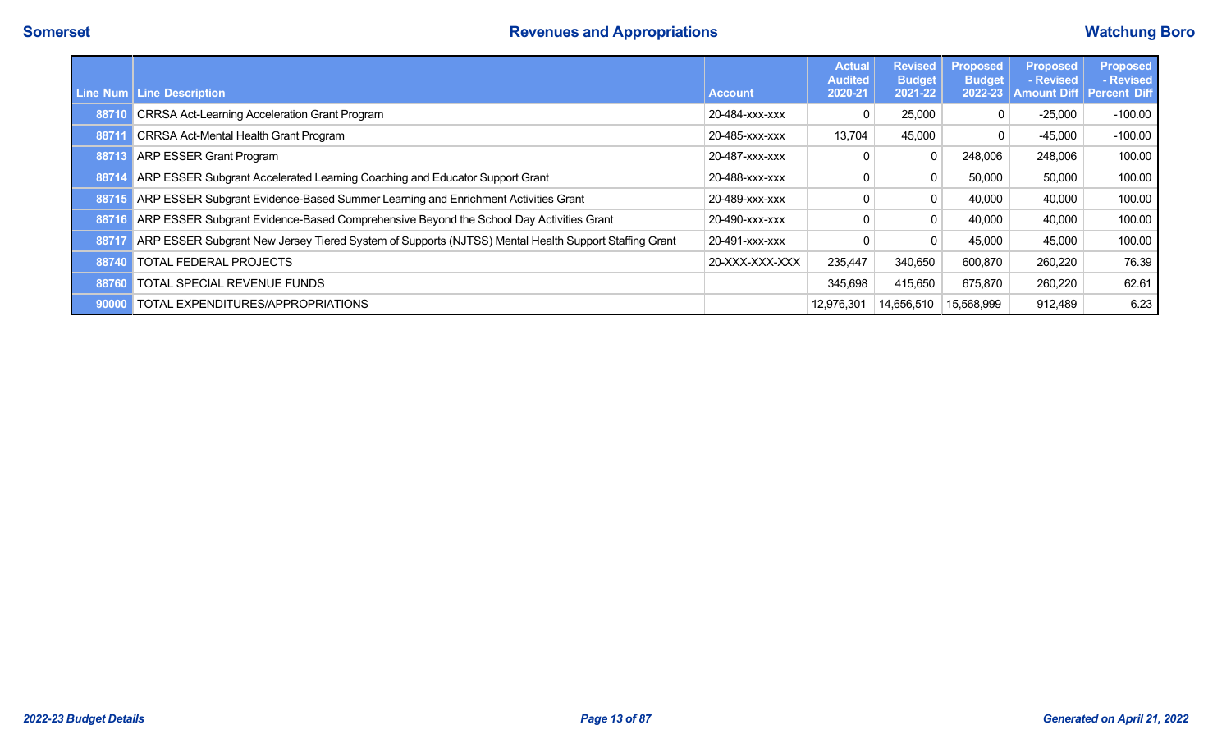|       | Line Num   Line Description                                                                          | <b>Account</b> | <b>Actual</b><br><b>Audited</b><br>2020-21 | <b>Revised</b><br><b>Budget</b><br>2021-22 | <b>Proposed</b><br><b>Budget</b><br>2022-23 | <b>Proposed</b><br>- Revised<br><b>Amount Diff</b> | <b>Proposed</b><br>- Revised<br><b>Percent Diff</b> |
|-------|------------------------------------------------------------------------------------------------------|----------------|--------------------------------------------|--------------------------------------------|---------------------------------------------|----------------------------------------------------|-----------------------------------------------------|
| 8871  | <b>CRRSA Act-Learning Acceleration Grant Program</b>                                                 | 20-484-xxx-xxx | 0                                          | 25,000                                     |                                             | $-25,000$                                          | $-100.00$                                           |
| 8871  | <b>CRRSA Act-Mental Health Grant Program</b>                                                         | 20-485-xxx-xxx | 13,704                                     | 45,000                                     |                                             | $-45,000$                                          | $-100.00$                                           |
| 8871  | <b>ARP ESSER Grant Program</b>                                                                       | 20-487-xxx-xxx |                                            | 0                                          | 248,006                                     | 248,006                                            | 100.00                                              |
| 887   | ARP ESSER Subgrant Accelerated Learning Coaching and Educator Support Grant                          | 20-488-xxx-xxx |                                            | 0                                          | 50,000                                      | 50,000                                             | 100.00                                              |
| 88715 | ARP ESSER Subgrant Evidence-Based Summer Learning and Enrichment Activities Grant                    | 20-489-xxx-xxx |                                            | 0                                          | 40,000                                      | 40,000                                             | 100.00                                              |
| 88716 | ARP ESSER Subgrant Evidence-Based Comprehensive Beyond the School Day Activities Grant               | 20-490-xxx-xxx |                                            | 0                                          | 40,000                                      | 40,000                                             | 100.00                                              |
| 8871  | ARP ESSER Subgrant New Jersey Tiered System of Supports (NJTSS) Mental Health Support Staffing Grant | 20-491-xxx-xxx |                                            | 0                                          | 45,000                                      | 45,000                                             | 100.00                                              |
| 88740 | TOTAL FEDERAL PROJECTS                                                                               | 20-XXX-XXX-XXX | 235,447                                    | 340,650                                    | 600,870                                     | 260,220                                            | 76.39                                               |
| 88760 | TOTAL SPECIAL REVENUE FUNDS                                                                          |                | 345,698                                    | 415,650                                    | 675,870                                     | 260,220                                            | 62.61                                               |
| 90000 | TOTAL EXPENDITURES/APPROPRIATIONS                                                                    |                | 12,976,301                                 | 14,656,510                                 | 15,568,999                                  | 912,489                                            | 6.23                                                |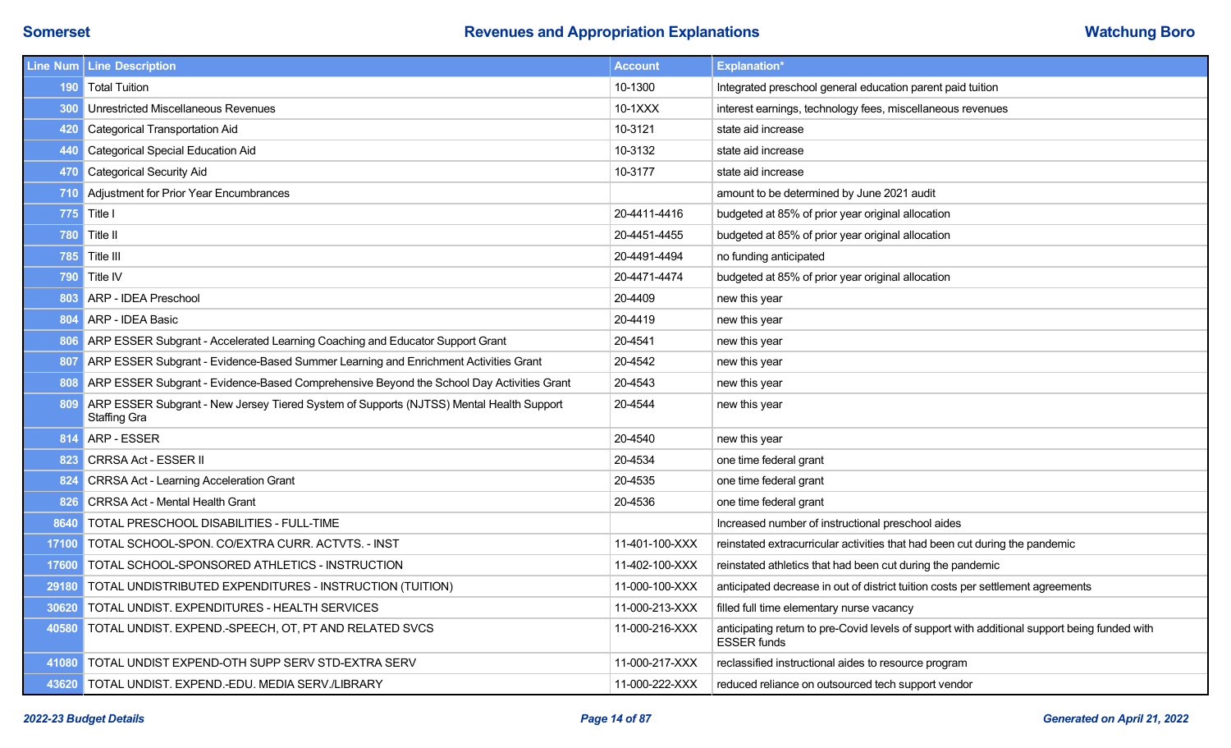|            | Line Num   Line Description                                                                                 | <b>Account</b> | <b>Explanation*</b>                                                                                                |
|------------|-------------------------------------------------------------------------------------------------------------|----------------|--------------------------------------------------------------------------------------------------------------------|
|            | 190 Total Tuition                                                                                           | 10-1300        | Integrated preschool general education parent paid tuition                                                         |
|            | <b>300</b> Unrestricted Miscellaneous Revenues                                                              | $10-1XXX$      | interest earnings, technology fees, miscellaneous revenues                                                         |
| 420        | Categorical Transportation Aid                                                                              | 10-3121        | state aid increase                                                                                                 |
|            | 440 Categorical Special Education Aid                                                                       | 10-3132        | state aid increase                                                                                                 |
| <b>470</b> | Categorical Security Aid                                                                                    | 10-3177        | state aid increase                                                                                                 |
|            | 710 Adjustment for Prior Year Encumbrances                                                                  |                | amount to be determined by June 2021 audit                                                                         |
|            | <b>775</b> Title I                                                                                          | 20-4411-4416   | budgeted at 85% of prior year original allocation                                                                  |
| 780        | $\vert$ Title II                                                                                            | 20-4451-4455   | budgeted at 85% of prior year original allocation                                                                  |
| 785        | $\vert$ Title III                                                                                           | 20-4491-4494   | no funding anticipated                                                                                             |
|            | 790 Title IV                                                                                                | 20-4471-4474   | budgeted at 85% of prior year original allocation                                                                  |
| 803        | ARP - IDEA Preschool                                                                                        | 20-4409        | new this year                                                                                                      |
|            | 804 ARP - IDEA Basic                                                                                        | 20-4419        | new this year                                                                                                      |
|            | 806 ARP ESSER Subgrant - Accelerated Learning Coaching and Educator Support Grant                           | 20-4541        | new this year                                                                                                      |
|            | 807 ARP ESSER Subgrant - Evidence-Based Summer Learning and Enrichment Activities Grant                     | 20-4542        | new this year                                                                                                      |
|            | 808 ARP ESSER Subgrant - Evidence-Based Comprehensive Beyond the School Day Activities Grant                | 20-4543        | new this year                                                                                                      |
|            | 809 ARP ESSER Subgrant - New Jersey Tiered System of Supports (NJTSS) Mental Health Support<br>Staffing Gra | 20-4544        | new this year                                                                                                      |
|            | 814 ARP - ESSER                                                                                             | 20-4540        | new this year                                                                                                      |
|            | 823 CRRSA Act - ESSER II                                                                                    | 20-4534        | one time federal grant                                                                                             |
| 824        | CRRSA Act - Learning Acceleration Grant                                                                     | 20-4535        | one time federal grant                                                                                             |
| 826        | <b>CRRSA Act - Mental Health Grant</b>                                                                      | 20-4536        | one time federal grant                                                                                             |
|            | 8640 TOTAL PRESCHOOL DISABILITIES - FULL-TIME                                                               |                | Increased number of instructional preschool aides                                                                  |
| 17100      | TOTAL SCHOOL-SPON. CO/EXTRA CURR. ACTVTS. - INST                                                            | 11-401-100-XXX | reinstated extracurricular activities that had been cut during the pandemic                                        |
| 17600      | TOTAL SCHOOL-SPONSORED ATHLETICS - INSTRUCTION                                                              | 11-402-100-XXX | reinstated athletics that had been cut during the pandemic                                                         |
| 29180      | TOTAL UNDISTRIBUTED EXPENDITURES - INSTRUCTION (TUITION)                                                    | 11-000-100-XXX | anticipated decrease in out of district tuition costs per settlement agreements                                    |
| 30620      | TOTAL UNDIST. EXPENDITURES - HEALTH SERVICES                                                                | 11-000-213-XXX | filled full time elementary nurse vacancy                                                                          |
| 40580      | TOTAL UNDIST. EXPEND.-SPEECH, OT, PT AND RELATED SVCS                                                       | 11-000-216-XXX | anticipating return to pre-Covid levels of support with additional support being funded with<br><b>ESSER</b> funds |
| 41080      | TOTAL UNDIST EXPEND-OTH SUPP SERV STD-EXTRA SERV                                                            | 11-000-217-XXX | reclassified instructional aides to resource program                                                               |
|            | 43620 TOTAL UNDIST. EXPEND.-EDU. MEDIA SERV./LIBRARY                                                        | 11-000-222-XXX | reduced reliance on outsourced tech support vendor                                                                 |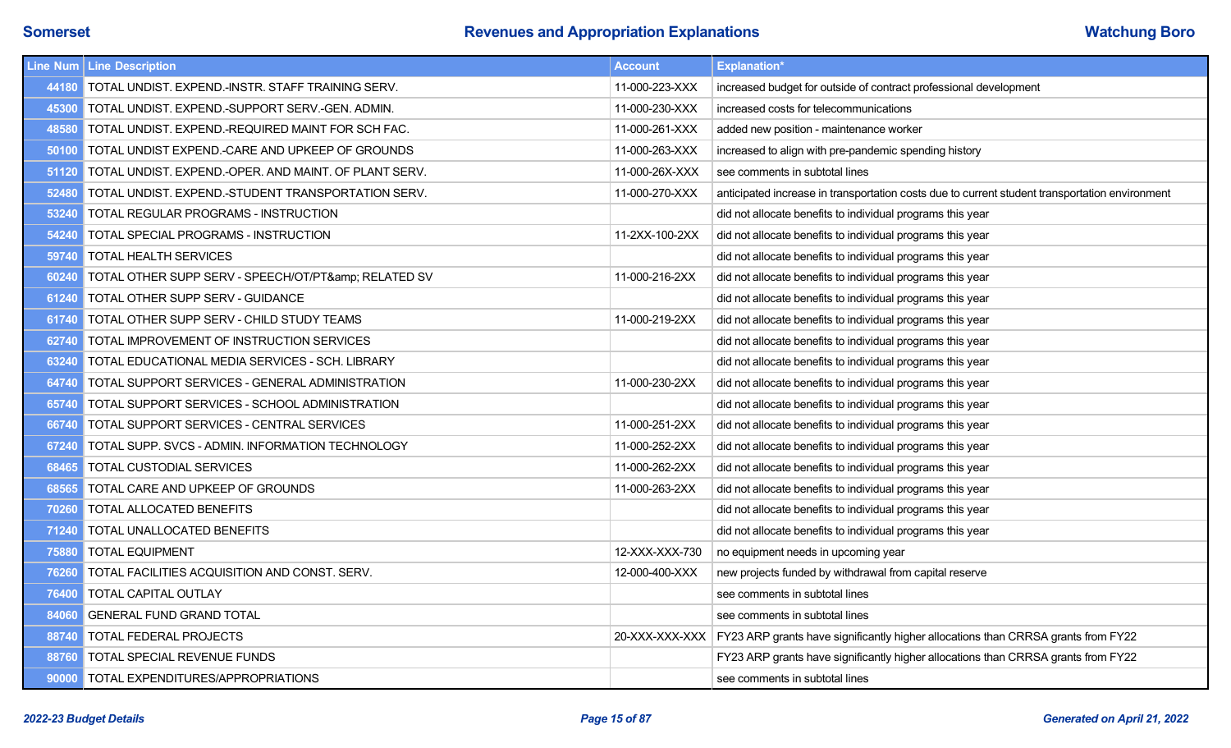|       | Line Num   Line Description                           | <b>Account</b> | <b>Explanation*</b>                                                                                |
|-------|-------------------------------------------------------|----------------|----------------------------------------------------------------------------------------------------|
| 44180 | TOTAL UNDIST. EXPEND.-INSTR. STAFF TRAINING SERV.     | 11-000-223-XXX | increased budget for outside of contract professional development                                  |
| 45300 | TOTAL UNDIST. EXPEND.-SUPPORT SERV.-GEN. ADMIN.       | 11-000-230-XXX | increased costs for telecommunications                                                             |
| 48580 | TOTAL UNDIST. EXPEND.-REQUIRED MAINT FOR SCH FAC.     | 11-000-261-XXX | added new position - maintenance worker                                                            |
| 50100 | TOTAL UNDIST EXPEND.-CARE AND UPKEEP OF GROUNDS       | 11-000-263-XXX | increased to align with pre-pandemic spending history                                              |
| 51120 | TOTAL UNDIST. EXPEND.-OPER. AND MAINT. OF PLANT SERV. | 11-000-26X-XXX | see comments in subtotal lines                                                                     |
| 52480 | TOTAL UNDIST. EXPEND.-STUDENT TRANSPORTATION SERV.    | 11-000-270-XXX | anticipated increase in transportation costs due to current student transportation environment     |
| 53240 | TOTAL REGULAR PROGRAMS - INSTRUCTION                  |                | did not allocate benefits to individual programs this year                                         |
| 54240 | TOTAL SPECIAL PROGRAMS - INSTRUCTION                  | 11-2XX-100-2XX | did not allocate benefits to individual programs this year                                         |
| 59740 | <b>TOTAL HEALTH SERVICES</b>                          |                | did not allocate benefits to individual programs this year                                         |
| 60240 | TOTAL OTHER SUPP SERV - SPEECH/OT/PT& RELATED SV      | 11-000-216-2XX | did not allocate benefits to individual programs this year                                         |
| 61240 | <b>TOTAL OTHER SUPP SERV - GUIDANCE</b>               |                | did not allocate benefits to individual programs this year                                         |
| 61740 | <b>TOTAL OTHER SUPP SERV - CHILD STUDY TEAMS</b>      | 11-000-219-2XX | did not allocate benefits to individual programs this year                                         |
| 62740 | TOTAL IMPROVEMENT OF INSTRUCTION SERVICES             |                | did not allocate benefits to individual programs this year                                         |
| 63240 | TOTAL EDUCATIONAL MEDIA SERVICES - SCH. LIBRARY       |                | did not allocate benefits to individual programs this year                                         |
| 64740 | TOTAL SUPPORT SERVICES - GENERAL ADMINISTRATION       | 11-000-230-2XX | did not allocate benefits to individual programs this year                                         |
| 65740 | TOTAL SUPPORT SERVICES - SCHOOL ADMINISTRATION        |                | did not allocate benefits to individual programs this year                                         |
| 66740 | TOTAL SUPPORT SERVICES - CENTRAL SERVICES             | 11-000-251-2XX | did not allocate benefits to individual programs this year                                         |
| 67240 | TOTAL SUPP. SVCS - ADMIN. INFORMATION TECHNOLOGY      | 11-000-252-2XX | did not allocate benefits to individual programs this year                                         |
| 68465 | TOTAL CUSTODIAL SERVICES                              | 11-000-262-2XX | did not allocate benefits to individual programs this year                                         |
| 68565 | TOTAL CARE AND UPKEEP OF GROUNDS                      | 11-000-263-2XX | did not allocate benefits to individual programs this year                                         |
| 70260 | TOTAL ALLOCATED BENEFITS                              |                | did not allocate benefits to individual programs this year                                         |
| 71240 | TOTAL UNALLOCATED BENEFITS                            |                | did not allocate benefits to individual programs this year                                         |
| 75880 | <b>TOTAL EQUIPMENT</b>                                | 12-XXX-XXX-730 | no equipment needs in upcoming year                                                                |
| 76260 | TOTAL FACILITIES ACQUISITION AND CONST. SERV.         | 12-000-400-XXX | new projects funded by withdrawal from capital reserve                                             |
| 76400 | TOTAL CAPITAL OUTLAY                                  |                | see comments in subtotal lines                                                                     |
| 84060 | <b>GENERAL FUND GRAND TOTAL</b>                       |                | see comments in subtotal lines                                                                     |
| 88740 | <b>TOTAL FEDERAL PROJECTS</b>                         |                | 20-XXX-XXX-XXX   FY23 ARP grants have significantly higher allocations than CRRSA grants from FY22 |
| 88760 | TOTAL SPECIAL REVENUE FUNDS                           |                | FY23 ARP grants have significantly higher allocations than CRRSA grants from FY22                  |
| 90000 | <b>TOTAL EXPENDITURES/APPROPRIATIONS</b>              |                | see comments in subtotal lines                                                                     |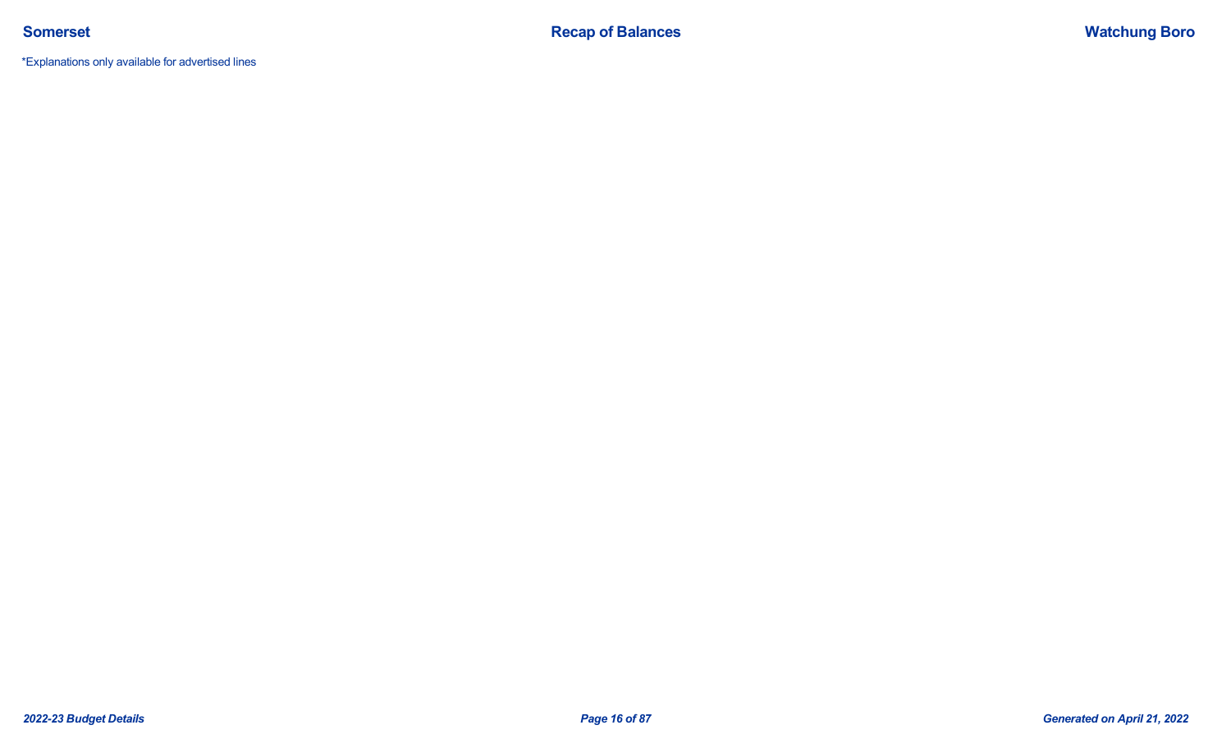\*Explanations only available for advertised lines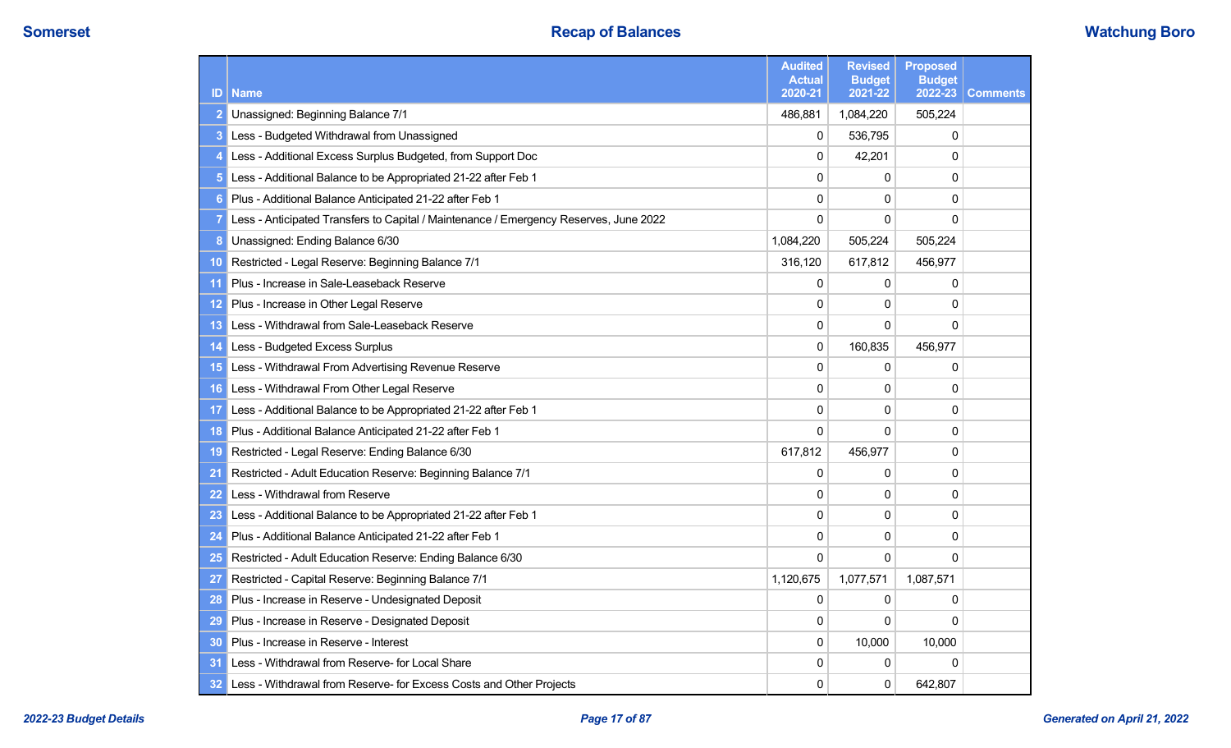| ID              | <b>Name</b>                                                                           | <b>Audited</b><br><b>Actual</b><br>2020-21 | <b>Revised</b><br><b>Budget</b><br>2021-22 | <b>Proposed</b><br><b>Budget</b><br>2022-23 | <b>Comments</b> |
|-----------------|---------------------------------------------------------------------------------------|--------------------------------------------|--------------------------------------------|---------------------------------------------|-----------------|
|                 | Unassigned: Beginning Balance 7/1                                                     | 486,881                                    | 1,084,220                                  | 505,224                                     |                 |
|                 | Less - Budgeted Withdrawal from Unassigned                                            | $\mathbf{0}$                               | 536,795                                    | 0                                           |                 |
|                 | Less - Additional Excess Surplus Budgeted, from Support Doc                           | 0                                          | 42,201                                     | 0                                           |                 |
|                 | Less - Additional Balance to be Appropriated 21-22 after Feb 1                        | $\mathbf{0}$                               | $\Omega$                                   | $\Omega$                                    |                 |
|                 | Plus - Additional Balance Anticipated 21-22 after Feb 1                               | $\mathbf{0}$                               | 0                                          | $\Omega$                                    |                 |
|                 | Less - Anticipated Transfers to Capital / Maintenance / Emergency Reserves, June 2022 | $\mathbf{0}$                               | 0                                          | $\Omega$                                    |                 |
|                 | Unassigned: Ending Balance 6/30                                                       | 1,084,220                                  | 505,224                                    | 505,224                                     |                 |
| 10              | Restricted - Legal Reserve: Beginning Balance 7/1                                     | 316,120                                    | 617,812                                    | 456,977                                     |                 |
| -11             | Plus - Increase in Sale-Leaseback Reserve                                             | 0                                          | 0                                          | 0                                           |                 |
| 12              | Plus - Increase in Other Legal Reserve                                                | 0                                          | 0                                          | 0                                           |                 |
| 13              | Less - Withdrawal from Sale-Leaseback Reserve                                         | 0                                          | $\Omega$                                   | $\Omega$                                    |                 |
| $\overline{14}$ | Less - Budgeted Excess Surplus                                                        | 0                                          | 160,835                                    | 456,977                                     |                 |
| 15              | Less - Withdrawal From Advertising Revenue Reserve                                    | $\mathbf{0}$                               | $\Omega$                                   | 0                                           |                 |
| 16              | Less - Withdrawal From Other Legal Reserve                                            | 0                                          | $\Omega$                                   | 0                                           |                 |
| 17              | Less - Additional Balance to be Appropriated 21-22 after Feb 1                        | $\mathbf{0}$                               | 0                                          | 0                                           |                 |
| <b>18</b>       | Plus - Additional Balance Anticipated 21-22 after Feb 1                               | $\mathbf{0}$                               | $\Omega$                                   | 0                                           |                 |
| 19              | Restricted - Legal Reserve: Ending Balance 6/30                                       | 617,812                                    | 456,977                                    | 0                                           |                 |
| 21              | Restricted - Adult Education Reserve: Beginning Balance 7/1                           | 0                                          | 0                                          | 0                                           |                 |
| 22              | Less - Withdrawal from Reserve                                                        | 0                                          | 0                                          | 0                                           |                 |
| 23              | Less - Additional Balance to be Appropriated 21-22 after Feb 1                        | 0                                          | 0                                          | $\Omega$                                    |                 |
| 24              | Plus - Additional Balance Anticipated 21-22 after Feb 1                               | 0                                          | $\Omega$                                   | 0                                           |                 |
| 25              | Restricted - Adult Education Reserve: Ending Balance 6/30                             | $\Omega$                                   | $\Omega$                                   | $\Omega$                                    |                 |
| 27              | Restricted - Capital Reserve: Beginning Balance 7/1                                   | 1,120,675                                  | 1,077,571                                  | 1,087,571                                   |                 |
| 28              | Plus - Increase in Reserve - Undesignated Deposit                                     | $\mathbf 0$                                | 0                                          | 0                                           |                 |
| 29              | Plus - Increase in Reserve - Designated Deposit                                       | $\mathbf{0}$                               | 0                                          | $\Omega$                                    |                 |
| 30              | Plus - Increase in Reserve - Interest                                                 | $\mathbf 0$                                | 10,000                                     | 10,000                                      |                 |
| 31              | Less - Withdrawal from Reserve- for Local Share                                       | $\mathbf{0}$                               | 0                                          | $\Omega$                                    |                 |
| 32              | Less - Withdrawal from Reserve- for Excess Costs and Other Projects                   | $\Omega$                                   | 0                                          | 642,807                                     |                 |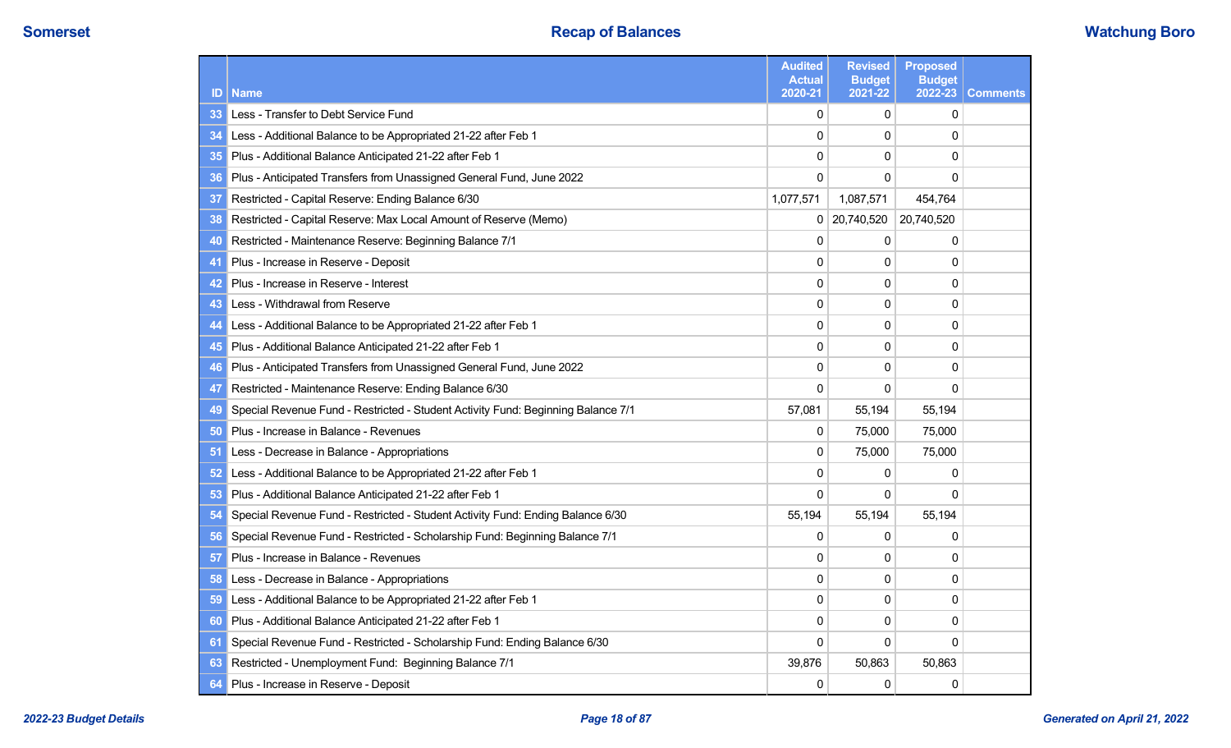| ID | <b>Name</b>                                                                      | <b>Audited</b><br><b>Actual</b><br>2020-21 | <b>Revised</b><br><b>Budget</b><br>2021-22 | <b>Proposed</b><br><b>Budget</b><br>2022-23 | <b>Comments</b> |
|----|----------------------------------------------------------------------------------|--------------------------------------------|--------------------------------------------|---------------------------------------------|-----------------|
| 33 | Less - Transfer to Debt Service Fund                                             | 0                                          | $\mathbf{0}$                               | $\Omega$                                    |                 |
| 34 | Less - Additional Balance to be Appropriated 21-22 after Feb 1                   | $\mathbf 0$                                | $\Omega$                                   | $\Omega$                                    |                 |
| 35 | Plus - Additional Balance Anticipated 21-22 after Feb 1                          | 0                                          | 0                                          | $\Omega$                                    |                 |
| 36 | Plus - Anticipated Transfers from Unassigned General Fund, June 2022             | $\mathbf{0}$                               | $\mathbf{0}$                               | $\Omega$                                    |                 |
| 37 | Restricted - Capital Reserve: Ending Balance 6/30                                | 1,077,571                                  | 1,087,571                                  | 454,764                                     |                 |
| 38 | Restricted - Capital Reserve: Max Local Amount of Reserve (Memo)                 | 0                                          | 20,740,520                                 | 20,740,520                                  |                 |
| 40 | Restricted - Maintenance Reserve: Beginning Balance 7/1                          | $\Omega$                                   | $\Omega$                                   | 0                                           |                 |
| 41 | Plus - Increase in Reserve - Deposit                                             | $\mathbf 0$                                | $\mathbf{0}$                               | 0                                           |                 |
| 42 | Plus - Increase in Reserve - Interest                                            | 0                                          | 0                                          | 0                                           |                 |
| 43 | Less - Withdrawal from Reserve                                                   | $\mathbf 0$                                | $\mathbf 0$                                | 0                                           |                 |
| 44 | Less - Additional Balance to be Appropriated 21-22 after Feb 1                   | 0                                          | 0                                          | 0                                           |                 |
| 45 | Plus - Additional Balance Anticipated 21-22 after Feb 1                          | $\mathbf{0}$                               | 0                                          | 0                                           |                 |
| 46 | Plus - Anticipated Transfers from Unassigned General Fund, June 2022             | $\mathbf 0$                                | $\mathbf 0$                                | 0                                           |                 |
| 47 | Restricted - Maintenance Reserve: Ending Balance 6/30                            | $\Omega$                                   | 0                                          | $\Omega$                                    |                 |
| 49 | Special Revenue Fund - Restricted - Student Activity Fund: Beginning Balance 7/1 | 57,081                                     | 55,194                                     | 55,194                                      |                 |
| 50 | Plus - Increase in Balance - Revenues                                            | 0                                          | 75,000                                     | 75,000                                      |                 |
| 51 | Less - Decrease in Balance - Appropriations                                      | 0                                          | 75,000                                     | 75,000                                      |                 |
| 52 | Less - Additional Balance to be Appropriated 21-22 after Feb 1                   | 0                                          | 0                                          | 0                                           |                 |
| 53 | Plus - Additional Balance Anticipated 21-22 after Feb 1                          | 0                                          | 0                                          | $\Omega$                                    |                 |
| 54 | Special Revenue Fund - Restricted - Student Activity Fund: Ending Balance 6/30   | 55,194                                     | 55,194                                     | 55,194                                      |                 |
| 56 | Special Revenue Fund - Restricted - Scholarship Fund: Beginning Balance 7/1      | 0                                          | $\mathbf{0}$                               | 0                                           |                 |
| 57 | Plus - Increase in Balance - Revenues                                            | $\Omega$                                   | 0                                          | $\Omega$                                    |                 |
| 58 | Less - Decrease in Balance - Appropriations                                      | $\mathbf{0}$                               | $\Omega$                                   | 0                                           |                 |
| 59 | Less - Additional Balance to be Appropriated 21-22 after Feb 1                   | 0                                          | 0                                          | 0                                           |                 |
| 60 | Plus - Additional Balance Anticipated 21-22 after Feb 1                          | $\mathbf{0}$                               | $\mathbf{0}$                               | 0                                           |                 |
| 61 | Special Revenue Fund - Restricted - Scholarship Fund: Ending Balance 6/30        | $\Omega$                                   | 0                                          | $\Omega$                                    |                 |
| 63 | Restricted - Unemployment Fund: Beginning Balance 7/1                            | 39,876                                     | 50,863                                     | 50,863                                      |                 |
| 64 | Plus - Increase in Reserve - Deposit                                             | 0                                          | 0                                          | 0                                           |                 |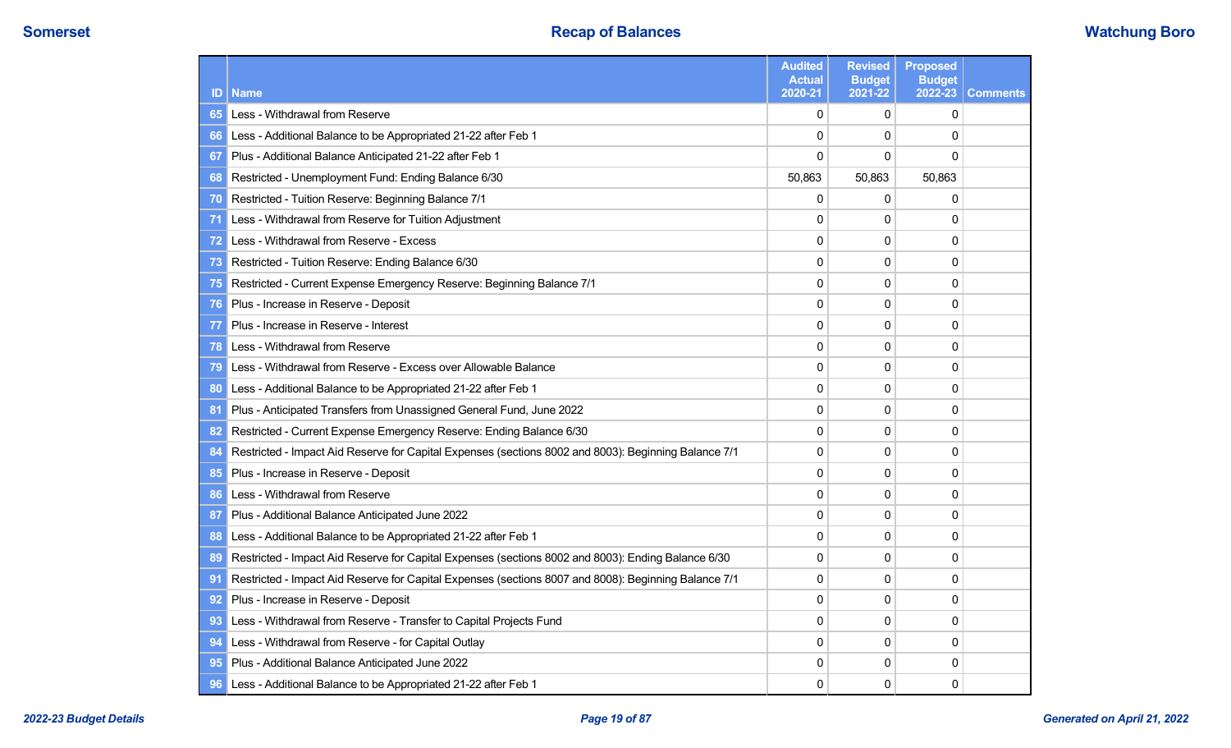| ID             | <b>Name</b>                                                                                          | <b>Audited</b><br><b>Actual</b><br>2020-21 | <b>Revised</b><br><b>Budget</b><br>2021-22 | <b>Proposed</b><br><b>Budget</b><br>2022-23 | <b>Comments</b> |
|----------------|------------------------------------------------------------------------------------------------------|--------------------------------------------|--------------------------------------------|---------------------------------------------|-----------------|
| 65             | Less - Withdrawal from Reserve                                                                       | $\mathbf{0}$                               | $\mathbf{0}$                               | $\Omega$                                    |                 |
| 66             | Less - Additional Balance to be Appropriated 21-22 after Feb 1                                       | 0                                          | $\Omega$                                   | $\Omega$                                    |                 |
| 67             | Plus - Additional Balance Anticipated 21-22 after Feb 1                                              | 0                                          | $\mathbf 0$                                | $\Omega$                                    |                 |
| 68             | Restricted - Unemployment Fund: Ending Balance 6/30                                                  | 50,863                                     | 50,863                                     | 50,863                                      |                 |
| 70             | Restricted - Tuition Reserve: Beginning Balance 7/1                                                  | 0                                          | $\mathbf{0}$                               | $\mathbf{0}$                                |                 |
| 71             | Less - Withdrawal from Reserve for Tuition Adjustment                                                | $\Omega$                                   | $\Omega$                                   | $\Omega$                                    |                 |
| 72             | Less - Withdrawal from Reserve - Excess                                                              | $\mathbf{0}$                               | $\mathbf{0}$                               | 0                                           |                 |
| 73             | Restricted - Tuition Reserve: Ending Balance 6/30                                                    | 0                                          | 0                                          | $\mathbf 0$                                 |                 |
| 75             | Restricted - Current Expense Emergency Reserve: Beginning Balance 7/1                                | $\Omega$                                   | $\mathbf{0}$                               | $\Omega$                                    |                 |
| 76             | Plus - Increase in Reserve - Deposit                                                                 | 0                                          | $\Omega$                                   | $\Omega$                                    |                 |
| 77             | Plus - Increase in Reserve - Interest                                                                | 0                                          | $\mathbf{0}$                               | $\Omega$                                    |                 |
| 78             | Less - Withdrawal from Reserve                                                                       | 0                                          | 0                                          | 0                                           |                 |
| 79             | Less - Withdrawal from Reserve - Excess over Allowable Balance                                       | $\Omega$                                   | $\mathbf{0}$                               | $\Omega$                                    |                 |
| 80             | Less - Additional Balance to be Appropriated 21-22 after Feb 1                                       | 0                                          | $\mathbf{0}$                               | $\Omega$                                    |                 |
| 8 <sup>1</sup> | Plus - Anticipated Transfers from Unassigned General Fund, June 2022                                 | $\mathbf{0}$                               | $\mathbf{0}$                               | $\Omega$                                    |                 |
| 82             | Restricted - Current Expense Emergency Reserve: Ending Balance 6/30                                  | 0                                          | $\mathbf{0}$                               | $\Omega$                                    |                 |
| 84             | Restricted - Impact Aid Reserve for Capital Expenses (sections 8002 and 8003): Beginning Balance 7/1 | 0                                          | 0                                          | $\mathbf 0$                                 |                 |
| 85             | Plus - Increase in Reserve - Deposit                                                                 | $\Omega$                                   | $\mathbf{0}$                               | $\Omega$                                    |                 |
| 86             | Less - Withdrawal from Reserve                                                                       | 0                                          | $\Omega$                                   | $\Omega$                                    |                 |
| 87             | Plus - Additional Balance Anticipated June 2022                                                      | 0                                          | $\mathbf{0}$                               | $\Omega$                                    |                 |
| 88             | Less - Additional Balance to be Appropriated 21-22 after Feb 1                                       | 0                                          | $\mathbf{0}$                               | $\Omega$                                    |                 |
| 89             | Restricted - Impact Aid Reserve for Capital Expenses (sections 8002 and 8003): Ending Balance 6/30   | $\mathbf{0}$                               | $\mathbf{0}$                               | $\Omega$                                    |                 |
| 9 <sub>1</sub> | Restricted - Impact Aid Reserve for Capital Expenses (sections 8007 and 8008): Beginning Balance 7/1 | $\mathbf{0}$                               | $\mathbf{0}$                               | 0                                           |                 |
| 92             | Plus - Increase in Reserve - Deposit                                                                 | $\mathbf{0}$                               | $\mathbf{0}$                               | $\Omega$                                    |                 |
| 93             | Less - Withdrawal from Reserve - Transfer to Capital Projects Fund                                   | 0                                          | $\mathbf{0}$                               | $\Omega$                                    |                 |
| 94             | Less - Withdrawal from Reserve - for Capital Outlay                                                  | 0                                          | 0                                          | 0                                           |                 |
| 95             | Plus - Additional Balance Anticipated June 2022                                                      | 0                                          | $\mathbf{0}$                               | 0                                           |                 |
| 96             | Less - Additional Balance to be Appropriated 21-22 after Feb 1                                       | 0                                          | 0                                          | 0                                           |                 |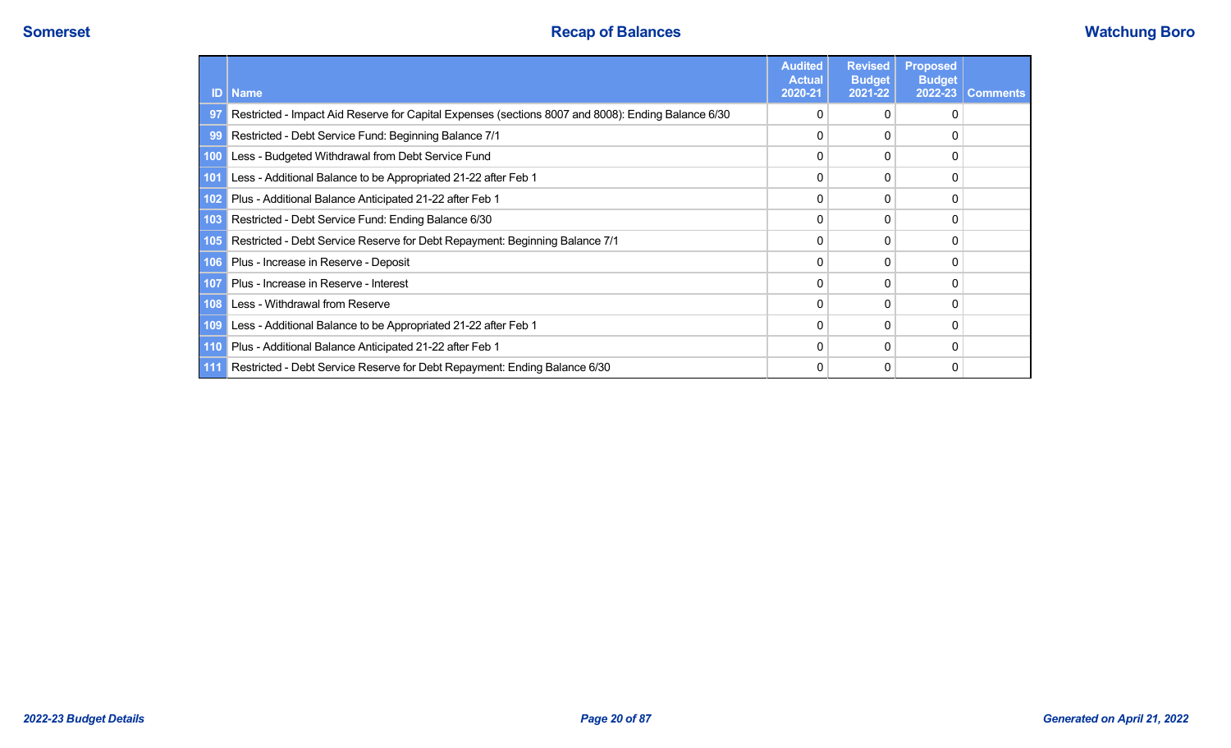| ID    | <b>Name</b>                                                                                        | <b>Audited</b><br><b>Actual</b><br>2020-21 | <b>Revised</b><br><b>Budget</b><br>2021-22 | <b>Proposed</b><br><b>Budget</b><br>2022-23 | <b>Comments</b> |
|-------|----------------------------------------------------------------------------------------------------|--------------------------------------------|--------------------------------------------|---------------------------------------------|-----------------|
| 97    | Restricted - Impact Aid Reserve for Capital Expenses (sections 8007 and 8008): Ending Balance 6/30 | 0                                          |                                            |                                             |                 |
| 99    | Restricted - Debt Service Fund: Beginning Balance 7/1                                              | 0                                          |                                            |                                             |                 |
| 100   | Less - Budgeted Withdrawal from Debt Service Fund                                                  | 0                                          | 0                                          |                                             |                 |
| 101   | Less - Additional Balance to be Appropriated 21-22 after Feb 1                                     | 0                                          | 0                                          | 0                                           |                 |
| 102   | Plus - Additional Balance Anticipated 21-22 after Feb 1                                            | 0                                          |                                            | C                                           |                 |
| 103   | Restricted - Debt Service Fund: Ending Balance 6/30                                                | 0                                          | 0                                          | 0                                           |                 |
| 105   | Restricted - Debt Service Reserve for Debt Repayment: Beginning Balance 7/1                        | 0                                          | 0                                          | C                                           |                 |
| 106   | Plus - Increase in Reserve - Deposit                                                               | 0                                          | 0                                          | 0                                           |                 |
| 107   | Plus - Increase in Reserve - Interest                                                              | 0                                          |                                            |                                             |                 |
| 108   | Less - Withdrawal from Reserve                                                                     | 0                                          | 0                                          | 0                                           |                 |
| 109   | Less - Additional Balance to be Appropriated 21-22 after Feb 1                                     | 0                                          | 0                                          | 0                                           |                 |
| 110   | Plus - Additional Balance Anticipated 21-22 after Feb 1                                            | 0                                          | 0                                          | 0                                           |                 |
| $111$ | Restricted - Debt Service Reserve for Debt Repayment: Ending Balance 6/30                          | 0                                          | 0                                          | 0                                           |                 |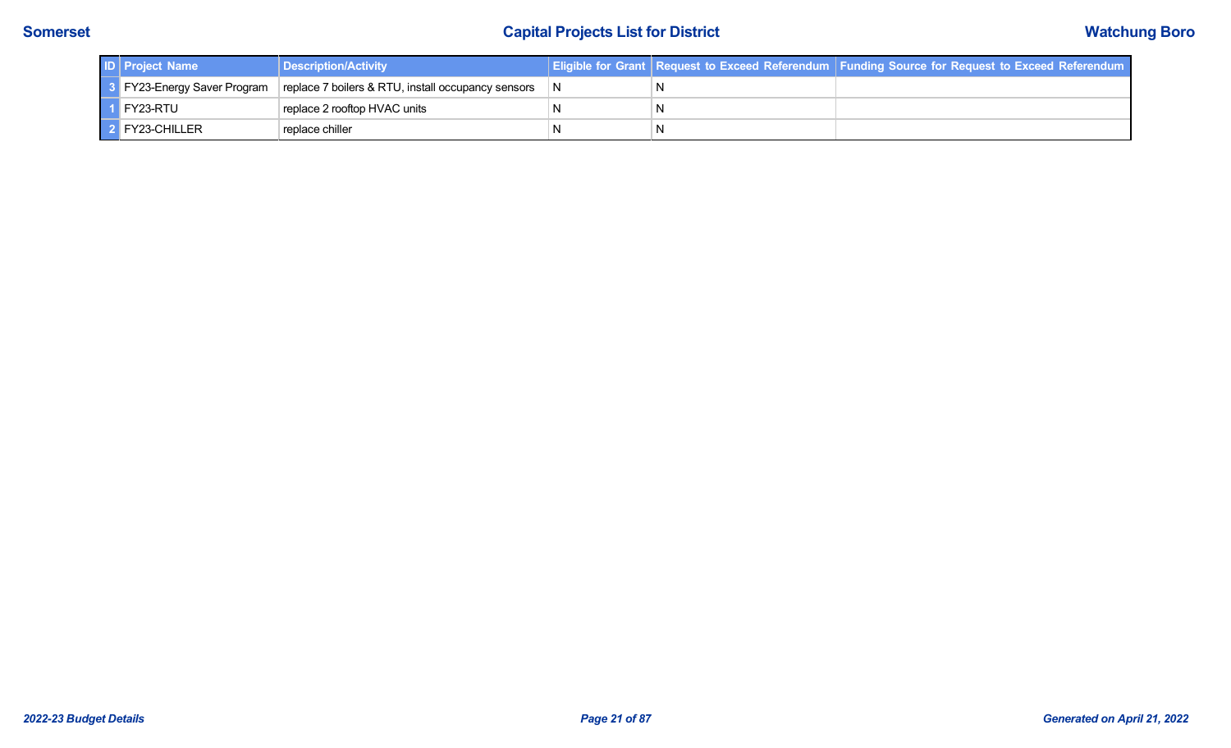| <b>ID</b> Project Name | Description/Activity                                                             |  | <b>Eligible for Grant   Request to Exceed Referendum   Funding Source for Request to Exceed Referendum</b> |
|------------------------|----------------------------------------------------------------------------------|--|------------------------------------------------------------------------------------------------------------|
|                        | 3 FY23-Energy Saver Program   replace 7 boilers & RTU, install occupancy sensors |  |                                                                                                            |
| $\vert$ 1 FY23-RTU     | replace 2 rooftop HVAC units                                                     |  |                                                                                                            |
| 2 FY23-CHILLER         | replace chiller                                                                  |  |                                                                                                            |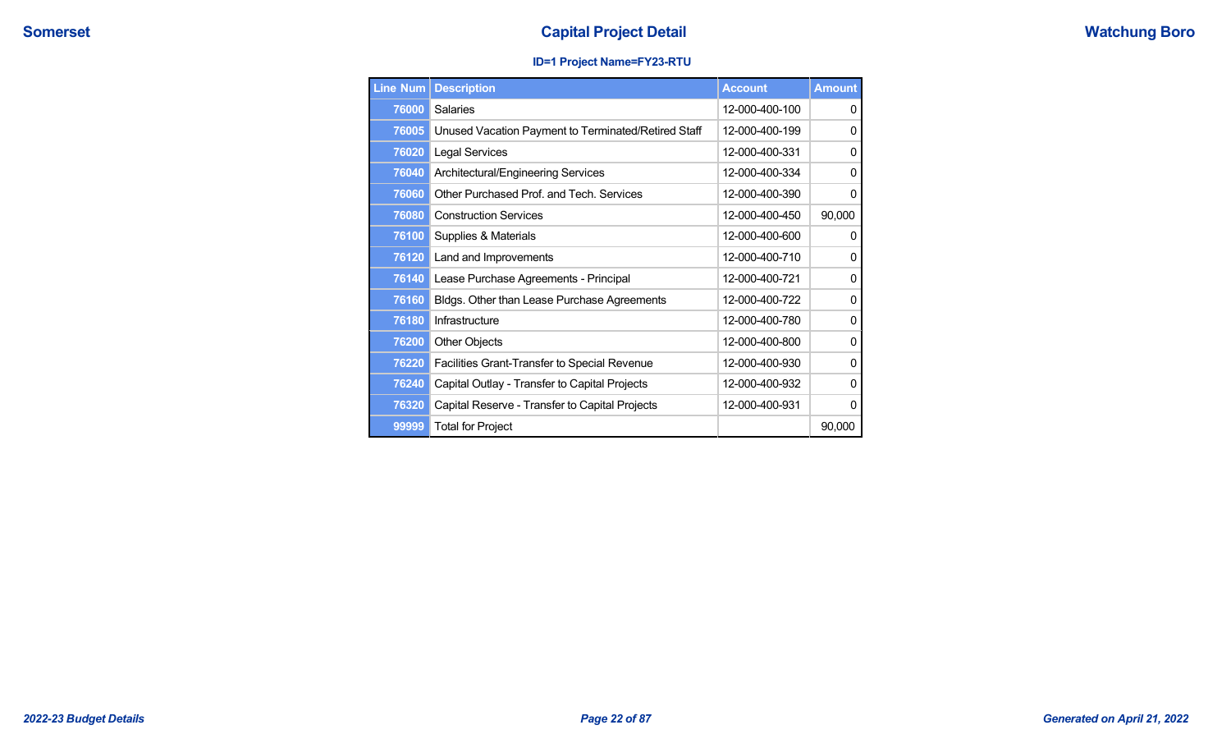## **Capital Project Detail Capital Project Detail Capital Project Detail Capital Project Detail Watchung Boro**

## **ID=1 Project Name=FY23-RTU**

| Line Num | <b>Description</b>                                  | <b>Account</b> | <b>Amount</b> |
|----------|-----------------------------------------------------|----------------|---------------|
| 76000    | Salaries                                            | 12-000-400-100 | 0             |
| 76005    | Unused Vacation Payment to Terminated/Retired Staff | 12-000-400-199 | 0             |
| 76020    | <b>Legal Services</b>                               | 12-000-400-331 | 0             |
| 76040    | Architectural/Engineering Services                  | 12-000-400-334 | 0             |
| 76060    | Other Purchased Prof. and Tech. Services            | 12-000-400-390 | 0             |
| 76080    | <b>Construction Services</b>                        | 12-000-400-450 | 90,000        |
| 76100    | Supplies & Materials                                | 12-000-400-600 | 0             |
| 76120    | Land and Improvements                               | 12-000-400-710 | 0             |
| 76140    | Lease Purchase Agreements - Principal               | 12-000-400-721 | 0             |
| 76160    | Bldgs. Other than Lease Purchase Agreements         | 12-000-400-722 | 0             |
| 76180    | Infrastructure                                      | 12-000-400-780 | 0             |
| 76200    | <b>Other Objects</b>                                | 12-000-400-800 | 0             |
| 76220    | Facilities Grant-Transfer to Special Revenue        | 12-000-400-930 | 0             |
| 76240    | Capital Outlay - Transfer to Capital Projects       | 12-000-400-932 | 0             |
| 76320    | Capital Reserve - Transfer to Capital Projects      | 12-000-400-931 | 0             |
| 99999    | <b>Total for Project</b>                            |                | 90,000        |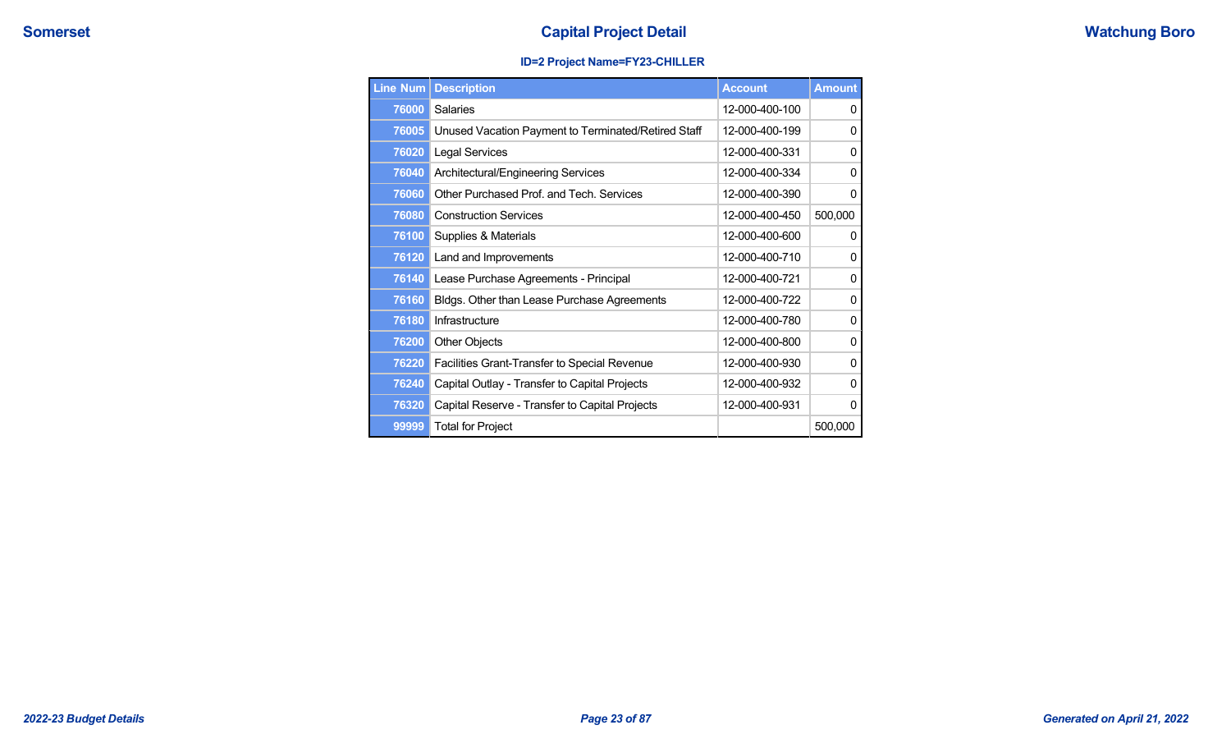## **ID=2 Project Name=FY23-CHILLER**

| <b>Line Num</b> | <b>Description</b>                                  | <b>Account</b> | <b>Amount</b> |
|-----------------|-----------------------------------------------------|----------------|---------------|
| 76000           | <b>Salaries</b>                                     | 12-000-400-100 | 0             |
| 76005           | Unused Vacation Payment to Terminated/Retired Staff | 12-000-400-199 | 0             |
| 76020           | <b>Legal Services</b>                               | 12-000-400-331 | 0             |
| 76040           | Architectural/Engineering Services                  | 12-000-400-334 | 0             |
| 76060           | Other Purchased Prof. and Tech. Services            | 12-000-400-390 | 0             |
| 76080           | <b>Construction Services</b>                        | 12-000-400-450 | 500,000       |
| 76100           | Supplies & Materials                                | 12-000-400-600 | 0             |
| 76120           | Land and Improvements                               | 12-000-400-710 | 0             |
| 76140           | Lease Purchase Agreements - Principal               | 12-000-400-721 | 0             |
| 76160           | Bldgs. Other than Lease Purchase Agreements         | 12-000-400-722 | 0             |
| 76180           | Infrastructure                                      | 12-000-400-780 | 0             |
| 76200           | <b>Other Objects</b>                                | 12-000-400-800 | 0             |
| 76220           | Facilities Grant-Transfer to Special Revenue        | 12-000-400-930 | 0             |
| 76240           | Capital Outlay - Transfer to Capital Projects       | 12-000-400-932 | 0             |
| 76320           | Capital Reserve - Transfer to Capital Projects      | 12-000-400-931 | 0             |
| 99999           | <b>Total for Project</b>                            |                | 500,000       |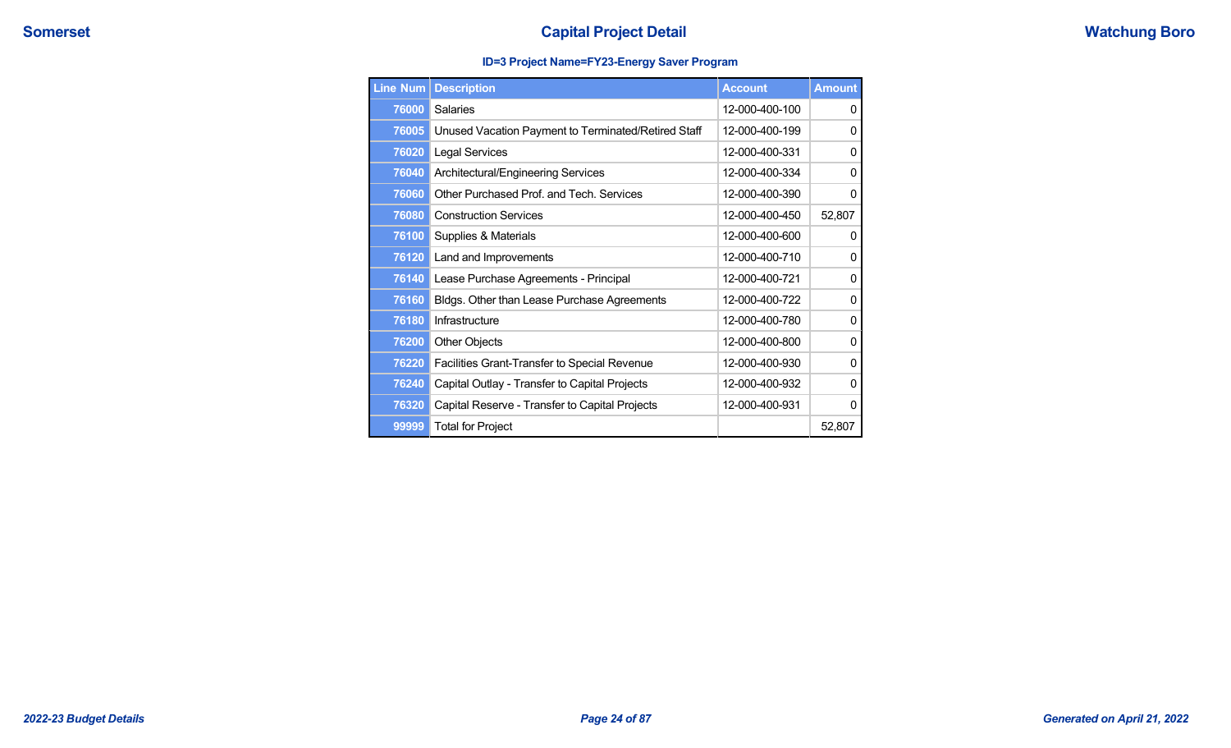## **ID=3 Project Name=FY23-Energy Saver Program**

| <b>Line Num</b> | <b>Description</b>                                  | <b>Account</b> | <b>Amount</b> |
|-----------------|-----------------------------------------------------|----------------|---------------|
| 76000           | <b>Salaries</b>                                     | 12-000-400-100 | 0             |
| 76005           | Unused Vacation Payment to Terminated/Retired Staff | 12-000-400-199 | 0             |
| 76020           | <b>Legal Services</b>                               | 12-000-400-331 | 0             |
| 76040           | Architectural/Engineering Services                  | 12-000-400-334 | 0             |
| 76060           | Other Purchased Prof. and Tech. Services            | 12-000-400-390 | 0             |
| 76080           | <b>Construction Services</b>                        | 12-000-400-450 | 52,807        |
| 76100           | Supplies & Materials                                | 12-000-400-600 | 0             |
| 76120           | Land and Improvements                               | 12-000-400-710 | 0             |
| 76140           | Lease Purchase Agreements - Principal               | 12-000-400-721 | 0             |
| 76160           | Bldgs. Other than Lease Purchase Agreements         | 12-000-400-722 | 0             |
| 76180           | Infrastructure                                      | 12-000-400-780 | 0             |
| 76200           | <b>Other Objects</b>                                | 12-000-400-800 | 0             |
| 76220           | Facilities Grant-Transfer to Special Revenue        | 12-000-400-930 | 0             |
| 76240           | Capital Outlay - Transfer to Capital Projects       | 12-000-400-932 | 0             |
| 76320           | Capital Reserve - Transfer to Capital Projects      | 12-000-400-931 | 0             |
| 99999           | <b>Total for Project</b>                            |                | 52,807        |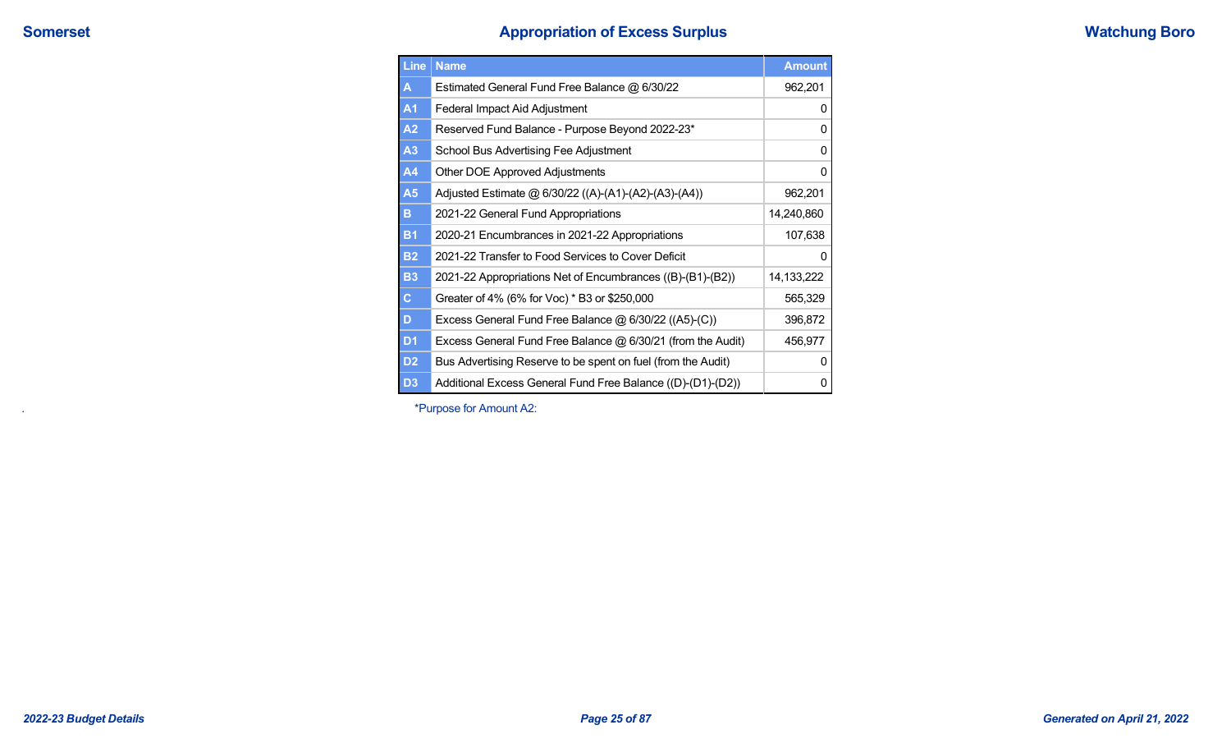# **Somerset Surplus Appropriation of Excess Surplus**

| <b>Watchung Boro</b> |
|----------------------|
|----------------------|

| Line           | <b>Name</b>                                                  | <b>Amount</b> |
|----------------|--------------------------------------------------------------|---------------|
| A              | Estimated General Fund Free Balance @ 6/30/22                | 962,201       |
| <b>A1</b>      | Federal Impact Aid Adjustment                                | 0             |
| A2             | Reserved Fund Balance - Purpose Beyond 2022-23*              | 0             |
| A3             | School Bus Advertising Fee Adjustment                        | 0             |
| A4             | Other DOE Approved Adjustments                               | 0             |
| A <sub>5</sub> | Adjusted Estimate @ 6/30/22 ((A)-(A1)-(A2)-(A3)-(A4))        | 962,201       |
| в              | 2021-22 General Fund Appropriations                          | 14,240,860    |
| <b>B1</b>      | 2020-21 Encumbrances in 2021-22 Appropriations               | 107,638       |
| <b>B2</b>      | 2021-22 Transfer to Food Services to Cover Deficit           | 0             |
| <b>B3</b>      | 2021-22 Appropriations Net of Encumbrances ((B)-(B1)-(B2))   | 14,133,222    |
| $\mathbf C$    | Greater of 4% (6% for Voc) * B3 or \$250,000                 | 565,329       |
| D              | Excess General Fund Free Balance $@6/30/22 ((A5)-(C))$       | 396,872       |
| D <sub>1</sub> | Excess General Fund Free Balance @ 6/30/21 (from the Audit)  | 456,977       |
| D <sub>2</sub> | Bus Advertising Reserve to be spent on fuel (from the Audit) | 0             |
| D <sub>3</sub> | Additional Excess General Fund Free Balance ((D)-(D1)-(D2))  | 0             |

. \*Purpose for Amount A2: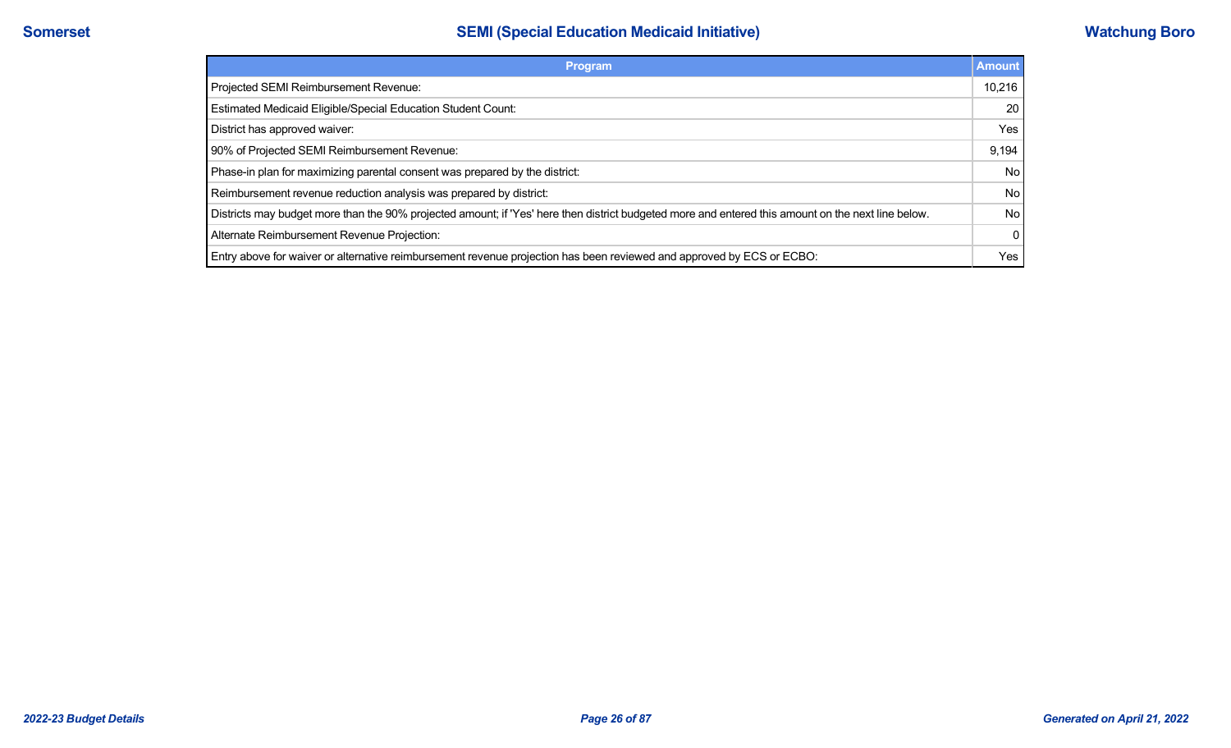| Program                                                                                                                                            | <b>Amount</b> |
|----------------------------------------------------------------------------------------------------------------------------------------------------|---------------|
| Projected SEMI Reimbursement Revenue:                                                                                                              | 10,216        |
| Estimated Medicaid Eligible/Special Education Student Count:                                                                                       | 20            |
| District has approved waiver:                                                                                                                      | Yes           |
| 90% of Projected SEMI Reimbursement Revenue:                                                                                                       | 9.194         |
| Phase-in plan for maximizing parental consent was prepared by the district:                                                                        | <b>No</b>     |
| Reimbursement revenue reduction analysis was prepared by district:                                                                                 | <b>No</b>     |
| Districts may budget more than the 90% projected amount; if 'Yes' here then district budgeted more and entered this amount on the next line below. | <b>No</b>     |
| Alternate Reimbursement Revenue Projection:                                                                                                        | $\Omega$      |
| Entry above for waiver or alternative reimbursement revenue projection has been reviewed and approved by ECS or ECBO:                              | Yes           |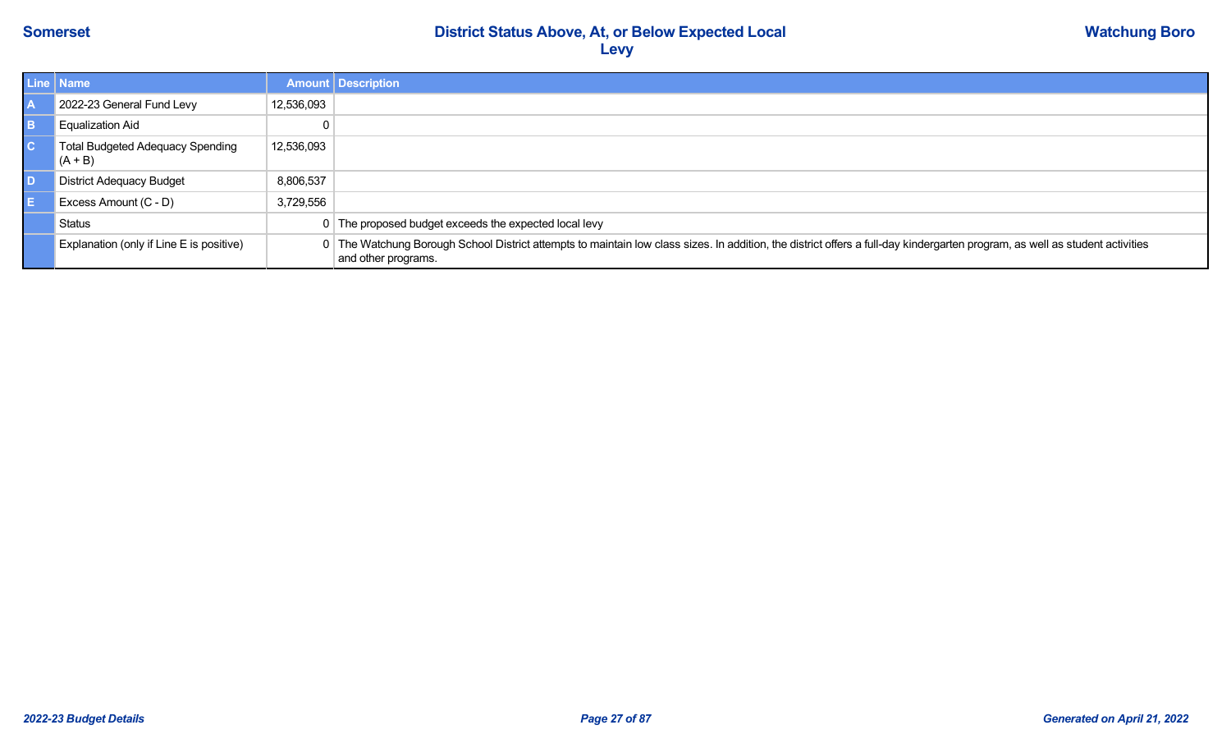| Line   Name                                   |            | <b>Amount Description</b>                                                                                                                                                                           |
|-----------------------------------------------|------------|-----------------------------------------------------------------------------------------------------------------------------------------------------------------------------------------------------|
| 2022-23 General Fund Levy                     | 12,536,093 |                                                                                                                                                                                                     |
| Equalization Aid                              |            |                                                                                                                                                                                                     |
| Total Budgeted Adequacy Spending<br>$(A + B)$ | 12,536,093 |                                                                                                                                                                                                     |
| <b>District Adequacy Budget</b>               | 8,806,537  |                                                                                                                                                                                                     |
| Excess Amount (C - D)                         | 3,729,556  |                                                                                                                                                                                                     |
| Status                                        |            | 0 The proposed budget exceeds the expected local levy                                                                                                                                               |
| Explanation (only if Line E is positive)      |            | 0 The Watchung Borough School District attempts to maintain low class sizes. In addition, the district offers a full-day kindergarten program, as well as student activities<br>and other programs. |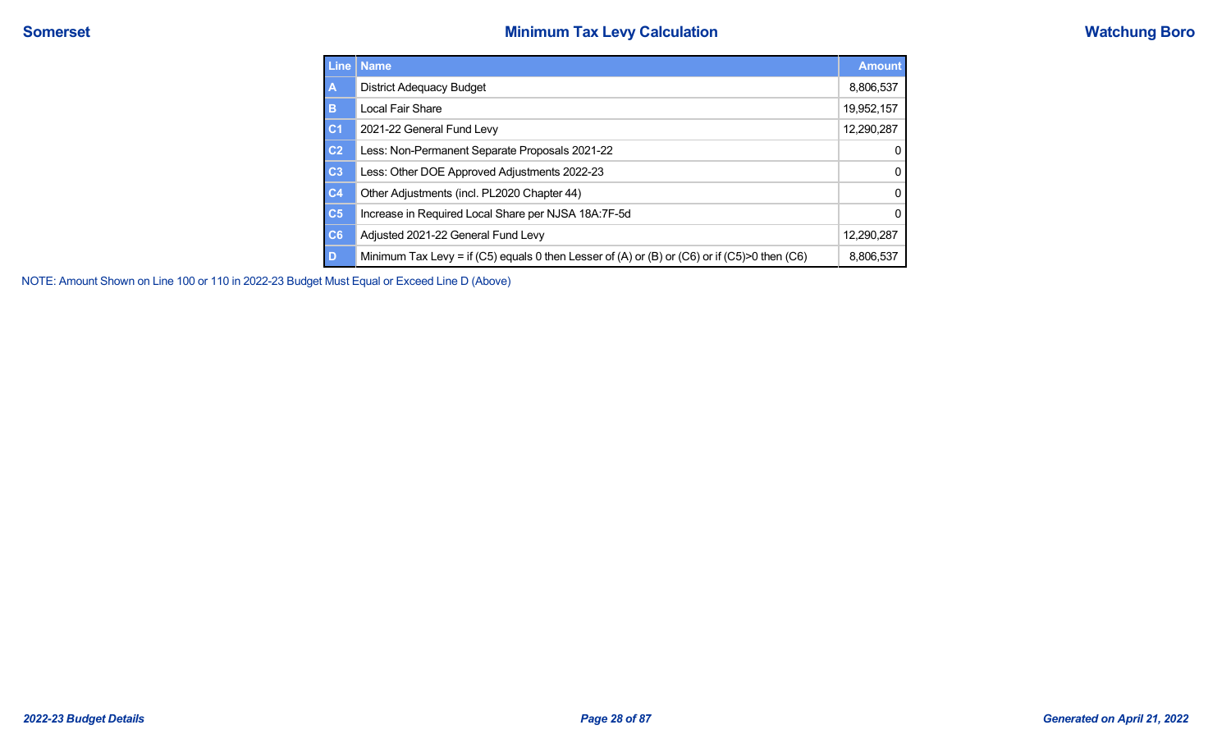|                | Line   Name                                                                                  | <b>Amount</b> |
|----------------|----------------------------------------------------------------------------------------------|---------------|
| $\overline{A}$ | <b>District Adequacy Budget</b>                                                              | 8,806,537     |
| B              | Local Fair Share                                                                             | 19,952,157    |
| <sub>C1</sub>  | 2021-22 General Fund Levy                                                                    | 12,290,287    |
| C <sub>2</sub> | Less: Non-Permanent Separate Proposals 2021-22                                               | 0             |
| C <sub>3</sub> | Less: Other DOE Approved Adjustments 2022-23                                                 | 0             |
| C <sub>4</sub> | Other Adjustments (incl. PL2020 Chapter 44)                                                  | 0             |
| C <sub>5</sub> | Increase in Required Local Share per NJSA 18A:7F-5d                                          | 0             |
| C6             | Adjusted 2021-22 General Fund Levy                                                           | 12,290,287    |
| D              | Minimum Tax Levy = if (C5) equals 0 then Lesser of (A) or (B) or (C6) or if (C5)>0 then (C6) | 8,806,537     |

NOTE: Amount Shown on Line 100 or 110 in 2022-23 Budget Must Equal or Exceed Line D (Above)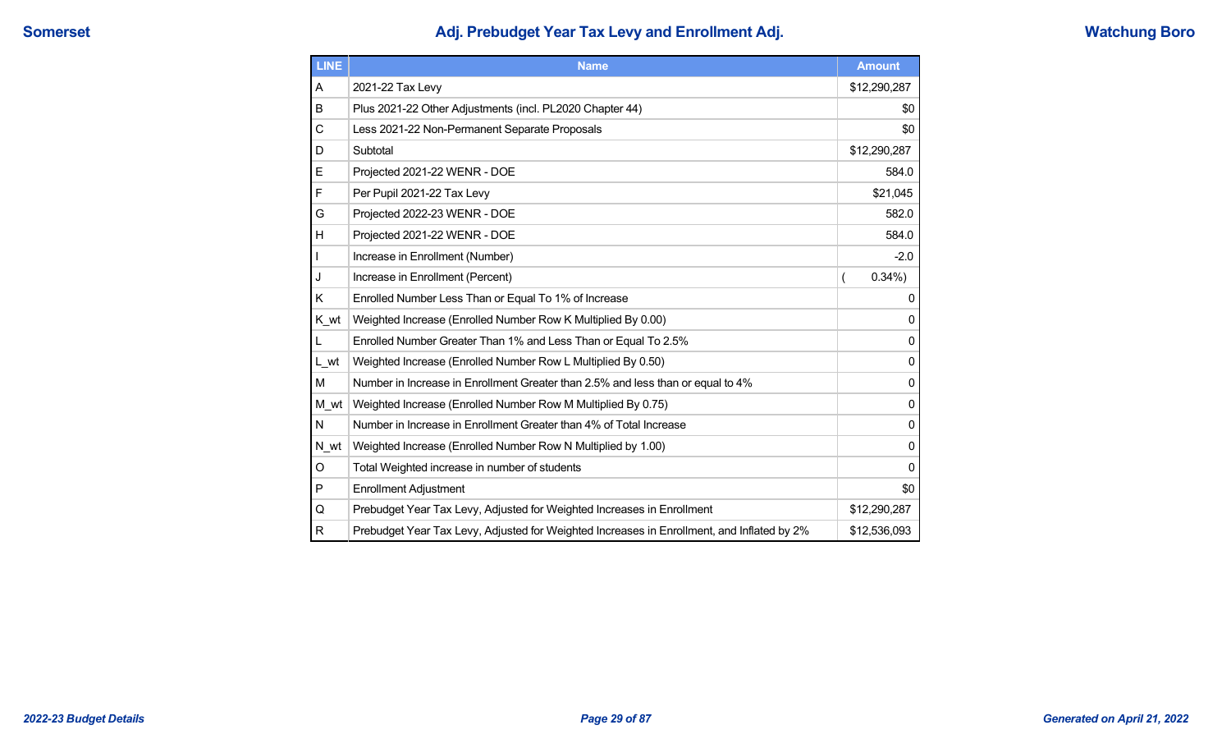# **Somerset Adj. Prebudget Year Tax Levy and Enrollment Adj. Watchung Boro**

| <b>LINE</b>  | <b>Name</b>                                                                                | <b>Amount</b> |
|--------------|--------------------------------------------------------------------------------------------|---------------|
| A            | 2021-22 Tax Levy                                                                           | \$12,290,287  |
| B            | Plus 2021-22 Other Adjustments (incl. PL2020 Chapter 44)                                   | \$0           |
| C            | Less 2021-22 Non-Permanent Separate Proposals                                              | \$0           |
| D            | Subtotal                                                                                   | \$12,290,287  |
| E            | Projected 2021-22 WENR - DOE                                                               | 584.0         |
| F            | Per Pupil 2021-22 Tax Levy                                                                 | \$21,045      |
| G            | Projected 2022-23 WENR - DOE                                                               | 582.0         |
| H            | Projected 2021-22 WENR - DOE                                                               | 584.0         |
|              | Increase in Enrollment (Number)                                                            | $-2.0$        |
| J            | Increase in Enrollment (Percent)                                                           | 0.34%         |
| Κ            | Enrolled Number Less Than or Equal To 1% of Increase                                       | 0             |
| K wt         | Weighted Increase (Enrolled Number Row K Multiplied By 0.00)                               | 0             |
| L            | Enrolled Number Greater Than 1% and Less Than or Equal To 2.5%                             | 0             |
| L_wt         | Weighted Increase (Enrolled Number Row L Multiplied By 0.50)                               | 0             |
| М            | Number in Increase in Enrollment Greater than 2.5% and less than or equal to 4%            | 0             |
| M wt         | Weighted Increase (Enrolled Number Row M Multiplied By 0.75)                               | 0             |
| N            | Number in Increase in Enrollment Greater than 4% of Total Increase                         | 0             |
| N wt         | Weighted Increase (Enrolled Number Row N Multiplied by 1.00)                               | 0             |
| O            | Total Weighted increase in number of students                                              | 0             |
| P            | <b>Enrollment Adjustment</b>                                                               | \$0           |
| Q            | Prebudget Year Tax Levy, Adjusted for Weighted Increases in Enrollment                     | \$12,290,287  |
| $\mathsf{R}$ | Prebudget Year Tax Levy, Adjusted for Weighted Increases in Enrollment, and Inflated by 2% | \$12,536,093  |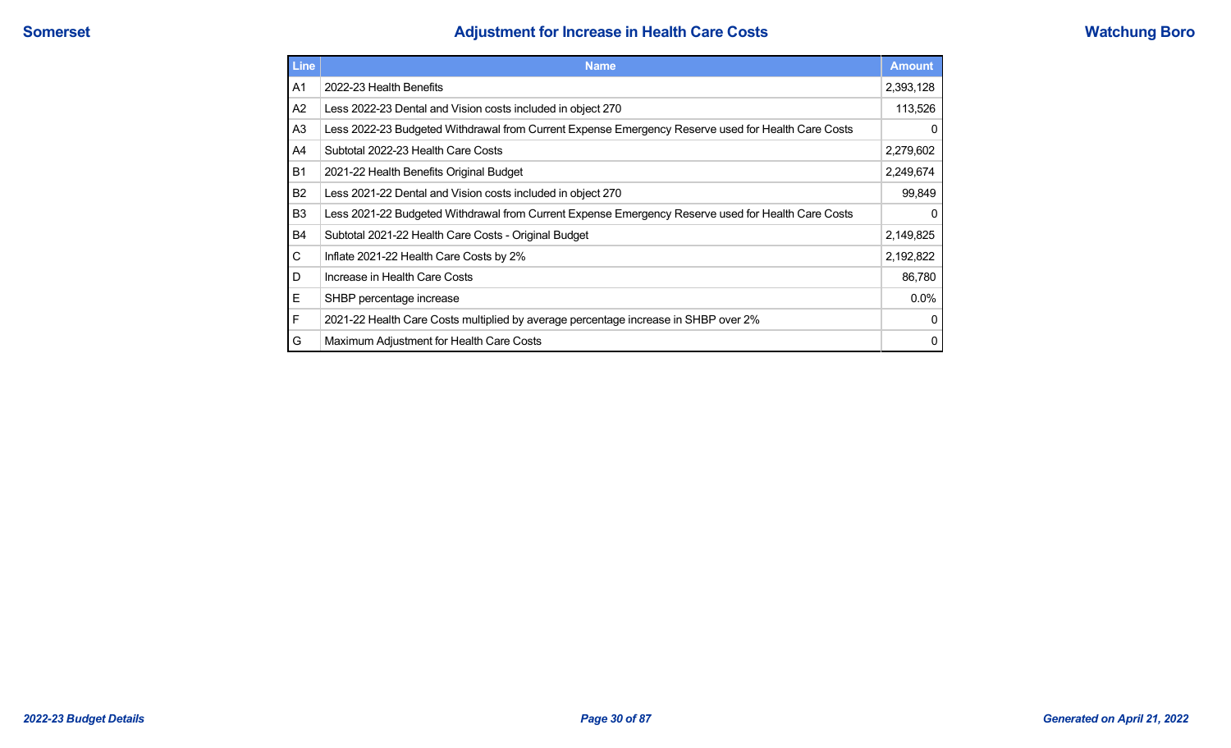# **Somerset Adjustment for Increase in Health Care Costs Watchung Boro**

| <b>Line</b>    | <b>Name</b>                                                                                        | <b>Amount</b> |
|----------------|----------------------------------------------------------------------------------------------------|---------------|
| A1             | 2022-23 Health Benefits                                                                            | 2,393,128     |
| A2             | Less 2022-23 Dental and Vision costs included in object 270                                        | 113,526       |
| A <sub>3</sub> | Less 2022-23 Budgeted Withdrawal from Current Expense Emergency Reserve used for Health Care Costs | $\mathbf 0$   |
| A4             | Subtotal 2022-23 Health Care Costs                                                                 | 2,279,602     |
| <b>B1</b>      | 2021-22 Health Benefits Original Budget                                                            | 2,249,674     |
| B <sub>2</sub> | Less 2021-22 Dental and Vision costs included in object 270                                        | 99,849        |
| B <sub>3</sub> | Less 2021-22 Budgeted Withdrawal from Current Expense Emergency Reserve used for Health Care Costs | $\mathbf 0$   |
| B4             | Subtotal 2021-22 Health Care Costs - Original Budget                                               | 2,149,825     |
| C              | Inflate 2021-22 Health Care Costs by 2%                                                            | 2,192,822     |
| D              | Increase in Health Care Costs                                                                      | 86,780        |
| Е              | SHBP percentage increase                                                                           | $0.0\%$       |
| F              | 2021-22 Health Care Costs multiplied by average percentage increase in SHBP over 2%                | $\mathbf 0$   |
| G              | Maximum Adjustment for Health Care Costs                                                           | 0             |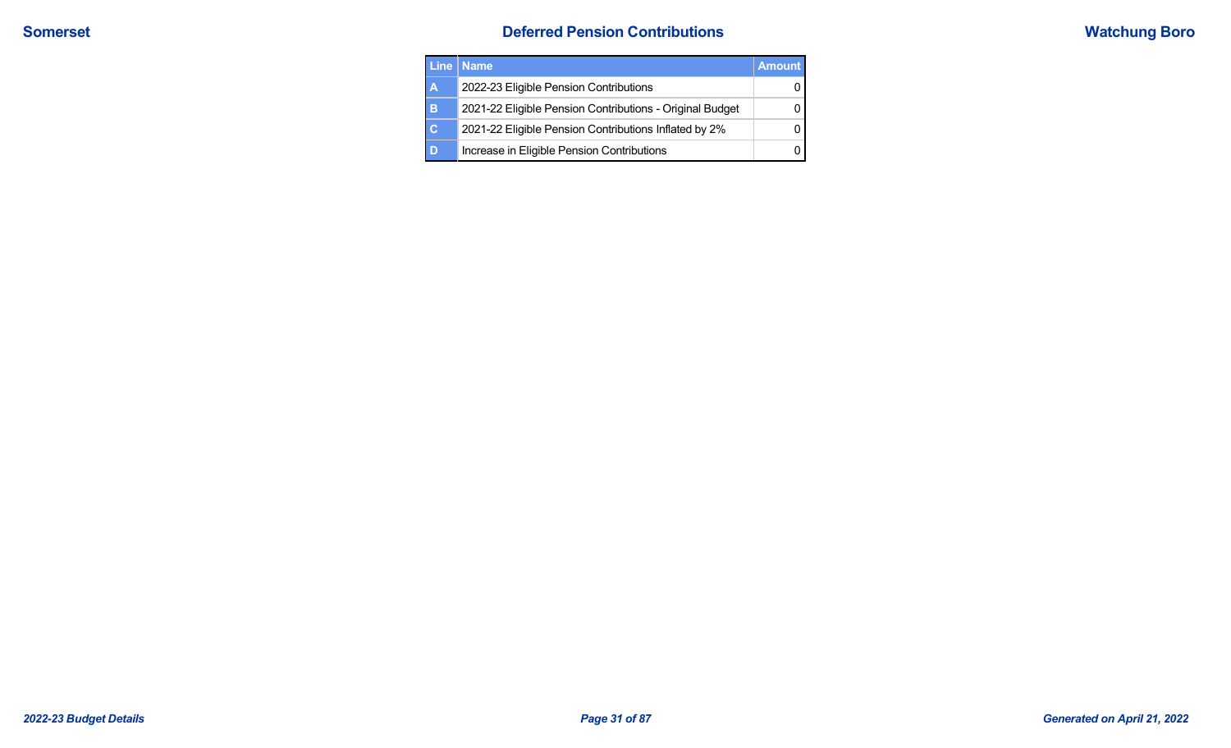| <b>Line</b>    | <b>Name</b>                                              | <b>Amount</b> |
|----------------|----------------------------------------------------------|---------------|
| A              | 2022-23 Eligible Pension Contributions                   |               |
| в              | 2021-22 Eligible Pension Contributions - Original Budget |               |
| $\overline{c}$ | 2021-22 Eligible Pension Contributions Inflated by 2%    |               |
| D              | Increase in Eligible Pension Contributions               |               |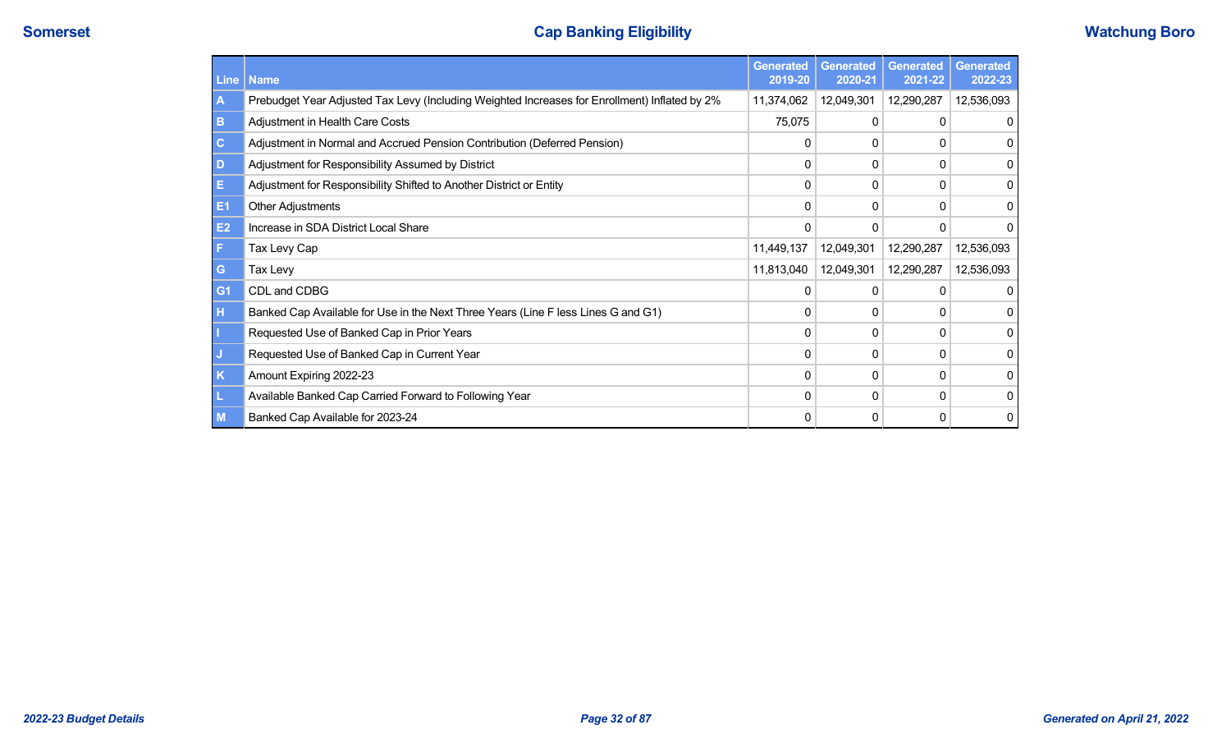# **Somerset Cap Banking Eligibility Cap Banking Eligibility Watchung Boro**

| <b>Line</b>    | Name                                                                                          | <b>Generated</b><br>2019-20 | <b>Generated</b><br>2020-21 | <b>Generated</b><br>2021-22 | <b>Generated</b><br>2022-23 |
|----------------|-----------------------------------------------------------------------------------------------|-----------------------------|-----------------------------|-----------------------------|-----------------------------|
| A              | Prebudget Year Adjusted Tax Levy (Including Weighted Increases for Enrollment) Inflated by 2% | 11,374,062                  | 12,049,301                  | 12,290,287                  | 12,536,093                  |
| B              | Adjustment in Health Care Costs                                                               | 75,075                      | 0                           | 0                           | 0                           |
| $\mathbf{C}$   | Adjustment in Normal and Accrued Pension Contribution (Deferred Pension)                      | 0                           | 0                           | 0                           | 0                           |
| D              | Adjustment for Responsibility Assumed by District                                             | 0                           |                             | 0                           | 0                           |
| Е              | Adjustment for Responsibility Shifted to Another District or Entity                           | 0                           | 0                           | 0                           | 0                           |
| E <sub>1</sub> | <b>Other Adjustments</b>                                                                      | 0                           | $\Omega$                    | 0                           | 0                           |
| E2             | Increase in SDA District Local Share                                                          | $\Omega$                    | 0                           | 0                           | 0                           |
| F              | Tax Levy Cap                                                                                  | 11,449,137                  | 12,049,301                  | 12,290,287                  | 12,536,093                  |
| G              | Tax Levy                                                                                      | 11,813,040                  | 12,049,301                  | 12,290,287                  | 12,536,093                  |
| G <sub>1</sub> | CDL and CDBG                                                                                  | n                           |                             | 0                           | 0                           |
| н              | Banked Cap Available for Use in the Next Three Years (Line F less Lines G and G1)             | 0                           | 0                           | 0                           | 0                           |
|                | Requested Use of Banked Cap in Prior Years                                                    | 0                           | 0                           | 0                           | 0                           |
| J              | Requested Use of Banked Cap in Current Year                                                   | 0                           |                             | 0                           | 0                           |
| $\mathsf{K}$   | Amount Expiring 2022-23                                                                       | 0                           | 0                           | 0                           | 0                           |
| L              | Available Banked Cap Carried Forward to Following Year                                        | O                           | 0                           | 0                           | 0                           |
| $\mathbf{M}$   | Banked Cap Available for 2023-24                                                              | 0                           | 0                           | 0                           | 0                           |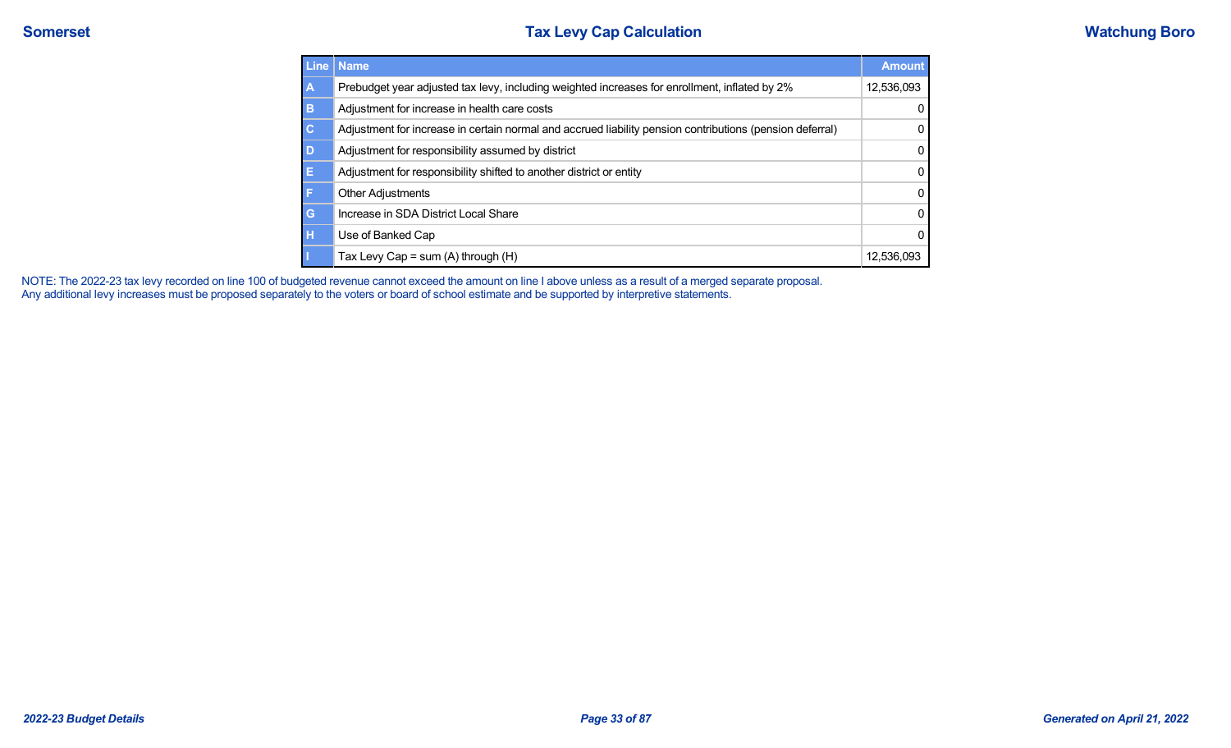| Line           | <b>Name</b>                                                                                              | <b>Amount</b> |
|----------------|----------------------------------------------------------------------------------------------------------|---------------|
| A              | Prebudget year adjusted tax levy, including weighted increases for enrollment, inflated by 2%            | 12,536,093    |
| B              | Adjustment for increase in health care costs                                                             | 0             |
| $\overline{c}$ | Adjustment for increase in certain normal and accrued liability pension contributions (pension deferral) | 0             |
| D              | Adjustment for responsibility assumed by district                                                        | 0             |
| E              | Adjustment for responsibility shifted to another district or entity                                      | 0             |
| F              | <b>Other Adjustments</b>                                                                                 | 0             |
| G              | Increase in SDA District Local Share                                                                     | 0             |
| H              | Use of Banked Cap                                                                                        | 0             |
| П              | Tax Levy Cap = sum $(A)$ through $(H)$                                                                   | 12.536.093    |

NOTE: The 2022-23 tax levy recorded on line 100 of budgeted revenue cannot exceed the amount on line I above unless as a result of a merged separate proposal. Any additional levy increases must be proposed separately to the voters or board of school estimate and be supported by interpretive statements.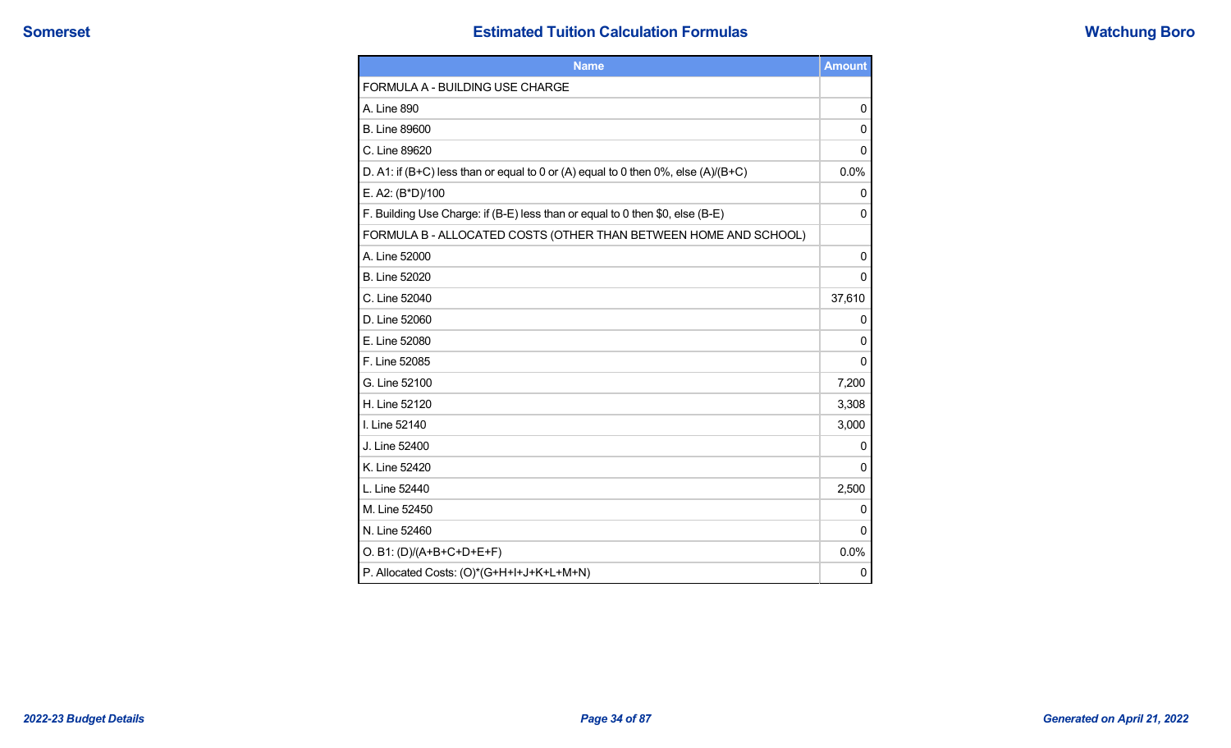|  | <b>Watchung Boro</b> |
|--|----------------------|
|  |                      |

| <b>Name</b>                                                                           | <b>Amount</b> |
|---------------------------------------------------------------------------------------|---------------|
| <b>FORMULA A - BUILDING USE CHARGE</b>                                                |               |
| A. Line 890                                                                           | $\mathbf{0}$  |
| <b>B. Line 89600</b>                                                                  | $\mathbf{0}$  |
| C. Line 89620                                                                         | 0             |
| D. A1: if (B+C) less than or equal to 0 or (A) equal to 0 then $0\%$ , else (A)/(B+C) | 0.0%          |
| E. A2: (B*D)/100                                                                      | 0             |
| F. Building Use Charge: if (B-E) less than or equal to 0 then \$0, else (B-E)         | 0             |
| FORMULA B - ALLOCATED COSTS (OTHER THAN BETWEEN HOME AND SCHOOL)                      |               |
| A. Line 52000                                                                         | 0             |
| B. Line 52020                                                                         | 0             |
| C. Line 52040                                                                         | 37,610        |
| D. Line 52060                                                                         | 0             |
| E. Line 52080                                                                         | 0             |
| F. Line 52085                                                                         | 0             |
| G. Line 52100                                                                         | 7,200         |
| H. Line 52120                                                                         | 3,308         |
| I. Line 52140                                                                         | 3,000         |
| J. Line 52400                                                                         | 0             |
| K. Line 52420                                                                         | $\Omega$      |
| L. Line 52440                                                                         | 2,500         |
| M. Line 52450                                                                         | 0             |
| N. Line 52460                                                                         | 0             |
| O. B1: (D)/(A+B+C+D+E+F)                                                              | 0.0%          |
| P. Allocated Costs: (O)*(G+H+I+J+K+L+M+N)                                             | 0             |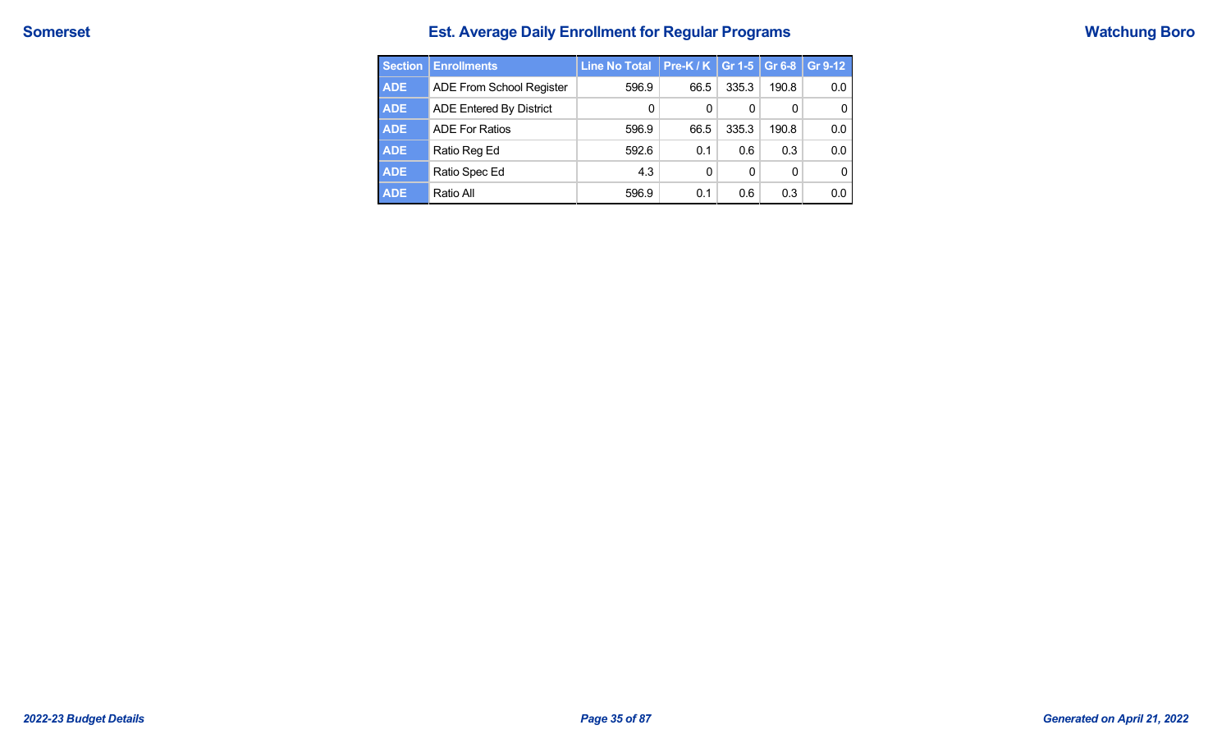# **Somerset Est. Average Daily Enrollment for Regular Programs Watchung Boro**

| <b>Section</b> | <b>Enrollments</b>       | <b>Line No Total</b> | Pre-K / K $ $ Gr 1-5 |       | Gr 6-8 | Gr 9-12 |
|----------------|--------------------------|----------------------|----------------------|-------|--------|---------|
| <b>ADE</b>     | ADE From School Register | 596.9                | 66.5                 | 335.3 | 190.8  | 0.0     |
| <b>ADE</b>     | ADE Entered By District  | 0                    | 0                    | 0     | 0      | 0       |
| <b>ADE</b>     | <b>ADE For Ratios</b>    | 596.9                | 66.5                 | 335.3 | 190.8  | 0.0     |
| <b>ADE</b>     | Ratio Reg Ed             | 592.6                | 0.1                  | 0.6   | 0.3    | 0.0     |
| <b>ADE</b>     | Ratio Spec Ed            | 4.3                  | $\Omega$             | 0     | 0      | 0       |
| <b>ADE</b>     | Ratio All                | 596.9                | 0.1                  | 0.6   | 0.3    | 0.0     |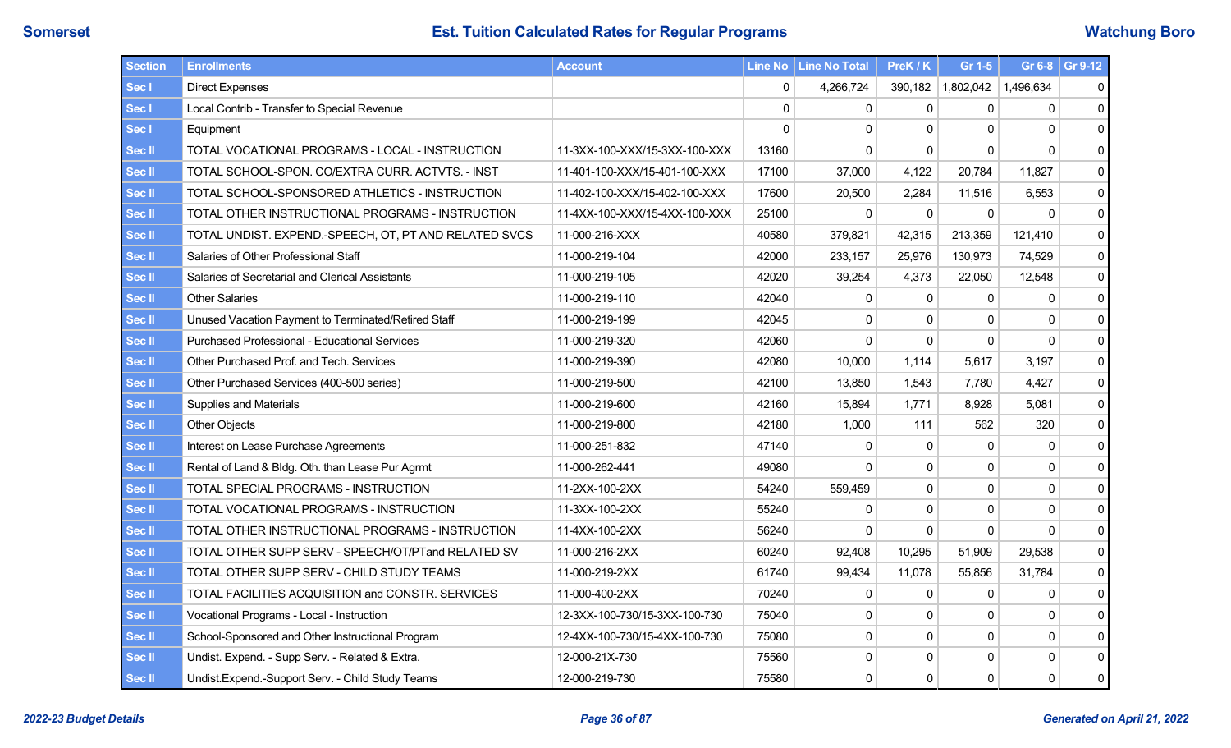# **Somerset Est. Tuition Calculated Rates for Regular Programs External and Matchung Boro**

| <b>Section</b> | <b>Enrollments</b>                                    | <b>Account</b>                |             | Line No   Line No Total | PreK / K | Gr 1-5       |              | Gr 6-8 $\,$ Gr 9-12 |
|----------------|-------------------------------------------------------|-------------------------------|-------------|-------------------------|----------|--------------|--------------|---------------------|
| Sec I          | <b>Direct Expenses</b>                                |                               | $\mathbf 0$ | 4,266,724               | 390,182  | 1,802,042    | 1.496.634    | 0                   |
| Sec I          | Local Contrib - Transfer to Special Revenue           |                               | $\Omega$    | $\mathbf 0$             | 0        | $\Omega$     | $\Omega$     | $\pmb{0}$           |
| Sec I          | Equipment                                             |                               | $\Omega$    | $\mathbf{0}$            | 0        | $\Omega$     | $\mathbf{0}$ | $\pmb{0}$           |
| <b>Sec II</b>  | TOTAL VOCATIONAL PROGRAMS - LOCAL - INSTRUCTION       | 11-3XX-100-XXX/15-3XX-100-XXX | 13160       | $\Omega$                | $\Omega$ | $\Omega$     | $\Omega$     | $\pmb{0}$           |
| Sec II         | TOTAL SCHOOL-SPON. CO/EXTRA CURR. ACTVTS. - INST      | 11-401-100-XXX/15-401-100-XXX | 17100       | 37,000                  | 4,122    | 20,784       | 11,827       | $\pmb{0}$           |
| Sec II         | TOTAL SCHOOL-SPONSORED ATHLETICS - INSTRUCTION        | 11-402-100-XXX/15-402-100-XXX | 17600       | 20,500                  | 2,284    | 11,516       | 6,553        | $\pmb{0}$           |
| Sec II         | TOTAL OTHER INSTRUCTIONAL PROGRAMS - INSTRUCTION      | 11-4XX-100-XXX/15-4XX-100-XXX | 25100       | 0                       | $\Omega$ | $\Omega$     | $\Omega$     | $\pmb{0}$           |
| Sec II         | TOTAL UNDIST. EXPEND.-SPEECH, OT, PT AND RELATED SVCS | 11-000-216-XXX                | 40580       | 379,821                 | 42,315   | 213,359      | 121,410      | $\pmb{0}$           |
| Sec II         | Salaries of Other Professional Staff                  | 11-000-219-104                | 42000       | 233,157                 | 25,976   | 130,973      | 74,529       | $\pmb{0}$           |
| Sec II         | Salaries of Secretarial and Clerical Assistants       | 11-000-219-105                | 42020       | 39,254                  | 4,373    | 22,050       | 12,548       | $\pmb{0}$           |
| Sec II         | <b>Other Salaries</b>                                 | 11-000-219-110                | 42040       | $\mathbf{0}$            | 0        | 0            | 0            | $\mathbf 0$         |
| <b>Sec II</b>  | Unused Vacation Payment to Terminated/Retired Staff   | 11-000-219-199                | 42045       | 0                       | 0        | $\mathbf{0}$ | $\mathbf{0}$ | $\pmb{0}$           |
| Sec II         | <b>Purchased Professional - Educational Services</b>  | 11-000-219-320                | 42060       | $\mathbf 0$             | 0        | $\mathbf 0$  | $\Omega$     | $\mathbf 0$         |
| <b>Sec II</b>  | Other Purchased Prof. and Tech. Services              | 11-000-219-390                | 42080       | 10,000                  | 1,114    | 5,617        | 3,197        | $\pmb{0}$           |
| Sec II         | Other Purchased Services (400-500 series)             | 11-000-219-500                | 42100       | 13,850                  | 1,543    | 7,780        | 4,427        | $\pmb{0}$           |
| <b>Sec II</b>  | Supplies and Materials                                | 11-000-219-600                | 42160       | 15,894                  | 1,771    | 8.928        | 5.081        | 0                   |
| Sec II         | <b>Other Objects</b>                                  | 11-000-219-800                | 42180       | 1,000                   | 111      | 562          | 320          | $\pmb{0}$           |
| Sec II         | Interest on Lease Purchase Agreements                 | 11-000-251-832                | 47140       | $\mathbf{0}$            | 0        | $\Omega$     | $\mathbf 0$  | $\mathbf 0$         |
| Sec II         | Rental of Land & Bldg. Oth. than Lease Pur Agrmt      | 11-000-262-441                | 49080       | $\Omega$                | 0        | $\Omega$     | 0            | $\pmb{0}$           |
| Sec II         | TOTAL SPECIAL PROGRAMS - INSTRUCTION                  | 11-2XX-100-2XX                | 54240       | 559,459                 | 0        | $\Omega$     | $\mathbf 0$  | 0                   |
| Sec II         | TOTAL VOCATIONAL PROGRAMS - INSTRUCTION               | 11-3XX-100-2XX                | 55240       | $\mathbf{0}$            | 0        | $\Omega$     | $\mathbf{0}$ | 0                   |
| Sec II         | TOTAL OTHER INSTRUCTIONAL PROGRAMS - INSTRUCTION      | 11-4XX-100-2XX                | 56240       | $\mathbf{0}$            | 0        | $\Omega$     | $\mathbf{0}$ | $\mathbf 0$         |
| Sec II         | TOTAL OTHER SUPP SERV - SPEECH/OT/PTand RELATED SV    | 11-000-216-2XX                | 60240       | 92,408                  | 10,295   | 51,909       | 29,538       | 0                   |
| Sec II         | TOTAL OTHER SUPP SERV - CHILD STUDY TEAMS             | 11-000-219-2XX                | 61740       | 99,434                  | 11,078   | 55,856       | 31,784       | $\pmb{0}$           |
| Sec II         | TOTAL FACILITIES ACQUISITION and CONSTR. SERVICES     | 11-000-400-2XX                | 70240       | $\mathbf{0}$            | 0        | 0            | $\mathbf{0}$ | 0                   |
| Sec II         | Vocational Programs - Local - Instruction             | 12-3XX-100-730/15-3XX-100-730 | 75040       | $\mathbf{0}$            | $\Omega$ | $\Omega$     | $\mathbf{0}$ | $\mathbf 0$         |
| Sec II         | School-Sponsored and Other Instructional Program      | 12-4XX-100-730/15-4XX-100-730 | 75080       | 0                       | 0        | $\mathbf{0}$ | 0            | $\pmb{0}$           |
| Sec II         | Undist. Expend. - Supp Serv. - Related & Extra.       | 12-000-21X-730                | 75560       | 0                       | 0        | $\mathbf{0}$ | 0            | $\pmb{0}$           |
| Sec II         | Undist.Expend.-Support Serv. - Child Study Teams      | 12-000-219-730                | 75580       | $\mathbf 0$             | 0        | 0            | $\mathbf 0$  | 0                   |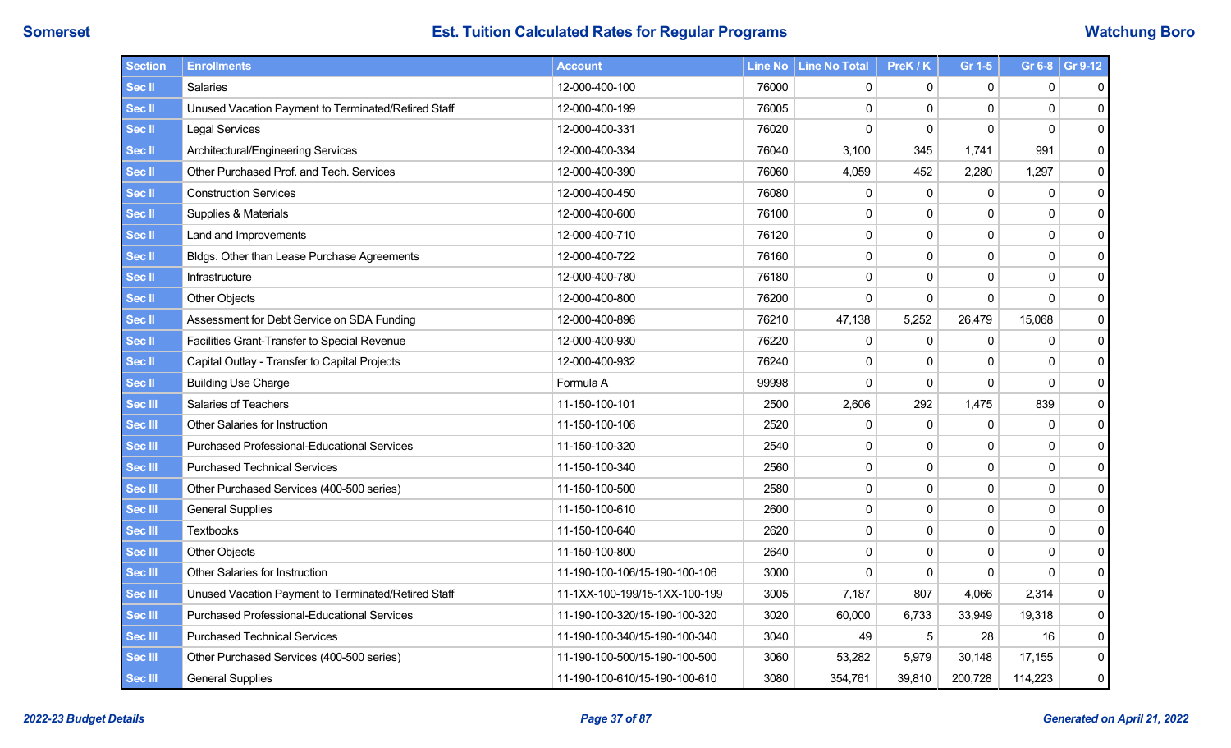| Section           | <b>Enrollments</b>                                  | <b>Account</b>                |       | Line No   Line No Total | PreK / K    | Gr 1-5         |             | Gr 6-8 $\,$ Gr 9-12 |
|-------------------|-----------------------------------------------------|-------------------------------|-------|-------------------------|-------------|----------------|-------------|---------------------|
| Sec II            | Salaries                                            | 12-000-400-100                | 76000 | 0                       | 0           | $\mathbf{0}$   | 0           | 0                   |
| Sec <sup>II</sup> | Unused Vacation Payment to Terminated/Retired Staff | 12-000-400-199                | 76005 | 0                       | 0           | 0              | 0           | 0                   |
| Sec II            | <b>Legal Services</b>                               | 12-000-400-331                | 76020 | $\mathbf 0$             | 0           | $\overline{0}$ | $\mathbf 0$ | $\pmb{0}$           |
| Sec II            | Architectural/Engineering Services                  | 12-000-400-334                | 76040 | 3,100                   | 345         | 1,741          | 991         | 0                   |
| Sec II            | Other Purchased Prof. and Tech. Services            | 12-000-400-390                | 76060 | 4,059                   | 452         | 2,280          | 1,297       | 0                   |
| Sec II            | <b>Construction Services</b>                        | 12-000-400-450                | 76080 | 0                       | $\mathsf 0$ | 0              | $\pmb{0}$   | 0                   |
| Sec II            | Supplies & Materials                                | 12-000-400-600                | 76100 | $\pmb{0}$               | 0           | $\Omega$       | $\mathbf 0$ | $\pmb{0}$           |
| Sec II            | Land and Improvements                               | 12-000-400-710                | 76120 | 0                       | 0           | $\mathbf{0}$   | $\mathbf 0$ | 0                   |
| Sec II            | Bldgs. Other than Lease Purchase Agreements         | 12-000-400-722                | 76160 | $\pmb{0}$               | 0           | 0              | $\pmb{0}$   | 0                   |
| Sec II            | Infrastructure                                      | 12-000-400-780                | 76180 | 0                       | 0           | $\mathbf 0$    | $\mathbf 0$ | 0                   |
| Sec II            | Other Objects                                       | 12-000-400-800                | 76200 | $\mathbf 0$             | 0           | 0              | $\mathbf 0$ | 0                   |
| Sec II            | Assessment for Debt Service on SDA Funding          | 12-000-400-896                | 76210 | 47,138                  | 5,252       | 26,479         | 15,068      | 0                   |
| Sec II            | Facilities Grant-Transfer to Special Revenue        | 12-000-400-930                | 76220 | 0                       | 0           | 0              | $\mathbf 0$ | 0                   |
| Sec II            | Capital Outlay - Transfer to Capital Projects       | 12-000-400-932                | 76240 | 0                       | 0           | 0              | $\mathbf 0$ | 0                   |
| Sec II            | <b>Building Use Charge</b>                          | Formula A                     | 99998 | $\Omega$                | $\Omega$    | $\Omega$       | $\mathbf 0$ | 0                   |
| Sec III           | <b>Salaries of Teachers</b>                         | 11-150-100-101                | 2500  | 2,606                   | 292         | 1,475          | 839         | 0                   |
| Sec III           | Other Salaries for Instruction                      | 11-150-100-106                | 2520  | 0                       | 0           | 0              | $\mathbf 0$ | 0                   |
| Sec III           | <b>Purchased Professional-Educational Services</b>  | 11-150-100-320                | 2540  | 0                       | $\Omega$    | $\mathbf{0}$   | $\mathbf 0$ | 0                   |
| Sec III           | <b>Purchased Technical Services</b>                 | 11-150-100-340                | 2560  | 0                       | 0           | 0              | $\mathbf 0$ | 0                   |
| Sec III           | Other Purchased Services (400-500 series)           | 11-150-100-500                | 2580  | 0                       | 0           | 0              | $\mathbf 0$ | 0                   |
| Sec III           | <b>General Supplies</b>                             | 11-150-100-610                | 2600  | $\mathbf 0$             | 0           | 0              | $\mathbf 0$ | 0                   |
| Sec III           | <b>Textbooks</b>                                    | 11-150-100-640                | 2620  | 0                       | $\Omega$    | 0              | $\pmb{0}$   | 0                   |
| Sec III           | <b>Other Objects</b>                                | 11-150-100-800                | 2640  | 0                       | 0           | $\mathbf 0$    | $\mathbf 0$ | 0                   |
| Sec III           | <b>Other Salaries for Instruction</b>               | 11-190-100-106/15-190-100-106 | 3000  | $\mathbf 0$             | 0           | 0              | $\Omega$    | 0                   |
| Sec III           | Unused Vacation Payment to Terminated/Retired Staff | 11-1XX-100-199/15-1XX-100-199 | 3005  | 7,187                   | 807         | 4,066          | 2,314       | 0                   |
| Sec III           | <b>Purchased Professional-Educational Services</b>  | 11-190-100-320/15-190-100-320 | 3020  | 60,000                  | 6,733       | 33,949         | 19,318      | 0                   |
| Sec III           | <b>Purchased Technical Services</b>                 | 11-190-100-340/15-190-100-340 | 3040  | 49                      | 5           | 28             | 16          | 0                   |
| Sec III           | Other Purchased Services (400-500 series)           | 11-190-100-500/15-190-100-500 | 3060  | 53,282                  | 5,979       | 30,148         | 17,155      | 0                   |
| Sec III           | <b>General Supplies</b>                             | 11-190-100-610/15-190-100-610 | 3080  | 354,761                 | 39,810      | 200,728        | 114,223     | 0                   |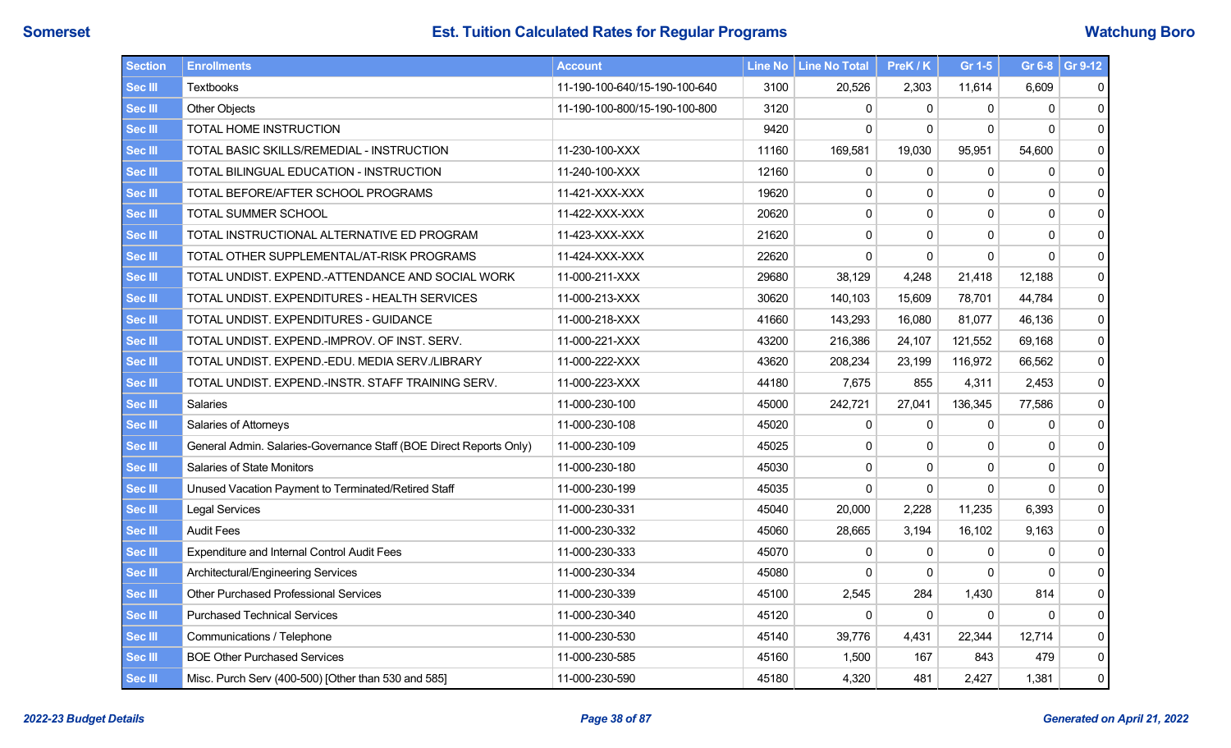| <b>Section</b> | <b>Enrollments</b>                                                 | <b>Account</b>                |       | Line No   Line No Total | PreK / K | Gr 1-5       |              | Gr 6-8 Gr 9-12 |
|----------------|--------------------------------------------------------------------|-------------------------------|-------|-------------------------|----------|--------------|--------------|----------------|
| <b>Sec III</b> | <b>Textbooks</b>                                                   | 11-190-100-640/15-190-100-640 | 3100  | 20,526                  | 2,303    | 11,614       | 6,609        | 0              |
| <b>Sec III</b> | <b>Other Objects</b>                                               | 11-190-100-800/15-190-100-800 | 3120  | $\mathbf{0}$            | 0        | $\Omega$     | $\mathbf{0}$ | 0              |
| <b>Sec III</b> | TOTAL HOME INSTRUCTION                                             |                               | 9420  | $\mathbf{0}$            | 0        | $\Omega$     | $\Omega$     | 0              |
| <b>Sec III</b> | TOTAL BASIC SKILLS/REMEDIAL - INSTRUCTION                          | 11-230-100-XXX                | 11160 | 169,581                 | 19,030   | 95,951       | 54,600       | $\mathbf 0$    |
| <b>Sec III</b> | TOTAL BILINGUAL EDUCATION - INSTRUCTION                            | 11-240-100-XXX                | 12160 | $\mathbf 0$             | 0        | $\mathbf{0}$ | 0            | 0              |
| <b>Sec III</b> | TOTAL BEFORE/AFTER SCHOOL PROGRAMS                                 | 11-421-XXX-XXX                | 19620 | 0                       | 0        | $\mathbf 0$  | 0            | 0              |
| <b>Sec III</b> | TOTAL SUMMER SCHOOL                                                | 11-422-XXX-XXX                | 20620 | $\mathbf 0$             | 0        | $\Omega$     | $\mathbf 0$  | $\mathbf 0$    |
| Sec III        | TOTAL INSTRUCTIONAL ALTERNATIVE ED PROGRAM                         | 11-423-XXX-XXX                | 21620 | 0                       | 0        | $\Omega$     | 0            | 0              |
| <b>Sec III</b> | TOTAL OTHER SUPPLEMENTAL/AT-RISK PROGRAMS                          | 11-424-XXX-XXX                | 22620 | $\mathbf 0$             | 0        | $\mathbf 0$  | 0            | $\mathbf 0$    |
| <b>Sec III</b> | TOTAL UNDIST. EXPEND.-ATTENDANCE AND SOCIAL WORK                   | 11-000-211-XXX                | 29680 | 38,129                  | 4,248    | 21,418       | 12.188       | 0              |
| <b>Sec III</b> | TOTAL UNDIST. EXPENDITURES - HEALTH SERVICES                       | 11-000-213-XXX                | 30620 | 140,103                 | 15,609   | 78,701       | 44,784       | 0              |
| <b>Sec III</b> | TOTAL UNDIST. EXPENDITURES - GUIDANCE                              | 11-000-218-XXX                | 41660 | 143,293                 | 16.080   | 81,077       | 46.136       | 0              |
| <b>Sec III</b> | TOTAL UNDIST. EXPEND.-IMPROV. OF INST. SERV.                       | 11-000-221-XXX                | 43200 | 216,386                 | 24,107   | 121,552      | 69,168       | 0              |
| <b>Sec III</b> | TOTAL UNDIST. EXPEND.-EDU. MEDIA SERV./LIBRARY                     | 11-000-222-XXX                | 43620 | 208,234                 | 23,199   | 116,972      | 66,562       | 0              |
| <b>Sec III</b> | TOTAL UNDIST. EXPEND.-INSTR. STAFF TRAINING SERV.                  | 11-000-223-XXX                | 44180 | 7,675                   | 855      | 4,311        | 2,453        | $\mathbf 0$    |
| <b>Sec III</b> | <b>Salaries</b>                                                    | 11-000-230-100                | 45000 | 242,721                 | 27,041   | 136,345      | 77,586       | 0              |
| <b>Sec III</b> | Salaries of Attorneys                                              | 11-000-230-108                | 45020 | $\pmb{0}$               | 0        | $\Omega$     | 0            | $\mathbf 0$    |
| <b>Sec III</b> | General Admin. Salaries-Governance Staff (BOE Direct Reports Only) | 11-000-230-109                | 45025 | $\mathbf{0}$            | $\Omega$ | $\Omega$     | $\pmb{0}$    | 0              |
| <b>Sec III</b> | <b>Salaries of State Monitors</b>                                  | 11-000-230-180                | 45030 | $\mathbf 0$             | 0        | $\Omega$     | $\mathbf 0$  | $\mathbf 0$    |
| <b>Sec III</b> | Unused Vacation Payment to Terminated/Retired Staff                | 11-000-230-199                | 45035 | $\Omega$                | $\Omega$ | $\Omega$     | $\mathbf 0$  | $\mathbf 0$    |
| <b>Sec III</b> | <b>Legal Services</b>                                              | 11-000-230-331                | 45040 | 20,000                  | 2,228    | 11,235       | 6,393        | 0              |
| <b>Sec III</b> | <b>Audit Fees</b>                                                  | 11-000-230-332                | 45060 | 28,665                  | 3,194    | 16,102       | 9,163        | 0              |
| <b>Sec III</b> | <b>Expenditure and Internal Control Audit Fees</b>                 | 11-000-230-333                | 45070 | $\mathbf{0}$            | $\Omega$ | $\Omega$     | 0            | 0              |
| <b>Sec III</b> | Architectural/Engineering Services                                 | 11-000-230-334                | 45080 | $\mathbf{0}$            | $\Omega$ | $\Omega$     | 0            | 0              |
| <b>Sec III</b> | <b>Other Purchased Professional Services</b>                       | 11-000-230-339                | 45100 | 2,545                   | 284      | 1,430        | 814          | $\mathbf 0$    |
| <b>Sec III</b> | <b>Purchased Technical Services</b>                                | 11-000-230-340                | 45120 | $\Omega$                | 0        | $\Omega$     | 0            | 0              |
| <b>Sec III</b> | Communications / Telephone                                         | 11-000-230-530                | 45140 | 39,776                  | 4,431    | 22,344       | 12,714       | 0              |
| <b>Sec III</b> | <b>BOE Other Purchased Services</b>                                | 11-000-230-585                | 45160 | 1,500                   | 167      | 843          | 479          | 0              |
| <b>Sec III</b> | Misc. Purch Serv (400-500) [Other than 530 and 585]                | 11-000-230-590                | 45180 | 4,320                   | 481      | 2,427        | 1,381        | 0              |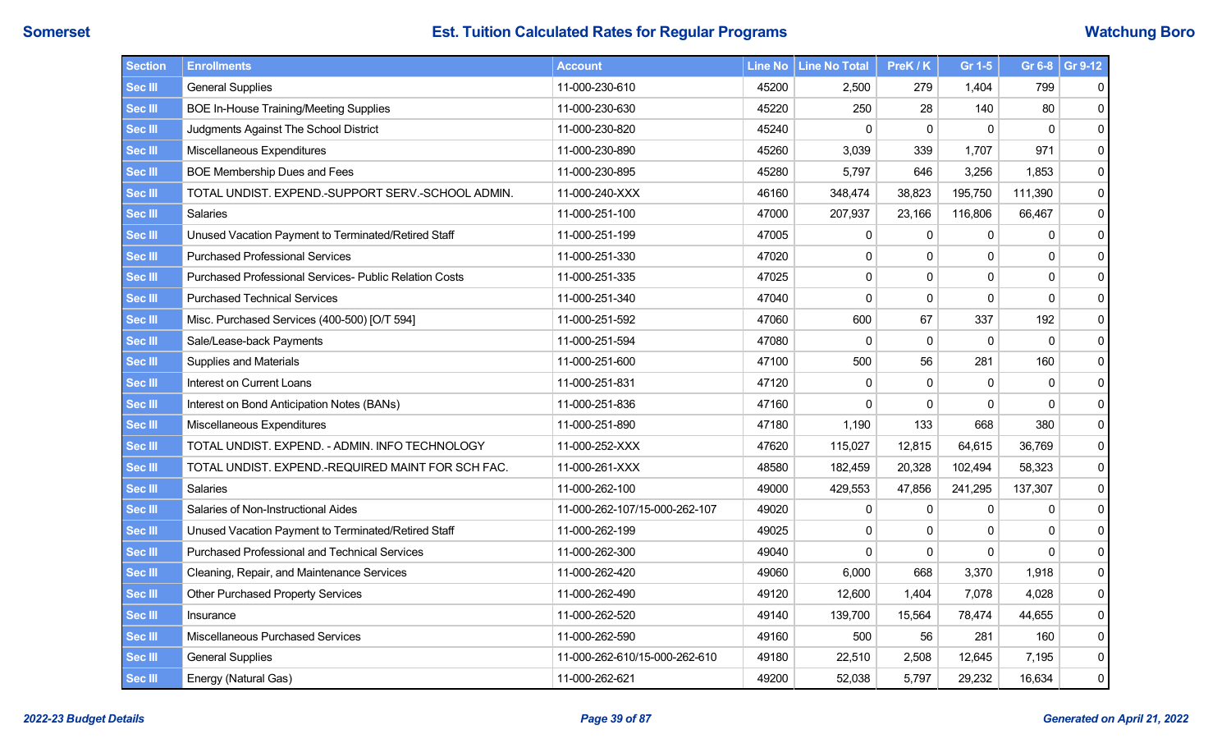| <b>Section</b> | <b>Enrollments</b>                                     | <b>Account</b>                |       | Line No   Line No Total | PreK / K | Gr 1-5       |             | Gr 6-8 Gr 9-12 |
|----------------|--------------------------------------------------------|-------------------------------|-------|-------------------------|----------|--------------|-------------|----------------|
| <b>Sec III</b> | <b>General Supplies</b>                                | 11-000-230-610                | 45200 | 2,500                   | 279      | 1,404        | 799         | 0              |
| <b>Sec III</b> | <b>BOE In-House Training/Meeting Supplies</b>          | 11-000-230-630                | 45220 | 250                     | 28       | 140          | 80          | 0              |
| <b>Sec III</b> | Judgments Against The School District                  | 11-000-230-820                | 45240 | 0                       | 0        | 0            | $\Omega$    | 0              |
| <b>Sec III</b> | Miscellaneous Expenditures                             | 11-000-230-890                | 45260 | 3,039                   | 339      | 1,707        | 971         | 0              |
| <b>Sec III</b> | BOE Membership Dues and Fees                           | 11-000-230-895                | 45280 | 5,797                   | 646      | 3,256        | 1,853       | 0              |
| <b>Sec III</b> | TOTAL UNDIST. EXPEND.-SUPPORT SERV.-SCHOOL ADMIN.      | 11-000-240-XXX                | 46160 | 348,474                 | 38,823   | 195,750      | 111,390     | 0              |
| <b>Sec III</b> | Salaries                                               | 11-000-251-100                | 47000 | 207,937                 | 23,166   | 116,806      | 66,467      | $\mathbf 0$    |
| <b>Sec III</b> | Unused Vacation Payment to Terminated/Retired Staff    | 11-000-251-199                | 47005 | $\pmb{0}$               | 0        | $\Omega$     | 0           | $\mathbf 0$    |
| <b>Sec III</b> | <b>Purchased Professional Services</b>                 | 11-000-251-330                | 47020 | $\pmb{0}$               | 0        | $\mathbf 0$  | $\mathbf 0$ | $\mathbf 0$    |
| <b>Sec III</b> | Purchased Professional Services- Public Relation Costs | 11-000-251-335                | 47025 | $\mathbf{0}$            | 0        | $\mathbf{0}$ | 0           | $\pmb{0}$      |
| <b>Sec III</b> | <b>Purchased Technical Services</b>                    | 11-000-251-340                | 47040 | $\mathbf 0$             | 0        | $\mathbf 0$  | $\mathbf 0$ | 0              |
| <b>Sec III</b> | Misc. Purchased Services (400-500) [O/T 594]           | 11-000-251-592                | 47060 | 600                     | 67       | 337          | 192         | 0              |
| <b>Sec III</b> | Sale/Lease-back Payments                               | 11-000-251-594                | 47080 | $\mathbf 0$             | 0        | 0            | 0           | 0              |
| <b>Sec III</b> | Supplies and Materials                                 | 11-000-251-600                | 47100 | 500                     | 56       | 281          | 160         | 0              |
| <b>Sec III</b> | Interest on Current Loans                              | 11-000-251-831                | 47120 | $\mathbf{0}$            | 0        | $\Omega$     | 0           | $\mathbf 0$    |
| <b>Sec III</b> | Interest on Bond Anticipation Notes (BANs)             | 11-000-251-836                | 47160 | 0                       | 0        | $\mathbf{0}$ | $\mathbf 0$ | $\pmb{0}$      |
| <b>Sec III</b> | Miscellaneous Expenditures                             | 11-000-251-890                | 47180 | 1,190                   | 133      | 668          | 380         | $\mathbf 0$    |
| <b>Sec III</b> | TOTAL UNDIST. EXPEND. - ADMIN. INFO TECHNOLOGY         | 11-000-252-XXX                | 47620 | 115,027                 | 12,815   | 64,615       | 36,769      | 0              |
| <b>Sec III</b> | TOTAL UNDIST. EXPEND.-REQUIRED MAINT FOR SCH FAC.      | 11-000-261-XXX                | 48580 | 182,459                 | 20,328   | 102,494      | 58,323      | 0              |
| <b>Sec III</b> | Salaries                                               | 11-000-262-100                | 49000 | 429,553                 | 47,856   | 241,295      | 137,307     | 0              |
| <b>Sec III</b> | Salaries of Non-Instructional Aides                    | 11-000-262-107/15-000-262-107 | 49020 | 0                       | 0        | $\Omega$     | 0           | $\mathbf 0$    |
| <b>Sec III</b> | Unused Vacation Payment to Terminated/Retired Staff    | 11-000-262-199                | 49025 | 0                       | 0        | $\Omega$     | 0           | $\mathbf 0$    |
| <b>Sec III</b> | <b>Purchased Professional and Technical Services</b>   | 11-000-262-300                | 49040 | $\Omega$                | 0        | $\Omega$     | 0           | 0              |
| <b>Sec III</b> | Cleaning, Repair, and Maintenance Services             | 11-000-262-420                | 49060 | 6,000                   | 668      | 3,370        | 1,918       | 0              |
| <b>Sec III</b> | <b>Other Purchased Property Services</b>               | 11-000-262-490                | 49120 | 12,600                  | 1,404    | 7,078        | 4,028       | 0              |
| <b>Sec III</b> | Insurance                                              | 11-000-262-520                | 49140 | 139,700                 | 15,564   | 78,474       | 44,655      | 0              |
| <b>Sec III</b> | Miscellaneous Purchased Services                       | 11-000-262-590                | 49160 | 500                     | 56       | 281          | 160         | $\mathbf 0$    |
| <b>Sec III</b> | <b>General Supplies</b>                                | 11-000-262-610/15-000-262-610 | 49180 | 22,510                  | 2,508    | 12,645       | 7,195       | 0              |
| <b>Sec III</b> | Energy (Natural Gas)                                   | 11-000-262-621                | 49200 | 52,038                  | 5,797    | 29,232       | 16,634      | 0              |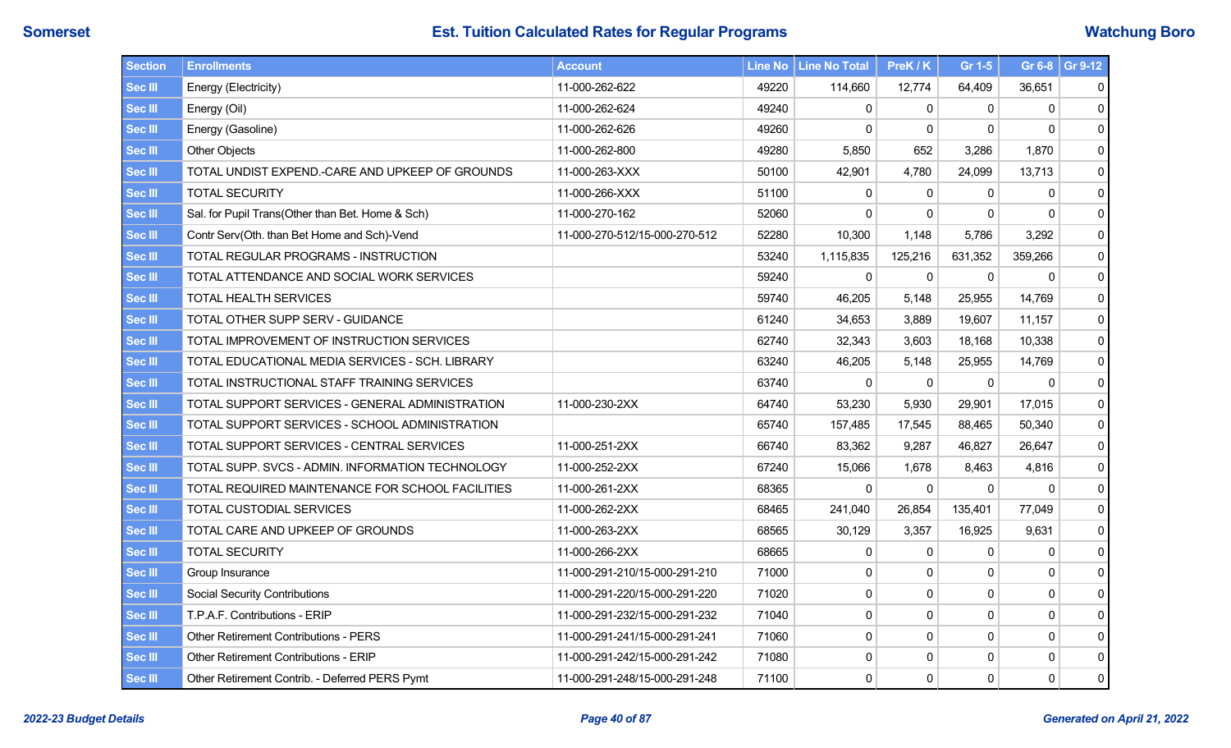| Section        | <b>Enrollments</b>                               | <b>Account</b>                |       | Line No   Line No Total | PreK / K     | Gr 1-5       |              | Gr 6-8 Gr 9-12 |
|----------------|--------------------------------------------------|-------------------------------|-------|-------------------------|--------------|--------------|--------------|----------------|
| <b>Sec III</b> | Energy (Electricity)                             | 11-000-262-622                | 49220 | 114,660                 | 12,774       | 64,409       | 36,651       | 0              |
| <b>Sec III</b> | Energy (Oil)                                     | 11-000-262-624                | 49240 | 0                       | $\mathbf{0}$ | $\mathbf{0}$ | $\mathbf{0}$ | $\mathbf 0$    |
| <b>Sec III</b> | Energy (Gasoline)                                | 11-000-262-626                | 49260 | $\Omega$                | $\Omega$     | $\Omega$     | $\Omega$     | $\mathbf{0}$   |
| Sec III        | <b>Other Objects</b>                             | 11-000-262-800                | 49280 | 5,850                   | 652          | 3,286        | 1,870        | 0              |
| <b>Sec III</b> | TOTAL UNDIST EXPEND.-CARE AND UPKEEP OF GROUNDS  | 11-000-263-XXX                | 50100 | 42,901                  | 4,780        | 24,099       | 13,713       | 0              |
| Sec III        | <b>TOTAL SECURITY</b>                            | 11-000-266-XXX                | 51100 | $\mathbf{0}$            | $\mathbf{0}$ | $\mathbf{0}$ | $\mathbf{0}$ | 0              |
| Sec III        | Sal. for Pupil Trans(Other than Bet. Home & Sch) | 11-000-270-162                | 52060 | $\mathbf{0}$            | $\mathbf{0}$ | $\mathbf{0}$ | $\Omega$     | 0              |
| Sec III        | Contr Serv(Oth. than Bet Home and Sch)-Vend      | 11-000-270-512/15-000-270-512 | 52280 | 10,300                  | 1,148        | 5,786        | 3,292        | 0              |
| <b>Sec III</b> | TOTAL REGULAR PROGRAMS - INSTRUCTION             |                               | 53240 | 1,115,835               | 125,216      | 631,352      | 359,266      | $\mathbf{0}$   |
| Sec III        | TOTAL ATTENDANCE AND SOCIAL WORK SERVICES        |                               | 59240 | $\mathbf 0$             | 0            | $\mathbf 0$  | 0            | $\mathbf 0$    |
| Sec III        | <b>TOTAL HEALTH SERVICES</b>                     |                               | 59740 | 46,205                  | 5,148        | 25,955       | 14,769       | 0              |
| Sec III        | TOTAL OTHER SUPP SERV - GUIDANCE                 |                               | 61240 | 34,653                  | 3,889        | 19,607       | 11,157       | 0              |
| <b>Sec III</b> | TOTAL IMPROVEMENT OF INSTRUCTION SERVICES        |                               | 62740 | 32,343                  | 3,603        | 18,168       | 10,338       | 0              |
| <b>Sec III</b> | TOTAL EDUCATIONAL MEDIA SERVICES - SCH. LIBRARY  |                               | 63240 | 46,205                  | 5,148        | 25,955       | 14,769       | 0              |
| Sec III        | TOTAL INSTRUCTIONAL STAFF TRAINING SERVICES      |                               | 63740 | $\mathbf{0}$            | $\Omega$     | $\Omega$     | $\Omega$     | 0              |
| Sec III        | TOTAL SUPPORT SERVICES - GENERAL ADMINISTRATION  | 11-000-230-2XX                | 64740 | 53,230                  | 5,930        | 29,901       | 17,015       | 0              |
| <b>Sec III</b> | TOTAL SUPPORT SERVICES - SCHOOL ADMINISTRATION   |                               | 65740 | 157,485                 | 17,545       | 88,465       | 50,340       | 0              |
| Sec III        | TOTAL SUPPORT SERVICES - CENTRAL SERVICES        | 11-000-251-2XX                | 66740 | 83,362                  | 9,287        | 46,827       | 26,647       | 0              |
| Sec III        | TOTAL SUPP. SVCS - ADMIN. INFORMATION TECHNOLOGY | 11-000-252-2XX                | 67240 | 15,066                  | 1,678        | 8,463        | 4,816        | 0              |
| <b>Sec III</b> | TOTAL REQUIRED MAINTENANCE FOR SCHOOL FACILITIES | 11-000-261-2XX                | 68365 | $\mathbf 0$             | $\Omega$     | $\mathbf{0}$ | $\mathbf{0}$ | 0              |
| Sec III        | TOTAL CUSTODIAL SERVICES                         | 11-000-262-2XX                | 68465 | 241,040                 | 26,854       | 135,401      | 77,049       | 0              |
| Sec III        | TOTAL CARE AND UPKEEP OF GROUNDS                 | 11-000-263-2XX                | 68565 | 30,129                  | 3,357        | 16,925       | 9,631        | 0              |
| Sec III        | <b>TOTAL SECURITY</b>                            | 11-000-266-2XX                | 68665 | 0                       | $\mathbf 0$  | $\mathbf{0}$ | 0            | $\mathbf 0$    |
| Sec III        | Group Insurance                                  | 11-000-291-210/15-000-291-210 | 71000 | $\mathbf{0}$            | $\Omega$     | $\mathbf{0}$ | $\mathbf{0}$ | 0              |
| Sec III        | <b>Social Security Contributions</b>             | 11-000-291-220/15-000-291-220 | 71020 | $\mathbf 0$             | 0            | $\mathbf 0$  | $\mathsf 0$  | $\mathbf 0$    |
| Sec III        | T.P.A.F. Contributions - ERIP                    | 11-000-291-232/15-000-291-232 | 71040 | $\mathbf 0$             | 0            | $\mathbf 0$  | $\mathsf 0$  | 0              |
| Sec III        | <b>Other Retirement Contributions - PERS</b>     | 11-000-291-241/15-000-291-241 | 71060 | 0                       | $\Omega$     | $\mathbf{0}$ | $\mathbf{0}$ | $\mathbf 0$    |
| Sec III        | <b>Other Retirement Contributions - ERIP</b>     | 11-000-291-242/15-000-291-242 | 71080 | 0                       | 0            | 0            | $\mathsf 0$  | 0              |
| Sec III        | Other Retirement Contrib. - Deferred PERS Pymt   | 11-000-291-248/15-000-291-248 | 71100 | $\mathbf 0$             | 0            | $\mathbf 0$  | $\mathbf 0$  | $\overline{0}$ |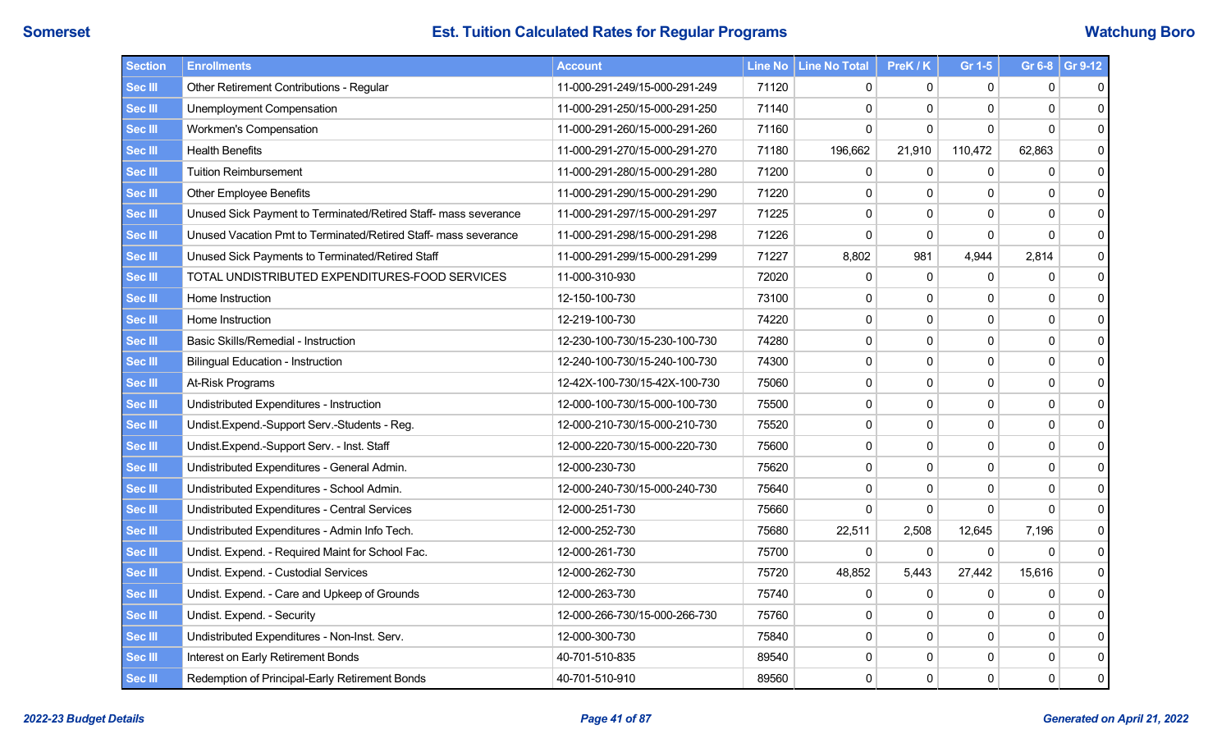| Section        | <b>Enrollments</b>                                              | <b>Account</b>                |       | Line No   Line No Total | PreK / K     | Gr 1-5         |              | Gr 6-8 Gr 9-12 |
|----------------|-----------------------------------------------------------------|-------------------------------|-------|-------------------------|--------------|----------------|--------------|----------------|
| <b>Sec III</b> | Other Retirement Contributions - Regular                        | 11-000-291-249/15-000-291-249 | 71120 | 0                       | 0            | 0              | 0            | 0              |
| Sec III        | Unemployment Compensation                                       | 11-000-291-250/15-000-291-250 | 71140 | $\mathbf{0}$            | 0            | $\Omega$       | $\mathbf 0$  | 0              |
| <b>Sec III</b> | Workmen's Compensation                                          | 11-000-291-260/15-000-291-260 | 71160 | $\Omega$                | $\Omega$     | $\Omega$       | $\Omega$     | $\mathbf{0}$   |
| Sec III        | <b>Health Benefits</b>                                          | 11-000-291-270/15-000-291-270 | 71180 | 196,662                 | 21,910       | 110,472        | 62,863       | 0              |
| <b>Sec III</b> | <b>Tuition Reimbursement</b>                                    | 11-000-291-280/15-000-291-280 | 71200 | 0                       | 0            | $\mathbf{0}$   | 0            | 0              |
| Sec III        | <b>Other Employee Benefits</b>                                  | 11-000-291-290/15-000-291-290 | 71220 | $\mathbf{0}$            | $\mathbf{0}$ | $\Omega$       | $\mathbf{0}$ | 0              |
| <b>Sec III</b> | Unused Sick Payment to Terminated/Retired Staff- mass severance | 11-000-291-297/15-000-291-297 | 71225 | 0                       | 0            | $\mathbf{0}$   | $\mathsf 0$  | 0              |
| Sec III        | Unused Vacation Pmt to Terminated/Retired Staff- mass severance | 11-000-291-298/15-000-291-298 | 71226 | $\mathbf{0}$            | 0            | $\mathbf{0}$   | $\mathbf 0$  | $\mathbf 0$    |
| Sec III        | Unused Sick Payments to Terminated/Retired Staff                | 11-000-291-299/15-000-291-299 | 71227 | 8,802                   | 981          | 4,944          | 2,814        | 0              |
| Sec III        | TOTAL UNDISTRIBUTED EXPENDITURES-FOOD SERVICES                  | 11-000-310-930                | 72020 | 0                       | 0            | $\mathbf{0}$   | 0            | $\mathbf 0$    |
| <b>Sec III</b> | Home Instruction                                                | 12-150-100-730                | 73100 | $\mathbf 0$             | 0            | $\mathbf 0$    | $\pmb{0}$    | $\mathbf 0$    |
| Sec III        | Home Instruction                                                | 12-219-100-730                | 74220 | 0                       | 0            | $\mathbf{0}$   | $\pmb{0}$    | $\mathbf 0$    |
| <b>Sec III</b> | Basic Skills/Remedial - Instruction                             | 12-230-100-730/15-230-100-730 | 74280 | 0                       | 0            | $\mathbf 0$    | $\pmb{0}$    | $\mathbf 0$    |
| <b>Sec III</b> | <b>Bilingual Education - Instruction</b>                        | 12-240-100-730/15-240-100-730 | 74300 | $\mathbf 0$             | 0            | $\mathbf 0$    | $\pmb{0}$    | $\mathbf 0$    |
| Sec III        | At-Risk Programs                                                | 12-42X-100-730/15-42X-100-730 | 75060 | 0                       | 0            | $\mathbf 0$    | $\mathbf 0$  | $\mathbf 0$    |
| Sec III        | Undistributed Expenditures - Instruction                        | 12-000-100-730/15-000-100-730 | 75500 | $\mathbf 0$             | 0            | $\mathbf 0$    | $\pmb{0}$    | $\pmb{0}$      |
| <b>Sec III</b> | Undist.Expend.-Support Serv.-Students - Reg.                    | 12-000-210-730/15-000-210-730 | 75520 | $\mathbf 0$             | 0            | $\mathbf 0$    | $\pmb{0}$    | $\mathbf 0$    |
| Sec III        | Undist.Expend.-Support Serv. - Inst. Staff                      | 12-000-220-730/15-000-220-730 | 75600 | 0                       | 0            | $\mathbf 0$    | $\pmb{0}$    | 0              |
| Sec III        | Undistributed Expenditures - General Admin.                     | 12-000-230-730                | 75620 | $\pmb{0}$               | 0            | $\mathbf 0$    | $\mathbf 0$  | $\pmb{0}$      |
| Sec III        | Undistributed Expenditures - School Admin.                      | 12-000-240-730/15-000-240-730 | 75640 | $\pmb{0}$               | 0            | $\mathbf 0$    | $\mathsf 0$  | 0              |
| Sec III        | Undistributed Expenditures - Central Services                   | 12-000-251-730                | 75660 | $\mathbf 0$             | $\mathbf{0}$ | $\overline{0}$ | $\Omega$     | 0              |
| Sec III        | Undistributed Expenditures - Admin Info Tech.                   | 12-000-252-730                | 75680 | 22,511                  | 2,508        | 12,645         | 7,196        | 0              |
| Sec III        | Undist. Expend. - Required Maint for School Fac.                | 12-000-261-730                | 75700 | 0                       | $\mathbf 0$  | $\mathbf{0}$   | $\Omega$     | 0              |
| Sec III        | Undist. Expend. - Custodial Services                            | 12-000-262-730                | 75720 | 48,852                  | 5,443        | 27,442         | 15,616       | 0              |
| Sec III        | Undist. Expend. - Care and Upkeep of Grounds                    | 12-000-263-730                | 75740 | 0                       | 0            | $\mathbf{0}$   | $\mathbf 0$  | 0              |
| Sec III        | Undist. Expend. - Security                                      | 12-000-266-730/15-000-266-730 | 75760 | 0                       | 0            | $\mathbf{0}$   | $\mathbf 0$  | 0              |
| Sec III        | Undistributed Expenditures - Non-Inst. Serv.                    | 12-000-300-730                | 75840 | 0                       | $\Omega$     | $\mathbf{0}$   | $\mathbf 0$  | $\pmb{0}$      |
| Sec III        | Interest on Early Retirement Bonds                              | 40-701-510-835                | 89540 | 0                       | 0            | 0              | $\pmb{0}$    | 0              |
| Sec III        | Redemption of Principal-Early Retirement Bonds                  | 40-701-510-910                | 89560 | $\mathbf 0$             | 0            | $\mathbf 0$    | $\mathbf 0$  | 0              |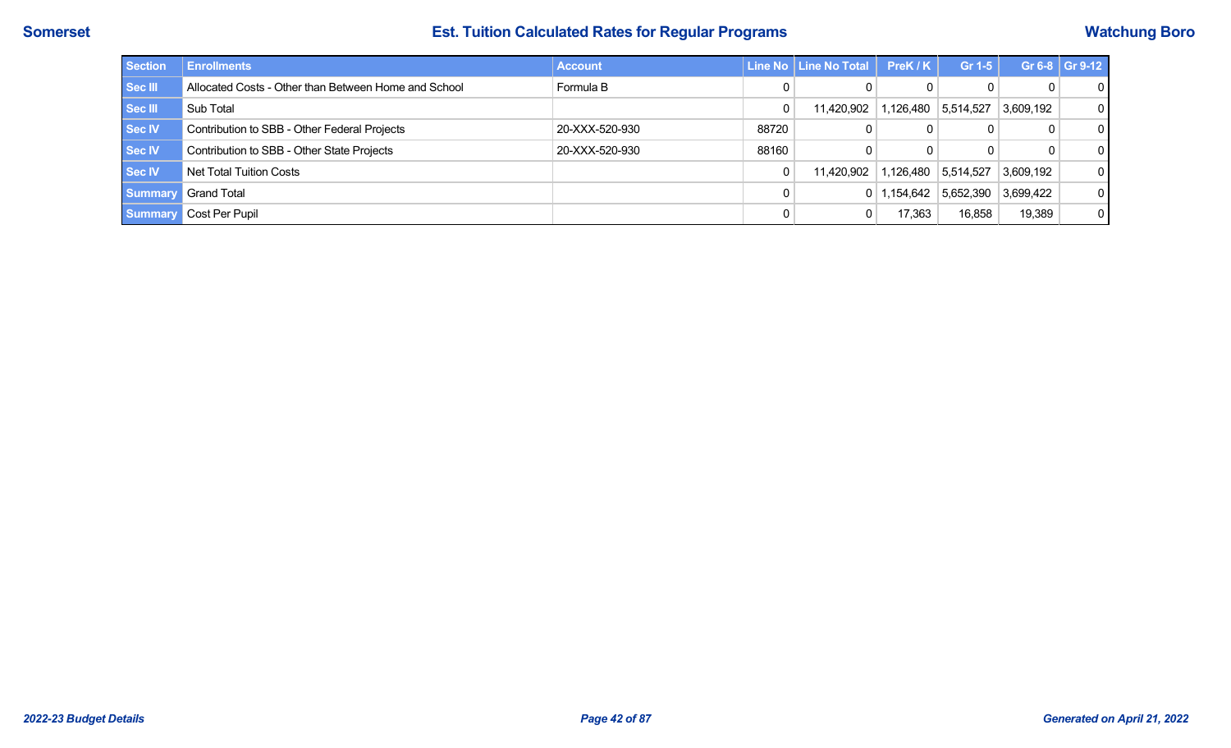| <b>Section</b> | <b>Enrollments</b>                                   | <b>Account</b> |       | Line No   Line No Total | PreK/K          | Gr 1-5    |           | Gr 6-8 $ $ Gr 9-12 |
|----------------|------------------------------------------------------|----------------|-------|-------------------------|-----------------|-----------|-----------|--------------------|
| Sec III        | Allocated Costs - Other than Between Home and School | Formula B      |       | 0                       |                 | 0         | 0         | $\overline{0}$     |
| Sec III        | Sub Total                                            |                | 0     | 11,420,902              | 1,126,480       | 5,514,527 | 3,609,192 | $\overline{0}$     |
| <b>Sec IV</b>  | Contribution to SBB - Other Federal Projects         | 20-XXX-520-930 | 88720 | 0                       |                 |           | 0         | $\overline{0}$     |
| <b>Sec IV</b>  | Contribution to SBB - Other State Projects           | 20-XXX-520-930 | 88160 | 0                       |                 |           | 0         | $\overline{0}$     |
| <b>Sec IV</b>  | Net Total Tuition Costs                              |                | 0     | 11.420.902              | 1,126,480       | 5,514,527 | 3,609,192 | $\overline{0}$     |
| <b>Summary</b> | <b>Grand Total</b>                                   |                |       |                         | $0$   1,154,642 | 5,652,390 | 3,699,422 | $\overline{0}$     |
| <b>Summary</b> | Cost Per Pupil                                       |                |       | 0                       | 17,363          | 16,858    | 19,389    | $\overline{0}$     |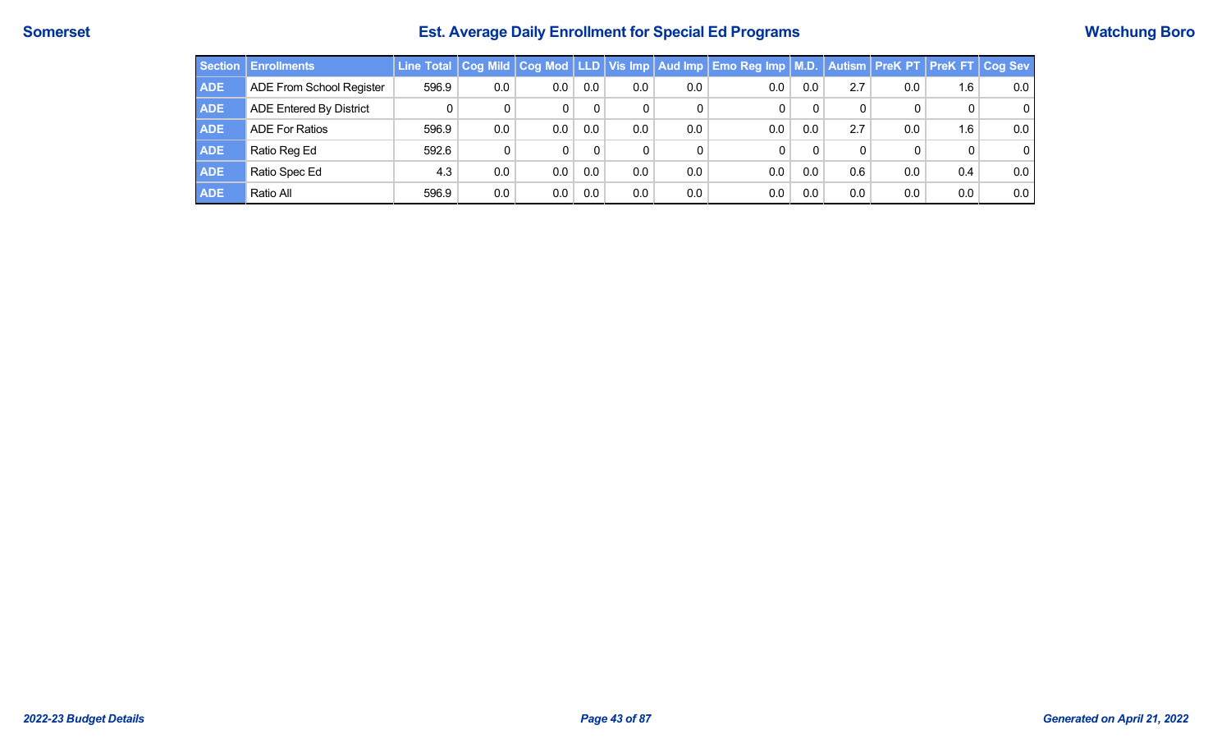# **Somerset Est. Average Daily Enrollment for Special Ed Programs Watchung Boro**

|            | Section Enrollments            |       |     |     |     |                  |     | Line Total   Cog Mild   Cog Mod   LLD   Vis Imp   Aud Imp   Emo Reg Imp   M.D.   Autism   PreK PT   PreK FT   Cog Sev |     |     |     |     |                |
|------------|--------------------------------|-------|-----|-----|-----|------------------|-----|-----------------------------------------------------------------------------------------------------------------------|-----|-----|-----|-----|----------------|
| <b>ADE</b> | ADE From School Register       | 596.9 | 0.0 | 0.0 | 0.0 | 0.0 <sub>1</sub> | 0.0 | 0.0                                                                                                                   | 0.0 | 2.7 | 0.0 | 1.6 | 0.0            |
| <b>ADE</b> | <b>ADE Entered By District</b> |       |     |     |     | 0                |     |                                                                                                                       |     |     |     |     | $\overline{0}$ |
| <b>ADE</b> | <b>ADE For Ratios</b>          | 596.9 | 0.0 | 0.0 | 0.0 | $0.0\,$          | 0.0 | 0.0                                                                                                                   | 0.0 | 2.7 | 0.0 | 1.6 | 0.0            |
| <b>ADE</b> | Ratio Reg Ed                   | 592.6 | 0   | 0   |     | 0                |     |                                                                                                                       |     |     |     |     | $\overline{0}$ |
| <b>ADE</b> | Ratio Spec Ed                  | 4.3   | 0.0 | 0.0 | 0.0 | $0.0\,$          | 0.0 | 0.0                                                                                                                   | 0.0 | 0.6 | 0.0 | 0.4 | 0.0            |
| <b>ADE</b> | Ratio All                      | 596.9 | 0.0 | 0.0 | 0.0 | $0.0\,$          | 0.0 | 0.0                                                                                                                   | 0.0 | 0.0 | 0.0 | 0.0 | 0.0            |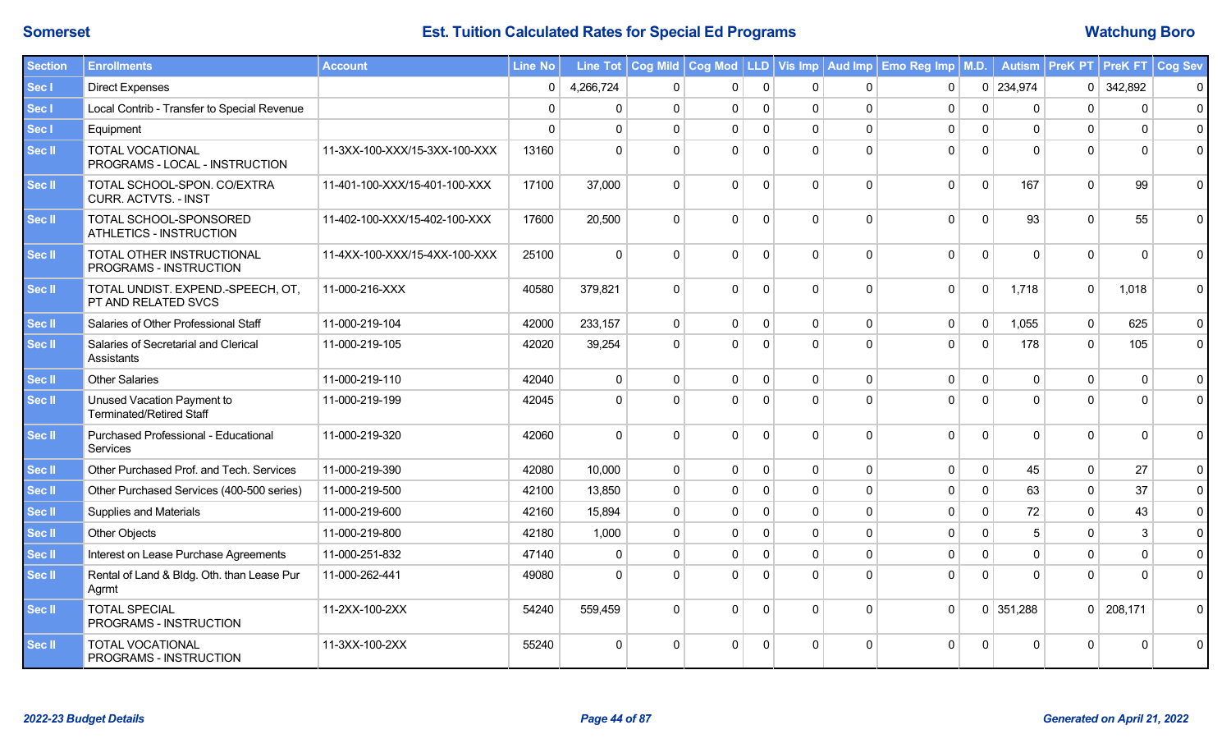| <b>Section</b> | <b>Enrollments</b>                                            | <b>Account</b>                | <b>Line No</b> |           |              |              |              |              |             | Line Tot   Cog Mild   Cog Mod   LLD   Vis Imp   Aud Imp   Emo Reg Imp   M.D. |              |              | Autism   PreK PT   PreK FT   Cog Sev |              |             |
|----------------|---------------------------------------------------------------|-------------------------------|----------------|-----------|--------------|--------------|--------------|--------------|-------------|------------------------------------------------------------------------------|--------------|--------------|--------------------------------------|--------------|-------------|
| Sec I          | <b>Direct Expenses</b>                                        |                               | 0              | 4,266,724 | $\mathbf{0}$ | 0            | $\mathbf{0}$ | $\Omega$     | $\mathbf 0$ | $\mathbf 0$                                                                  |              | $0$ 234,974  | 0 <sup>1</sup>                       | 342,892      | $\mathbf 0$ |
| Sec I          | Local Contrib - Transfer to Special Revenue                   |                               | $\Omega$       | $\Omega$  | $\mathbf{0}$ | $\mathbf 0$  | $\mathbf{0}$ | $\Omega$     | $\mathbf 0$ | $\mathbf 0$                                                                  | $\mathbf 0$  | $\Omega$     | $\Omega$                             | $\mathbf{0}$ | $\pmb{0}$   |
| Sec I          | Equipment                                                     |                               | $\Omega$       | $\Omega$  | $\Omega$     | $\mathbf{0}$ | $\Omega$     | $\Omega$     | $\Omega$    | $\mathbf 0$                                                                  | $\mathbf{0}$ | $\Omega$     | $\Omega$                             | $\Omega$     | $\mathbf 0$ |
| Sec II         | <b>TOTAL VOCATIONAL</b><br>PROGRAMS - LOCAL - INSTRUCTION     | 11-3XX-100-XXX/15-3XX-100-XXX | 13160          | $\Omega$  | $\Omega$     | $\Omega$     | $\Omega$     | $\Omega$     | $\Omega$    | $\mathbf{0}$                                                                 | $\Omega$     | $\Omega$     | $\Omega$                             | $\Omega$     | $\Omega$    |
| Sec II         | TOTAL SCHOOL-SPON. CO/EXTRA<br><b>CURR. ACTVTS. - INST</b>    | 11-401-100-XXX/15-401-100-XXX | 17100          | 37,000    | $\Omega$     | $\Omega$     | $\Omega$     | $\Omega$     | $\Omega$    | $\mathbf 0$                                                                  | $\mathbf 0$  | 167          | $\Omega$                             | 99           | $\mathbf 0$ |
| Sec II         | TOTAL SCHOOL-SPONSORED<br>ATHLETICS - INSTRUCTION             | 11-402-100-XXX/15-402-100-XXX | 17600          | 20,500    | $\Omega$     | $\Omega$     | $\Omega$     | $\Omega$     | $\Omega$    | $\mathbf 0$                                                                  | $\mathbf 0$  | 93           | $\Omega$                             | 55           | $\mathbf 0$ |
| Sec II         | TOTAL OTHER INSTRUCTIONAL<br>PROGRAMS - INSTRUCTION           | 11-4XX-100-XXX/15-4XX-100-XXX | 25100          | $\Omega$  | $\Omega$     | $\Omega$     | $\Omega$     | $\Omega$     | $\Omega$    | $\mathbf 0$                                                                  | $\mathbf 0$  | $\Omega$     | $\Omega$                             | $\Omega$     | $\mathbf 0$ |
| Sec II         | TOTAL UNDIST. EXPEND.-SPEECH, OT,<br>PT AND RELATED SVCS      | 11-000-216-XXX                | 40580          | 379,821   | $\Omega$     | $\Omega$     | $\Omega$     | $\Omega$     | $\Omega$    | $\mathbf 0$                                                                  | $\mathbf 0$  | 1,718        | $\Omega$                             | 1,018        | $\mathbf 0$ |
| Sec II         | Salaries of Other Professional Staff                          | 11-000-219-104                | 42000          | 233,157   | $\mathbf{0}$ | $\mathbf 0$  | $\mathbf 0$  | $\Omega$     | $\mathbf 0$ | $\mathbf 0$                                                                  | $\mathbf 0$  | 1,055        | $\mathbf 0$                          | 625          | $\mathbf 0$ |
| Sec II         | Salaries of Secretarial and Clerical<br>Assistants            | 11-000-219-105                | 42020          | 39,254    | $\Omega$     | $\Omega$     | $\mathbf{0}$ | $\Omega$     | $\Omega$    | $\mathbf 0$                                                                  | $\mathbf 0$  | 178          | $\Omega$                             | 105          | $\mathbf 0$ |
| Sec II         | <b>Other Salaries</b>                                         | 11-000-219-110                | 42040          | $\Omega$  | $\mathbf 0$  | $\mathbf{0}$ | 0            | $\mathbf{0}$ | $\Omega$    | $\mathbf 0$                                                                  | $\mathbf 0$  | $\mathbf{0}$ | $\Omega$                             | $\mathbf{0}$ | $\mathsf 0$ |
| Sec II         | Unused Vacation Payment to<br><b>Terminated/Retired Staff</b> | 11-000-219-199                | 42045          | $\Omega$  | $\Omega$     | $\Omega$     | $\Omega$     |              | O           | $\mathbf 0$                                                                  | $\Omega$     | $\Omega$     | $\Omega$                             | $\Omega$     | $\mathbf 0$ |
| Sec II         | Purchased Professional - Educational<br>Services              | 11-000-219-320                | 42060          | $\Omega$  | $\Omega$     | $\Omega$     | $\Omega$     | $\Omega$     | $\Omega$    | $\mathbf 0$                                                                  | $\mathbf 0$  | $\Omega$     | $\Omega$                             | $\Omega$     | $\mathbf 0$ |
| Sec II         | Other Purchased Prof. and Tech. Services                      | 11-000-219-390                | 42080          | 10,000    | $\mathbf{0}$ | $\mathbf 0$  | $\mathbf 0$  | $\mathbf 0$  | $\Omega$    | $\mathbf 0$                                                                  | $\mathbf 0$  | 45           | $\Omega$                             | 27           | $\mathbf 0$ |
| Sec II         | Other Purchased Services (400-500 series)                     | 11-000-219-500                | 42100          | 13,850    | $\Omega$     | $\Omega$     | $\Omega$     | $\Omega$     | $\Omega$    | $\mathbf{0}$                                                                 | $\Omega$     | 63           | $\Omega$                             | 37           | $\mathbf 0$ |
| Sec II         | <b>Supplies and Materials</b>                                 | 11-000-219-600                | 42160          | 15,894    | $\mathbf{0}$ | $\Omega$     | $\mathbf{0}$ | $\Omega$     | $\Omega$    | $\mathbf 0$                                                                  | $\mathbf 0$  | 72           | $\Omega$                             | 43           | $\mathbf 0$ |
| Sec II         | <b>Other Objects</b>                                          | 11-000-219-800                | 42180          | 1,000     | $\Omega$     | $\mathbf{0}$ | $\mathbf{0}$ | $\Omega$     | $\Omega$    | $\mathbf 0$                                                                  | 0            | 5            | $\Omega$                             | 3            | $\mathbf 0$ |
| Sec II         | Interest on Lease Purchase Agreements                         | 11-000-251-832                | 47140          | $\Omega$  | $\Omega$     | $\mathbf{0}$ | $\mathbf{0}$ | $\Omega$     | $\Omega$    | 0                                                                            | $\mathbf 0$  | $\mathbf{0}$ | $\Omega$                             | $\mathbf 0$  | $\pmb{0}$   |
| Sec II         | Rental of Land & Bldg. Oth. than Lease Pur<br>Agrmt           | 11-000-262-441                | 49080          | $\Omega$  | $\Omega$     | $\Omega$     | $\Omega$     | $\Omega$     | $\Omega$    | $\mathbf{0}$                                                                 | $\Omega$     | $\Omega$     | $\Omega$                             | $\Omega$     | $\mathbf 0$ |
| Sec II         | <b>TOTAL SPECIAL</b><br>PROGRAMS - INSTRUCTION                | 11-2XX-100-2XX                | 54240          | 559,459   | $\Omega$     | $\Omega$     | $\Omega$     | $\Omega$     | $\Omega$    | $\mathbf 0$                                                                  |              | $0$ 351,288  | 0 <sup>1</sup>                       | 208,171      | $\mathbf 0$ |
| <b>Sec II</b>  | <b>TOTAL VOCATIONAL</b><br>PROGRAMS - INSTRUCTION             | 11-3XX-100-2XX                | 55240          | $\Omega$  | $\Omega$     | $\Omega$     | $\Omega$     |              | O           | $\Omega$                                                                     | $\Omega$     | $\Omega$     | $\Omega$                             | $\Omega$     | $\mathbf 0$ |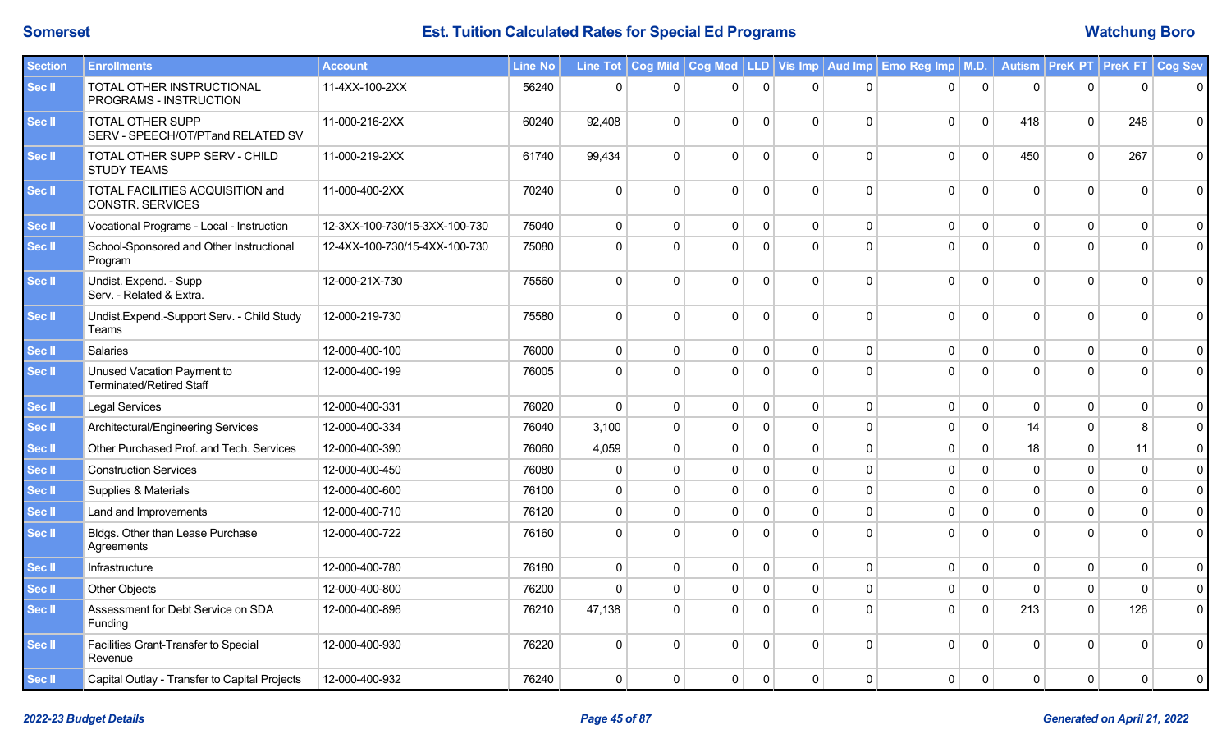| <b>Section</b> | <b>Enrollments</b>                                            | <b>Account</b>                | Line No |              |              |                |              |              |             | Line Tot   Cog Mild   Cog Mod   LLD   Vis Imp   Aud Imp   Emo Reg Imp   M.D. |              |              | Autism   PreK PT   PreK FT   Cog Sev |              |             |
|----------------|---------------------------------------------------------------|-------------------------------|---------|--------------|--------------|----------------|--------------|--------------|-------------|------------------------------------------------------------------------------|--------------|--------------|--------------------------------------|--------------|-------------|
| Sec II         | TOTAL OTHER INSTRUCTIONAL<br>PROGRAMS - INSTRUCTION           | 11-4XX-100-2XX                | 56240   | $\mathbf 0$  | $\mathbf{0}$ | $\overline{0}$ | $\mathbf 0$  | $\Omega$     | $\mathbf 0$ | 0                                                                            | $\mathbf 0$  | $\Omega$     | $\Omega$                             | $\Omega$     | $\mathbf 0$ |
| Sec II         | <b>TOTAL OTHER SUPP</b><br>SERV - SPEECH/OT/PTand RELATED SV  | 11-000-216-2XX                | 60240   | 92,408       | $\mathbf 0$  | $\Omega$       | $\mathbf 0$  | $\Omega$     | $\Omega$    | 0                                                                            | $\mathbf 0$  | 418          | $\Omega$                             | 248          | $\mathbf 0$ |
| Sec II         | TOTAL OTHER SUPP SERV - CHILD<br><b>STUDY TEAMS</b>           | 11-000-219-2XX                | 61740   | 99,434       | $\mathbf 0$  | $\Omega$       | $\Omega$     | $\Omega$     | $\Omega$    | 0                                                                            | $\mathbf 0$  | 450          | $\Omega$                             | 267          | $\mathbf 0$ |
| Sec II         | TOTAL FACILITIES ACQUISITION and<br><b>CONSTR. SERVICES</b>   | 11-000-400-2XX                | 70240   | $\mathbf 0$  | $\Omega$     | $\Omega$       | $\Omega$     | $\Omega$     | $\Omega$    | 0                                                                            | $\mathbf 0$  | $\Omega$     | $\Omega$                             | $\Omega$     | $\mathbf 0$ |
| Sec II         | Vocational Programs - Local - Instruction                     | 12-3XX-100-730/15-3XX-100-730 | 75040   | $\mathbf 0$  | $\mathbf 0$  | $\mathbf{0}$   | 0            | $\mathbf 0$  | 0           | 0                                                                            | $\mathbf 0$  | $\mathbf 0$  | $\mathbf{0}$                         | $\mathbf 0$  | $\mathbf 0$ |
| Sec II         | School-Sponsored and Other Instructional<br>Program           | 12-4XX-100-730/15-4XX-100-730 | 75080   | $\Omega$     | $\Omega$     | $\Omega$       | $\mathbf{0}$ | $\Omega$     | $\Omega$    | $\mathbf{0}$                                                                 | $\Omega$     | $\Omega$     | $\Omega$                             | $\Omega$     | $\mathbf 0$ |
| Sec II         | Undist. Expend. - Supp<br>Serv. - Related & Extra.            | 12-000-21X-730                | 75560   | $\Omega$     | $\Omega$     | $\Omega$       | $\Omega$     | $\mathbf{0}$ | $\Omega$    | $\mathbf{0}$                                                                 | $\Omega$     | $\Omega$     | $\Omega$                             | $\Omega$     | $\mathbf 0$ |
| Sec II         | Undist.Expend.-Support Serv. - Child Study<br>Teams           | 12-000-219-730                | 75580   | $\mathbf 0$  | $\Omega$     | $\Omega$       | $\Omega$     | $\mathbf{0}$ | $\Omega$    | 0                                                                            | $\mathbf 0$  | $\Omega$     | $\Omega$                             | $\Omega$     | $\mathbf 0$ |
| Sec II         | Salaries                                                      | 12-000-400-100                | 76000   | $\mathbf 0$  | $\mathbf 0$  | $\mathbf 0$    | $\Omega$     | $\mathbf 0$  | $\Omega$    | 0                                                                            | $\pmb{0}$    | $\mathbf 0$  | $\Omega$                             | $\mathbf 0$  | $\mathbf 0$ |
| Sec II         | Unused Vacation Payment to<br><b>Terminated/Retired Staff</b> | 12-000-400-199                | 76005   | $\Omega$     | $\Omega$     | $\Omega$       | $\Omega$     | $\Omega$     | $\Omega$    | 0                                                                            | $\Omega$     | $\Omega$     | $\Omega$                             | $\Omega$     | $\mathsf 0$ |
| Sec II         | <b>Legal Services</b>                                         | 12-000-400-331                | 76020   | $\mathbf 0$  | $\mathbf 0$  | $\mathbf{0}$   | $\mathbf{0}$ | $\mathbf 0$  | $\Omega$    | 0                                                                            | $\mathbf 0$  | $\mathbf{0}$ | $\mathbf{0}$                         | $\mathbf 0$  | $\mathbf 0$ |
| <b>Sec II</b>  | Architectural/Engineering Services                            | 12-000-400-334                | 76040   | 3,100        | $\mathbf 0$  | $\mathbf 0$    | $\Omega$     | $\mathbf 0$  | $\mathbf 0$ | 0                                                                            | $\mathbf 0$  | 14           | $\mathbf{0}$                         | 8            | $\mathsf 0$ |
| Sec II         | Other Purchased Prof. and Tech. Services                      | 12-000-400-390                | 76060   | 4,059        | $\Omega$     | $\mathbf 0$    | $\Omega$     | $\mathbf 0$  | $\mathbf 0$ | 0                                                                            | $\mathbf 0$  | 18           | $\Omega$                             | 11           | $\mathbf 0$ |
| Sec II         | <b>Construction Services</b>                                  | 12-000-400-450                | 76080   | $\mathbf{0}$ | $\mathbf 0$  | $\mathbf 0$    | $\Omega$     | $\mathbf 0$  | $\mathbf 0$ | 0                                                                            | $\mathbf 0$  | $\Omega$     | $\Omega$                             | $\mathbf{0}$ | $\mathbf 0$ |
| Sec II         | Supplies & Materials                                          | 12-000-400-600                | 76100   | $\mathbf{0}$ | $\Omega$     | $\mathbf{0}$   | $\Omega$     | $\mathbf 0$  | $\Omega$    | 0                                                                            | $\mathbf{0}$ | $\Omega$     | $\Omega$                             | $\Omega$     | $\pmb{0}$   |
| Sec II         | Land and Improvements                                         | 12-000-400-710                | 76120   | $\mathbf 0$  | $\mathbf 0$  | $\mathbf 0$    | $\Omega$     | $\mathbf 0$  | $\Omega$    | 0                                                                            | $\mathbf{0}$ | $\Omega$     | $\Omega$                             | $\Omega$     | $\pmb{0}$   |
| Sec II         | Bldgs. Other than Lease Purchase<br>Agreements                | 12-000-400-722                | 76160   | $\Omega$     | $\Omega$     | $\Omega$       | $\Omega$     | $\Omega$     | $\Omega$    | $\Omega$                                                                     | $\Omega$     | $\Omega$     | $\Omega$                             | $\Omega$     | $\mathbf 0$ |
| Sec II         | Infrastructure                                                | 12-000-400-780                | 76180   | $\mathbf 0$  | $\mathbf 0$  | $\mathbf{0}$   | $\mathbf{0}$ | $\mathbf 0$  | $\mathbf 0$ | 0                                                                            | $\mathbf 0$  | $\mathbf 0$  | $\mathbf 0$                          | $\mathbf 0$  | $\mathbf 0$ |
| Sec II         | <b>Other Objects</b>                                          | 12-000-400-800                | 76200   | $\mathbf 0$  | $\mathbf 0$  | $\mathbf{0}$   | $\Omega$     | $\mathbf 0$  | $\mathbf 0$ | 0                                                                            | $\mathbf 0$  | $\Omega$     | $\Omega$                             | $\mathbf{0}$ | $\mathbf 0$ |
| Sec II         | Assessment for Debt Service on SDA<br>Funding                 | 12-000-400-896                | 76210   | 47,138       | $\mathbf{0}$ | $\Omega$       | $\mathbf 0$  | $\mathbf 0$  | $\Omega$    | 0                                                                            | $\mathbf 0$  | 213          | $\Omega$                             | 126          | $\mathbf 0$ |
| Sec II         | Facilities Grant-Transfer to Special<br>Revenue               | 12-000-400-930                | 76220   | $\Omega$     | $\Omega$     | $\Omega$       | $\mathbf 0$  | $\Omega$     | $\Omega$    | $\mathbf 0$                                                                  | $\mathbf 0$  | $\Omega$     | $\Omega$                             | $\Omega$     | $\Omega$    |
| Sec II         | Capital Outlay - Transfer to Capital Projects                 | 12-000-400-932                | 76240   | $\mathbf 0$  | $\mathbf 0$  | $\mathbf 0$    | $\mathbf{0}$ | $\mathbf 0$  | $\Omega$    | 0                                                                            | $\mathbf 0$  | $\Omega$     | $\Omega$                             | $\mathbf 0$  | $\mathbf 0$ |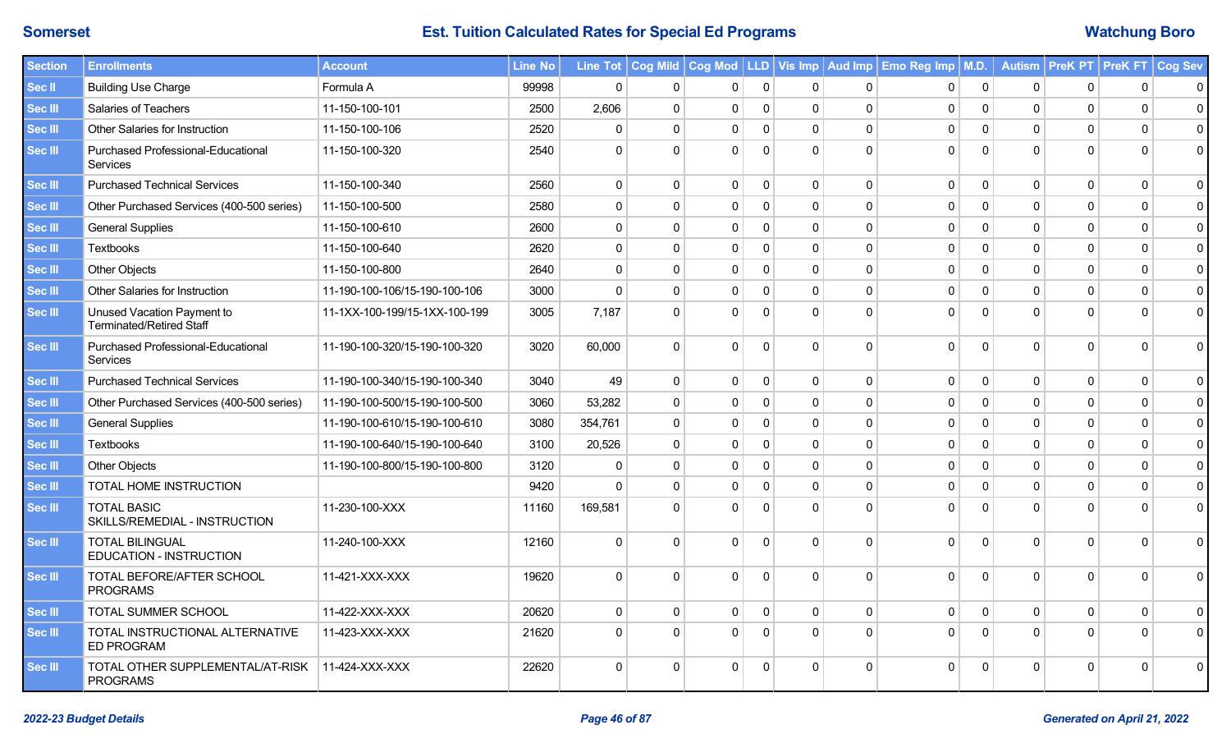| <b>Section</b> | <b>Enrollments</b>                                     | <b>Account</b>                | <b>Line No</b> |              |             |              |                |              |              | Line Tot   Cog Mild   Cog Mod   LLD   Vis Imp   Aud Imp   Emo Reg Imp   M.D. |              |                |              | Autism   PreK PT   PreK FT   Cog Sev |              |
|----------------|--------------------------------------------------------|-------------------------------|----------------|--------------|-------------|--------------|----------------|--------------|--------------|------------------------------------------------------------------------------|--------------|----------------|--------------|--------------------------------------|--------------|
| Sec II         | <b>Building Use Charge</b>                             | Formula A                     | 99998          | $\mathbf 0$  | $\mathbf 0$ | $\mathbf{0}$ | $\mathbf 0$    | $\mathbf{0}$ | $\Omega$     | $\mathbf 0$                                                                  | 0            | $\mathbf{0}$   | $\mathbf{0}$ | $\mathbf{0}$                         | 0            |
| Sec III        | <b>Salaries of Teachers</b>                            | 11-150-100-101                | 2500           | 2,606        | $\mathbf 0$ | $\mathbf{0}$ | $\overline{0}$ | $\mathbf{0}$ | $\mathbf 0$  | $\mathbf 0$                                                                  | $\mathbf 0$  | $\Omega$       | $\Omega$     | $\Omega$                             | $\mathbf{0}$ |
| Sec III        | Other Salaries for Instruction                         | 11-150-100-106                | 2520           | $\Omega$     | $\Omega$    | $\Omega$     | $\mathbf 0$    | $\Omega$     | $\Omega$     | $\Omega$                                                                     | $\Omega$     | $\Omega$       | $\Omega$     | $\Omega$                             | 0            |
| Sec III        | Purchased Professional-Educational<br><b>Services</b>  | 11-150-100-320                | 2540           | $\Omega$     | $\Omega$    | $\Omega$     | $\Omega$       | $\Omega$     | $\Omega$     | $\Omega$                                                                     | $\Omega$     | $\Omega$       | $\Omega$     | $\Omega$                             | 0            |
| Sec III        | <b>Purchased Technical Services</b>                    | 11-150-100-340                | 2560           | $\mathbf{0}$ | $\mathbf 0$ | $\mathbf{0}$ | $\mathbf{0}$   | $\mathbf{0}$ | $\mathbf{0}$ | $\mathbf 0$                                                                  | $\mathbf 0$  | $\mathbf{0}$   | $\Omega$     | $\mathbf 0$                          | $\mathbf{0}$ |
| Sec III        | Other Purchased Services (400-500 series)              | 11-150-100-500                | 2580           | $\mathbf 0$  | $\mathbf 0$ | $\Omega$     | $\mathbf 0$    | $\mathbf{0}$ | $\Omega$     | $\mathbf 0$                                                                  | $\mathbf 0$  | $\mathbf 0$    | $\Omega$     | $\mathbf 0$                          | 0            |
| Sec III        | <b>General Supplies</b>                                | 11-150-100-610                | 2600           | $\mathbf{0}$ | $\mathbf 0$ | $\mathbf{0}$ | $\mathbf 0$    | $\mathbf{0}$ | $\Omega$     | $\Omega$                                                                     | $\mathbf{0}$ | $\Omega$       | $\Omega$     | $\mathbf 0$                          | $\mathbf{0}$ |
| Sec III        | <b>Textbooks</b>                                       | 11-150-100-640                | 2620           | $\Omega$     | $\Omega$    | $\Omega$     | $\mathbf 0$    | $\Omega$     | $\Omega$     | $\Omega$                                                                     | $\Omega$     | $\Omega$       | $\Omega$     | $\Omega$                             | 0            |
| <b>Sec III</b> | <b>Other Objects</b>                                   | 11-150-100-800                | 2640           | $\mathbf 0$  | $\mathbf 0$ | 0            | $\Omega$       | $\mathbf{0}$ | $\Omega$     | $\Omega$                                                                     | $\mathbf{0}$ | $\overline{0}$ | $\mathbf 0$  | $\mathbf{0}$                         | 0            |
| Sec III        | Other Salaries for Instruction                         | 11-190-100-106/15-190-100-106 | 3000           | $\Omega$     | $\mathbf 0$ | $\Omega$     | $\mathbf{0}$   | $\Omega$     | $\Omega$     | $\Omega$                                                                     | $\mathbf{0}$ | $\Omega$       | $\Omega$     | $\mathbf{0}$                         | $\mathbf{0}$ |
| Sec III        | Unused Vacation Payment to<br>Terminated/Retired Staff | 11-1XX-100-199/15-1XX-100-199 | 3005           | 7,187        | $\mathbf 0$ | $\Omega$     | $\Omega$       | $\Omega$     | $\Omega$     | $\Omega$                                                                     | $\mathbf{0}$ | $\Omega$       | $\Omega$     | $\Omega$                             | $\Omega$     |
| Sec III        | Purchased Professional-Educational<br><b>Services</b>  | 11-190-100-320/15-190-100-320 | 3020           | 60,000       | $\mathbf 0$ | $\Omega$     | $\Omega$       | $\Omega$     | $\Omega$     | $\mathbf 0$                                                                  | $\mathbf 0$  | $\Omega$       | $\Omega$     | $\Omega$                             | 0            |
| Sec III        | <b>Purchased Technical Services</b>                    | 11-190-100-340/15-190-100-340 | 3040           | 49           | $\mathbf 0$ | $\mathbf{0}$ | $\overline{0}$ | $\mathbf{0}$ | $\mathbf 0$  | 0                                                                            | 0            | $\overline{0}$ | $\mathbf 0$  | $\mathbf{0}$                         | 0            |
| Sec III        | Other Purchased Services (400-500 series)              | 11-190-100-500/15-190-100-500 | 3060           | 53,282       | $\mathbf 0$ | $\Omega$     | $\mathbf 0$    | $\mathbf{0}$ | $\Omega$     | $\Omega$                                                                     | $\mathbf 0$  | $\Omega$       | $\Omega$     | $\mathbf 0$                          | 0            |
| Sec III        | <b>General Supplies</b>                                | 11-190-100-610/15-190-100-610 | 3080           | 354,761      | $\mathbf 0$ | $\Omega$     | $\Omega$       | $\Omega$     | $\mathbf{0}$ | $\Omega$                                                                     | $\mathbf{0}$ | $\Omega$       | $\Omega$     | $\mathbf{0}$                         | $\mathbf{0}$ |
| Sec III        | <b>Textbooks</b>                                       | 11-190-100-640/15-190-100-640 | 3100           | 20,526       | $\mathbf 0$ | $\Omega$     | $\mathbf{0}$   | $\mathbf{0}$ | $\Omega$     | $\mathbf 0$                                                                  | $\mathbf 0$  | $\Omega$       | $\Omega$     | $\mathbf 0$                          | 0            |
| Sec III        | <b>Other Objects</b>                                   | 11-190-100-800/15-190-100-800 | 3120           | $\mathbf{0}$ | $\mathbf 0$ | $\mathbf{0}$ | $\Omega$       | $\mathbf{0}$ | $\Omega$     | 0                                                                            | $\mathbf 0$  | $\overline{0}$ | $\Omega$     | $\mathbf 0$                          | $\mathbf{0}$ |
| Sec III        | TOTAL HOME INSTRUCTION                                 |                               | 9420           | $\Omega$     | $\Omega$    | 0            | $\mathbf 0$    | $\Omega$     | $\Omega$     | $\Omega$                                                                     | 0            | $\Omega$       | $\Omega$     | 0                                    | 0            |
| Sec III        | <b>TOTAL BASIC</b><br>SKILLS/REMEDIAL - INSTRUCTION    | 11-230-100-XXX                | 11160          | 169,581      | $\Omega$    | $\Omega$     | $\Omega$       | $\Omega$     | $\Omega$     | $\Omega$                                                                     | $\Omega$     | $\Omega$       | $\Omega$     | $\Omega$                             | $\Omega$     |
| Sec III        | <b>TOTAL BILINGUAL</b><br>EDUCATION - INSTRUCTION      | 11-240-100-XXX                | 12160          | $\mathbf{0}$ | $\Omega$    | $\Omega$     | $\Omega$       | $\Omega$     | $\Omega$     | $\Omega$                                                                     | $\Omega$     | $\Omega$       | $\Omega$     | $\Omega$                             | 0            |
| Sec III        | TOTAL BEFORE/AFTER SCHOOL<br><b>PROGRAMS</b>           | 11-421-XXX-XXX                | 19620          | $\mathbf 0$  | $\mathbf 0$ | $\Omega$     | $\overline{0}$ | $\Omega$     | $\Omega$     | $\mathbf{0}$                                                                 | $\mathbf 0$  | $\Omega$       | $\Omega$     | $\Omega$                             | 0            |
| Sec III        | TOTAL SUMMER SCHOOL                                    | 11-422-XXX-XXX                | 20620          | $\mathbf{0}$ | $\mathbf 0$ | $\Omega$     | $\mathbf{0}$   | $\mathbf{0}$ | $\mathbf{0}$ | $\mathbf{0}$                                                                 | $\mathbf 0$  | $\mathbf{0}$   | $\mathbf{0}$ | $\mathbf{0}$                         | $\mathbf 0$  |
| Sec III        | TOTAL INSTRUCTIONAL ALTERNATIVE<br><b>ED PROGRAM</b>   | 11-423-XXX-XXX                | 21620          | $\mathbf 0$  | $\mathbf 0$ | $\Omega$     | $\overline{0}$ | $\mathbf{0}$ | $\Omega$     | $\mathbf 0$                                                                  | $\mathbf 0$  | $\Omega$       | $\Omega$     | $\Omega$                             | 0            |
| Sec III        | TOTAL OTHER SUPPLEMENTAL/AT-RISK<br><b>PROGRAMS</b>    | 11-424-XXX-XXX                | 22620          | $\mathbf 0$  | $\Omega$    | $\Omega$     | $\Omega$       | $\Omega$     | $\Omega$     | $\Omega$                                                                     | $\mathbf 0$  | $\overline{0}$ | $\mathbf 0$  | $\mathbf 0$                          | 0            |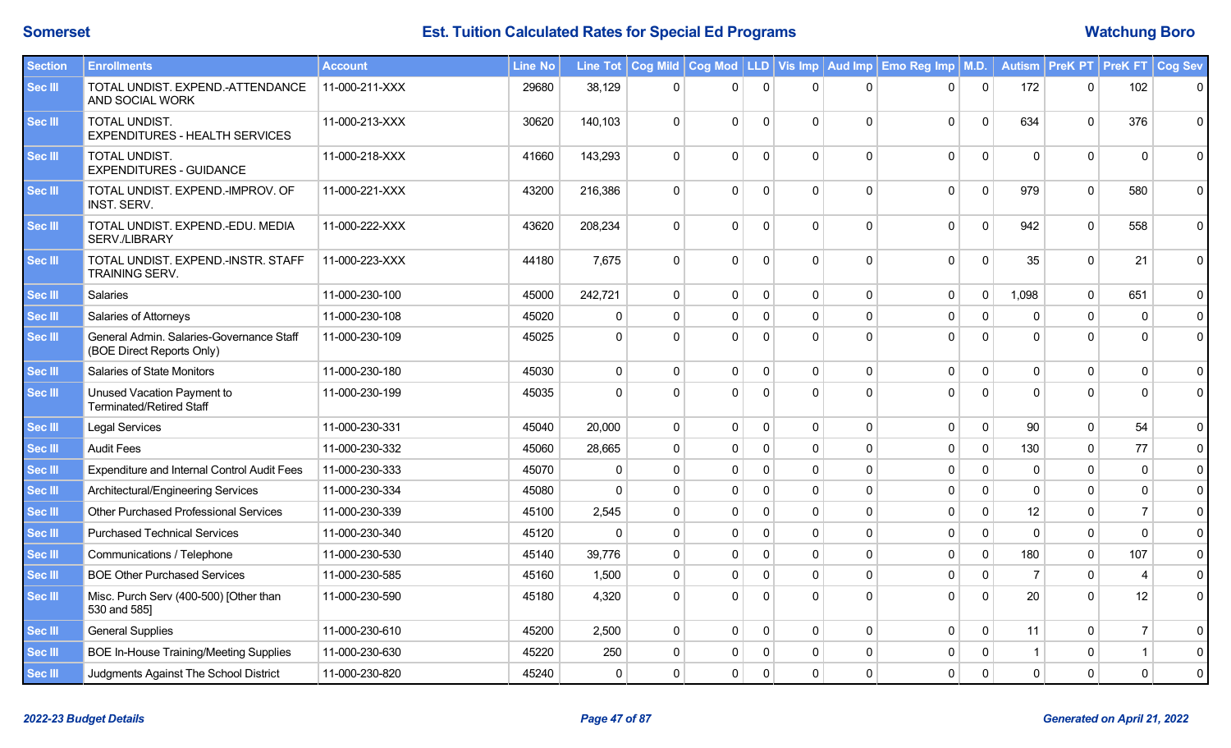| <b>Section</b> | <b>Enrollments</b>                                                    | <b>Account</b> | <b>Line No</b> |              |              |              |              |              |              | Line Tot   Cog Mild   Cog Mod   LLD   Vis Imp   Aud Imp   Emo Reg Imp   M.D. |              |              | Autism   PreK PT   PreK FT   Cog Sev |                |             |
|----------------|-----------------------------------------------------------------------|----------------|----------------|--------------|--------------|--------------|--------------|--------------|--------------|------------------------------------------------------------------------------|--------------|--------------|--------------------------------------|----------------|-------------|
| Sec III        | TOTAL UNDIST. EXPEND.-ATTENDANCE<br>AND SOCIAL WORK                   | 11-000-211-XXX | 29680          | 38,129       | $\mathbf{0}$ | $\Omega$     | $\Omega$     | $\mathbf{0}$ | $\Omega$     | $\mathbf{0}$                                                                 | $\mathbf{0}$ | 172          | $\Omega$                             | 102            | $\mathbf 0$ |
| <b>Sec III</b> | TOTAL UNDIST.<br><b>EXPENDITURES - HEALTH SERVICES</b>                | 11-000-213-XXX | 30620          | 140,103      | $\mathbf 0$  | $\Omega$     | $\Omega$     | $\Omega$     | $\Omega$     | 0                                                                            | $\mathbf 0$  | 634          | $\Omega$                             | 376            | $\mathbf 0$ |
| <b>Sec III</b> | TOTAL UNDIST.<br><b>EXPENDITURES - GUIDANCE</b>                       | 11-000-218-XXX | 41660          | 143,293      | $\Omega$     | $\Omega$     | $\Omega$     | $\Omega$     | $\Omega$     | $\mathbf{0}$                                                                 | $\Omega$     |              | $\Omega$                             | $\Omega$       | $\Omega$    |
| Sec III        | TOTAL UNDIST. EXPEND.-IMPROV. OF<br><b>INST. SERV.</b>                | 11-000-221-XXX | 43200          | 216,386      | $\mathbf{0}$ | $\Omega$     | $\Omega$     | $\Omega$     | 0            | 0                                                                            | $\mathbf{0}$ | 979          | $\Omega$                             | 580            | $\pmb{0}$   |
| <b>Sec III</b> | TOTAL UNDIST. EXPEND.-EDU. MEDIA<br>SERV./LIBRARY                     | 11-000-222-XXX | 43620          | 208,234      | $\mathbf 0$  | $\Omega$     | $\Omega$     | $\Omega$     | $\Omega$     | 0                                                                            | $\Omega$     | 942          | $\Omega$                             | 558            | $\mathsf 0$ |
| <b>Sec III</b> | TOTAL UNDIST. EXPEND.-INSTR. STAFF<br>TRAINING SERV.                  | 11-000-223-XXX | 44180          | 7,675        | $\mathbf 0$  | $\Omega$     | $\mathbf{0}$ | $\mathbf 0$  | $\Omega$     | 0                                                                            | $\mathbf 0$  | 35           | $\Omega$                             | 21             | $\mathsf 0$ |
| Sec III        | Salaries                                                              | 11-000-230-100 | 45000          | 242,721      | $\mathbf 0$  | $\Omega$     | 0            | $\mathbf 0$  | $\Omega$     | 0                                                                            | $\mathbf 0$  | 1,098        | $\Omega$                             | 651            | $\mathbf 0$ |
| Sec III        | Salaries of Attorneys                                                 | 11-000-230-108 | 45020          | $\mathbf{0}$ | $\mathbf{0}$ | $\mathbf{0}$ | $\Omega$     | $\mathbf{0}$ | $\Omega$     | 0                                                                            | $\Omega$     |              | $\Omega$                             | $\mathbf{0}$   | $\mathbf 0$ |
| Sec III        | General Admin. Salaries-Governance Staff<br>(BOE Direct Reports Only) | 11-000-230-109 | 45025          | $\Omega$     | $\Omega$     | $\Omega$     | $\mathbf{0}$ | $\Omega$     | $\Omega$     | $\mathbf{0}$                                                                 | $\Omega$     |              | $\Omega$                             | $\Omega$       | $\mathbf 0$ |
| Sec III        | Salaries of State Monitors                                            | 11-000-230-180 | 45030          | $\mathbf 0$  | $\mathbf{0}$ | $\mathbf{0}$ | $\mathbf{0}$ | $\mathbf 0$  | $\Omega$     | 0                                                                            | $\mathbf 0$  | $\mathbf{0}$ | $\Omega$                             | $\Omega$       | $\mathbf 0$ |
| Sec III        | Unused Vacation Payment to<br><b>Terminated/Retired Staff</b>         | 11-000-230-199 | 45035          | $\Omega$     | $\Omega$     | $\Omega$     | $\Omega$     | $\Omega$     | $\Omega$     | $\Omega$                                                                     | $\Omega$     | $\Omega$     | $\Omega$                             | $\Omega$       | $\mathbf 0$ |
| <b>Sec III</b> | <b>Legal Services</b>                                                 | 11-000-230-331 | 45040          | 20,000       | $\mathbf 0$  | $\mathbf{0}$ | $\mathbf{0}$ | $\mathbf 0$  | $\Omega$     | 0                                                                            | $\mathbf 0$  | 90           | $\mathbf{0}$                         | 54             | $\mathsf 0$ |
| Sec III        | <b>Audit Fees</b>                                                     | 11-000-230-332 | 45060          | 28,665       | $\mathbf 0$  | $\mathbf 0$  | $\Omega$     | $\Omega$     | $\Omega$     | 0                                                                            | $\mathbf 0$  | 130          | $\Omega$                             | 77             | $\pmb{0}$   |
| Sec III        | <b>Expenditure and Internal Control Audit Fees</b>                    | 11-000-230-333 | 45070          | $\mathbf{0}$ | $\mathbf 0$  | $\mathbf{0}$ | $\mathbf{0}$ | $\mathbf 0$  | $\Omega$     | 0                                                                            | $\mathbf 0$  | $\Omega$     | $\mathbf{0}$                         | $\mathbf 0$    | $\pmb{0}$   |
| Sec III        | Architectural/Engineering Services                                    | 11-000-230-334 | 45080          | $\Omega$     | $\mathbf 0$  | $\pmb{0}$    | $\Omega$     | $\Omega$     | $\Omega$     | 0                                                                            | $\Omega$     | $\Omega$     | $\Omega$                             | $\Omega$       | $\pmb{0}$   |
| <b>Sec III</b> | <b>Other Purchased Professional Services</b>                          | 11-000-230-339 | 45100          | 2,545        | $\mathbf 0$  | $\Omega$     | $\mathbf{0}$ | $\mathbf 0$  | $\Omega$     | $\mathbf{0}$                                                                 | $\pmb{0}$    | 12           | $\Omega$                             | $\overline{7}$ | $\pmb{0}$   |
| <b>Sec III</b> | <b>Purchased Technical Services</b>                                   | 11-000-230-340 | 45120          | 0            | $\mathbf 0$  | $\mathbf{0}$ | $\Omega$     | $\mathbf 0$  | $\Omega$     | 0                                                                            | $\mathbf 0$  | $\Omega$     | $\Omega$                             | $\mathbf{0}$   | $\mathbf 0$ |
| <b>Sec III</b> | Communications / Telephone                                            | 11-000-230-530 | 45140          | 39,776       | $\mathbf 0$  | $\Omega$     | $\mathbf{0}$ | $\mathbf 0$  | $\mathbf{0}$ | 0                                                                            | $\mathbf 0$  | 180          | $\Omega$                             | 107            | $\mathbf 0$ |
| Sec III        | <b>BOE Other Purchased Services</b>                                   | 11-000-230-585 | 45160          | 1,500        | $\mathbf 0$  | $\mathbf 0$  | $\mathbf{0}$ | $\mathbf 0$  | $\Omega$     | 0                                                                            | $\Omega$     |              | $\Omega$                             | $\overline{4}$ | $\mathbf 0$ |
| <b>Sec III</b> | Misc. Purch Serv (400-500) [Other than<br>530 and 585]                | 11-000-230-590 | 45180          | 4,320        | $\Omega$     | $\Omega$     | $\Omega$     | $\Omega$     | $\Omega$     | $\mathbf{0}$                                                                 | $\Omega$     | 20           | $\Omega$                             | 12             | $\mathbf 0$ |
| Sec III        | <b>General Supplies</b>                                               | 11-000-230-610 | 45200          | 2,500        | $\mathbf{0}$ | $\mathbf{0}$ | $\mathbf{0}$ | $\mathbf 0$  | $\Omega$     | 0                                                                            | $\mathbf 0$  | 11           | $\Omega$                             | $\overline{7}$ | $\pmb{0}$   |
| <b>Sec III</b> | <b>BOE In-House Training/Meeting Supplies</b>                         | 11-000-230-630 | 45220          | 250          | $\mathbf{0}$ | $\mathbf{0}$ | 0            | $\mathbf{0}$ | $\Omega$     | 0                                                                            | $\Omega$     |              | $\Omega$                             |                | $\mathbf 0$ |
| Sec III        | Judgments Against The School District                                 | 11-000-230-820 | 45240          | 0            | $\mathbf 0$  | $\mathbf{0}$ | $\mathbf{0}$ | $\mathbf{0}$ | 0            | 0                                                                            | $\mathbf{0}$ | $\mathbf{0}$ | $\Omega$                             | $\Omega$       | $\Omega$    |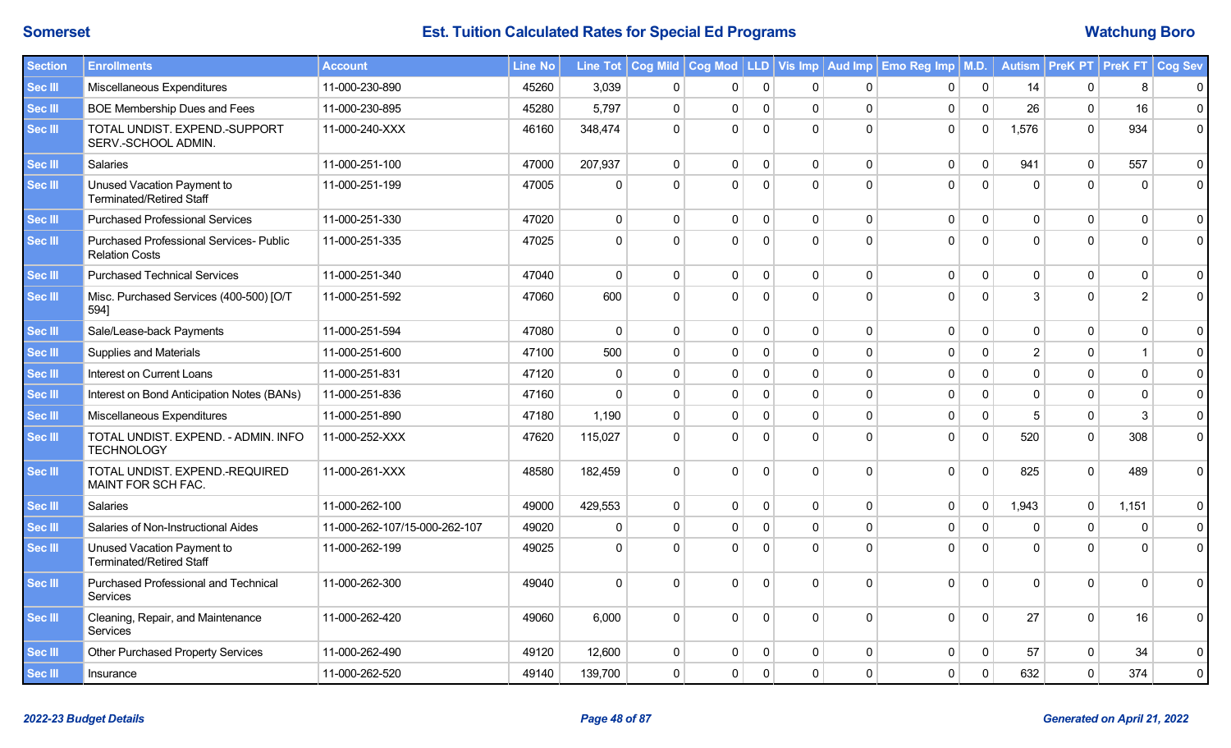| <b>Section</b> | <b>Enrollments</b>                                                      | <b>Account</b>                | <b>Line No</b> |              |              |             |              |              |              | Line Tot   Cog Mild   Cog Mod   LLD   Vis Imp   Aud Imp   Emo Reg Imp   M.D. |             |                | Autism   PreK PT   PreK FT |                | <b>Cog Sev</b> |
|----------------|-------------------------------------------------------------------------|-------------------------------|----------------|--------------|--------------|-------------|--------------|--------------|--------------|------------------------------------------------------------------------------|-------------|----------------|----------------------------|----------------|----------------|
| Sec III        | Miscellaneous Expenditures                                              | 11-000-230-890                | 45260          | 3,039        | $\mathbf 0$  | 0           | $\mathbf{0}$ | 0            | 0            | 0                                                                            | $\mathbf 0$ | 14             | 0                          | 8              | $\mathbf 0$    |
| <b>Sec III</b> | <b>BOE Membership Dues and Fees</b>                                     | 11-000-230-895                | 45280          | 5,797        | $\mathbf 0$  | $\mathbf 0$ | $\mathbf 0$  | $\mathbf 0$  | $\mathbf 0$  | 0                                                                            | $\mathbf 0$ | 26             | $\mathbf{0}$               | 16             | $\pmb{0}$      |
| <b>Sec III</b> | TOTAL UNDIST. EXPEND.-SUPPORT<br>SERV.-SCHOOL ADMIN.                    | 11-000-240-XXX                | 46160          | 348,474      | $\Omega$     | $\Omega$    | $\Omega$     | $\Omega$     | $\Omega$     | 0                                                                            | $\mathbf 0$ | 1,576          | $\Omega$                   | 934            | $\pmb{0}$      |
| <b>Sec III</b> | Salaries                                                                | 11-000-251-100                | 47000          | 207,937      | $\mathbf 0$  | $\Omega$    | $\Omega$     | $\mathbf 0$  | $\Omega$     | $\mathbf 0$                                                                  | $\mathbf 0$ | 941            | $\Omega$                   | 557            | 0              |
| Sec III        | Unused Vacation Payment to<br><b>Terminated/Retired Staff</b>           | 11-000-251-199                | 47005          | $\Omega$     | $\Omega$     | $\Omega$    | $\Omega$     | $\Omega$     | $\Omega$     | $\mathbf 0$                                                                  | $\mathbf 0$ | $\Omega$       | $\Omega$                   | $\Omega$       | $\mathbf 0$    |
| Sec III        | <b>Purchased Professional Services</b>                                  | 11-000-251-330                | 47020          | $\mathbf{0}$ | $\mathbf{0}$ | $\Omega$    | $\mathbf{0}$ | $\mathbf 0$  | $\Omega$     | $\mathbf{0}$                                                                 | $\mathbf 0$ | $\mathbf{0}$   | $\Omega$                   | $\mathbf{0}$   | $\mathbf{0}$   |
| <b>Sec III</b> | <b>Purchased Professional Services- Public</b><br><b>Relation Costs</b> | 11-000-251-335                | 47025          | $\Omega$     | $\Omega$     | $\Omega$    | $\Omega$     | $\Omega$     | $\Omega$     | $\mathbf{0}$                                                                 | $\Omega$    | $\Omega$       | $\Omega$                   | $\Omega$       | $\mathbf{0}$   |
| <b>Sec III</b> | <b>Purchased Technical Services</b>                                     | 11-000-251-340                | 47040          | $\mathbf 0$  | $\mathbf 0$  | $\mathbf 0$ | $\mathbf 0$  | $\mathbf 0$  | $\mathbf 0$  | $\mathbf 0$                                                                  | $\mathbf 0$ | $\mathbf 0$    | $\mathbf 0$                | $\mathbf 0$    | $\pmb{0}$      |
| <b>Sec III</b> | Misc. Purchased Services (400-500) [O/T<br>5941                         | 11-000-251-592                | 47060          | 600          | $\Omega$     | $\Omega$    | $\Omega$     | $\mathbf{0}$ | $\Omega$     | $\mathbf 0$                                                                  | $\mathbf 0$ | 3              | $\Omega$                   | $\overline{2}$ | $\mathbf 0$    |
| <b>Sec III</b> | Sale/Lease-back Payments                                                | 11-000-251-594                | 47080          | $\mathbf 0$  | $\mathbf 0$  | $\mathbf 0$ | $\mathbf 0$  | $\mathbf 0$  | $\mathbf 0$  | $\mathbf 0$                                                                  | $\mathbf 0$ | $\mathbf 0$    | $\Omega$                   | $\mathbf 0$    | $\mathbf 0$    |
| Sec III        | <b>Supplies and Materials</b>                                           | 11-000-251-600                | 47100          | 500          | $\mathbf 0$  | $\mathbf 0$ | $\mathbf 0$  | $\mathbf 0$  | $\mathbf 0$  | $\mathbf 0$                                                                  | $\mathsf 0$ | $\overline{2}$ | $\mathbf{0}$               | $\overline{1}$ | $\pmb{0}$      |
| <b>Sec III</b> | Interest on Current Loans                                               | 11-000-251-831                | 47120          | $\mathbf 0$  | $\mathbf 0$  | $\mathbf 0$ | $\mathbf 0$  | $\mathbf 0$  | $\mathbf 0$  | $\pmb{0}$                                                                    | $\pmb{0}$   | $\mathbf 0$    | $\Omega$                   | $\overline{0}$ | $\pmb{0}$      |
| <b>Sec III</b> | Interest on Bond Anticipation Notes (BANs)                              | 11-000-251-836                | 47160          | $\mathbf 0$  | $\mathbf 0$  | $\mathbf 0$ | $\mathbf 0$  | $\mathbf 0$  | $\mathbf 0$  | $\mathbf 0$                                                                  | $\mathsf 0$ | $\mathbf 0$    | $\mathbf{0}$               | $\mathbf 0$    | $\pmb{0}$      |
| <b>Sec III</b> | Miscellaneous Expenditures                                              | 11-000-251-890                | 47180          | 1,190        | $\mathbf 0$  | $\Omega$    | $\Omega$     | $\mathbf 0$  | $\Omega$     | 0                                                                            | $\mathbf 0$ | 5              | $\Omega$                   | 3              | $\pmb{0}$      |
| Sec III        | TOTAL UNDIST. EXPEND. - ADMIN. INFO<br><b>TECHNOLOGY</b>                | 11-000-252-XXX                | 47620          | 115,027      | $\Omega$     | $\Omega$    | $\mathbf{0}$ | $\Omega$     | $\Omega$     | 0                                                                            | $\mathbf 0$ | 520            | $\Omega$                   | 308            | $\mathbf 0$    |
| Sec III        | TOTAL UNDIST. EXPEND.-REQUIRED<br>MAINT FOR SCH FAC.                    | 11-000-261-XXX                | 48580          | 182,459      | $\Omega$     | $\Omega$    | $\Omega$     | $\Omega$     | $\Omega$     | $\mathsf{O}$                                                                 | $\mathbf 0$ | 825            | $\Omega$                   | 489            | $\mathbf{0}$   |
| Sec III        | <b>Salaries</b>                                                         | 11-000-262-100                | 49000          | 429,553      | $\mathbf 0$  | $\Omega$    | $\mathbf{0}$ | $\mathbf{0}$ | $\Omega$     | 0                                                                            | $\mathbf 0$ | 1,943          | $\mathbf{0}$               | 1,151          | $\mathbf{0}$   |
| Sec III        | Salaries of Non-Instructional Aides                                     | 11-000-262-107/15-000-262-107 | 49020          | $\mathbf{0}$ | $\mathbf 0$  | $\Omega$    | $\mathbf{0}$ | $\mathbf{0}$ | $\mathbf{0}$ | $\mathbf 0$                                                                  | $\mathbf 0$ | $\mathbf{0}$   | $\mathbf{0}$               | $\mathbf{0}$   | $\mathbf 0$    |
| Sec III        | Unused Vacation Payment to<br><b>Terminated/Retired Staff</b>           | 11-000-262-199                | 49025          | $\Omega$     | $\Omega$     | $\Omega$    | $\Omega$     | $\Omega$     | $\Omega$     | $\mathbf{0}$                                                                 | $\Omega$    | $\Omega$       | $\Omega$                   | $\Omega$       | $\mathbf 0$    |
| Sec III        | Purchased Professional and Technical<br>Services                        | 11-000-262-300                | 49040          | $\Omega$     | $\Omega$     | $\Omega$    | $\Omega$     | $\Omega$     | $\Omega$     | $\mathbf 0$                                                                  | $\mathbf 0$ | $\Omega$       | $\Omega$                   | $\Omega$       | $\mathbf 0$    |
| <b>Sec III</b> | Cleaning, Repair, and Maintenance<br>Services                           | 11-000-262-420                | 49060          | 6,000        | $\mathbf 0$  | $\Omega$    | $\mathbf 0$  | $\Omega$     | $\Omega$     | $\mathbf 0$                                                                  | $\mathbf 0$ | 27             | $\Omega$                   | 16             | $\pmb{0}$      |
| <b>Sec III</b> | <b>Other Purchased Property Services</b>                                | 11-000-262-490                | 49120          | 12,600       | $\mathbf 0$  | 0           | 0            | $\mathbf 0$  | $\Omega$     | 0                                                                            | $\mathsf 0$ | 57             | $\Omega$                   | 34             | $\pmb{0}$      |
| Sec III        | Insurance                                                               | 11-000-262-520                | 49140          | 139,700      | $\mathbf 0$  | $\mathbf 0$ | $\mathbf 0$  | $\mathbf 0$  | 0            | 0                                                                            | $\pmb{0}$   | 632            | 0                          | 374            | $\pmb{0}$      |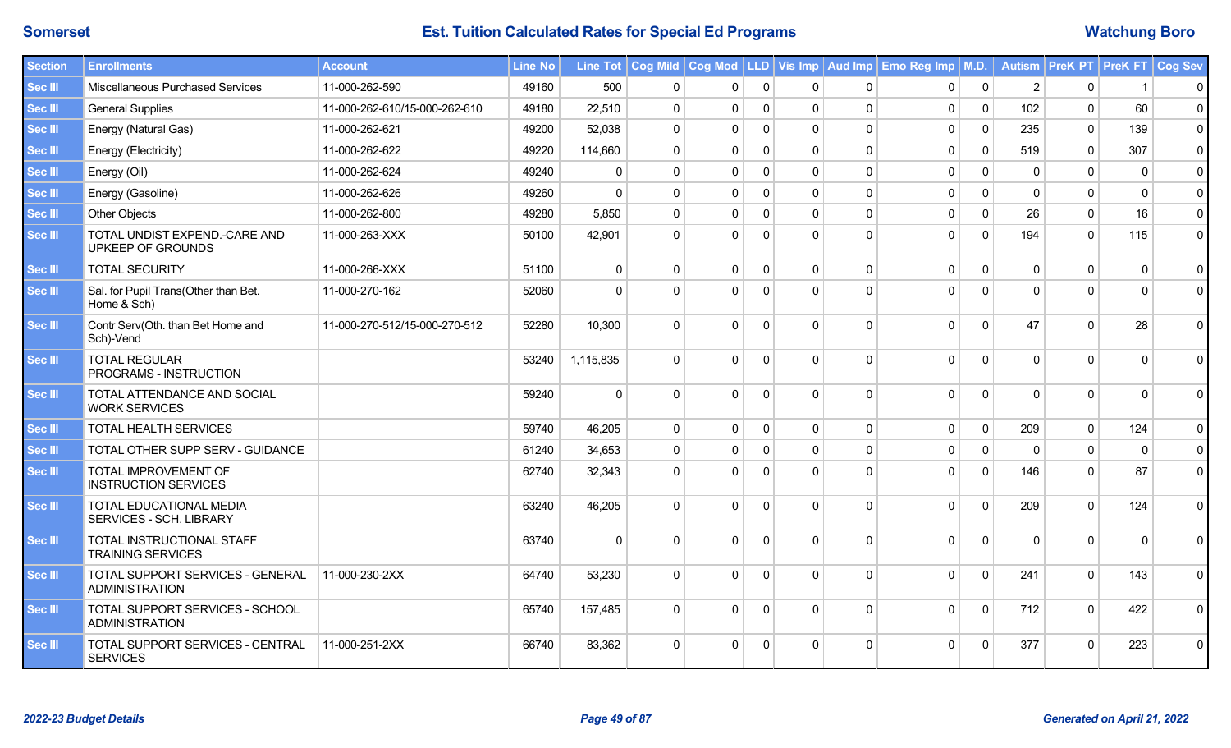| <b>Section</b> | <b>Enrollments</b>                                        | <b>Account</b>                | <b>Line No</b> |             |              |              |              |              |              | Line Tot   Cog Mild   Cog Mod   LLD   Vis Imp   Aud Imp   Emo Reg Imp   M.D. |                |              |          | Autism   PreK PT   PreK FT | <b>Cog Sev</b>      |
|----------------|-----------------------------------------------------------|-------------------------------|----------------|-------------|--------------|--------------|--------------|--------------|--------------|------------------------------------------------------------------------------|----------------|--------------|----------|----------------------------|---------------------|
| Sec III        | Miscellaneous Purchased Services                          | 11-000-262-590                | 49160          | 500         | 0            | $\mathbf{0}$ | $\Omega$     | $\mathbf{0}$ | $\Omega$     | $\mathbf 0$                                                                  | $\mathbf 0$    |              | $\Omega$ |                            | $\mathbf 0$         |
| Sec III        | <b>General Supplies</b>                                   | 11-000-262-610/15-000-262-610 | 49180          | 22,510      | $\mathbf 0$  | $\mathbf 0$  | $\Omega$     | $\mathbf 0$  | $\Omega$     | $\mathbf 0$                                                                  | $\mathbf 0$    | 102          | $\Omega$ | 60                         | $\mathbf 0$         |
| Sec III        | Energy (Natural Gas)                                      | 11-000-262-621                | 49200          | 52,038      | $\mathbf 0$  | $\Omega$     | $\Omega$     | $\mathbf{0}$ | $\mathbf 0$  | $\mathbf 0$                                                                  | $\mathbf 0$    | 235          | $\Omega$ | 139                        | $\mathbf 0$         |
| <b>Sec III</b> | Energy (Electricity)                                      | 11-000-262-622                | 49220          | 114,660     | $\mathbf 0$  | $\Omega$     | $\mathbf{0}$ | $\mathbf 0$  | $\Omega$     | $\mathbf 0$                                                                  | $\mathbf 0$    | 519          | $\Omega$ | 307                        | $\mathsf 0$         |
| Sec III        | Energy (Oil)                                              | 11-000-262-624                | 49240          | $\Omega$    | $\Omega$     | $\Omega$     | $\Omega$     | $\Omega$     | $\Omega$     | $\mathbf 0$                                                                  | $\Omega$       | $\Omega$     | $\Omega$ | $\Omega$                   | $\mathbf 0$         |
| Sec III        | Energy (Gasoline)                                         | 11-000-262-626                | 49260          | $\Omega$    | $\Omega$     | $\Omega$     | $\Omega$     | $\Omega$     | $\Omega$     | $\mathbf 0$                                                                  | $\Omega$       | $\Omega$     | U        | $\Omega$                   | $\mathsf{O}\xspace$ |
| Sec III        | <b>Other Objects</b>                                      | 11-000-262-800                | 49280          | 5,850       | $\mathbf{0}$ | $\Omega$     | $\Omega$     | $\mathbf 0$  | $\Omega$     | $\mathbf 0$                                                                  | $\mathbf 0$    | 26           | $\Omega$ | 16                         | $\mathbf 0$         |
| Sec III        | TOTAL UNDIST EXPEND.-CARE AND<br>UPKEEP OF GROUNDS        | 11-000-263-XXX                | 50100          | 42,901      | $\Omega$     | $\Omega$     | $\Omega$     | $\Omega$     | $\Omega$     | $\mathbf 0$                                                                  | $\overline{0}$ | 194          | $\Omega$ | 115                        | $\mathbf 0$         |
| Sec III        | <b>TOTAL SECURITY</b>                                     | 11-000-266-XXX                | 51100          | $\mathbf 0$ | $\mathbf 0$  | $\Omega$     | $\Omega$     | $\mathbf 0$  | $\mathbf 0$  | $\mathbf 0$                                                                  | $\mathbf 0$    | $\mathbf{0}$ | $\Omega$ | $\mathbf 0$                | $\mathbf 0$         |
| Sec III        | Sal. for Pupil Trans(Other than Bet.<br>Home & Sch)       | 11-000-270-162                | 52060          | $\Omega$    | $\Omega$     | $\Omega$     | $\Omega$     | $\Omega$     | $\Omega$     | $\Omega$                                                                     | $\Omega$       | $\Omega$     | U        | $\Omega$                   | $\mathbf 0$         |
| Sec III        | Contr Serv(Oth. than Bet Home and<br>Sch)-Vend            | 11-000-270-512/15-000-270-512 | 52280          | 10,300      | $\Omega$     | $\Omega$     | $\Omega$     | $\Omega$     | $\Omega$     | $\mathbf 0$                                                                  | $\Omega$       | 47           | U        | 28                         | $\mathbf 0$         |
| Sec III        | <b>TOTAL REGULAR</b><br>PROGRAMS - INSTRUCTION            |                               | 53240          | 1,115,835   | $\Omega$     | $\Omega$     | $\Omega$     | $\Omega$     | $\Omega$     | $\mathbf 0$                                                                  | $\Omega$       | $\Omega$     | U        | $\Omega$                   | $\mathbf{0}$        |
| Sec III        | TOTAL ATTENDANCE AND SOCIAL<br><b>WORK SERVICES</b>       |                               | 59240          | $\mathbf 0$ | $\mathbf 0$  | $\Omega$     | $\mathbf 0$  | $\Omega$     | $\Omega$     | $\mathbf 0$                                                                  | $\Omega$       | $\Omega$     | $\Omega$ | $\Omega$                   | $\mathbf 0$         |
| Sec III        | <b>TOTAL HEALTH SERVICES</b>                              |                               | 59740          | 46,205      | $\mathbf 0$  | $\Omega$     | $\mathbf{0}$ | $\mathbf 0$  | $\mathbf{0}$ | $\mathbf 0$                                                                  | $\mathbf 0$    | 209          | $\Omega$ | 124                        | $\pmb{0}$           |
| Sec III        | TOTAL OTHER SUPP SERV - GUIDANCE                          |                               | 61240          | 34,653      | $\mathbf{0}$ | $\Omega$     | $\Omega$     | $\Omega$     | $\Omega$     | $\mathbf 0$                                                                  | $\Omega$       | $\Omega$     | $\Omega$ | $\Omega$                   | $\pmb{0}$           |
| Sec III        | TOTAL IMPROVEMENT OF<br><b>INSTRUCTION SERVICES</b>       |                               | 62740          | 32,343      | $\Omega$     | $\Omega$     | $\Omega$     | $\Omega$     | $\Omega$     | $\Omega$                                                                     | $\mathbf 0$    | 146          | $\Omega$ | 87                         | $\mathbf 0$         |
| Sec III        | TOTAL EDUCATIONAL MEDIA<br><b>SERVICES - SCH. LIBRARY</b> |                               | 63240          | 46,205      | $\Omega$     | $\Omega$     | $\Omega$     | $\Omega$     | $\Omega$     | $\mathbf 0$                                                                  | $\Omega$       | 209          | $\Omega$ | 124                        | $\mathbf 0$         |
| Sec III        | TOTAL INSTRUCTIONAL STAFF<br><b>TRAINING SERVICES</b>     |                               | 63740          | $\Omega$    | $\Omega$     | $\Omega$     | $\Omega$     | $\Omega$     | $\Omega$     | $\Omega$                                                                     | $\Omega$       | $\Omega$     | $\Omega$ | $\Omega$                   | $\mathbf 0$         |
| Sec III        | TOTAL SUPPORT SERVICES - GENERAL<br><b>ADMINISTRATION</b> | 11-000-230-2XX                | 64740          | 53,230      | $\Omega$     | $\Omega$     | $\Omega$     | $\Omega$     | $\Omega$     | $\mathbf{0}$                                                                 | $\Omega$       | 241          | $\Omega$ | 143                        | $\mathbf 0$         |
| Sec III        | TOTAL SUPPORT SERVICES - SCHOOL<br><b>ADMINISTRATION</b>  |                               | 65740          | 157,485     | $\Omega$     | $\Omega$     | $\Omega$     | $\Omega$     | $\Omega$     | $\mathbf 0$                                                                  | $\mathbf 0$    | 712          | $\Omega$ | 422                        | $\mathbf 0$         |
| Sec III        | TOTAL SUPPORT SERVICES - CENTRAL<br><b>SERVICES</b>       | 11-000-251-2XX                | 66740          | 83,362      | $\Omega$     | $\Omega$     | $\Omega$     | $\Omega$     | $\Omega$     | $\Omega$                                                                     | $\Omega$       | 377          | 0        | 223                        | $\mathbf 0$         |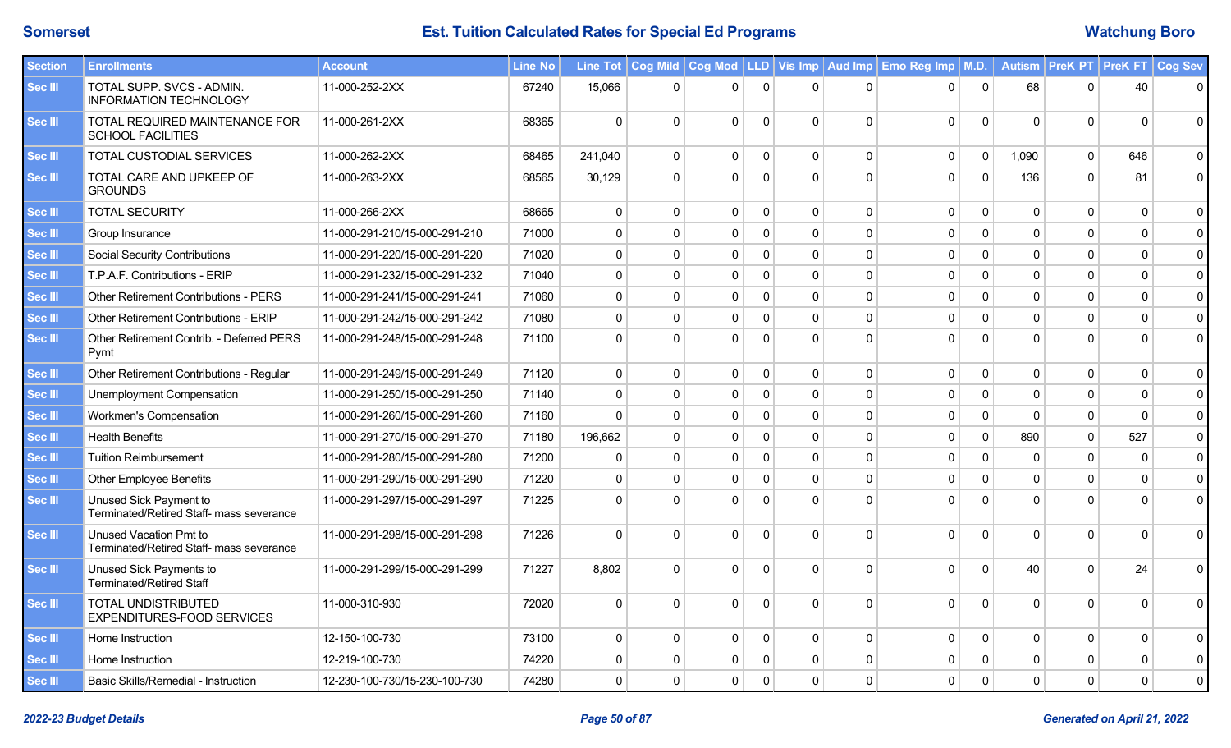| <b>Section</b> | <b>Enrollments</b>                                                 | <b>Account</b>                | Line No |              |                |              |              |              |              | Line Tot   Cog Mild   Cog Mod   LLD   Vis Imp   Aud Imp   Emo Reg Imp   M.D. |              |              | Autism   PreK PT   PreK FT |                | Cog Sev     |
|----------------|--------------------------------------------------------------------|-------------------------------|---------|--------------|----------------|--------------|--------------|--------------|--------------|------------------------------------------------------------------------------|--------------|--------------|----------------------------|----------------|-------------|
| Sec III        | TOTAL SUPP. SVCS - ADMIN.<br><b>INFORMATION TECHNOLOGY</b>         | 11-000-252-2XX                | 67240   | 15,066       | $\mathbf 0$    | $\Omega$     | $\Omega$     | $\Omega$     | $\Omega$     | $\Omega$                                                                     | $\mathbf 0$  | 68           | $\Omega$                   | 40             | $\mathbf 0$ |
| <b>Sec III</b> | TOTAL REQUIRED MAINTENANCE FOR<br><b>SCHOOL FACILITIES</b>         | 11-000-261-2XX                | 68365   | $\mathbf 0$  | $\mathbf{0}$   | $\Omega$     | $\mathbf{0}$ | $\Omega$     | $\Omega$     | $\mathbf 0$                                                                  | $\mathbf 0$  | $\Omega$     | $\Omega$                   | $\Omega$       | 0           |
| <b>Sec III</b> | TOTAL CUSTODIAL SERVICES                                           | 11-000-262-2XX                | 68465   | 241,040      | $\mathbf 0$    | $\mathbf 0$  | 0            | $\mathbf 0$  | $\mathbf 0$  | 0                                                                            | $\pmb{0}$    | 1,090        | 0                          | 646            | $\mathbf 0$ |
| <b>Sec III</b> | TOTAL CARE AND UPKEEP OF<br><b>GROUNDS</b>                         | 11-000-263-2XX                | 68565   | 30,129       | $\mathbf{0}$   | $\Omega$     | $\Omega$     | $\Omega$     | $\Omega$     | $\mathbf 0$                                                                  | $\mathbf 0$  | 136          | $\Omega$                   | 81             | $\mathbf 0$ |
| <b>Sec III</b> | <b>TOTAL SECURITY</b>                                              | 11-000-266-2XX                | 68665   | $\mathbf{0}$ | $\Omega$       | $\Omega$     | $\Omega$     | $\mathbf{0}$ | $\Omega$     | 0                                                                            | $\mathbf{0}$ | $\Omega$     | $\Omega$                   | $\mathbf{0}$   | $\mathbf 0$ |
| Sec III        | Group Insurance                                                    | 11-000-291-210/15-000-291-210 | 71000   | $\mathbf 0$  | $\mathbf 0$    | $\mathbf 0$  | $\Omega$     | $\mathbf 0$  | $\Omega$     | 0                                                                            | $\mathbf{0}$ | $\Omega$     | $\Omega$                   | $\Omega$       | $\mathbf 0$ |
| Sec III        | <b>Social Security Contributions</b>                               | 11-000-291-220/15-000-291-220 | 71020   | $\mathbf 0$  | $\mathbf 0$    | $\mathbf{0}$ | $\Omega$     | $\mathbf 0$  | $\mathbf 0$  | 0                                                                            | $\mathbf{0}$ | $\Omega$     | $\Omega$                   | $\Omega$       | $\pmb{0}$   |
| <b>Sec III</b> | T.P.A.F. Contributions - ERIP                                      | 11-000-291-232/15-000-291-232 | 71040   | $\mathbf 0$  | $\mathbf 0$    | $\mathbf 0$  | $\Omega$     | $\Omega$     | $\mathbf 0$  | 0                                                                            | $\mathbf 0$  | $\Omega$     | $\Omega$                   | $\Omega$       | $\mathbf 0$ |
| <b>Sec III</b> | <b>Other Retirement Contributions - PERS</b>                       | 11-000-291-241/15-000-291-241 | 71060   | $\mathbf 0$  | $\mathbf 0$    | $\mathbf{0}$ | $\Omega$     | $\mathbf 0$  | $\Omega$     | 0                                                                            | $\mathbf 0$  | $\Omega$     | $\Omega$                   | $\Omega$       | $\mathbf 0$ |
| <b>Sec III</b> | <b>Other Retirement Contributions - ERIP</b>                       | 11-000-291-242/15-000-291-242 | 71080   | $\mathbf 0$  | $\mathbf 0$    | $\mathbf 0$  | $\Omega$     | $\mathbf 0$  | $\Omega$     | 0                                                                            | $\mathbf 0$  | $\Omega$     | $\Omega$                   | $\Omega$       | $\mathbf 0$ |
| <b>Sec III</b> | Other Retirement Contrib. - Deferred PERS<br>Pymt                  | 11-000-291-248/15-000-291-248 | 71100   | $\Omega$     | $\Omega$       | $\Omega$     | $\Omega$     | $\Omega$     | $\Omega$     | $\Omega$                                                                     | $\Omega$     | $\Omega$     | $\Omega$                   | $\Omega$       | $\mathsf 0$ |
| <b>Sec III</b> | Other Retirement Contributions - Regular                           | 11-000-291-249/15-000-291-249 | 71120   | 0            | $\mathbf{0}$   | $\mathbf{0}$ | $\Omega$     | $\mathbf 0$  | $\Omega$     | 0                                                                            | $\mathbf 0$  | $\mathbf{0}$ | $\mathbf{0}$               | $\mathbf{0}$   | $\mathbf 0$ |
| <b>Sec III</b> | Unemployment Compensation                                          | 11-000-291-250/15-000-291-250 | 71140   | $\mathbf 0$  | $\overline{0}$ | $\mathbf 0$  | $\Omega$     | $\mathbf 0$  | $\mathbf 0$  | 0                                                                            | $\mathbf 0$  | $\mathbf 0$  | $\Omega$                   | $\overline{0}$ | $\mathbf 0$ |
| <b>Sec III</b> | Workmen's Compensation                                             | 11-000-291-260/15-000-291-260 | 71160   | $\Omega$     | $\Omega$       | $\Omega$     | $\Omega$     | $\mathbf 0$  | $\Omega$     | 0                                                                            | $\mathbf 0$  | $\Omega$     | $\Omega$                   | $\Omega$       | $\pmb{0}$   |
| Sec III        | <b>Health Benefits</b>                                             | 11-000-291-270/15-000-291-270 | 71180   | 196,662      | $\mathbf 0$    | $\mathbf 0$  | $\Omega$     | $\mathbf 0$  | $\Omega$     | 0                                                                            | $\mathbf 0$  | 890          | $\Omega$                   | 527            | $\pmb{0}$   |
| <b>Sec III</b> | <b>Tuition Reimbursement</b>                                       | 11-000-291-280/15-000-291-280 | 71200   | $\mathbf{0}$ | $\mathbf 0$    | $\mathbf 0$  | $\Omega$     | $\mathbf 0$  | $\mathbf 0$  | 0                                                                            | $\mathbf 0$  | $\Omega$     | $\Omega$                   | $\mathbf{0}$   | $\pmb{0}$   |
| <b>Sec III</b> | <b>Other Employee Benefits</b>                                     | 11-000-291-290/15-000-291-290 | 71220   | $\mathbf 0$  | $\mathbf 0$    | $\mathbf 0$  | $\Omega$     | $\Omega$     | $\Omega$     | 0                                                                            | $\mathbf 0$  | $\Omega$     | $\Omega$                   | $\Omega$       | $\mathbf 0$ |
| <b>Sec III</b> | Unused Sick Payment to<br>Terminated/Retired Staff- mass severance | 11-000-291-297/15-000-291-297 | 71225   | $\Omega$     | $\Omega$       | $\Omega$     | $\Omega$     | $\Omega$     | $\Omega$     | $\mathbf{0}$                                                                 | $\Omega$     | $\Omega$     | $\Omega$                   | $\Omega$       | $\mathbf 0$ |
| <b>Sec III</b> | Unused Vacation Pmt to<br>Terminated/Retired Staff- mass severance | 11-000-291-298/15-000-291-298 | 71226   | $\Omega$     | $\Omega$       | $\Omega$     | $\Omega$     | $\Omega$     | $\Omega$     | $\mathbf 0$                                                                  | $\mathbf{0}$ | $\Omega$     | $\Omega$                   | $\Omega$       | $\mathbf 0$ |
| <b>Sec III</b> | Unused Sick Payments to<br><b>Terminated/Retired Staff</b>         | 11-000-291-299/15-000-291-299 | 71227   | 8,802        | $\Omega$       | $\Omega$     | $\Omega$     | $\Omega$     | $\Omega$     | $\mathbf{0}$                                                                 | $\Omega$     | 40           | $\Omega$                   | 24             | $\mathbf 0$ |
| <b>Sec III</b> | <b>TOTAL UNDISTRIBUTED</b><br>EXPENDITURES-FOOD SERVICES           | 11-000-310-930                | 72020   | $\mathbf 0$  | $\mathbf 0$    | $\Omega$     | $\mathbf{0}$ | $\mathbf 0$  | $\Omega$     | 0                                                                            | $\mathbf 0$  | $\Omega$     | $\Omega$                   | $\Omega$       | $\mathbf 0$ |
| <b>Sec III</b> | Home Instruction                                                   | 12-150-100-730                | 73100   | $\mathbf 0$  | $\mathbf 0$    | $\mathbf{0}$ | $\mathbf{0}$ | $\mathbf 0$  | $\mathbf{0}$ | $\mathbf 0$                                                                  | $\mathbf 0$  | $\mathbf 0$  | $\Omega$                   | $\Omega$       | $\mathbf 0$ |
| <b>Sec III</b> | Home Instruction                                                   | 12-219-100-730                | 74220   | 0            | $\Omega$       | 0            | $\Omega$     | 0            | $\Omega$     | 0                                                                            | $\Omega$     | $\Omega$     | $\Omega$                   | $\Omega$       | $\pmb{0}$   |
| Sec III        | Basic Skills/Remedial - Instruction                                | 12-230-100-730/15-230-100-730 | 74280   | $\mathbf 0$  | $\mathbf{0}$   | $\mathbf{0}$ | $\Omega$     | $\mathbf{0}$ | $\Omega$     | 0                                                                            | $\mathbf{0}$ | $\Omega$     | $\Omega$                   | $\Omega$       | $\mathbf 0$ |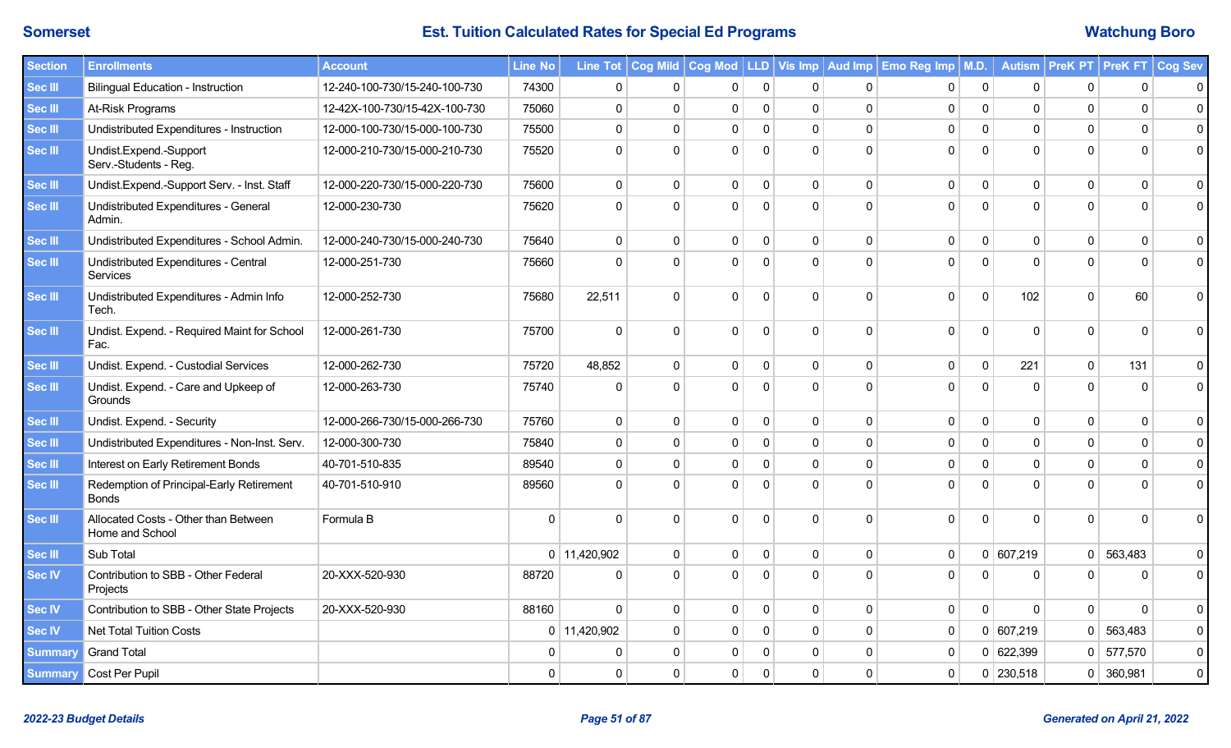| <b>Section</b> | <b>Enrollments</b>                                      | <b>Account</b>                | <b>Line No</b> |                |              |              |              |              |             | Line Tot   Cog Mild   Cog Mod   LLD   Vis Imp   Aud Imp   Emo Reg Imp   M.D. |                |              | Autism PreK PT PreK FT Cog Sev |             |                     |
|----------------|---------------------------------------------------------|-------------------------------|----------------|----------------|--------------|--------------|--------------|--------------|-------------|------------------------------------------------------------------------------|----------------|--------------|--------------------------------|-------------|---------------------|
| <b>Sec III</b> | <b>Bilingual Education - Instruction</b>                | 12-240-100-730/15-240-100-730 | 74300          | 0              | 0            | 0            | $\mathbf 0$  | $\Omega$     | $\Omega$    | 0                                                                            | 0              | $\mathbf{0}$ | 0                              | $\mathbf 0$ | $\mathbf 0$         |
| <b>Sec III</b> | At-Risk Programs                                        | 12-42X-100-730/15-42X-100-730 | 75060          | $\mathbf 0$    | $\mathbf 0$  | $\mathbf 0$  | $\mathbf 0$  | $\mathbf 0$  | $\mathbf 0$ | $\mathbf 0$                                                                  | $\mathbf 0$    | $\mathbf 0$  | $\mathbf 0$                    | $\Omega$    | $\pmb{0}$           |
| <b>Sec III</b> | Undistributed Expenditures - Instruction                | 12-000-100-730/15-000-100-730 | 75500          | 0              | $\Omega$     | $\mathsf 0$  | $\mathbf 0$  | $\mathbf 0$  | $\mathbf 0$ | $\mathbf 0$                                                                  | $\mathbf 0$    | $\mathbf 0$  | $\Omega$                       | $\mathbf 0$ | $\pmb{0}$           |
| <b>Sec III</b> | Undist.Expend.-Support<br>Serv.-Students - Reg.         | 12-000-210-730/15-000-210-730 | 75520          | $\Omega$       | $\Omega$     | $\Omega$     | $\mathbf{0}$ | $\Omega$     | $\mathbf 0$ | $\mathbf 0$                                                                  | $\mathbf 0$    | $\Omega$     | $\Omega$                       | $\Omega$    | $\mathbf 0$         |
| <b>Sec III</b> | Undist.Expend.-Support Serv. - Inst. Staff              | 12-000-220-730/15-000-220-730 | 75600          | 0              | $\mathbf 0$  | $\mathbf{0}$ | 0            | $\mathbf 0$  | $\Omega$    | $\mathbf 0$                                                                  | 0              | $\mathbf{0}$ | $\Omega$                       | $\Omega$    | $\mathbf 0$         |
| <b>Sec III</b> | Undistributed Expenditures - General<br>Admin.          | 12-000-230-730                | 75620          | $\Omega$       | $\Omega$     | $\Omega$     | $\Omega$     | $\Omega$     | O           | 0                                                                            | $\mathbf 0$    | $\Omega$     |                                | $\Omega$    | 0                   |
| <b>Sec III</b> | Undistributed Expenditures - School Admin.              | 12-000-240-730/15-000-240-730 | 75640          | 0              | $\mathbf 0$  | 0            | 0            | $\mathbf 0$  | 0           | $\mathbf 0$                                                                  | 0              | $\mathbf 0$  | $\Omega$                       | $\mathbf 0$ | $\pmb{0}$           |
| Sec III        | Undistributed Expenditures - Central<br>Services        | 12-000-251-730                | 75660          | $\Omega$       | $\Omega$     | $\Omega$     | $\Omega$     | $\Omega$     | $\Omega$    | 0                                                                            | $\Omega$       | $\Omega$     | $\Omega$                       | $\Omega$    | $\mathbf 0$         |
| Sec III        | Undistributed Expenditures - Admin Info<br>Tech.        | 12-000-252-730                | 75680          | 22,511         | $\Omega$     | $\Omega$     | $\mathbf{0}$ | $\Omega$     | 0           | $\mathbf{0}$                                                                 | $\mathbf{0}$   | 102          | $\Omega$                       | 60          | $\Omega$            |
| <b>Sec III</b> | Undist. Expend. - Required Maint for School<br>Fac.     | 12-000-261-730                | 75700          | $\Omega$       | $\mathbf{0}$ | $\mathbf 0$  | $\mathbf 0$  | $\Omega$     | $\mathbf 0$ | $\pmb{0}$                                                                    | $\pmb{0}$      | $\mathbf 0$  | $\Omega$                       | $\Omega$    | $\mathbf 0$         |
| <b>Sec III</b> | Undist. Expend. - Custodial Services                    | 12-000-262-730                | 75720          | 48,852         | $\mathbf{0}$ | $\mathbf{0}$ | $\mathbf{0}$ | $\mathbf{0}$ | $\Omega$    | $\mathbf 0$                                                                  | $\mathbf 0$    | 221          | $\Omega$                       | 131         | $\pmb{0}$           |
| <b>Sec III</b> | Undist. Expend. - Care and Upkeep of<br>Grounds         | 12-000-263-730                | 75740          | $\Omega$       | $\Omega$     | $\Omega$     | $\Omega$     | $\Omega$     | $\Omega$    | $\mathbf{0}$                                                                 | $\mathbf{0}$   | $\Omega$     | $\Omega$                       | $\Omega$    | $\mathbf 0$         |
| <b>Sec III</b> | Undist. Expend. - Security                              | 12-000-266-730/15-000-266-730 | 75760          | 0              | $\mathbf 0$  | $\mathbf 0$  | $\mathbf 0$  | $\mathbf 0$  | $\Omega$    | $\mathbf 0$                                                                  | $\mathbf 0$    | $\mathbf 0$  | $\Omega$                       | $\mathbf 0$ | $\mathbf 0$         |
| <b>Sec III</b> | Undistributed Expenditures - Non-Inst. Serv.            | 12-000-300-730                | 75840          | 0              | $\mathbf 0$  | 0            | 0            | $\mathbf{0}$ | $\mathbf 0$ | $\mathbf 0$                                                                  | 0              | $\mathbf{0}$ | $\Omega$                       | $\mathbf 0$ | $\mathsf 0$         |
| Sec III        | Interest on Early Retirement Bonds                      | 40-701-510-835                | 89540          | $\Omega$       | $\Omega$     | 0            | 0            | $\Omega$     | $\Omega$    | $\mathbf 0$                                                                  | $\Omega$       | $\Omega$     | $\Omega$                       | $\Omega$    | $\pmb{0}$           |
| Sec III        | Redemption of Principal-Early Retirement<br>Bonds       | 40-701-510-910                | 89560          | $\Omega$       | $\Omega$     | $\Omega$     | ∩            |              | U           | $\Omega$                                                                     | $\Omega$       | $\Omega$     | O                              |             | $\Omega$            |
| <b>Sec III</b> | Allocated Costs - Other than Between<br>Home and School | Formula B                     | $\Omega$       | $\Omega$       | $\Omega$     | $\Omega$     | $\Omega$     | $\Omega$     | 0           | $\mathbf{0}$                                                                 | $\overline{0}$ | $\Omega$     | $\Omega$                       | $\Omega$    | $\Omega$            |
| <b>Sec III</b> | Sub Total                                               |                               |                | $0$ 11,420,902 | $\mathbf 0$  | $\mathbf{0}$ | $\mathbf 0$  | $\mathbf 0$  | $\mathbf 0$ | $\mathbf 0$                                                                  |                | 0   607,219  | $\mathbf 0$                    | 563,483     | $\pmb{0}$           |
| Sec IV         | Contribution to SBB - Other Federal<br>Projects         | 20-XXX-520-930                | 88720          | $\Omega$       | $\mathbf{0}$ | $\Omega$     | $\Omega$     | $\Omega$     | U           | $\mathbf 0$                                                                  | $\Omega$       | $\Omega$     | $\Omega$                       | $\Omega$    | $\mathbf 0$         |
| <b>Sec IV</b>  | Contribution to SBB - Other State Projects              | 20-XXX-520-930                | 88160          | $\Omega$       | $\mathbf{0}$ | $\mathbf{0}$ | 0            | $\mathbf{0}$ | $\Omega$    | $\mathbf 0$                                                                  | $\mathbf 0$    | $\Omega$     | $\mathbf{0}$                   | $\Omega$    | 0                   |
| <b>Sec IV</b>  | Net Total Tuition Costs                                 |                               |                | $0$ 11,420,902 | $\Omega$     | $\mathbf{0}$ | $\mathbf 0$  | $\mathbf{0}$ | $\mathbf 0$ | $\mathbf 0$                                                                  |                | 0   607,219  | $\mathbf{0}$                   | 563,483     | $\pmb{0}$           |
| <b>Summary</b> | <b>Grand Total</b>                                      |                               |                | 0              | $\Omega$     | $\mathbf{0}$ | $\Omega$     | $\mathbf{0}$ | $\Omega$    | $\mathbf 0$                                                                  |                | 0   622,399  | 0                              | 577,570     | $\mathsf{O}\xspace$ |
| <b>Summary</b> | Cost Per Pupil                                          |                               | $\mathbf{0}$   | 0              | $\mathbf 0$  | 0            | $\mathbf{0}$ | $\mathbf 0$  | $\Omega$    | $\mathbf 0$                                                                  |                | 0   230,518  | $\overline{0}$                 | 360,981     | $\pmb{0}$           |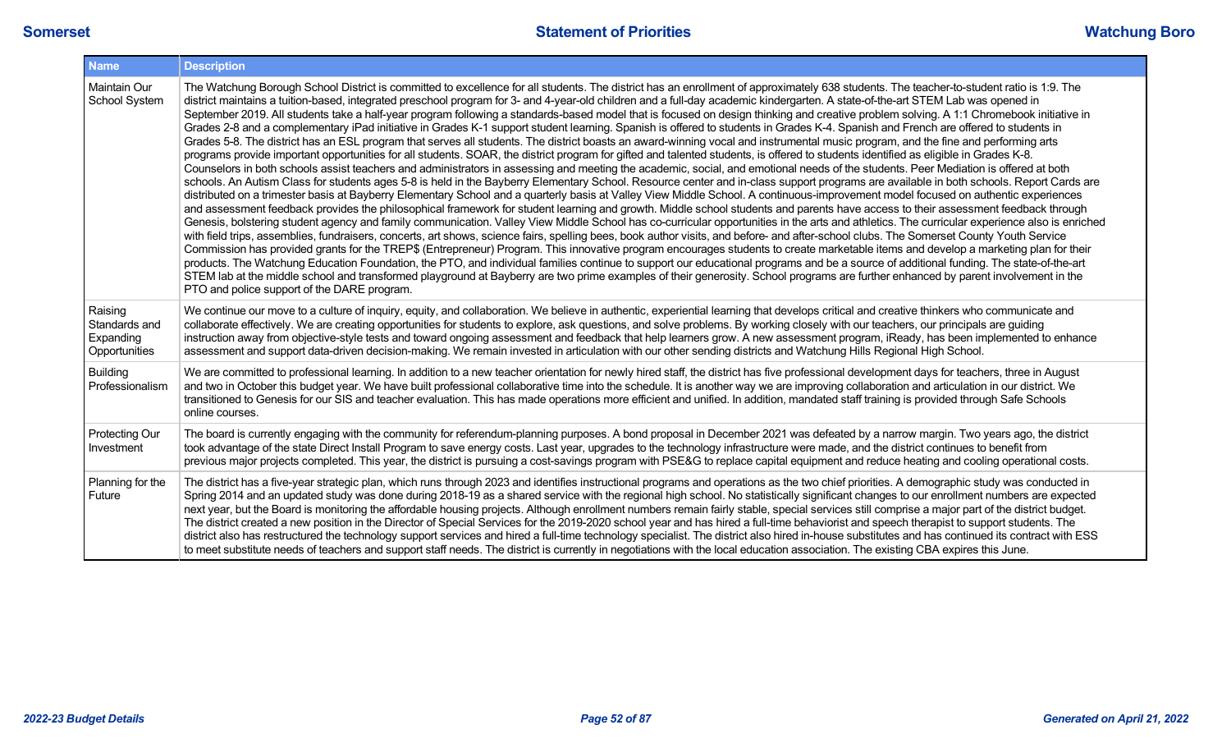| <b>Name</b>                                            | <b>Description</b>                                                                                                                                                                                                                                                                                                                                                                                                                                                                                                                                                                                                                                                                                                                                                                                                                                                                                                                                                                                                                                                                                                                                                                                                                                                                                                                                                                                                                                                                                                                                                                                                                                                                                                                                                                                                                                                                                                                                                                                                                                                                                                                                                                                                                                                                                                                                                                                                                                                                                                                                                                                                                                                                                                                                                                                                                                                                                                      |
|--------------------------------------------------------|-------------------------------------------------------------------------------------------------------------------------------------------------------------------------------------------------------------------------------------------------------------------------------------------------------------------------------------------------------------------------------------------------------------------------------------------------------------------------------------------------------------------------------------------------------------------------------------------------------------------------------------------------------------------------------------------------------------------------------------------------------------------------------------------------------------------------------------------------------------------------------------------------------------------------------------------------------------------------------------------------------------------------------------------------------------------------------------------------------------------------------------------------------------------------------------------------------------------------------------------------------------------------------------------------------------------------------------------------------------------------------------------------------------------------------------------------------------------------------------------------------------------------------------------------------------------------------------------------------------------------------------------------------------------------------------------------------------------------------------------------------------------------------------------------------------------------------------------------------------------------------------------------------------------------------------------------------------------------------------------------------------------------------------------------------------------------------------------------------------------------------------------------------------------------------------------------------------------------------------------------------------------------------------------------------------------------------------------------------------------------------------------------------------------------------------------------------------------------------------------------------------------------------------------------------------------------------------------------------------------------------------------------------------------------------------------------------------------------------------------------------------------------------------------------------------------------------------------------------------------------------------------------------------------------|
| Maintain Our<br>School System                          | The Watchung Borough School District is committed to excellence for all students. The district has an enrollment of approximately 638 students. The teacher-to-student ratio is 1:9. The<br>district maintains a tuition-based, integrated preschool program for 3- and 4-year-old children and a full-day academic kindergarten. A state-of-the-art STEM Lab was opened in<br>September 2019. All students take a half-year program following a standards-based model that is focused on design thinking and creative problem solving. A 1:1 Chromebook initiative in<br>Grades 2-8 and a complementary iPad initiative in Grades K-1 support student learning. Spanish is offered to students in Grades K-4. Spanish and French are offered to students in<br>Grades 5-8. The district has an ESL program that serves all students. The district boasts an award-winning vocal and instrumental music program, and the fine and performing arts<br>programs provide important opportunities for all students. SOAR, the district program for gifted and talented students, is offered to students identified as eligible in Grades K-8.<br>Counselors in both schools assist teachers and administrators in assessing and meeting the academic, social, and emotional needs of the students. Peer Mediation is offered at both<br>schools. An Autism Class for students ages 5-8 is held in the Bayberry Elementary School. Resource center and in-class support programs are available in both schools. Report Cards are<br>distributed on a trimester basis at Bayberry Elementary School and a quarterly basis at Valley View Middle School. A continuous-improvement model focused on authentic experiences<br>and assessment feedback provides the philosophical framework for student learning and growth. Middle school students and parents have access to their assessment feedback through<br>Genesis, bolstering student agency and family communication. Valley View Middle School has co-curricular opportunities in the arts and athletics. The curricular experience also is enriched<br>with field trips, assemblies, fundraisers, concerts, art shows, science fairs, spelling bees, book author visits, and before- and after-school clubs. The Somerset County Youth Service<br>Commission has provided grants for the TREP\$ (Entrepreneur) Program. This innovative program encourages students to create marketable items and develop a marketing plan for their<br>products. The Watchung Education Foundation, the PTO, and individual families continue to support our educational programs and be a source of additional funding. The state-of-the-art<br>STEM lab at the middle school and transformed playground at Bayberry are two prime examples of their generosity. School programs are further enhanced by parent involvement in the<br>PTO and police support of the DARE program. |
| Raising<br>Standards and<br>Expanding<br>Opportunities | We continue our move to a culture of inquiry, equity, and collaboration. We believe in authentic, experiential learning that develops critical and creative thinkers who communicate and<br>collaborate effectively. We are creating opportunities for students to explore, ask questions, and solve problems. By working closely with our teachers, our principals are guiding<br>instruction away from objective-style tests and toward ongoing assessment and feedback that help learners grow. A new assessment program, iReady, has been implemented to enhance<br>assessment and support data-driven decision-making. We remain invested in articulation with our other sending districts and Watchung Hills Regional High School.                                                                                                                                                                                                                                                                                                                                                                                                                                                                                                                                                                                                                                                                                                                                                                                                                                                                                                                                                                                                                                                                                                                                                                                                                                                                                                                                                                                                                                                                                                                                                                                                                                                                                                                                                                                                                                                                                                                                                                                                                                                                                                                                                                                |
| <b>Building</b><br>Professionalism                     | We are committed to professional learning. In addition to a new teacher orientation for newly hired staff, the district has five professional development days for teachers, three in August<br>and two in October this budget year. We have built professional collaborative time into the schedule. It is another way we are improving collaboration and articulation in our district. We<br>transitioned to Genesis for our SIS and teacher evaluation. This has made operations more efficient and unified. In addition, mandated staff training is provided through Safe Schools<br>online courses.                                                                                                                                                                                                                                                                                                                                                                                                                                                                                                                                                                                                                                                                                                                                                                                                                                                                                                                                                                                                                                                                                                                                                                                                                                                                                                                                                                                                                                                                                                                                                                                                                                                                                                                                                                                                                                                                                                                                                                                                                                                                                                                                                                                                                                                                                                                |
| <b>Protecting Our</b><br>Investment                    | The board is currently engaging with the community for referendum-planning purposes. A bond proposal in December 2021 was defeated by a narrow margin. Two years ago, the district<br>took advantage of the state Direct Install Program to save energy costs. Last year, upgrades to the technology infrastructure were made, and the district continues to benefit from<br>previous major projects completed. This year, the district is pursuing a cost-savings program with PSE&G to replace capital equipment and reduce heating and cooling operational costs.                                                                                                                                                                                                                                                                                                                                                                                                                                                                                                                                                                                                                                                                                                                                                                                                                                                                                                                                                                                                                                                                                                                                                                                                                                                                                                                                                                                                                                                                                                                                                                                                                                                                                                                                                                                                                                                                                                                                                                                                                                                                                                                                                                                                                                                                                                                                                    |
| Planning for the<br>Future                             | The district has a five-year strategic plan, which runs through 2023 and identifies instructional programs and operations as the two chief priorities. A demographic study was conducted in<br>Spring 2014 and an updated study was done during 2018-19 as a shared service with the regional high school. No statistically significant changes to our enrollment numbers are expected<br>next year, but the Board is monitoring the affordable housing projects. Although enrollment numbers remain fairly stable, special services still comprise a major part of the district budget.<br>The district created a new position in the Director of Special Services for the 2019-2020 school year and has hired a full-time behaviorist and speech therapist to support students. The<br>district also has restructured the technology support services and hired a full-time technology specialist. The district also hired in-house substitutes and has continued its contract with ESS<br>to meet substitute needs of teachers and support staff needs. The district is currently in negotiations with the local education association. The existing CBA expires this June.                                                                                                                                                                                                                                                                                                                                                                                                                                                                                                                                                                                                                                                                                                                                                                                                                                                                                                                                                                                                                                                                                                                                                                                                                                                                                                                                                                                                                                                                                                                                                                                                                                                                                                                                          |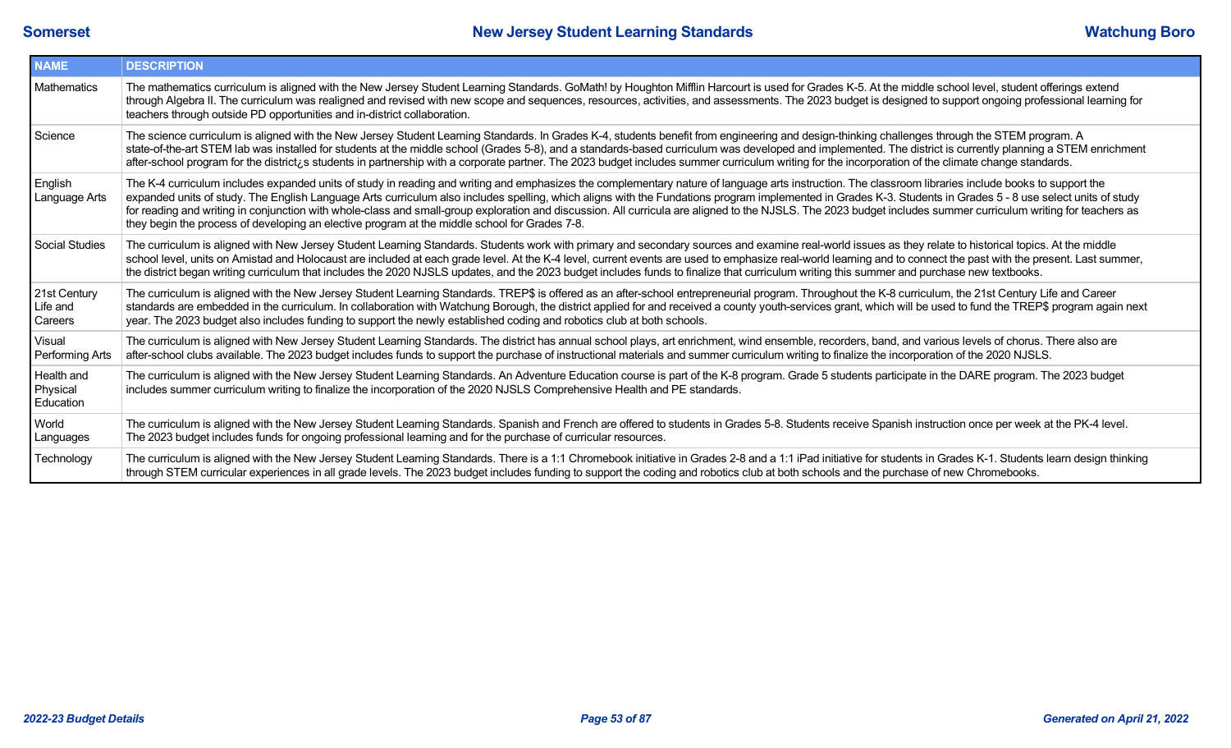| <b>NAME</b>                         | <b>DESCRIPTION</b>                                                                                                                                                                                                                                                                                                                                                                                                                                                                                                                                                                                                                                                                                                                       |
|-------------------------------------|------------------------------------------------------------------------------------------------------------------------------------------------------------------------------------------------------------------------------------------------------------------------------------------------------------------------------------------------------------------------------------------------------------------------------------------------------------------------------------------------------------------------------------------------------------------------------------------------------------------------------------------------------------------------------------------------------------------------------------------|
| Mathematics                         | The mathematics curriculum is aligned with the New Jersey Student Learning Standards. GoMath! by Houghton Mifflin Harcourt is used for Grades K-5. At the middle school level, student offerings extend<br>through Algebra II. The curriculum was realigned and revised with new scope and sequences, resources, activities, and assessments. The 2023 budget is designed to support ongoing professional learning for<br>teachers through outside PD opportunities and in-district collaboration.                                                                                                                                                                                                                                       |
| Science                             | The science curriculum is aligned with the New Jersey Student Learning Standards. In Grades K-4, students benefit from engineering and design-thinking challenges through the STEM program. A<br>state-of-the-art STEM lab was installed for students at the middle school (Grades 5-8), and a standards-based curriculum was developed and implemented. The district is currently planning a STEM enrichment<br>after-school program for the district is students in partnership with a corporate partner. The 2023 budget includes summer curriculum writing for the incorporation of the climate change standards.                                                                                                                    |
| English<br>Language Arts            | The K-4 curriculum includes expanded units of study in reading and writing and emphasizes the complementary nature of language arts instruction. The classroom libraries include books to support the<br>expanded units of study. The English Language Arts curriculum also includes spelling, which aligns with the Fundations program implemented in Grades K-3. Students in Grades 5 - 8 use select units of study<br>for reading and writing in conjunction with whole-class and small-group exploration and discussion. All curricula are aligned to the NJSLS. The 2023 budget includes summer curriculum writing for teachers as<br>they begin the process of developing an elective program at the middle school for Grades 7-8. |
| Social Studies                      | The curriculum is aligned with New Jersey Student Learning Standards. Students work with primary and secondary sources and examine real-world issues as they relate to historical topics. At the middle<br>school level, units on Amistad and Holocaust are included at each grade level. At the K-4 level, current events are used to emphasize real-world learning and to connect the past with the present. Last summer,<br>the district began writing curriculum that includes the 2020 NJSLS updates, and the 2023 budget includes funds to finalize that curriculum writing this summer and purchase new textbooks.                                                                                                                |
| 21st Century<br>Life and<br>Careers | The curriculum is aligned with the New Jersey Student Learning Standards. TREP\$ is offered as an after-school entrepreneurial program. Throughout the K-8 curriculum, the 21st Century Life and Career<br>standards are embedded in the curriculum. In collaboration with Watchung Borough, the district applied for and received a county youth-services grant, which will be used to fund the TREP\$ program again next<br>year. The 2023 budget also includes funding to support the newly established coding and robotics club at both schools.                                                                                                                                                                                     |
| Visual<br>Performing Arts           | The curriculum is aligned with New Jersey Student Learning Standards. The district has annual school plays, art enrichment, wind ensemble, recorders, band, and various levels of chorus. There also are<br>after-school clubs available. The 2023 budget includes funds to support the purchase of instructional materials and summer curriculum writing to finalize the incorporation of the 2020 NJSLS.                                                                                                                                                                                                                                                                                                                               |
| Health and<br>Physical<br>Education | The curriculum is aligned with the New Jersey Student Learning Standards. An Adventure Education course is part of the K-8 program. Grade 5 students participate in the DARE program. The 2023 budget<br>includes summer curriculum writing to finalize the incorporation of the 2020 NJSLS Comprehensive Health and PE standards.                                                                                                                                                                                                                                                                                                                                                                                                       |
| World<br>Languages                  | The curriculum is aligned with the New Jersey Student Learning Standards. Spanish and French are offered to students in Grades 5-8. Students receive Spanish instruction once per week at the PK-4 level.<br>The 2023 budget includes funds for ongoing professional learning and for the purchase of curricular resources.                                                                                                                                                                                                                                                                                                                                                                                                              |
| Technology                          | The curriculum is aligned with the New Jersey Student Learning Standards. There is a 1:1 Chromebook initiative in Grades 2-8 and a 1:1 iPad initiative for students in Grades K-1. Students learn design thinking<br>through STEM curricular experiences in all grade levels. The 2023 budget includes funding to support the coding and robotics club at both schools and the purchase of new Chromebooks.                                                                                                                                                                                                                                                                                                                              |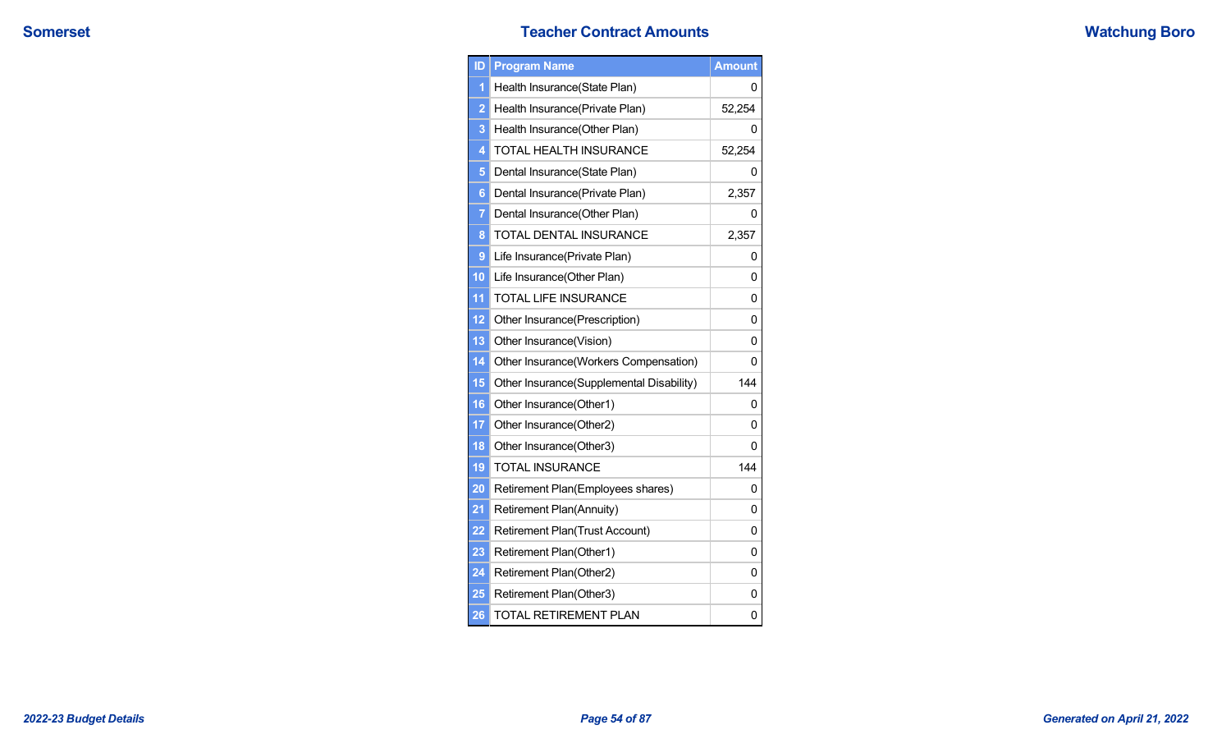## **Somerset Teacher Contract Amounts Teacher Contract Amounts**

|  | <b>Watchung Boro</b> |  |  |
|--|----------------------|--|--|
|--|----------------------|--|--|

| ID              | <b>Program Name</b>                      | <b>Amount</b> |
|-----------------|------------------------------------------|---------------|
| 1               | Health Insurance(State Plan)             | 0             |
| $\overline{2}$  | Health Insurance(Private Plan)           | 52,254        |
| 3               | Health Insurance(Other Plan)             | 0             |
| 4               | TOTAL HEALTH INSURANCE                   | 52,254        |
| 5               | Dental Insurance(State Plan)             | 0             |
| 6               | Dental Insurance(Private Plan)           | 2,357         |
| $\overline{7}$  | Dental Insurance(Other Plan)             | 0             |
| 8               | TOTAL DENTAL INSURANCE                   | 2,357         |
| 9               | Life Insurance(Private Plan)             | 0             |
| 10              | Life Insurance(Other Plan)               | 0             |
| 11              | <b>TOTAL LIFE INSURANCE</b>              | 0             |
| 12              | Other Insurance(Prescription)            | 0             |
| 13              | Other Insurance(Vision)                  | 0             |
| $\overline{14}$ | Other Insurance(Workers Compensation)    | 0             |
| 15              | Other Insurance(Supplemental Disability) | 144           |
| 16              | Other Insurance(Other1)                  | 0             |
| 17              | Other Insurance(Other2)                  | 0             |
| 18              | Other Insurance(Other3)                  | 0             |
| 19              | <b>TOTAL INSURANCE</b>                   | 144           |
| 20              | Retirement Plan(Employees shares)        | 0             |
| 21              | Retirement Plan(Annuity)                 | 0             |
| 22              | Retirement Plan(Trust Account)           | 0             |
| 23              | Retirement Plan(Other1)                  | 0             |
| 24              | Retirement Plan(Other2)                  | 0             |
| 25              | Retirement Plan(Other3)                  | 0             |
| 26              | <b>TOTAL RETIREMENT PLAN</b>             | 0             |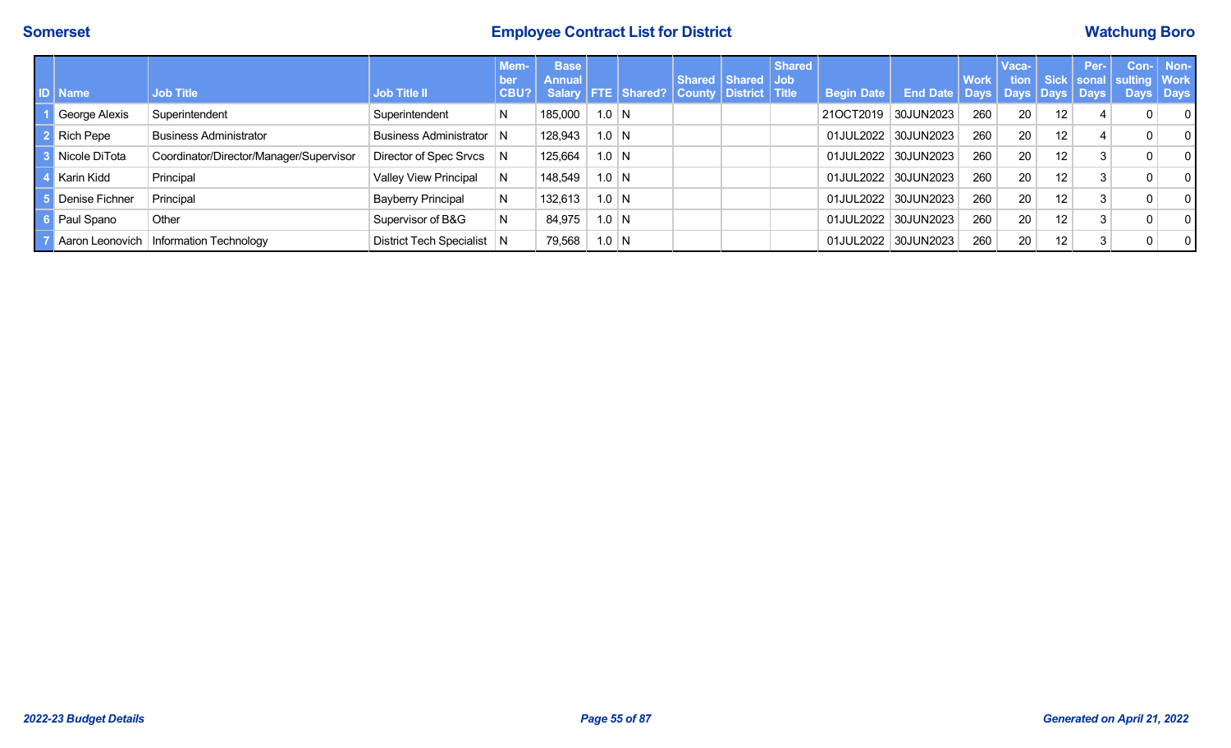# **Somerset Employee Contract List for District Watchung Boro**

| ו מו | <b>Name</b>    | <b>Job Title</b>                         | <b>Job Title II</b>          | Mem-<br>ben<br>CBU? | <b>Base</b><br><b>Annual</b> |         | Salary   FTE   Shared?   County   District   Title | Shared Shared Job | <b>Shared</b> | <b>Begin Date</b>   | End Date   Days   Days   Days   Days | <b>Work</b> | Vaca- |    | Per- | tion   Sick   sonal   sulting   Work<br>Days $ $ | Con- Non-<br>Days |
|------|----------------|------------------------------------------|------------------------------|---------------------|------------------------------|---------|----------------------------------------------------|-------------------|---------------|---------------------|--------------------------------------|-------------|-------|----|------|--------------------------------------------------|-------------------|
|      | George Alexis  | Superintendent                           | Superintendent               | N                   | 185,000                      | $1.0$ N |                                                    |                   |               | 21OCT2019 30JUN2023 |                                      | 260         | 20    | 12 |      | $\overline{0}$                                   | $\Omega$          |
|      | Rich Pepe      | <b>Business Administrator</b>            | Business Administrator N     |                     | 128,943                      | $1.0$ N |                                                    |                   |               |                     | 01JUL2022 30JUN2023                  | 260         | 20    | 12 |      | $\Omega$                                         | $\Omega$          |
|      | Nicole DiTota  | Coordinator/Director/Manager/Supervisor  | Director of Spec Srvcs       | <sub>N</sub>        | 125,664                      | $1.0$ N |                                                    |                   |               |                     | 01JUL2022 30JUN2023                  | 260         | 20    | 12 |      | $\overline{0}$                                   | $\Omega$          |
|      | Karin Kidd     | Principal                                | <b>Valley View Principal</b> | N                   | 148,549                      | $1.0$ N |                                                    |                   |               |                     | 01JUL2022 30JUN2023                  | 260         | 20    | 12 |      | $\Omega$                                         | $\Omega$          |
|      | Denise Fichner | Principal                                | <b>Bayberry Principal</b>    | N                   | 132,613                      | $1.0$ N |                                                    |                   |               |                     | 01JUL2022 30JUN2023                  | 260         | 20    | 12 |      | $\Omega$                                         | $\Omega$          |
|      | Paul Spano     | Other                                    | Supervisor of B&G            | N                   | 84,975                       | $1.0$ N |                                                    |                   |               |                     | 01JUL2022 30JUN2023                  | 260         | 20    | 12 |      | $\Omega$                                         | $\Omega$          |
|      |                | Aaron Leonovich   Information Technology | District Tech Specialist   N |                     | 79,568                       | $1.0$ N |                                                    |                   |               |                     | 01JUL2022 30JUN2023                  | 260         | 20    | 12 |      | $\Omega$                                         | $\Omega$          |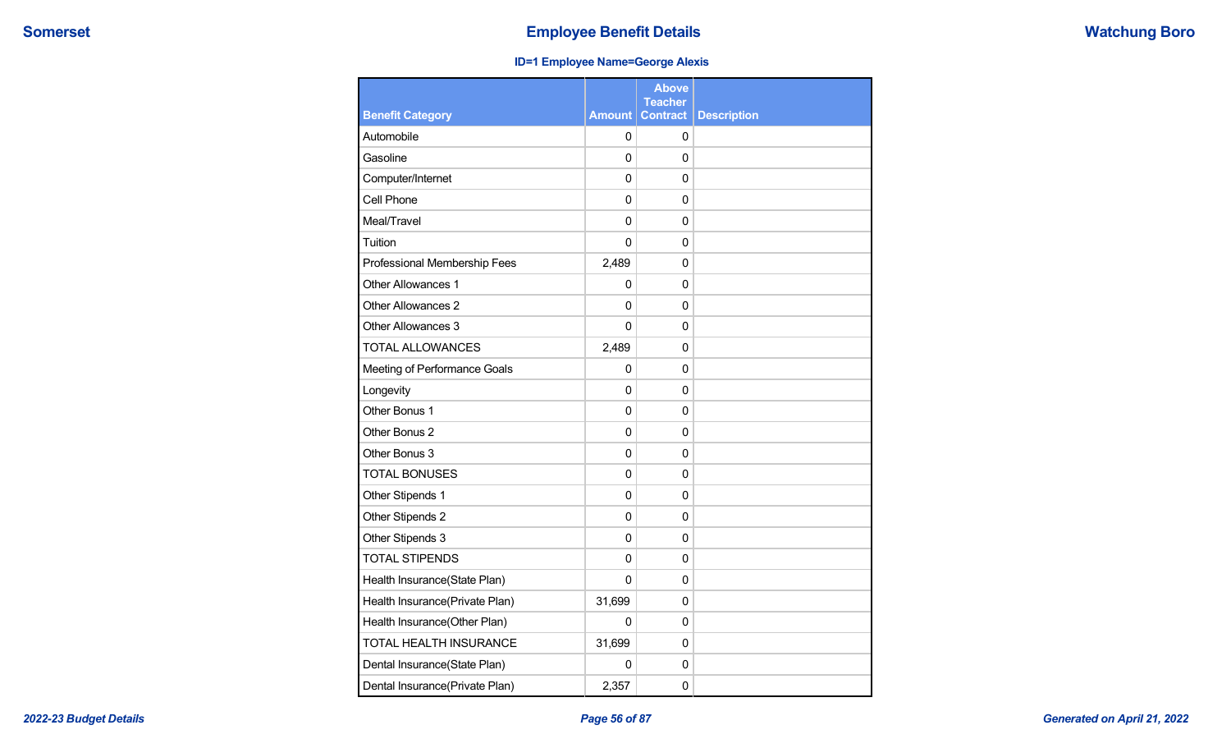## **ID=1 Employee Name=George Alexis**

|                                |               | Above<br><b>Teacher</b> |                    |
|--------------------------------|---------------|-------------------------|--------------------|
| <b>Benefit Category</b>        | <b>Amount</b> | <b>Contract</b>         | <b>Description</b> |
| Automobile                     | $\Omega$      | 0                       |                    |
| Gasoline                       | 0             | 0                       |                    |
| Computer/Internet              | 0             | 0                       |                    |
| Cell Phone                     | 0             | 0                       |                    |
| Meal/Travel                    | $\mathbf{0}$  | 0                       |                    |
| Tuition                        | $\mathbf 0$   | $\mathbf 0$             |                    |
| Professional Membership Fees   | 2,489         | 0                       |                    |
| Other Allowances 1             | $\mathbf{0}$  | 0                       |                    |
| <b>Other Allowances 2</b>      | $\Omega$      | 0                       |                    |
| Other Allowances 3             | 0             | 0                       |                    |
| <b>TOTAL ALLOWANCES</b>        | 2,489         | 0                       |                    |
| Meeting of Performance Goals   | 0             | 0                       |                    |
| Longevity                      | 0             | 0                       |                    |
| Other Bonus 1                  | 0             | 0                       |                    |
| Other Bonus 2                  | 0             | 0                       |                    |
| Other Bonus 3                  | 0             | 0                       |                    |
| <b>TOTAL BONUSES</b>           | $\Omega$      | $\mathbf 0$             |                    |
| Other Stipends 1               | $\mathbf 0$   | 0                       |                    |
| Other Stipends 2               | $\Omega$      | $\Omega$                |                    |
| Other Stipends 3               | $\mathbf{0}$  | 0                       |                    |
| <b>TOTAL STIPENDS</b>          | $\mathbf 0$   | $\mathbf 0$             |                    |
| Health Insurance(State Plan)   | $\mathbf{0}$  | 0                       |                    |
| Health Insurance(Private Plan) | 31,699        | 0                       |                    |
| Health Insurance(Other Plan)   | 0             | 0                       |                    |
| TOTAL HEALTH INSURANCE         | 31,699        | 0                       |                    |
| Dental Insurance(State Plan)   | 0             | 0                       |                    |
| Dental Insurance(Private Plan) | 2,357         | 0                       |                    |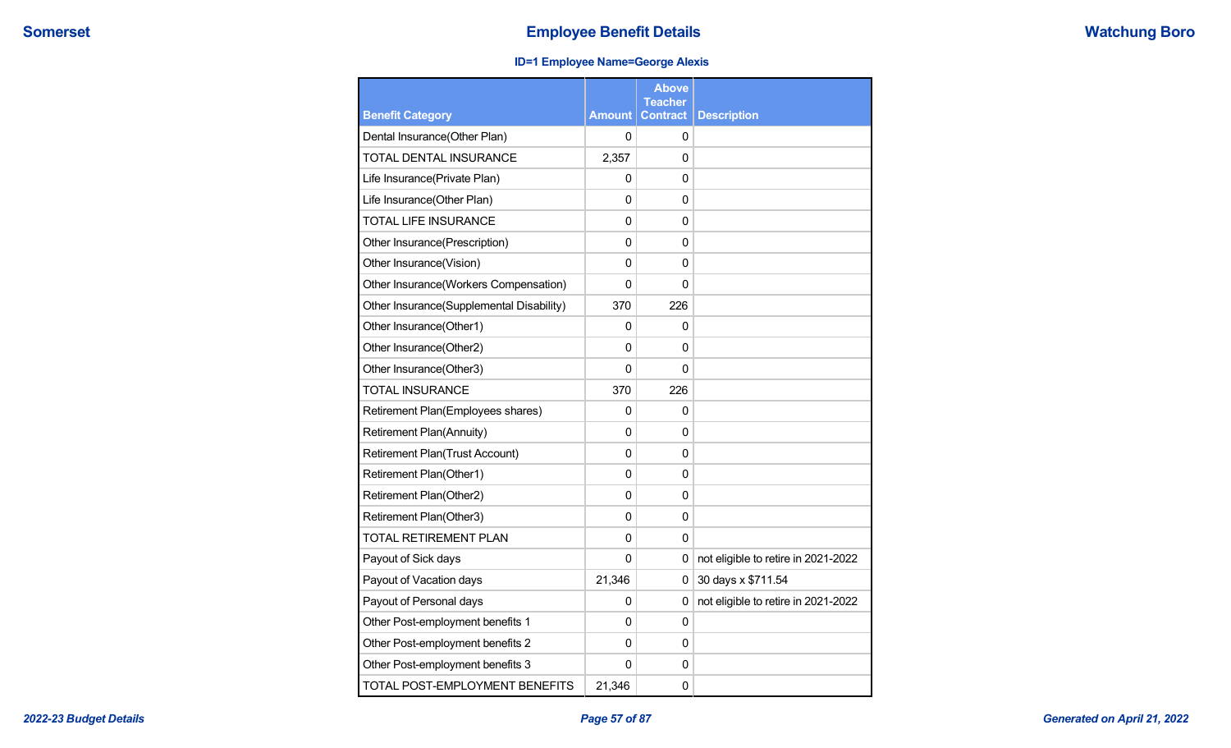## **ID=1 Employee Name=George Alexis**

| <b>Benefit Category</b>                  | <b>Amount</b> | Above<br><b>Teacher</b><br><b>Contract</b> | <b>Description</b>                  |
|------------------------------------------|---------------|--------------------------------------------|-------------------------------------|
| Dental Insurance(Other Plan)             | 0             | 0                                          |                                     |
| TOTAL DENTAL INSURANCE                   | 2,357         |                                            |                                     |
|                                          |               | 0                                          |                                     |
| Life Insurance(Private Plan)             | 0             | 0                                          |                                     |
| Life Insurance(Other Plan)               | 0             | 0                                          |                                     |
| <b>TOTAL LIFE INSURANCE</b>              | 0             | 0                                          |                                     |
| Other Insurance(Prescription)            | 0             | 0                                          |                                     |
| Other Insurance(Vision)                  | 0             | 0                                          |                                     |
| Other Insurance(Workers Compensation)    | 0             | 0                                          |                                     |
| Other Insurance(Supplemental Disability) | 370           | 226                                        |                                     |
| Other Insurance(Other1)                  | 0             | 0                                          |                                     |
| Other Insurance(Other2)                  | 0             | 0                                          |                                     |
| Other Insurance(Other3)                  | 0             | $\Omega$                                   |                                     |
| <b>TOTAL INSURANCE</b>                   | 370           | 226                                        |                                     |
| Retirement Plan(Employees shares)        | 0             | 0                                          |                                     |
| <b>Retirement Plan(Annuity)</b>          | 0             | $\Omega$                                   |                                     |
| <b>Retirement Plan(Trust Account)</b>    | 0             | 0                                          |                                     |
| Retirement Plan(Other1)                  | 0             | 0                                          |                                     |
| Retirement Plan(Other2)                  | 0             | 0                                          |                                     |
| Retirement Plan(Other3)                  | 0             | 0                                          |                                     |
| <b>TOTAL RETIREMENT PLAN</b>             | 0             | 0                                          |                                     |
| Payout of Sick days                      | 0             | 0                                          | not eligible to retire in 2021-2022 |
| Payout of Vacation days                  | 21,346        | 0                                          | 30 days x \$711.54                  |
| Payout of Personal days                  | 0             | 0                                          | not eligible to retire in 2021-2022 |
| Other Post-employment benefits 1         | 0             | 0                                          |                                     |
| Other Post-employment benefits 2         | 0             | 0                                          |                                     |
| Other Post-employment benefits 3         | 0             | 0                                          |                                     |
| TOTAL POST-EMPLOYMENT BENEFITS           | 21,346        | 0                                          |                                     |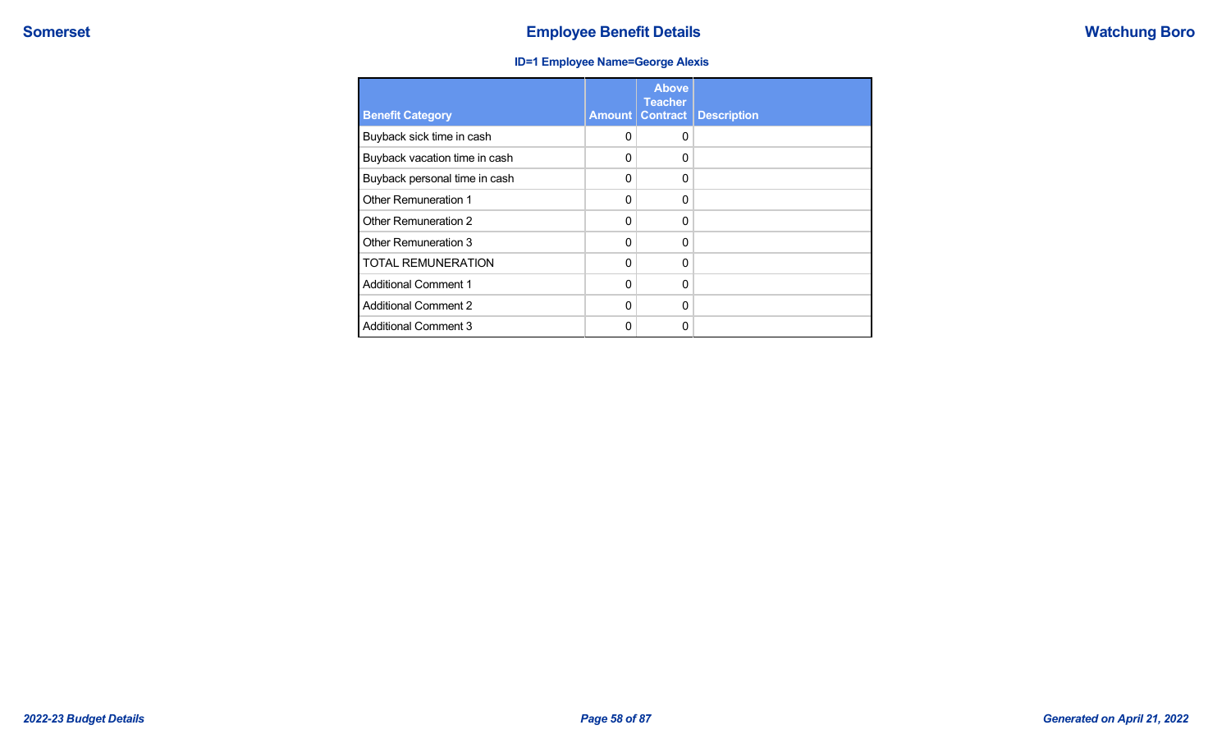## **ID=1 Employee Name=George Alexis**

| <b>Benefit Category</b>       | Amount   | <b>Above</b><br><b>Teacher</b><br><b>Contract</b> | <b>Description</b> |
|-------------------------------|----------|---------------------------------------------------|--------------------|
| Buyback sick time in cash     | 0        | $\Omega$                                          |                    |
| Buyback vacation time in cash | 0        | $\Omega$                                          |                    |
| Buyback personal time in cash | 0        | $\Omega$                                          |                    |
| Other Remuneration 1          | 0        | $\Omega$                                          |                    |
| Other Remuneration 2          | 0        | $\Omega$                                          |                    |
| Other Remuneration 3          | $\Omega$ | $\Omega$                                          |                    |
| <b>TOTAL REMUNERATION</b>     | $\Omega$ | $\Omega$                                          |                    |
| <b>Additional Comment 1</b>   | $\Omega$ | $\Omega$                                          |                    |
| <b>Additional Comment 2</b>   | $\Omega$ | $\Omega$                                          |                    |
| <b>Additional Comment 3</b>   | ი        | $\Omega$                                          |                    |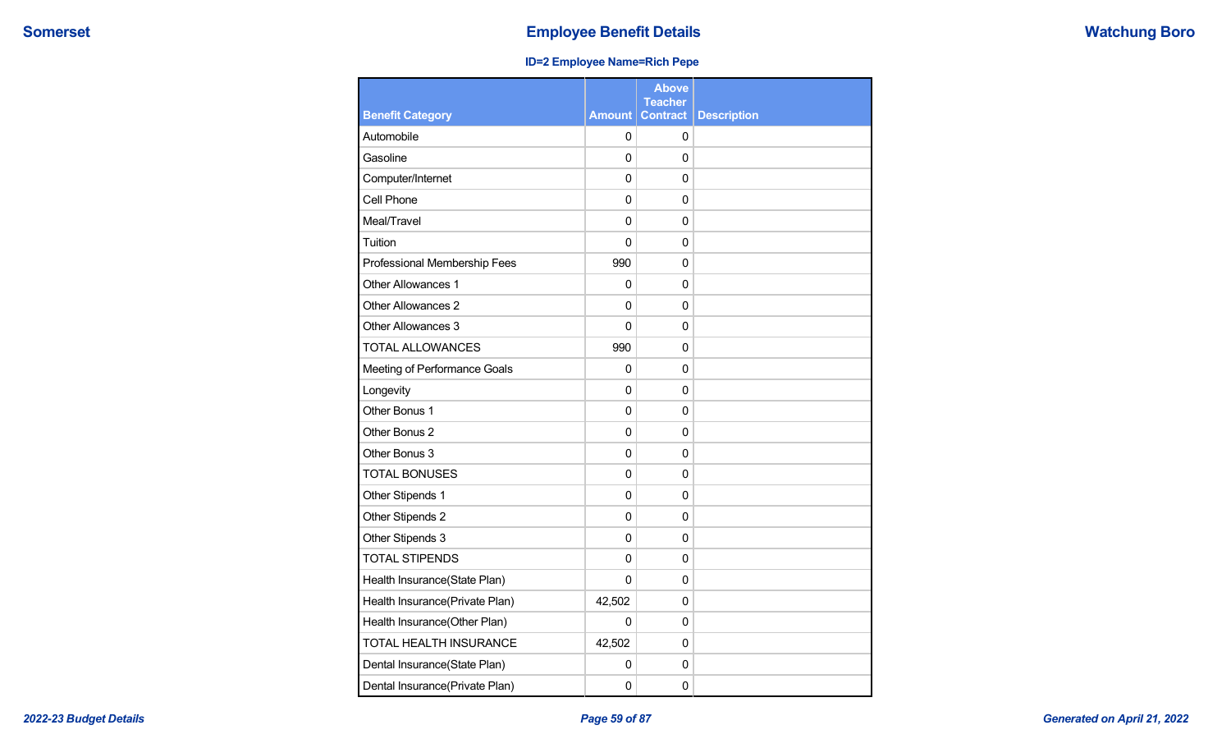## **ID=2 Employee Name=Rich Pepe**

|                                |                | <b>Above</b><br><b>Teacher</b> |                    |
|--------------------------------|----------------|--------------------------------|--------------------|
| <b>Benefit Category</b>        | <b>Amount</b>  | <b>Contract</b>                | <b>Description</b> |
| Automobile                     | 0              | 0                              |                    |
| Gasoline                       | $\mathbf 0$    | $\Omega$                       |                    |
| Computer/Internet              | 0              | 0                              |                    |
| Cell Phone                     | $\Omega$       | $\Omega$                       |                    |
| Meal/Travel                    | $\mathbf 0$    | $\Omega$                       |                    |
| Tuition                        | $\overline{0}$ | $\mathbf 0$                    |                    |
| Professional Membership Fees   | 990            | 0                              |                    |
| <b>Other Allowances 1</b>      | 0              | $\Omega$                       |                    |
| Other Allowances 2             | 0              | 0                              |                    |
| Other Allowances 3             | $\mathbf 0$    | $\Omega$                       |                    |
| <b>TOTAL ALLOWANCES</b>        | 990            | $\Omega$                       |                    |
| Meeting of Performance Goals   | 0              | 0                              |                    |
| Longevity                      | $\mathbf 0$    | $\Omega$                       |                    |
| Other Bonus 1                  | 0              | 0                              |                    |
| Other Bonus 2                  | 0              | $\Omega$                       |                    |
| Other Bonus 3                  | 0              | $\Omega$                       |                    |
| <b>TOTAL BONUSES</b>           | $\mathbf 0$    | $\Omega$                       |                    |
| Other Stipends 1               | 0              | $\Omega$                       |                    |
| Other Stipends 2               | 0              | $\Omega$                       |                    |
| Other Stipends 3               | 0              | $\Omega$                       |                    |
| <b>TOTAL STIPENDS</b>          | 0              | 0                              |                    |
| Health Insurance(State Plan)   | 0              | $\Omega$                       |                    |
| Health Insurance(Private Plan) | 42,502         | 0                              |                    |
| Health Insurance(Other Plan)   | $\mathbf 0$    | $\Omega$                       |                    |
| TOTAL HEALTH INSURANCE         | 42,502         | $\Omega$                       |                    |
| Dental Insurance(State Plan)   | 0              | 0                              |                    |
| Dental Insurance(Private Plan) | $\mathbf 0$    | $\mathbf 0$                    |                    |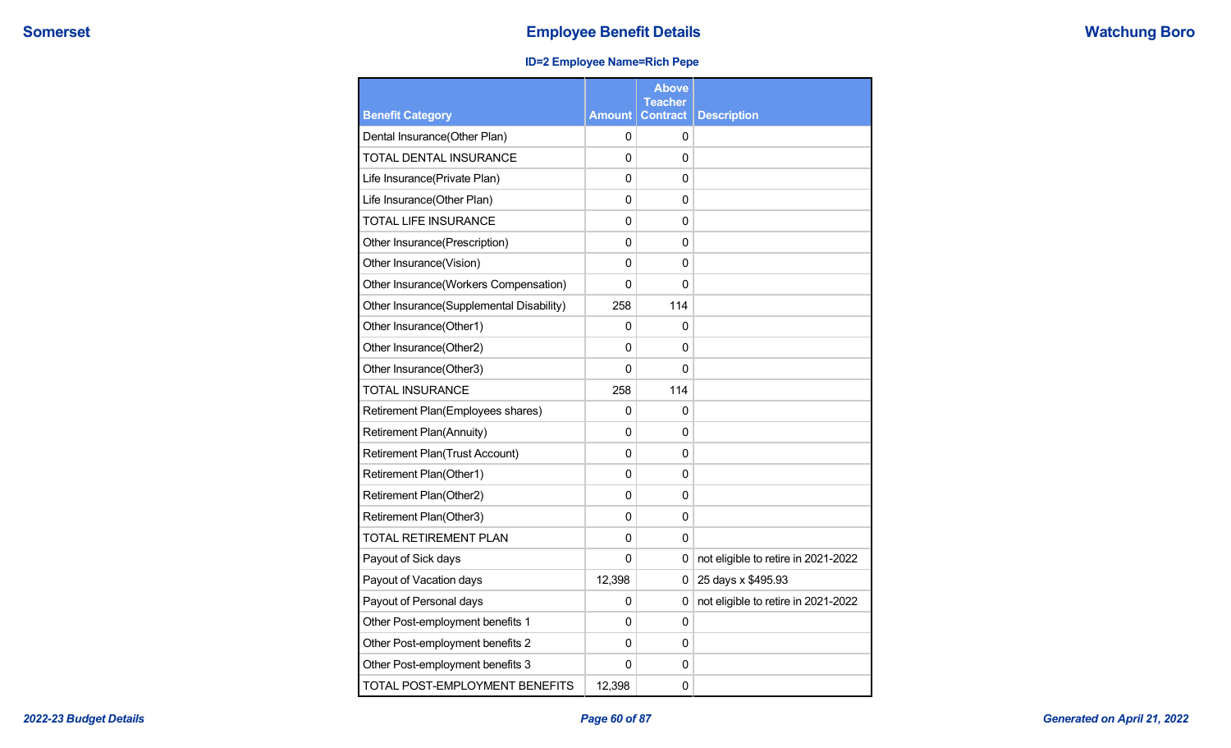## **ID=2 Employee Name=Rich Pepe**

|                                          |               | <b>Above</b><br><b>Teacher</b> |                                     |
|------------------------------------------|---------------|--------------------------------|-------------------------------------|
| <b>Benefit Category</b>                  | <b>Amount</b> | <b>Contract</b>                | <b>Description</b>                  |
| Dental Insurance(Other Plan)             | 0             | 0                              |                                     |
| TOTAL DENTAL INSURANCE                   | $\Omega$      | 0                              |                                     |
| Life Insurance(Private Plan)             | 0             | 0                              |                                     |
| Life Insurance(Other Plan)               | 0             | 0                              |                                     |
| <b>TOTAL LIFE INSURANCE</b>              | $\mathbf 0$   | 0                              |                                     |
| Other Insurance(Prescription)            | $\mathbf 0$   | 0                              |                                     |
| Other Insurance(Vision)                  | $\mathbf 0$   | 0                              |                                     |
| Other Insurance(Workers Compensation)    | 0             | 0                              |                                     |
| Other Insurance(Supplemental Disability) | 258           | 114                            |                                     |
| Other Insurance(Other1)                  | 0             | 0                              |                                     |
| Other Insurance(Other2)                  | 0             | 0                              |                                     |
| Other Insurance(Other3)                  | $\Omega$      | $\Omega$                       |                                     |
| <b>TOTAL INSURANCE</b>                   | 258           | 114                            |                                     |
| Retirement Plan(Employees shares)        | 0             | 0                              |                                     |
| <b>Retirement Plan(Annuity)</b>          | $\Omega$      | 0                              |                                     |
| <b>Retirement Plan(Trust Account)</b>    | 0             | 0                              |                                     |
| Retirement Plan(Other1)                  | $\mathbf 0$   | 0                              |                                     |
| Retirement Plan(Other2)                  | $\mathbf 0$   | 0                              |                                     |
| Retirement Plan(Other3)                  | $\mathbf 0$   | 0                              |                                     |
| <b>TOTAL RETIREMENT PLAN</b>             | $\Omega$      | $\Omega$                       |                                     |
| Payout of Sick days                      | $\Omega$      | 0                              | not eligible to retire in 2021-2022 |
| Payout of Vacation days                  | 12,398        | $\Omega$                       | 25 days x \$495.93                  |
| Payout of Personal days                  | 0             | 0                              | not eligible to retire in 2021-2022 |
| Other Post-employment benefits 1         | $\mathbf 0$   | 0                              |                                     |
| Other Post-employment benefits 2         | 0             | 0                              |                                     |
| Other Post-employment benefits 3         | 0             | 0                              |                                     |
| TOTAL POST-EMPLOYMENT BENEFITS           | 12,398        | 0                              |                                     |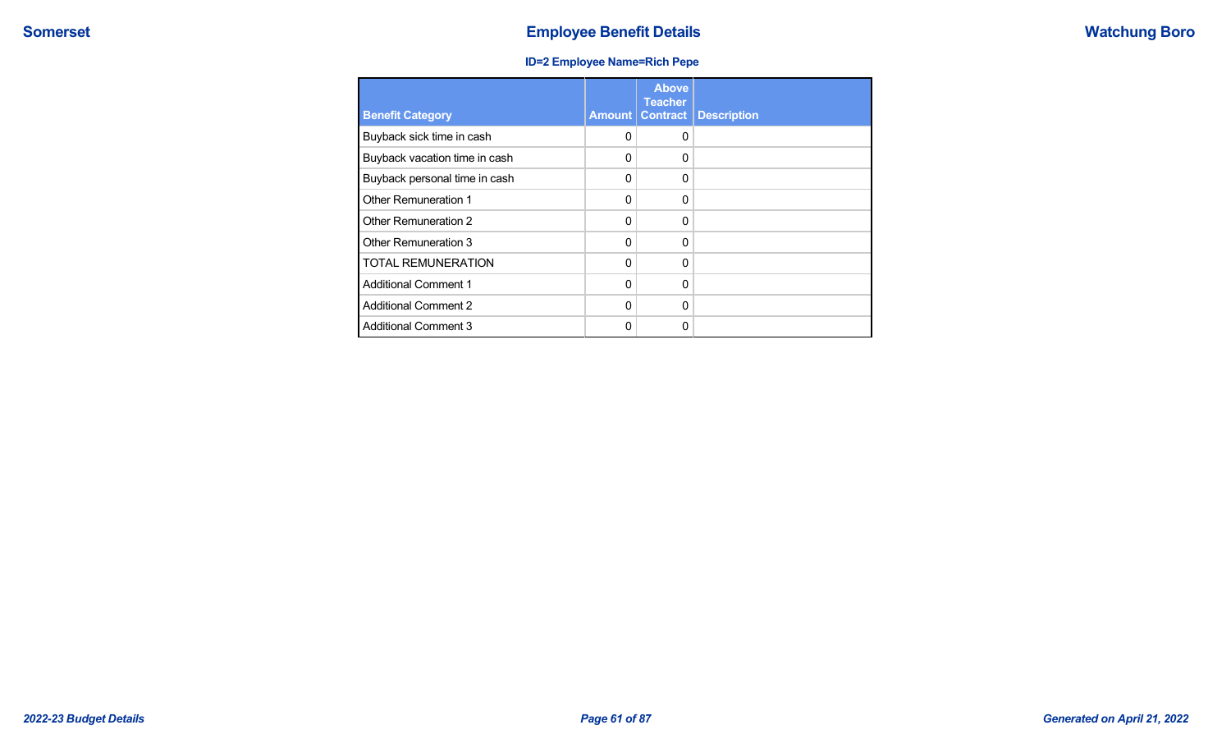## **ID=2 Employee Name=Rich Pepe**

| <b>Benefit Category</b>       | Amount   | <b>Above</b><br><b>Teacher</b><br><b>Contract</b> | <b>Description</b> |
|-------------------------------|----------|---------------------------------------------------|--------------------|
| Buyback sick time in cash     | 0        | $\Omega$                                          |                    |
| Buyback vacation time in cash | 0        | 0                                                 |                    |
| Buyback personal time in cash | 0        | $\Omega$                                          |                    |
| <b>Other Remuneration 1</b>   | 0        | $\Omega$                                          |                    |
| Other Remuneration 2          | 0        | $\Omega$                                          |                    |
| Other Remuneration 3          | 0        | $\Omega$                                          |                    |
| <b>TOTAL REMUNERATION</b>     | 0        | $\Omega$                                          |                    |
| <b>Additional Comment 1</b>   | $\Omega$ | $\Omega$                                          |                    |
| <b>Additional Comment 2</b>   | $\Omega$ | $\Omega$                                          |                    |
| <b>Additional Comment 3</b>   | O        | 0                                                 |                    |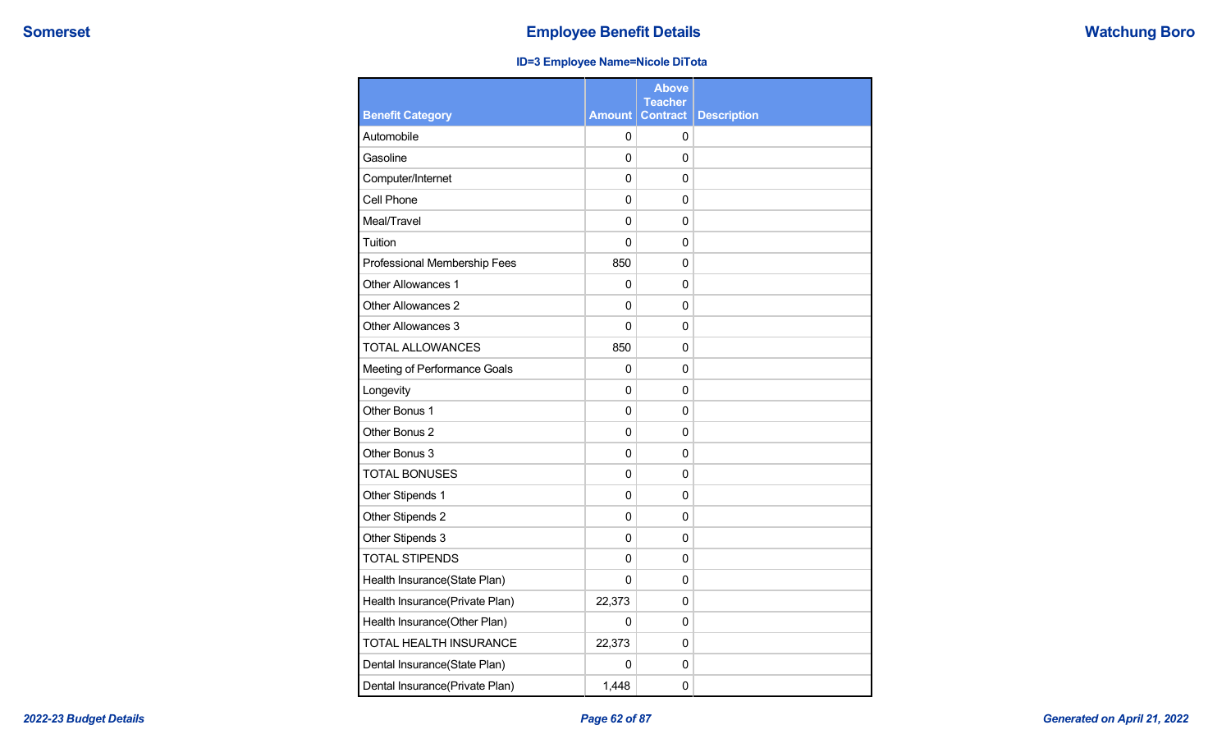### **ID=3 Employee Name=Nicole DiTota**

|                                |                | <b>Above</b><br><b>Teacher</b> |                    |
|--------------------------------|----------------|--------------------------------|--------------------|
| <b>Benefit Category</b>        | <b>Amount</b>  | <b>Contract</b>                | <b>Description</b> |
| Automobile                     | 0              | 0                              |                    |
| Gasoline                       | 0              | 0                              |                    |
| Computer/Internet              | 0              | 0                              |                    |
| Cell Phone                     | 0              | 0                              |                    |
| Meal/Travel                    | 0              | 0                              |                    |
| Tuition                        | 0              | $\mathbf 0$                    |                    |
| Professional Membership Fees   | 850            | 0                              |                    |
| <b>Other Allowances 1</b>      | 0              | 0                              |                    |
| Other Allowances 2             | 0              | 0                              |                    |
| Other Allowances 3             | 0              | 0                              |                    |
| <b>TOTAL ALLOWANCES</b>        | 850            | 0                              |                    |
| Meeting of Performance Goals   | 0              | 0                              |                    |
| Longevity                      | 0              | 0                              |                    |
| Other Bonus 1                  | 0              | 0                              |                    |
| Other Bonus 2                  | 0              | 0                              |                    |
| Other Bonus 3                  | 0              | 0                              |                    |
| <b>TOTAL BONUSES</b>           | $\overline{0}$ | 0                              |                    |
| Other Stipends 1               | 0              | 0                              |                    |
| Other Stipends 2               | 0              | 0                              |                    |
| Other Stipends 3               | 0              | 0                              |                    |
| <b>TOTAL STIPENDS</b>          | 0              | $\mathbf 0$                    |                    |
| Health Insurance(State Plan)   | 0              | 0                              |                    |
| Health Insurance(Private Plan) | 22,373         | 0                              |                    |
| Health Insurance(Other Plan)   | 0              | 0                              |                    |
| TOTAL HEALTH INSURANCE         | 22,373         | 0                              |                    |
| Dental Insurance(State Plan)   | 0              | 0                              |                    |
| Dental Insurance(Private Plan) | 1,448          | 0                              |                    |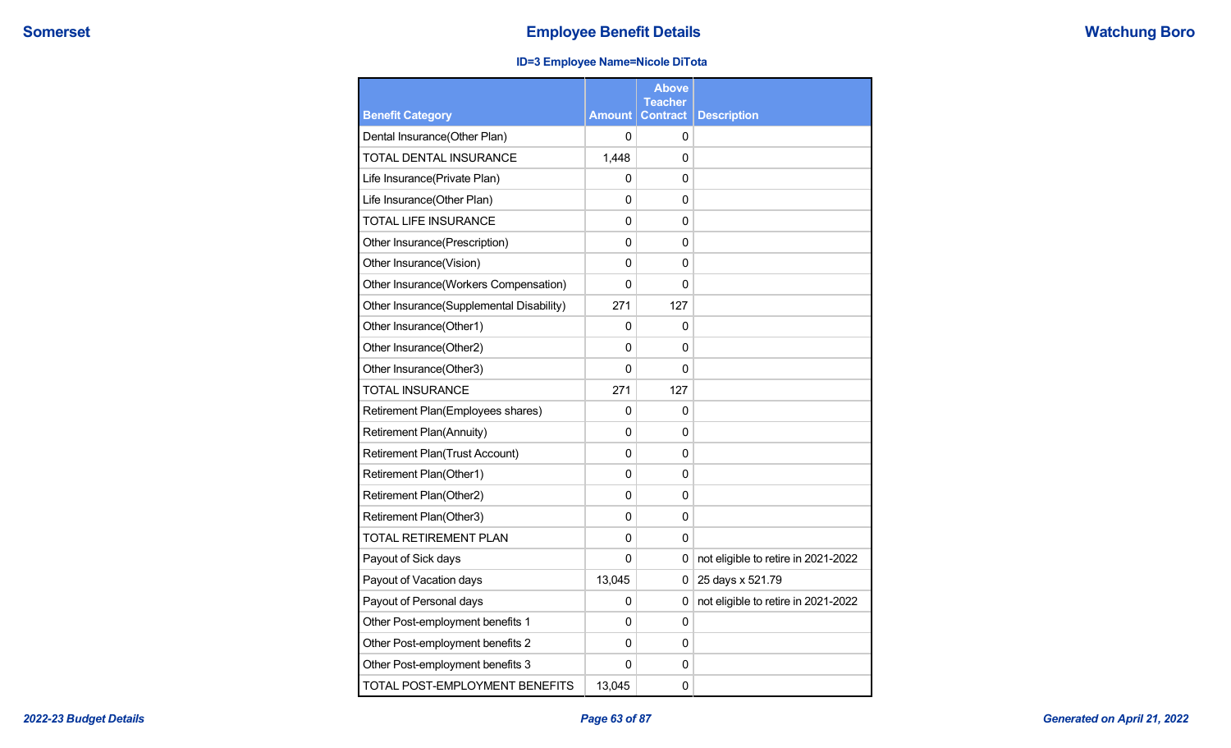## **ID=3 Employee Name=Nicole DiTota**

|                                          |               | <b>Above</b><br><b>Teacher</b> |                                     |
|------------------------------------------|---------------|--------------------------------|-------------------------------------|
| <b>Benefit Category</b>                  | <b>Amount</b> | <b>Contract</b>                | <b>Description</b>                  |
| Dental Insurance(Other Plan)             | 0             | 0                              |                                     |
| TOTAL DENTAL INSURANCE                   | 1,448         | $\Omega$                       |                                     |
| Life Insurance(Private Plan)             | 0             | 0                              |                                     |
| Life Insurance(Other Plan)               | 0             | 0                              |                                     |
| <b>TOTAL LIFE INSURANCE</b>              | 0             | 0                              |                                     |
| Other Insurance(Prescription)            | $\mathbf 0$   | 0                              |                                     |
| Other Insurance(Vision)                  | 0             | $\Omega$                       |                                     |
| Other Insurance(Workers Compensation)    | $\mathbf 0$   | 0                              |                                     |
| Other Insurance(Supplemental Disability) | 271           | 127                            |                                     |
| Other Insurance(Other1)                  | 0             | 0                              |                                     |
| Other Insurance(Other2)                  | 0             | 0                              |                                     |
| Other Insurance(Other3)                  | 0             | 0                              |                                     |
| <b>TOTAL INSURANCE</b>                   | 271           | 127                            |                                     |
| Retirement Plan(Employees shares)        | 0             | 0                              |                                     |
| <b>Retirement Plan(Annuity)</b>          | 0             | $\Omega$                       |                                     |
| <b>Retirement Plan(Trust Account)</b>    | 0             | 0                              |                                     |
| Retirement Plan(Other1)                  | 0             | $\mathbf 0$                    |                                     |
| Retirement Plan(Other2)                  | $\mathbf 0$   | 0                              |                                     |
| Retirement Plan(Other3)                  | $\mathbf 0$   | 0                              |                                     |
| TOTAL RETIREMENT PLAN                    | $\Omega$      | 0                              |                                     |
| Payout of Sick days                      | $\mathbf 0$   | 0                              | not eligible to retire in 2021-2022 |
| Payout of Vacation days                  | 13,045        | 0                              | 25 days x 521.79                    |
| Payout of Personal days                  | 0             | 0                              | not eligible to retire in 2021-2022 |
| Other Post-employment benefits 1         | 0             | 0                              |                                     |
| Other Post-employment benefits 2         | 0             | 0                              |                                     |
| Other Post-employment benefits 3         | 0             | 0                              |                                     |
| TOTAL POST-EMPLOYMENT BENEFITS           | 13,045        | 0                              |                                     |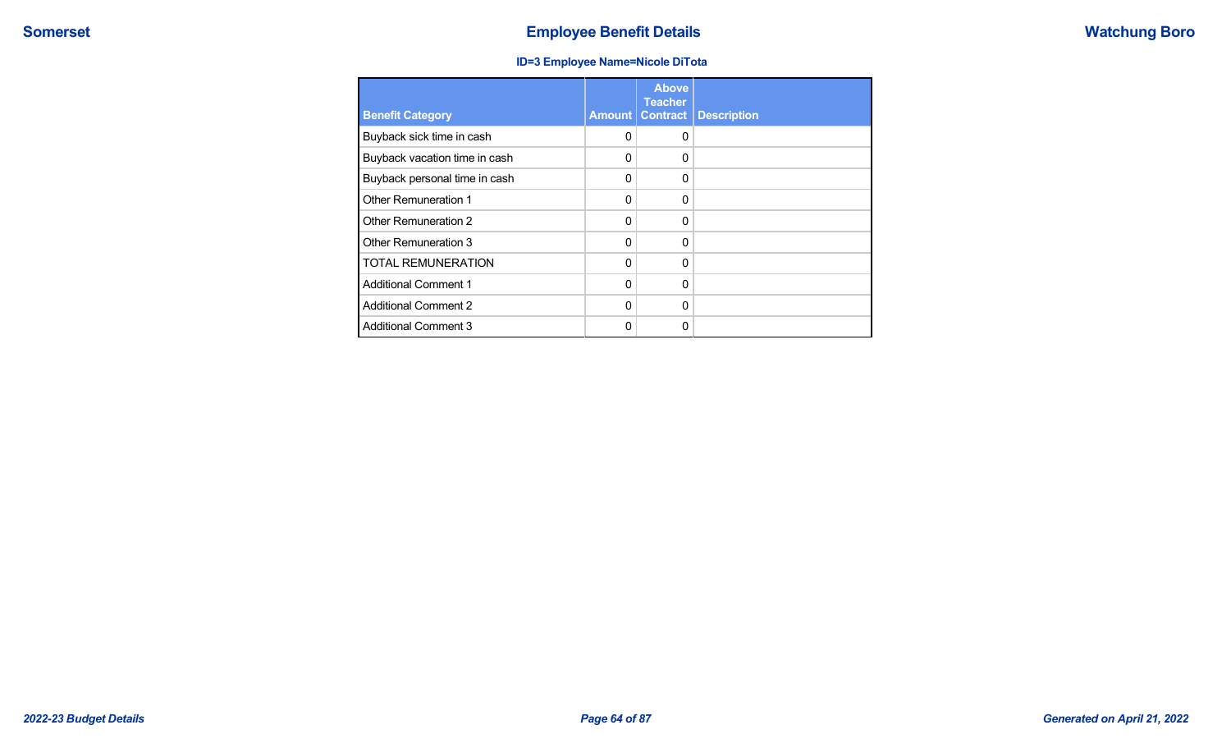### **ID=3 Employee Name=Nicole DiTota**

| <b>Benefit Category</b>       | Amount   | <b>Above</b><br><b>Teacher</b><br><b>Contract</b> | <b>Description</b> |
|-------------------------------|----------|---------------------------------------------------|--------------------|
| Buyback sick time in cash     | 0        | $\Omega$                                          |                    |
| Buyback vacation time in cash | 0        | $\Omega$                                          |                    |
| Buyback personal time in cash | 0        | $\Omega$                                          |                    |
| Other Remuneration 1          | 0        | $\Omega$                                          |                    |
| Other Remuneration 2          | 0        | $\Omega$                                          |                    |
| Other Remuneration 3          | $\Omega$ | $\Omega$                                          |                    |
| <b>TOTAL REMUNERATION</b>     | $\Omega$ | $\Omega$                                          |                    |
| <b>Additional Comment 1</b>   | $\Omega$ | $\Omega$                                          |                    |
| <b>Additional Comment 2</b>   | $\Omega$ | $\Omega$                                          |                    |
| <b>Additional Comment 3</b>   | ი        | $\Omega$                                          |                    |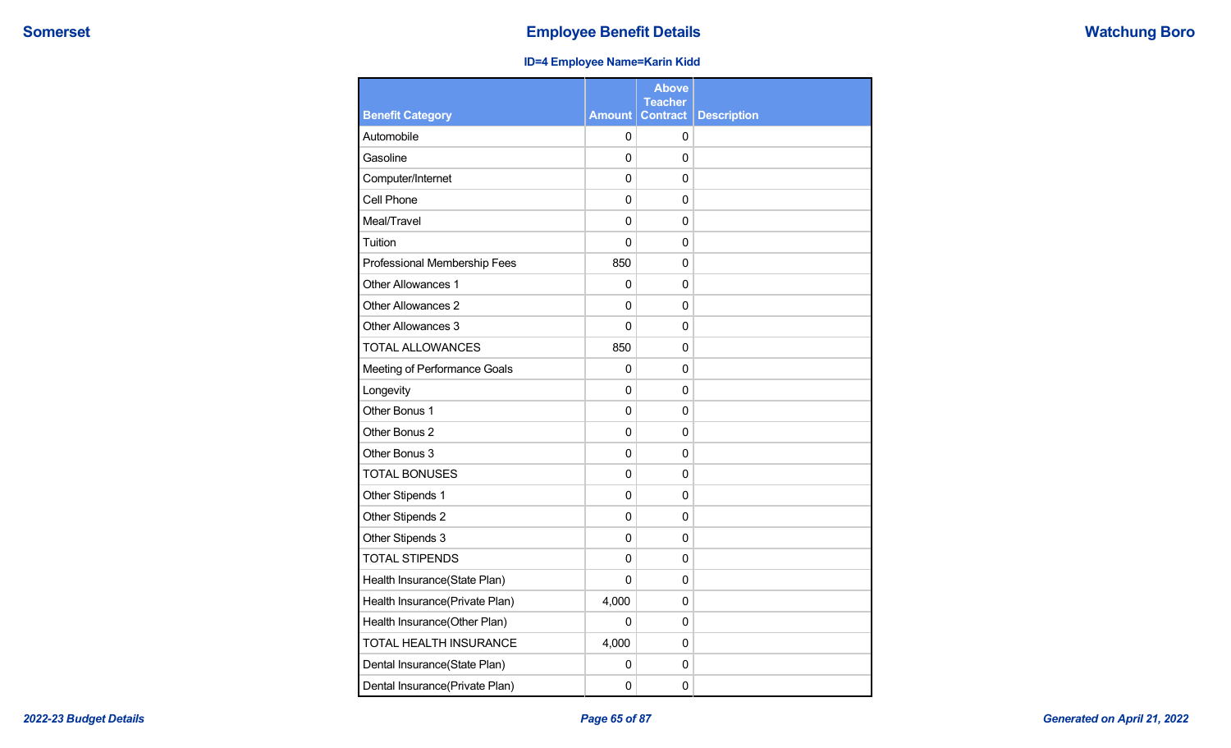## **ID=4 Employee Name=Karin Kidd**

|                                |               | <b>Above</b><br><b>Teacher</b> |                    |
|--------------------------------|---------------|--------------------------------|--------------------|
| <b>Benefit Category</b>        | <b>Amount</b> | <b>Contract</b>                | <b>Description</b> |
| Automobile                     | 0             | 0                              |                    |
| Gasoline                       | 0             | 0                              |                    |
| Computer/Internet              | $\mathbf 0$   | 0                              |                    |
| Cell Phone                     | 0             | $\mathbf 0$                    |                    |
| Meal/Travel                    | 0             | 0                              |                    |
| Tuition                        | $\mathbf 0$   | $\mathbf 0$                    |                    |
| Professional Membership Fees   | 850           | $\Omega$                       |                    |
| Other Allowances 1             | 0             | 0                              |                    |
| Other Allowances 2             | 0             | $\mathbf 0$                    |                    |
| Other Allowances 3             | $\mathbf 0$   | 0                              |                    |
| <b>TOTAL ALLOWANCES</b>        | 850           | 0                              |                    |
| Meeting of Performance Goals   | 0             | 0                              |                    |
| Longevity                      | $\Omega$      | 0                              |                    |
| Other Bonus 1                  | 0             | 0                              |                    |
| Other Bonus 2                  | 0             | 0                              |                    |
| Other Bonus 3                  | 0             | 0                              |                    |
| <b>TOTAL BONUSES</b>           | $\mathbf 0$   | 0                              |                    |
| Other Stipends 1               | 0             | $\mathbf 0$                    |                    |
| Other Stipends 2               | 0             | 0                              |                    |
| Other Stipends 3               | $\Omega$      | $\Omega$                       |                    |
| <b>TOTAL STIPENDS</b>          | $\mathbf 0$   | $\mathbf 0$                    |                    |
| Health Insurance(State Plan)   | 0             | $\Omega$                       |                    |
| Health Insurance(Private Plan) | 4,000         | 0                              |                    |
| Health Insurance(Other Plan)   | 0             | $\mathbf 0$                    |                    |
| TOTAL HEALTH INSURANCE         | 4,000         | 0                              |                    |
| Dental Insurance(State Plan)   | 0             | $\mathbf 0$                    |                    |
| Dental Insurance(Private Plan) | $\mathbf 0$   | 0                              |                    |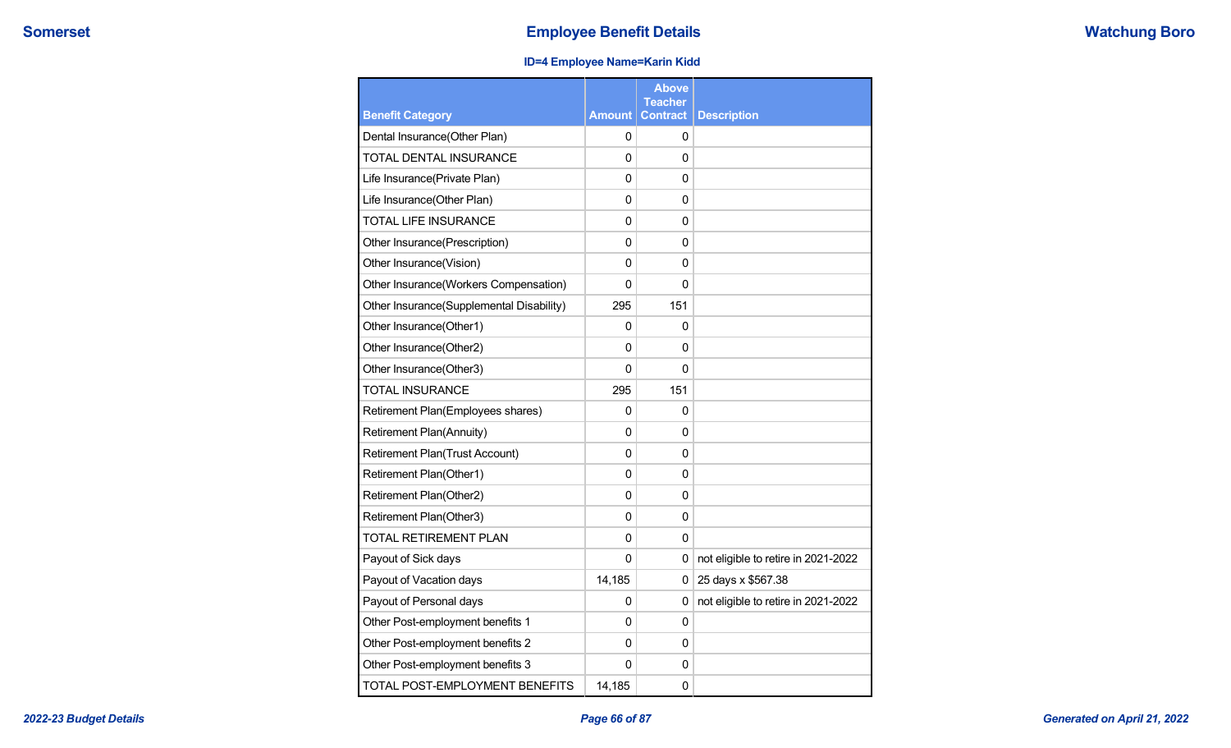## **ID=4 Employee Name=Karin Kidd**

|                                          |               | <b>Above</b><br><b>Teacher</b> |                                     |
|------------------------------------------|---------------|--------------------------------|-------------------------------------|
| <b>Benefit Category</b>                  | <b>Amount</b> | <b>Contract</b>                | <b>Description</b>                  |
| Dental Insurance(Other Plan)             | 0             | 0                              |                                     |
| TOTAL DENTAL INSURANCE                   | 0             | 0                              |                                     |
| Life Insurance(Private Plan)             | 0             | 0                              |                                     |
| Life Insurance(Other Plan)               | 0             | 0                              |                                     |
| <b>TOTAL LIFE INSURANCE</b>              | 0             | $\mathbf{0}$                   |                                     |
| Other Insurance(Prescription)            | 0             | $\mathbf{0}$                   |                                     |
| Other Insurance(Vision)                  | 0             | $\Omega$                       |                                     |
| Other Insurance(Workers Compensation)    | 0             | $\mathbf 0$                    |                                     |
| Other Insurance(Supplemental Disability) | 295           | 151                            |                                     |
| Other Insurance(Other1)                  | 0             | 0                              |                                     |
| Other Insurance(Other2)                  | 0             | $\Omega$                       |                                     |
| Other Insurance(Other3)                  | 0             | $\Omega$                       |                                     |
| <b>TOTAL INSURANCE</b>                   | 295           | 151                            |                                     |
| Retirement Plan(Employees shares)        | 0             | 0                              |                                     |
| <b>Retirement Plan(Annuity)</b>          | 0             | 0                              |                                     |
| Retirement Plan(Trust Account)           | 0             | 0                              |                                     |
| Retirement Plan(Other1)                  | 0             | 0                              |                                     |
| Retirement Plan(Other2)                  | 0             | 0                              |                                     |
| Retirement Plan(Other3)                  | 0             | $\Omega$                       |                                     |
| <b>TOTAL RETIREMENT PLAN</b>             | 0             | $\Omega$                       |                                     |
| Payout of Sick days                      | 0             | 0                              | not eligible to retire in 2021-2022 |
| Payout of Vacation days                  | 14,185        | 0                              | 25 days x \$567.38                  |
| Payout of Personal days                  | 0             | 0                              | not eligible to retire in 2021-2022 |
| Other Post-employment benefits 1         | 0             | $\Omega$                       |                                     |
| Other Post-employment benefits 2         | 0             | 0                              |                                     |
| Other Post-employment benefits 3         | 0             | 0                              |                                     |
| TOTAL POST-EMPLOYMENT BENEFITS           | 14,185        | 0                              |                                     |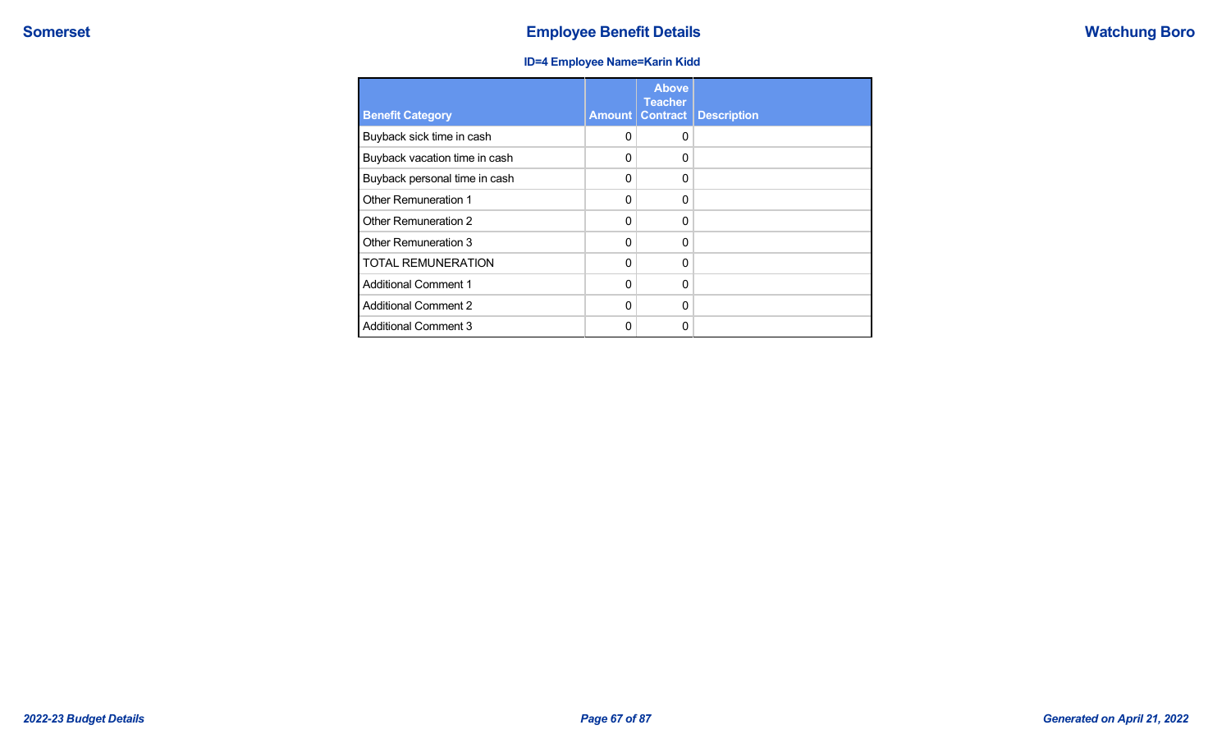## **ID=4 Employee Name=Karin Kidd**

| <b>Benefit Category</b>       | <b>Amount</b> | <b>Above</b><br><b>Teacher</b><br><b>Contract</b> | <b>Description</b> |
|-------------------------------|---------------|---------------------------------------------------|--------------------|
| Buyback sick time in cash     | 0             | $\Omega$                                          |                    |
| Buyback vacation time in cash | 0             | 0                                                 |                    |
| Buyback personal time in cash | 0             | $\Omega$                                          |                    |
| Other Remuneration 1          | 0             | $\Omega$                                          |                    |
| Other Remuneration 2          | 0             | $\Omega$                                          |                    |
| Other Remuneration 3          | 0             | $\Omega$                                          |                    |
| <b>TOTAL REMUNERATION</b>     | $\Omega$      | $\Omega$                                          |                    |
| <b>Additional Comment 1</b>   | $\Omega$      | $\Omega$                                          |                    |
| <b>Additional Comment 2</b>   | $\Omega$      | $\Omega$                                          |                    |
| <b>Additional Comment 3</b>   | 0             | $\Omega$                                          |                    |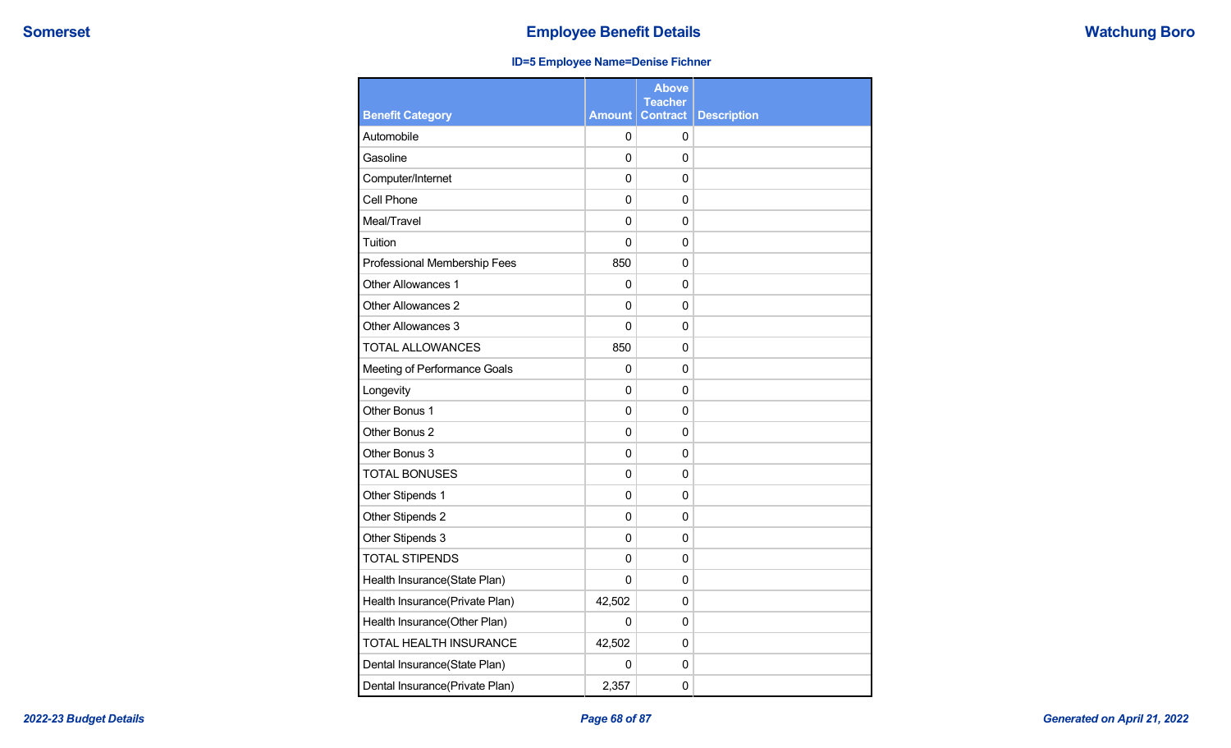## **ID=5 Employee Name=Denise Fichner**

|                                |                | <b>Above</b><br><b>Teacher</b> |                    |
|--------------------------------|----------------|--------------------------------|--------------------|
| <b>Benefit Category</b>        | <b>Amount</b>  | <b>Contract</b>                | <b>Description</b> |
| Automobile                     | 0              | 0                              |                    |
| Gasoline                       | 0              | 0                              |                    |
| Computer/Internet              | $\mathbf 0$    | 0                              |                    |
| Cell Phone                     | $\mathbf 0$    | 0                              |                    |
| Meal/Travel                    | $\overline{0}$ | $\Omega$                       |                    |
| Tuition                        | $\mathbf 0$    | $\mathbf 0$                    |                    |
| Professional Membership Fees   | 850            | $\Omega$                       |                    |
| <b>Other Allowances 1</b>      | 0              | 0                              |                    |
| Other Allowances 2             | 0              | $\mathbf 0$                    |                    |
| Other Allowances 3             | $\mathbf 0$    | $\mathbf 0$                    |                    |
| <b>TOTAL ALLOWANCES</b>        | 850            | 0                              |                    |
| Meeting of Performance Goals   | 0              | 0                              |                    |
| Longevity                      | $\overline{0}$ | 0                              |                    |
| Other Bonus 1                  | $\mathbf 0$    | 0                              |                    |
| Other Bonus 2                  | $\mathbf 0$    | 0                              |                    |
| Other Bonus 3                  | $\mathbf 0$    | 0                              |                    |
| <b>TOTAL BONUSES</b>           | $\mathbf 0$    | $\mathbf 0$                    |                    |
| Other Stipends 1               | $\mathbf 0$    | $\mathbf 0$                    |                    |
| Other Stipends 2               | 0              | 0                              |                    |
| Other Stipends 3               | 0              | $\Omega$                       |                    |
| <b>TOTAL STIPENDS</b>          | $\mathbf 0$    | $\mathbf 0$                    |                    |
| Health Insurance(State Plan)   | $\mathbf 0$    | $\Omega$                       |                    |
| Health Insurance(Private Plan) | 42,502         | 0                              |                    |
| Health Insurance(Other Plan)   | 0              | 0                              |                    |
| TOTAL HEALTH INSURANCE         | 42,502         | $\Omega$                       |                    |
| Dental Insurance(State Plan)   | 0              | 0                              |                    |
| Dental Insurance(Private Plan) | 2,357          | 0                              |                    |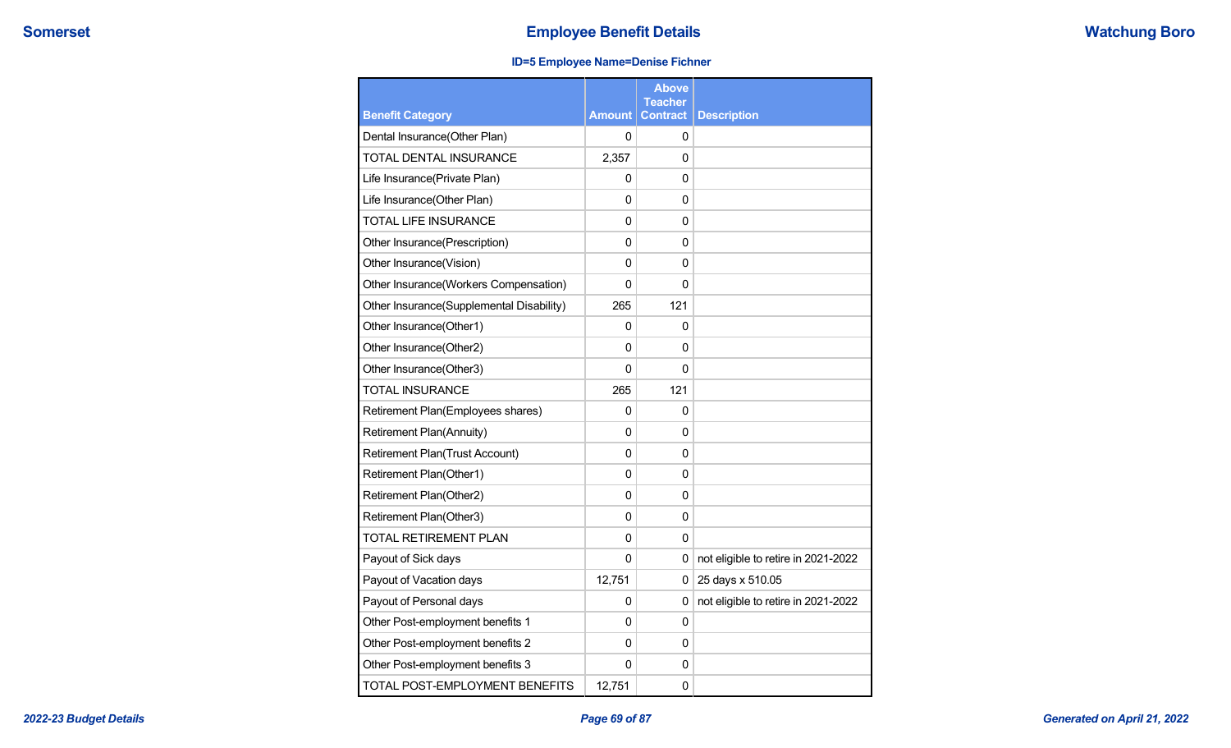## **ID=5 Employee Name=Denise Fichner**

|                                          |               | <b>Above</b><br><b>Teacher</b> |                                     |
|------------------------------------------|---------------|--------------------------------|-------------------------------------|
| <b>Benefit Category</b>                  | <b>Amount</b> | <b>Contract</b>                | <b>Description</b>                  |
| Dental Insurance(Other Plan)             | 0             | 0                              |                                     |
| TOTAL DENTAL INSURANCE                   | 2,357         | 0                              |                                     |
| Life Insurance(Private Plan)             | 0             | 0                              |                                     |
| Life Insurance(Other Plan)               | 0             | 0                              |                                     |
| <b>TOTAL LIFE INSURANCE</b>              | 0             | 0                              |                                     |
| Other Insurance(Prescription)            | 0             | 0                              |                                     |
| Other Insurance(Vision)                  | 0             | 0                              |                                     |
| Other Insurance(Workers Compensation)    | 0             | 0                              |                                     |
| Other Insurance(Supplemental Disability) | 265           | 121                            |                                     |
| Other Insurance(Other1)                  | 0             | 0                              |                                     |
| Other Insurance(Other2)                  | 0             | 0                              |                                     |
| Other Insurance(Other3)                  | 0             | 0                              |                                     |
| TOTAL INSURANCE                          | 265           | 121                            |                                     |
| Retirement Plan(Employees shares)        | 0             | 0                              |                                     |
| Retirement Plan(Annuity)                 | 0             | 0                              |                                     |
| <b>Retirement Plan(Trust Account)</b>    | 0             | 0                              |                                     |
| Retirement Plan(Other1)                  | 0             | 0                              |                                     |
| Retirement Plan(Other2)                  | 0             | 0                              |                                     |
| Retirement Plan(Other3)                  | 0             | 0                              |                                     |
| <b>TOTAL RETIREMENT PLAN</b>             | 0             | $\mathbf 0$                    |                                     |
| Payout of Sick days                      | 0             | 0                              | not eligible to retire in 2021-2022 |
| Payout of Vacation days                  | 12,751        | 0                              | 25 days x 510.05                    |
| Payout of Personal days                  | 0             | 0                              | not eligible to retire in 2021-2022 |
| Other Post-employment benefits 1         | 0             | 0                              |                                     |
| Other Post-employment benefits 2         | 0             | 0                              |                                     |
| Other Post-employment benefits 3         | 0             | 0                              |                                     |
| TOTAL POST-EMPLOYMENT BENEFITS           | 12,751        | 0                              |                                     |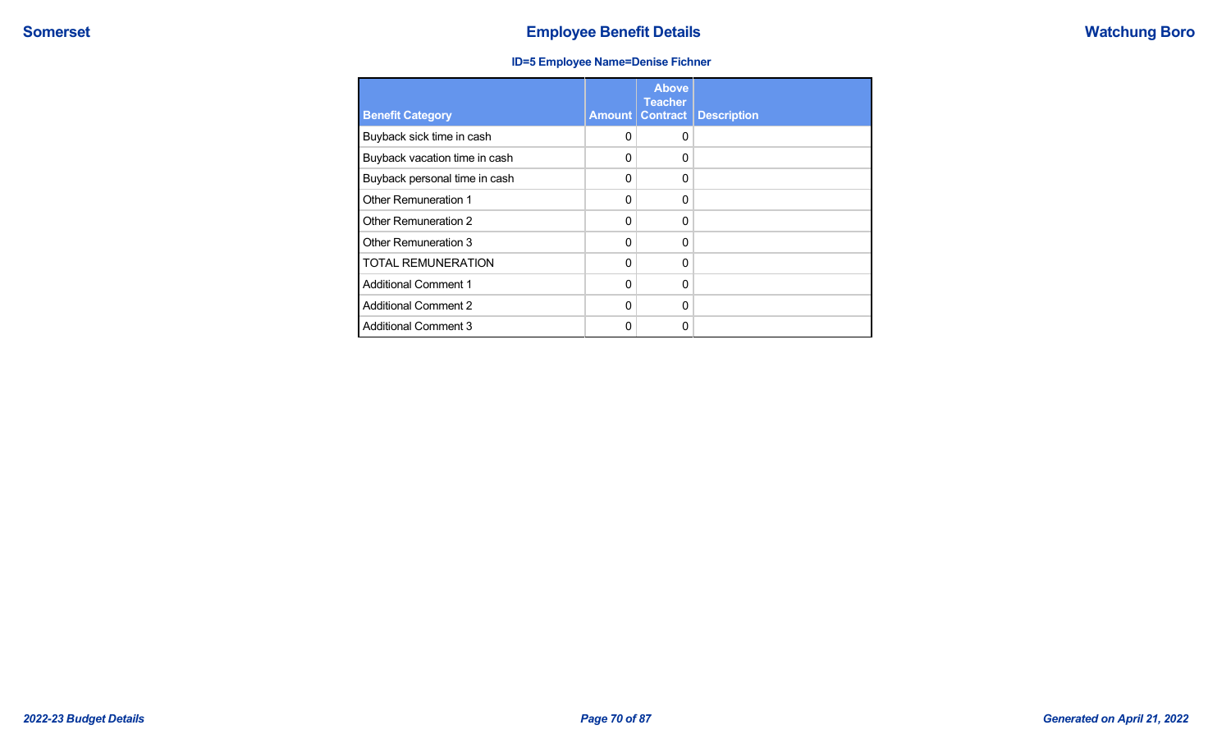## **ID=5 Employee Name=Denise Fichner**

| <b>Benefit Category</b>       | Amount   | <b>Above</b><br><b>Teacher</b><br><b>Contract</b> | <b>Description</b> |
|-------------------------------|----------|---------------------------------------------------|--------------------|
| Buyback sick time in cash     | 0        | $\Omega$                                          |                    |
| Buyback vacation time in cash | 0        | $\Omega$                                          |                    |
| Buyback personal time in cash | 0        | $\Omega$                                          |                    |
| Other Remuneration 1          | 0        | $\Omega$                                          |                    |
| Other Remuneration 2          | $\Omega$ | $\Omega$                                          |                    |
| Other Remuneration 3          | $\Omega$ | $\Omega$                                          |                    |
| <b>TOTAL REMUNERATION</b>     | $\Omega$ | $\Omega$                                          |                    |
| <b>Additional Comment 1</b>   | $\Omega$ | $\Omega$                                          |                    |
| <b>Additional Comment 2</b>   | $\Omega$ | $\Omega$                                          |                    |
| <b>Additional Comment 3</b>   | ი        | $\Omega$                                          |                    |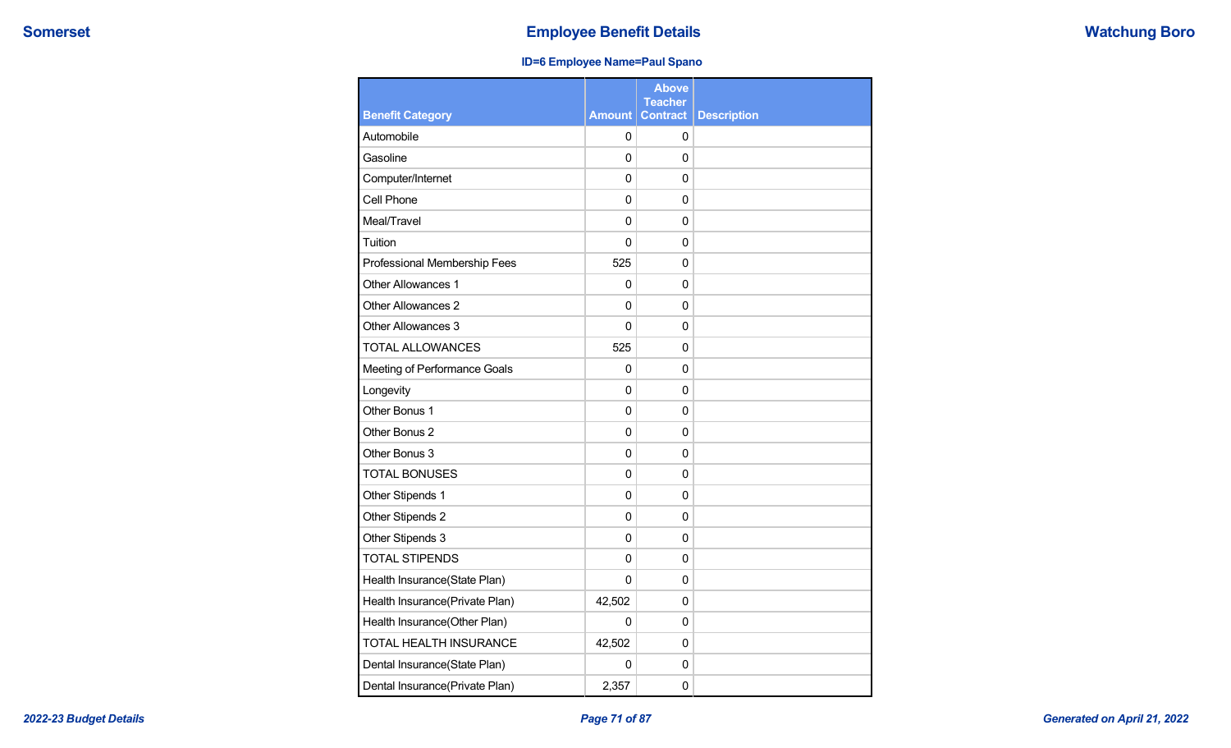## **ID=6 Employee Name=Paul Spano**

|                                |               | <b>Above</b><br><b>Teacher</b> |                    |
|--------------------------------|---------------|--------------------------------|--------------------|
| <b>Benefit Category</b>        | <b>Amount</b> | <b>Contract</b>                | <b>Description</b> |
| Automobile                     | $\Omega$      | 0                              |                    |
| Gasoline                       | 0             | $\mathbf 0$                    |                    |
| Computer/Internet              | 0             | 0                              |                    |
| Cell Phone                     | 0             | $\mathbf 0$                    |                    |
| Meal/Travel                    | $\Omega$      | 0                              |                    |
| Tuition                        | 0             | 0                              |                    |
| Professional Membership Fees   | 525           | 0                              |                    |
| Other Allowances 1             | 0             | 0                              |                    |
| Other Allowances 2             | $\Omega$      | 0                              |                    |
| Other Allowances 3             | 0             | 0                              |                    |
| <b>TOTAL ALLOWANCES</b>        | 525           | 0                              |                    |
| Meeting of Performance Goals   | $\Omega$      | 0                              |                    |
| Longevity                      | 0             | 0                              |                    |
| Other Bonus 1                  | 0             | 0                              |                    |
| Other Bonus 2                  | 0             | 0                              |                    |
| Other Bonus 3                  | 0             | 0                              |                    |
| <b>TOTAL BONUSES</b>           | 0             | $\mathbf 0$                    |                    |
| Other Stipends 1               | 0             | 0                              |                    |
| Other Stipends 2               | 0             | 0                              |                    |
| Other Stipends 3               | 0             | 0                              |                    |
| <b>TOTAL STIPENDS</b>          | $\mathbf 0$   | $\mathbf 0$                    |                    |
| Health Insurance(State Plan)   | $\mathbf{0}$  | 0                              |                    |
| Health Insurance(Private Plan) | 42,502        | 0                              |                    |
| Health Insurance(Other Plan)   | 0             | 0                              |                    |
| TOTAL HEALTH INSURANCE         | 42,502        | 0                              |                    |
| Dental Insurance(State Plan)   | 0             | 0                              |                    |
| Dental Insurance(Private Plan) | 2,357         | $\mathbf 0$                    |                    |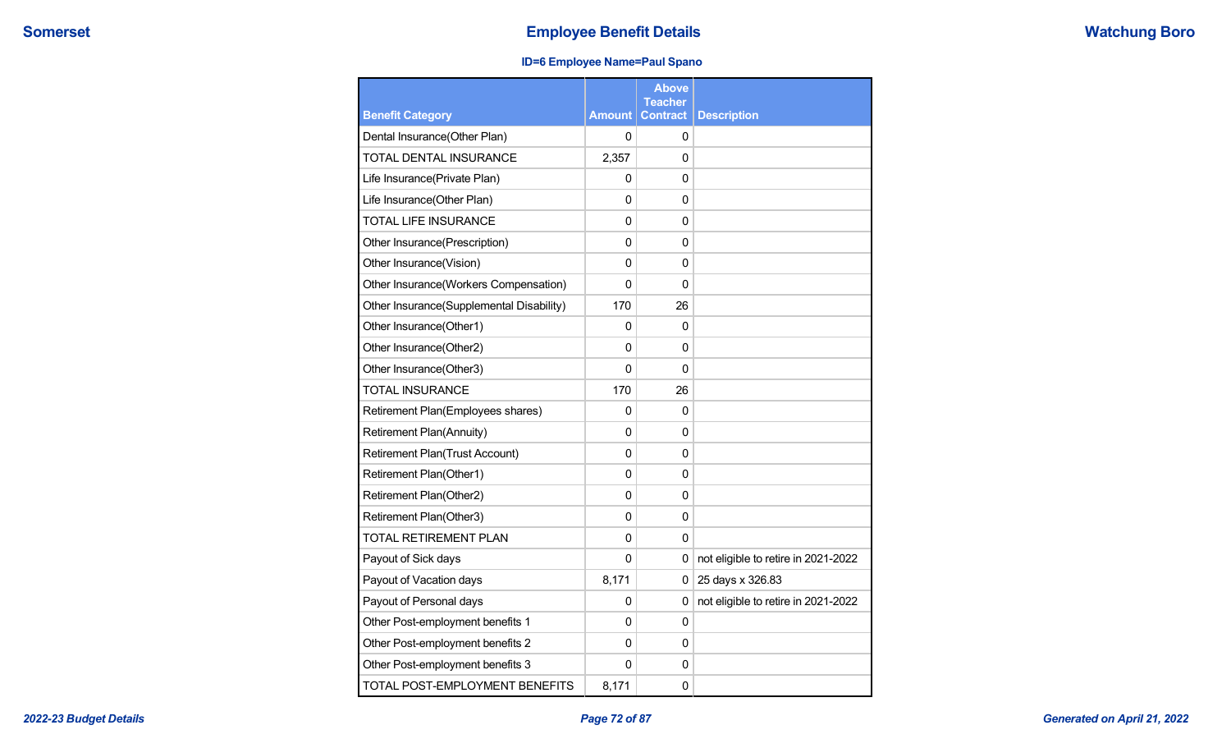## **ID=6 Employee Name=Paul Spano**

|                                          |               | <b>Above</b><br><b>Teacher</b> |                                     |
|------------------------------------------|---------------|--------------------------------|-------------------------------------|
| <b>Benefit Category</b>                  | <b>Amount</b> | <b>Contract</b>                | <b>Description</b>                  |
| Dental Insurance(Other Plan)             | 0             | 0                              |                                     |
| TOTAL DENTAL INSURANCE                   | 2,357         | 0                              |                                     |
| Life Insurance(Private Plan)             | 0             | 0                              |                                     |
| Life Insurance(Other Plan)               | 0             | 0                              |                                     |
| <b>TOTAL LIFE INSURANCE</b>              | $\mathbf 0$   | 0                              |                                     |
| Other Insurance(Prescription)            | $\mathbf 0$   | 0                              |                                     |
| Other Insurance(Vision)                  | $\mathbf 0$   | 0                              |                                     |
| Other Insurance(Workers Compensation)    | $\Omega$      | 0                              |                                     |
| Other Insurance(Supplemental Disability) | 170           | 26                             |                                     |
| Other Insurance(Other1)                  | 0             | 0                              |                                     |
| Other Insurance(Other2)                  | 0             | 0                              |                                     |
| Other Insurance(Other3)                  | 0             | 0                              |                                     |
| <b>TOTAL INSURANCE</b>                   | 170           | 26                             |                                     |
| Retirement Plan(Employees shares)        | 0             | 0                              |                                     |
| Retirement Plan(Annuity)                 | 0             | 0                              |                                     |
| Retirement Plan(Trust Account)           | 0             | 0                              |                                     |
| Retirement Plan(Other1)                  | 0             | $\mathbf 0$                    |                                     |
| Retirement Plan(Other2)                  | 0             | 0                              |                                     |
| Retirement Plan(Other3)                  | $\mathbf 0$   | 0                              |                                     |
| TOTAL RETIREMENT PLAN                    | $\Omega$      | 0                              |                                     |
| Payout of Sick days                      | 0             | 0                              | not eligible to retire in 2021-2022 |
| Payout of Vacation days                  | 8,171         | 0                              | 25 days x 326.83                    |
| Payout of Personal days                  | 0             | 0                              | not eligible to retire in 2021-2022 |
| Other Post-employment benefits 1         | 0             | 0                              |                                     |
| Other Post-employment benefits 2         | 0             | 0                              |                                     |
| Other Post-employment benefits 3         | 0             | 0                              |                                     |
| TOTAL POST-EMPLOYMENT BENEFITS           | 8,171         | 0                              |                                     |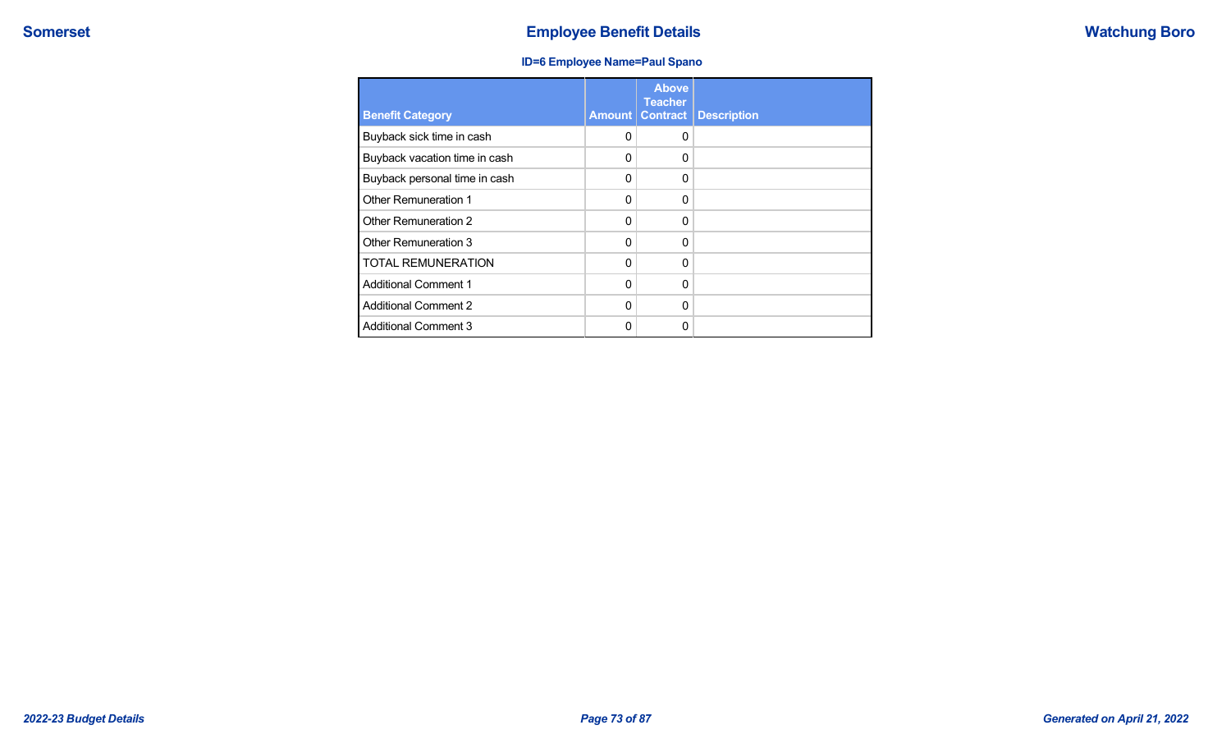## **Somerset Employee Benefit Details Employee Benefit Details Watchung Boro**

## **ID=6 Employee Name=Paul Spano**

| <b>Benefit Category</b>       | Amount   | <b>Above</b><br><b>Teacher</b><br><b>Contract</b> | <b>Description</b> |
|-------------------------------|----------|---------------------------------------------------|--------------------|
| Buyback sick time in cash     | 0        | 0                                                 |                    |
| Buyback vacation time in cash | 0        | 0                                                 |                    |
| Buyback personal time in cash | 0        | 0                                                 |                    |
| Other Remuneration 1          | $\Omega$ | 0                                                 |                    |
| Other Remuneration 2          | 0        | $\Omega$                                          |                    |
| Other Remuneration 3          | 0        | $\Omega$                                          |                    |
| <b>TOTAL REMUNERATION</b>     | 0        | $\Omega$                                          |                    |
| <b>Additional Comment 1</b>   | 0        | 0                                                 |                    |
| <b>Additional Comment 2</b>   | 0        | $\Omega$                                          |                    |
| <b>Additional Comment 3</b>   | ŋ        | 0                                                 |                    |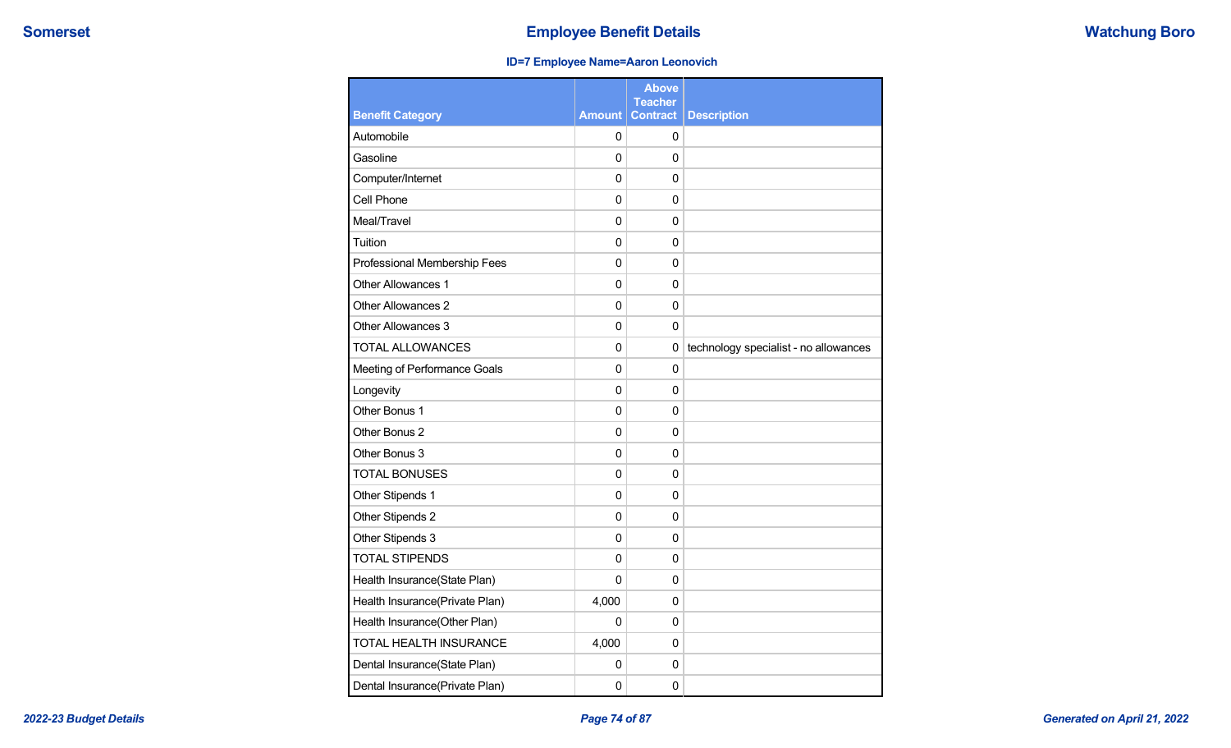## **ID=7 Employee Name=Aaron Leonovich**

|                                |             | <b>Above</b><br><b>Teacher</b> |                                       |
|--------------------------------|-------------|--------------------------------|---------------------------------------|
| <b>Benefit Category</b>        | Amount      | <b>Contract</b>                | <b>Description</b>                    |
| Automobile                     | 0           | 0                              |                                       |
| Gasoline                       | 0           | $\mathbf{0}$                   |                                       |
| Computer/Internet              | 0           | 0                              |                                       |
| Cell Phone                     | $\mathbf 0$ | $\mathbf 0$                    |                                       |
| Meal/Travel                    | $\mathbf 0$ | $\mathbf{0}$                   |                                       |
| Tuition                        | 0           | $\mathbf 0$                    |                                       |
| Professional Membership Fees   | 0           | $\mathbf 0$                    |                                       |
| Other Allowances 1             | 0           | $\mathbf 0$                    |                                       |
| Other Allowances 2             | $\mathbf 0$ | $\mathbf{0}$                   |                                       |
| Other Allowances 3             | 0           | 0                              |                                       |
| <b>TOTAL ALLOWANCES</b>        | 0           | $\mathbf 0$                    | technology specialist - no allowances |
| Meeting of Performance Goals   | 0           | $\mathbf{0}$                   |                                       |
| Longevity                      | 0           | $\mathbf 0$                    |                                       |
| Other Bonus 1                  | $\mathbf 0$ | $\mathbf 0$                    |                                       |
| Other Bonus 2                  | 0           | $\mathbf 0$                    |                                       |
| Other Bonus 3                  | $\mathbf 0$ | $\mathbf 0$                    |                                       |
| <b>TOTAL BONUSES</b>           | $\mathbf 0$ | $\mathbf 0$                    |                                       |
| Other Stipends 1               | $\mathbf 0$ | $\mathbf{0}$                   |                                       |
| Other Stipends 2               | 0           | $\mathbf{0}$                   |                                       |
| Other Stipends 3               | 0           | 0                              |                                       |
| <b>TOTAL STIPENDS</b>          | 0           | $\mathbf{0}$                   |                                       |
| Health Insurance(State Plan)   | 0           | $\mathbf{0}$                   |                                       |
| Health Insurance(Private Plan) | 4,000       | 0                              |                                       |
| Health Insurance(Other Plan)   | 0           | $\mathbf 0$                    |                                       |
| TOTAL HEALTH INSURANCE         | 4,000       | $\mathbf 0$                    |                                       |
| Dental Insurance(State Plan)   | 0           | $\mathbf 0$                    |                                       |
| Dental Insurance(Private Plan) | 0           | $\mathbf 0$                    |                                       |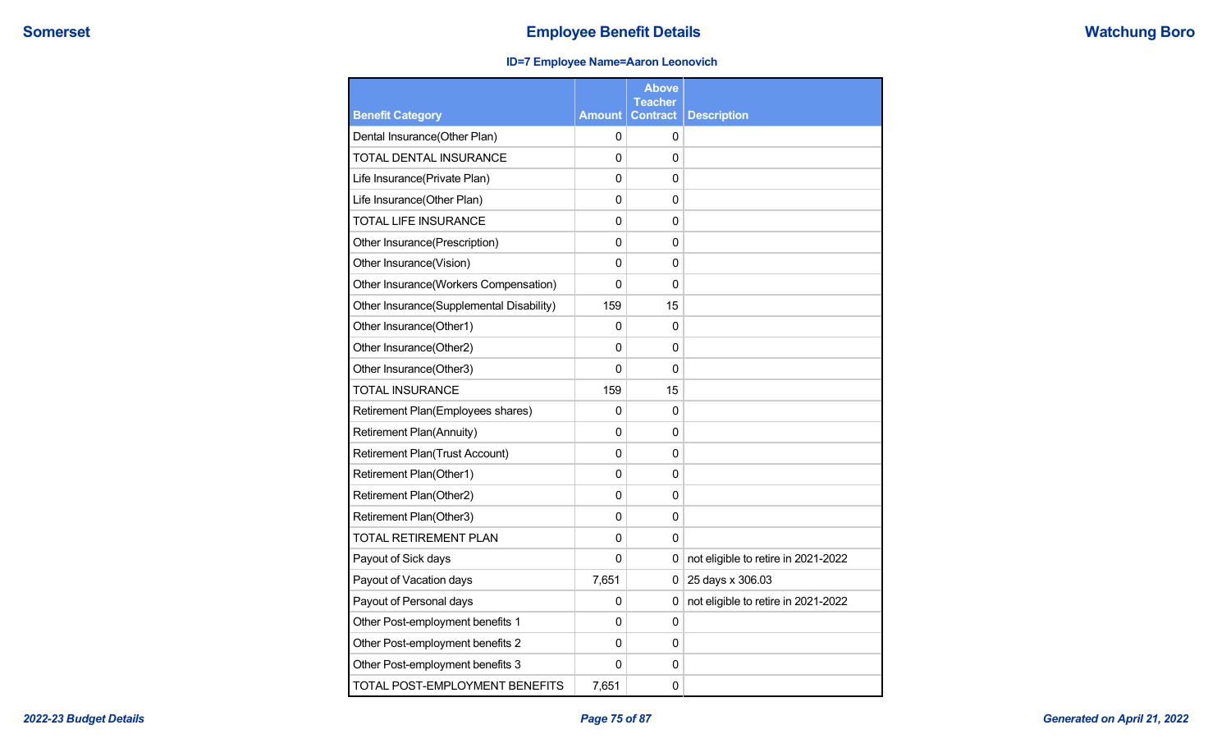## **Somerset Employee Benefit Details Employee Benefit Details Watchung Boro**

## **ID=7 Employee Name=Aaron Leonovich**

|                                          |                | <b>Above</b><br><b>Teacher</b> |                                     |
|------------------------------------------|----------------|--------------------------------|-------------------------------------|
| <b>Benefit Category</b>                  | <b>Amount</b>  | <b>Contract</b>                | <b>Description</b>                  |
| Dental Insurance(Other Plan)             | 0              | 0                              |                                     |
| TOTAL DENTAL INSURANCE                   | 0              | 0                              |                                     |
| Life Insurance(Private Plan)             | 0              | 0                              |                                     |
| Life Insurance(Other Plan)               | 0              | 0                              |                                     |
| <b>TOTAL LIFE INSURANCE</b>              | 0              | 0                              |                                     |
| Other Insurance(Prescription)            | $\mathbf 0$    | 0                              |                                     |
| Other Insurance(Vision)                  | 0              | 0                              |                                     |
| Other Insurance(Workers Compensation)    | 0              | $\mathbf{0}$                   |                                     |
| Other Insurance(Supplemental Disability) | 159            | 15                             |                                     |
| Other Insurance(Other1)                  | 0              | 0                              |                                     |
| Other Insurance(Other2)                  | 0              | 0                              |                                     |
| Other Insurance(Other3)                  | 0              | 0                              |                                     |
| <b>TOTAL INSURANCE</b>                   | 159            | 15                             |                                     |
| Retirement Plan(Employees shares)        | 0              | 0                              |                                     |
| <b>Retirement Plan(Annuity)</b>          | $\mathbf 0$    | $\Omega$                       |                                     |
| <b>Retirement Plan(Trust Account)</b>    | 0              | 0                              |                                     |
| Retirement Plan(Other1)                  | $\mathbf 0$    | $\mathbf 0$                    |                                     |
| Retirement Plan(Other2)                  | 0              | $\mathbf{0}$                   |                                     |
| Retirement Plan(Other3)                  | $\mathbf 0$    | $\mathbf 0$                    |                                     |
| <b>TOTAL RETIREMENT PLAN</b>             | 0              | $\mathbf{0}$                   |                                     |
| Payout of Sick days                      | 0              | 0                              | not eligible to retire in 2021-2022 |
| Payout of Vacation days                  | 7,651          | 0                              | 25 days x 306.03                    |
| Payout of Personal days                  | 0              | 0                              | not eligible to retire in 2021-2022 |
| Other Post-employment benefits 1         | 0              | 0                              |                                     |
| Other Post-employment benefits 2         | 0              | 0                              |                                     |
| Other Post-employment benefits 3         | $\overline{0}$ | $\mathbf{0}$                   |                                     |
| TOTAL POST-EMPLOYMENT BENEFITS           | 7,651          | 0                              |                                     |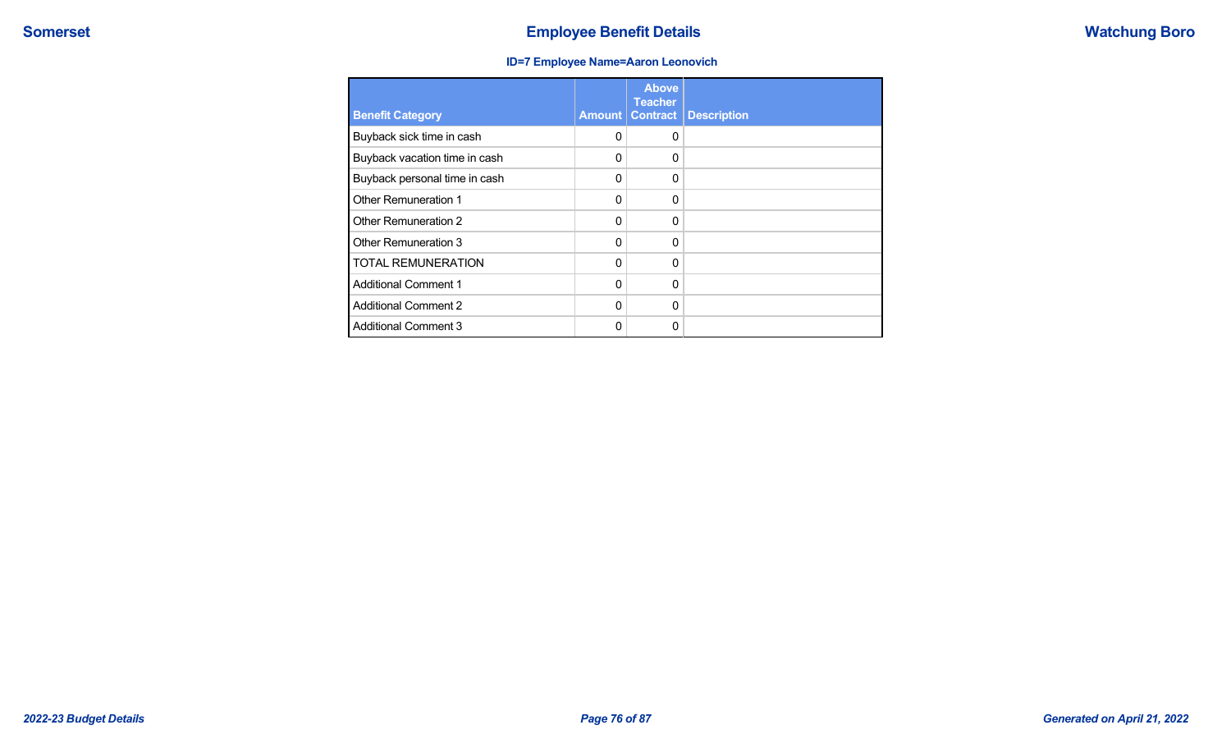## **ID=7 Employee Name=Aaron Leonovich**

| <b>Benefit Category</b>       | <b>Amount</b> | <b>Above</b><br><b>Teacher</b><br><b>Contract</b> | <b>Description</b> |
|-------------------------------|---------------|---------------------------------------------------|--------------------|
| Buyback sick time in cash     | 0             | $\Omega$                                          |                    |
| Buyback vacation time in cash | 0             | 0                                                 |                    |
| Buyback personal time in cash | 0             | 0                                                 |                    |
| Other Remuneration 1          | $\Omega$      | $\Omega$                                          |                    |
| Other Remuneration 2          | $\mathbf{0}$  | $\Omega$                                          |                    |
| Other Remuneration 3          | 0             | $\Omega$                                          |                    |
| <b>TOTAL REMUNERATION</b>     | $\mathbf{0}$  | $\Omega$                                          |                    |
| <b>Additional Comment 1</b>   | $\mathbf{0}$  | $\mathbf{0}$                                      |                    |
| <b>Additional Comment 2</b>   | 0             | 0                                                 |                    |
| <b>Additional Comment 3</b>   | 0             | 0                                                 |                    |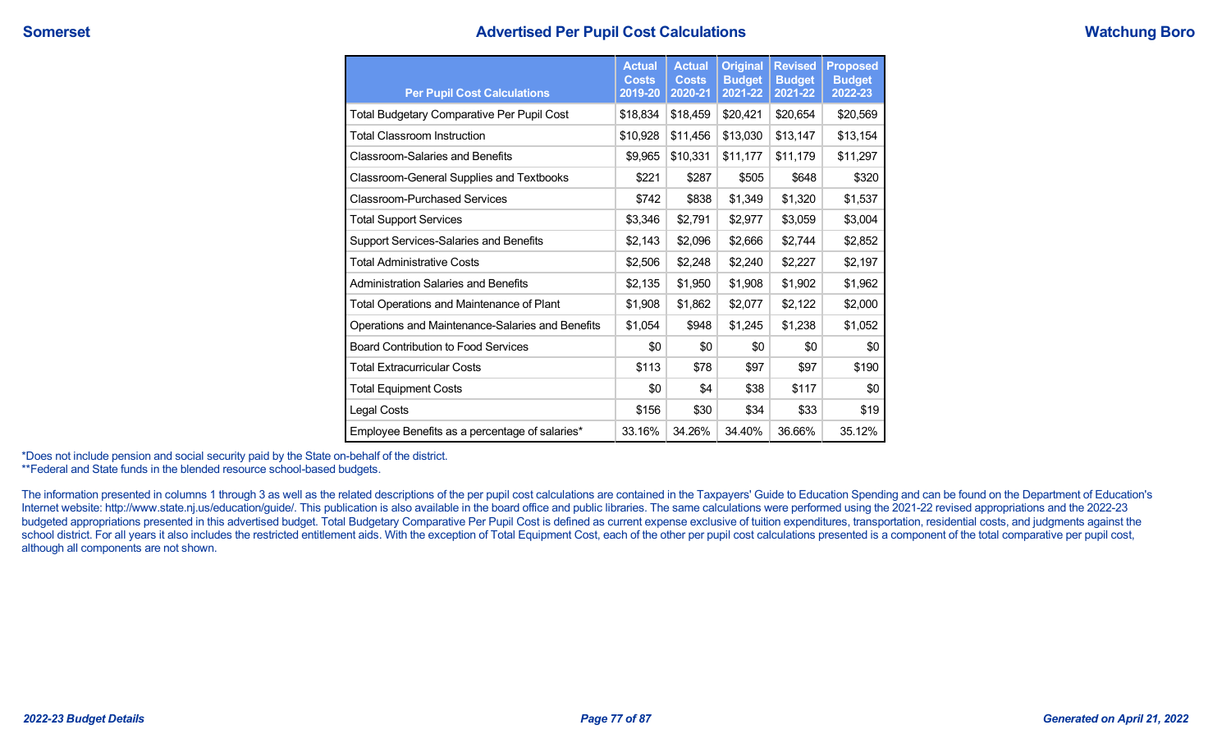| <b>Per Pupil Cost Calculations</b>               | <b>Actual</b><br><b>Costs</b><br>2019-20 | <b>Actual</b><br><b>Costs</b><br>2020-21 | <b>Original</b><br><b>Budget</b><br>2021-22 | <b>Revised</b><br><b>Budget</b><br>2021-22 | <b>Proposed</b><br><b>Budget</b><br>2022-23 |
|--------------------------------------------------|------------------------------------------|------------------------------------------|---------------------------------------------|--------------------------------------------|---------------------------------------------|
| Total Budgetary Comparative Per Pupil Cost       | \$18,834                                 | \$18,459                                 | \$20,421                                    | \$20,654                                   | \$20,569                                    |
| <b>Total Classroom Instruction</b>               | \$10,928                                 | \$11,456                                 | \$13,030                                    | \$13,147                                   | \$13,154                                    |
| <b>Classroom-Salaries and Benefits</b>           | \$9,965                                  | \$10,331                                 | \$11,177                                    | \$11,179                                   | \$11,297                                    |
| <b>Classroom-General Supplies and Textbooks</b>  | \$221                                    | \$287                                    | \$505                                       | \$648                                      | \$320                                       |
| <b>Classroom-Purchased Services</b>              | \$742                                    | \$838                                    | \$1,349                                     | \$1,320                                    | \$1,537                                     |
| <b>Total Support Services</b>                    | \$3,346                                  | \$2,791                                  | \$2,977                                     | \$3,059                                    | \$3,004                                     |
| Support Services-Salaries and Benefits           | \$2,143                                  | \$2,096                                  | \$2,666                                     | \$2,744                                    | \$2,852                                     |
| <b>Total Administrative Costs</b>                | \$2,506                                  | \$2,248                                  | \$2,240                                     | \$2,227                                    | \$2,197                                     |
| <b>Administration Salaries and Benefits</b>      | \$2,135                                  | \$1,950                                  | \$1,908                                     | \$1,902                                    | \$1,962                                     |
| Total Operations and Maintenance of Plant        | \$1,908                                  | \$1,862                                  | \$2,077                                     | \$2,122                                    | \$2,000                                     |
| Operations and Maintenance-Salaries and Benefits | \$1,054                                  | \$948                                    | \$1,245                                     | \$1,238                                    | \$1,052                                     |
| <b>Board Contribution to Food Services</b>       | \$0                                      | \$0                                      | \$0                                         | \$0                                        | \$0                                         |
| <b>Total Extracurricular Costs</b>               | \$113                                    | \$78                                     | \$97                                        | \$97                                       | \$190                                       |
| <b>Total Equipment Costs</b>                     | \$0                                      | \$4                                      | \$38                                        | \$117                                      | \$0                                         |
| Legal Costs                                      | \$156                                    | \$30                                     | \$34                                        | \$33                                       | \$19                                        |
| Employee Benefits as a percentage of salaries*   | 33.16%                                   | 34.26%                                   | 34.40%                                      | 36.66%                                     | 35.12%                                      |

\*Does not include pension and social security paid by the State on-behalf of the district. \*\*Federal and State funds in the blended resource school-based budgets.

The information presented in columns 1 through 3 as well as the related descriptions of the per pupil cost calculations are contained in the Taxpayers' Guide to Education Spending and can be found on the Department of Educ Internet website: http://www.state.nj.us/education/guide/. This publication is also available in the board office and public libraries. The same calculations were performed using the 2021-22 revised appropriations and the budgeted appropriations presented in this advertised budget. Total Budgetary Comparative Per Pupil Cost is defined as current expense exclusive of tuition expenditures, transportation, residential costs, and judgments agai school district. For all years it also includes the restricted entitlement aids. With the exception of Total Equipment Cost, each of the other per pupil cost calculations presented is a component of the total comparative p although all components are not shown.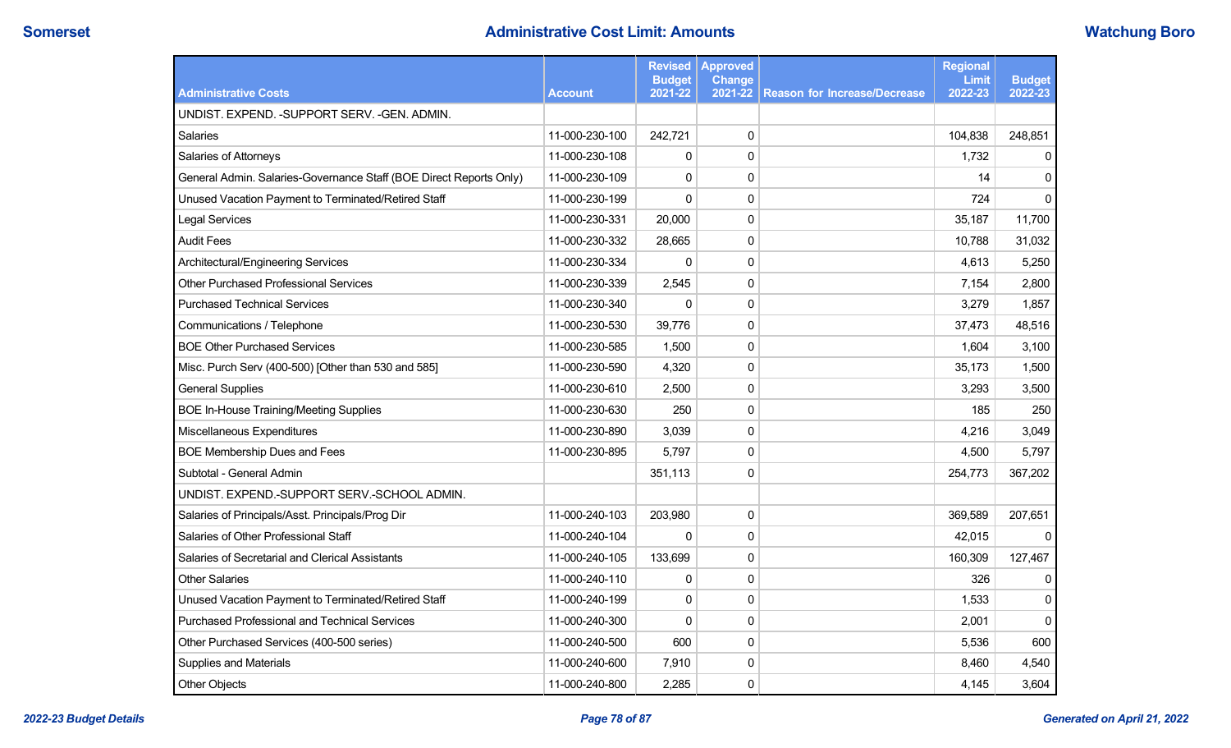# **Somerset Administrative Cost Limit: Amounts Administrative Cost Limit: Amounts Watchung Boro**

|                                                                    |                | <b>Revised</b><br><b>Budget</b> | <b>Approved</b><br><b>Change</b> |                                     | <b>Regional</b><br>Limit | <b>Budget</b> |
|--------------------------------------------------------------------|----------------|---------------------------------|----------------------------------|-------------------------------------|--------------------------|---------------|
| <b>Administrative Costs</b>                                        | <b>Account</b> | 2021-22                         | 2021-22                          | <b>Reason for Increase/Decrease</b> | 2022-23                  | 2022-23       |
| UNDIST. EXPEND. - SUPPORT SERV. - GEN. ADMIN.                      |                |                                 |                                  |                                     |                          |               |
| Salaries                                                           | 11-000-230-100 | 242,721                         | $\pmb{0}$                        |                                     | 104,838                  | 248,851       |
| Salaries of Attorneys                                              | 11-000-230-108 | 0                               | 0                                |                                     | 1,732                    | 0             |
| General Admin. Salaries-Governance Staff (BOE Direct Reports Only) | 11-000-230-109 | 0                               | $\pmb{0}$                        |                                     | 14                       | $\Omega$      |
| Unused Vacation Payment to Terminated/Retired Staff                | 11-000-230-199 | $\mathbf 0$                     | 0                                |                                     | 724                      | $\Omega$      |
| <b>Legal Services</b>                                              | 11-000-230-331 | 20,000                          | 0                                |                                     | 35,187                   | 11,700        |
| <b>Audit Fees</b>                                                  | 11-000-230-332 | 28,665                          | 0                                |                                     | 10,788                   | 31,032        |
| Architectural/Engineering Services                                 | 11-000-230-334 | 0                               | $\pmb{0}$                        |                                     | 4,613                    | 5,250         |
| <b>Other Purchased Professional Services</b>                       | 11-000-230-339 | 2,545                           | $\pmb{0}$                        |                                     | 7,154                    | 2,800         |
| <b>Purchased Technical Services</b>                                | 11-000-230-340 | 0                               | $\pmb{0}$                        |                                     | 3,279                    | 1,857         |
| Communications / Telephone                                         | 11-000-230-530 | 39,776                          | $\pmb{0}$                        |                                     | 37,473                   | 48,516        |
| <b>BOE Other Purchased Services</b>                                | 11-000-230-585 | 1,500                           | $\pmb{0}$                        |                                     | 1,604                    | 3,100         |
| Misc. Purch Serv (400-500) [Other than 530 and 585]                | 11-000-230-590 | 4,320                           | $\pmb{0}$                        |                                     | 35,173                   | 1,500         |
| <b>General Supplies</b>                                            | 11-000-230-610 | 2,500                           | 0                                |                                     | 3,293                    | 3,500         |
| <b>BOE In-House Training/Meeting Supplies</b>                      | 11-000-230-630 | 250                             | $\mathbf 0$                      |                                     | 185                      | 250           |
| Miscellaneous Expenditures                                         | 11-000-230-890 | 3,039                           | 0                                |                                     | 4,216                    | 3,049         |
| <b>BOE Membership Dues and Fees</b>                                | 11-000-230-895 | 5,797                           | 0                                |                                     | 4,500                    | 5,797         |
| Subtotal - General Admin                                           |                | 351,113                         | 0                                |                                     | 254,773                  | 367,202       |
| UNDIST. EXPEND.-SUPPORT SERV.-SCHOOL ADMIN.                        |                |                                 |                                  |                                     |                          |               |
| Salaries of Principals/Asst. Principals/Prog Dir                   | 11-000-240-103 | 203,980                         | $\pmb{0}$                        |                                     | 369,589                  | 207,651       |
| Salaries of Other Professional Staff                               | 11-000-240-104 | 0                               | $\pmb{0}$                        |                                     | 42,015                   | 0             |
| Salaries of Secretarial and Clerical Assistants                    | 11-000-240-105 | 133,699                         | 0                                |                                     | 160,309                  | 127,467       |
| <b>Other Salaries</b>                                              | 11-000-240-110 | 0                               | 0                                |                                     | 326                      | 0             |
| Unused Vacation Payment to Terminated/Retired Staff                | 11-000-240-199 | 0                               | $\pmb{0}$                        |                                     | 1,533                    | $\mathbf 0$   |
| <b>Purchased Professional and Technical Services</b>               | 11-000-240-300 | $\overline{0}$                  | 0                                |                                     | 2,001                    | $\Omega$      |
| Other Purchased Services (400-500 series)                          | 11-000-240-500 | 600                             | 0                                |                                     | 5,536                    | 600           |
| Supplies and Materials                                             | 11-000-240-600 | 7,910                           | 0                                |                                     | 8,460                    | 4,540         |
| Other Objects                                                      | 11-000-240-800 | 2,285                           | 0                                |                                     | 4,145                    | 3,604         |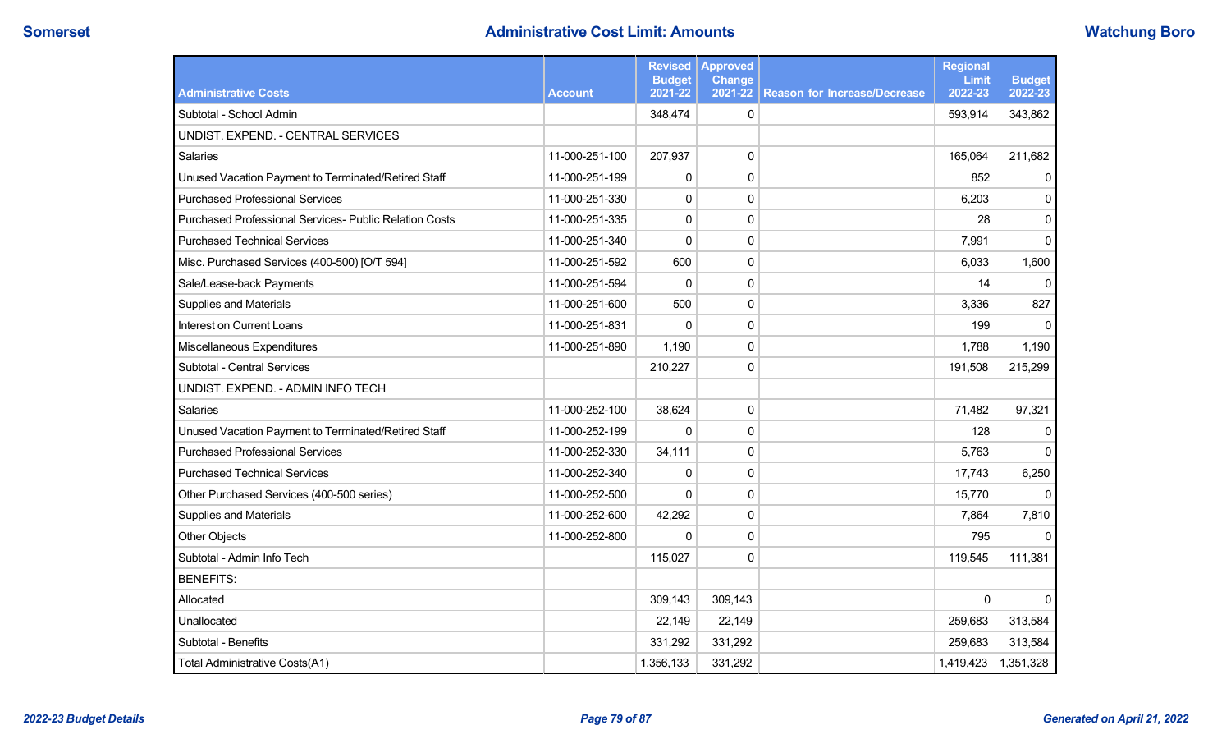# **Somerset Administrative Cost Limit: Amounts Administrative Cost Limit: Amounts Watchung Boro**

|                                                        |                | <b>Revised</b><br><b>Budget</b> | <b>Approved</b><br><b>Change</b> |                                     | <b>Regional</b><br>Limit | <b>Budget</b> |
|--------------------------------------------------------|----------------|---------------------------------|----------------------------------|-------------------------------------|--------------------------|---------------|
| <b>Administrative Costs</b>                            | <b>Account</b> | 2021-22                         | 2021-22                          | <b>Reason for Increase/Decrease</b> | 2022-23                  | 2022-23       |
| Subtotal - School Admin                                |                | 348,474                         | $\mathbf 0$                      |                                     | 593,914                  | 343,862       |
| UNDIST. EXPEND. - CENTRAL SERVICES                     |                |                                 |                                  |                                     |                          |               |
| Salaries                                               | 11-000-251-100 | 207,937                         | 0                                |                                     | 165,064                  | 211,682       |
| Unused Vacation Payment to Terminated/Retired Staff    | 11-000-251-199 | 0                               | 0                                |                                     | 852                      | 0             |
| <b>Purchased Professional Services</b>                 | 11-000-251-330 | 0                               | 0                                |                                     | 6,203                    | $\mathbf{0}$  |
| Purchased Professional Services- Public Relation Costs | 11-000-251-335 | $\pmb{0}$                       | $\pmb{0}$                        |                                     | 28                       | $\pmb{0}$     |
| <b>Purchased Technical Services</b>                    | 11-000-251-340 | $\mathbf 0$                     | $\pmb{0}$                        |                                     | 7,991                    | $\mathbf{0}$  |
| Misc. Purchased Services (400-500) [O/T 594]           | 11-000-251-592 | 600                             | 0                                |                                     | 6,033                    | 1,600         |
| Sale/Lease-back Payments                               | 11-000-251-594 | 0                               | 0                                |                                     | 14                       | $\Omega$      |
| Supplies and Materials                                 | 11-000-251-600 | 500                             | $\pmb{0}$                        |                                     | 3,336                    | 827           |
| Interest on Current Loans                              | 11-000-251-831 | 0                               | $\pmb{0}$                        |                                     | 199                      | 0             |
| Miscellaneous Expenditures                             | 11-000-251-890 | 1,190                           | $\pmb{0}$                        |                                     | 1,788                    | 1,190         |
| Subtotal - Central Services                            |                | 210,227                         | $\pmb{0}$                        |                                     | 191,508                  | 215,299       |
| UNDIST. EXPEND. - ADMIN INFO TECH                      |                |                                 |                                  |                                     |                          |               |
| Salaries                                               | 11-000-252-100 | 38,624                          | $\mathbf 0$                      |                                     | 71,482                   | 97,321        |
| Unused Vacation Payment to Terminated/Retired Staff    | 11-000-252-199 | $\mathbf{0}$                    | 0                                |                                     | 128                      | $\Omega$      |
| <b>Purchased Professional Services</b>                 | 11-000-252-330 | 34,111                          | $\pmb{0}$                        |                                     | 5,763                    | $\mathbf{0}$  |
| <b>Purchased Technical Services</b>                    | 11-000-252-340 | 0                               | 0                                |                                     | 17,743                   | 6,250         |
| Other Purchased Services (400-500 series)              | 11-000-252-500 | 0                               | 0                                |                                     | 15,770                   | $\mathbf{0}$  |
| Supplies and Materials                                 | 11-000-252-600 | 42,292                          | 0                                |                                     | 7,864                    | 7,810         |
| <b>Other Objects</b>                                   | 11-000-252-800 | $\pmb{0}$                       | $\pmb{0}$                        |                                     | 795                      | 0             |
| Subtotal - Admin Info Tech                             |                | 115,027                         | 0                                |                                     | 119,545                  | 111,381       |
| <b>BENEFITS:</b>                                       |                |                                 |                                  |                                     |                          |               |
| Allocated                                              |                | 309,143                         | 309,143                          |                                     | $\Omega$                 | $\Omega$      |
| Unallocated                                            |                | 22,149                          | 22,149                           |                                     | 259,683                  | 313,584       |
| Subtotal - Benefits                                    |                | 331,292                         | 331,292                          |                                     | 259,683                  | 313,584       |
| Total Administrative Costs(A1)                         |                | 1,356,133                       | 331,292                          |                                     | 1,419,423                | 1,351,328     |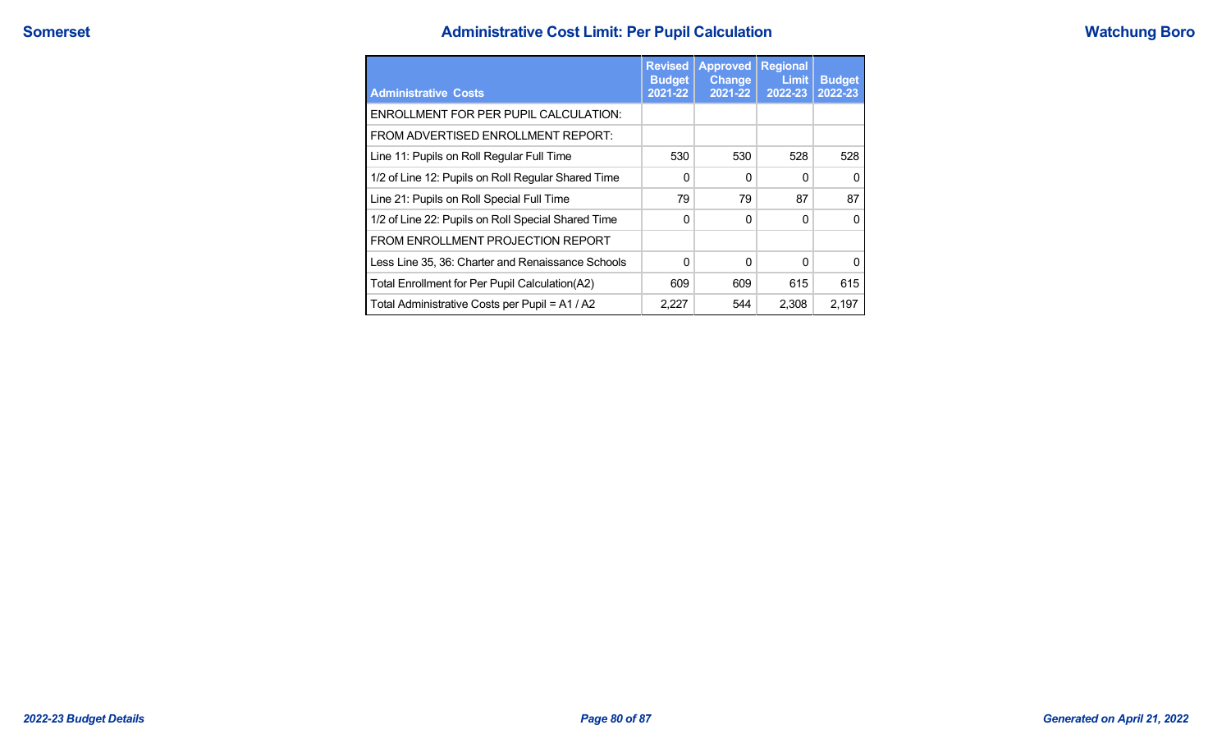# **Administrative Cost Limit: Per Pupil Calculation Administrative Cost Limit: Per Pupil Calculation**

| <b>Watchung Boro</b> |
|----------------------|
|----------------------|

| <b>Administrative Costs</b>                        | <b>Revised</b><br><b>Budget</b><br>2021-22 | <b>Approved</b><br><b>Change</b><br>2021-22 | <b>Regional</b><br>Limit<br>2022-23 | <b>Budget</b><br>2022-23 |
|----------------------------------------------------|--------------------------------------------|---------------------------------------------|-------------------------------------|--------------------------|
| <b>ENROLLMENT FOR PER PUPIL CALCULATION:</b>       |                                            |                                             |                                     |                          |
| FROM ADVERTISED ENROLLMENT REPORT:                 |                                            |                                             |                                     |                          |
| Line 11: Pupils on Roll Regular Full Time          | 530                                        | 530                                         | 528                                 | 528                      |
| 1/2 of Line 12: Pupils on Roll Regular Shared Time | 0                                          | $\Omega$                                    | <sup>0</sup>                        | <sup>0</sup>             |
| Line 21: Pupils on Roll Special Full Time          | 79                                         | 79                                          | 87                                  | 87                       |
| 1/2 of Line 22: Pupils on Roll Special Shared Time | 0                                          | $\Omega$                                    | $\Omega$                            | $\Omega$                 |
| FROM ENROLLMENT PROJECTION REPORT                  |                                            |                                             |                                     |                          |
| Less Line 35, 36: Charter and Renaissance Schools  | 0                                          | $\Omega$                                    | $\Omega$                            | <sup>0</sup>             |
| Total Enrollment for Per Pupil Calculation(A2)     | 609                                        | 609                                         | 615                                 | 615                      |
| Total Administrative Costs per Pupil = A1 / A2     | 2.227                                      | 544                                         | 2,308                               | 2.197                    |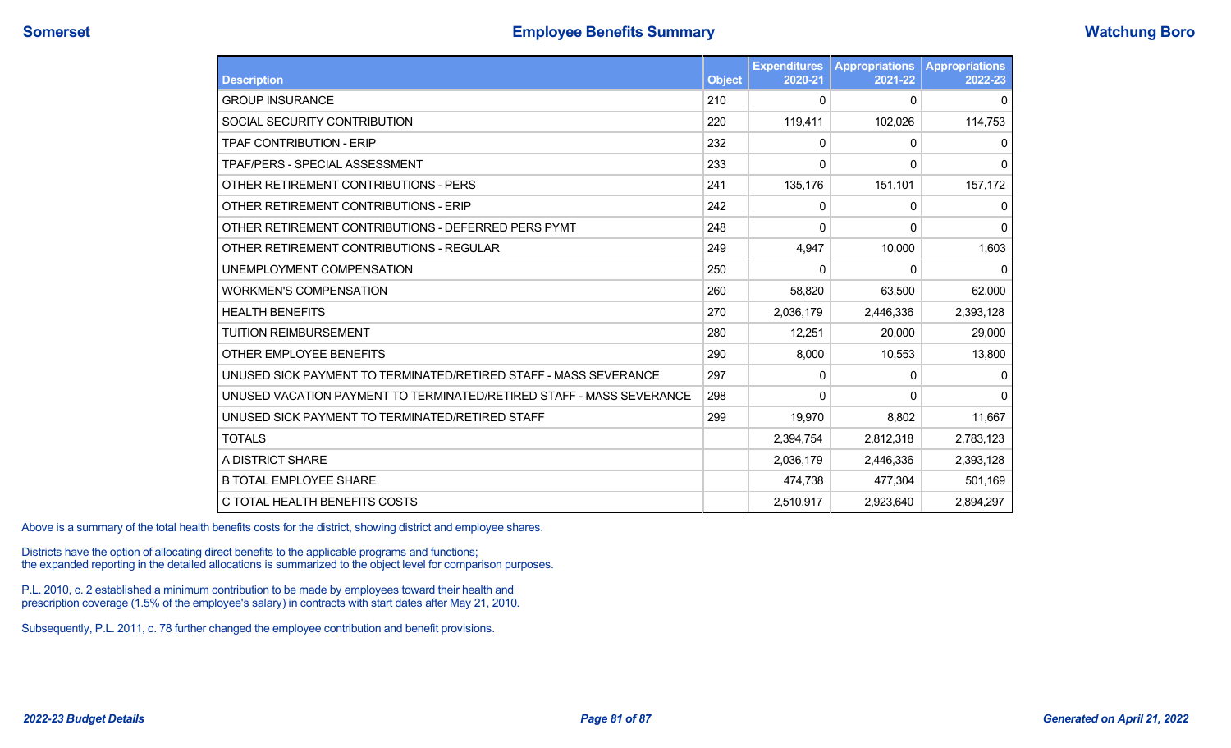| <b>Description</b>                                                   | <b>Object</b> | <b>Expenditures</b><br>2020-21 | <b>Appropriations</b><br>2021-22 | <b>Appropriations</b><br>2022-23 |
|----------------------------------------------------------------------|---------------|--------------------------------|----------------------------------|----------------------------------|
| <b>GROUP INSURANCE</b>                                               | 210           | 0                              | $\Omega$                         | 0                                |
| SOCIAL SECURITY CONTRIBUTION                                         | 220           | 119,411                        | 102,026                          | 114,753                          |
| <b>TPAF CONTRIBUTION - ERIP</b>                                      | 232           | 0                              | $\mathbf 0$                      | 0                                |
| TPAF/PERS - SPECIAL ASSESSMENT                                       | 233           | 0                              | 0                                | $\overline{0}$                   |
| OTHER RETIREMENT CONTRIBUTIONS - PERS                                | 241           | 135,176                        | 151,101                          | 157,172                          |
| OTHER RETIREMENT CONTRIBUTIONS - ERIP                                | 242           | 0                              | 0                                | $\mathbf{0}$                     |
| OTHER RETIREMENT CONTRIBUTIONS - DEFERRED PERS PYMT                  | 248           | 0                              | 0                                | $\Omega$                         |
| OTHER RETIREMENT CONTRIBUTIONS - REGULAR                             | 249           | 4,947                          | 10,000                           | 1,603                            |
| UNEMPLOYMENT COMPENSATION                                            | 250           | 0                              | 0                                | $\Omega$                         |
| <b>WORKMEN'S COMPENSATION</b>                                        | 260           | 58,820                         | 63,500                           | 62,000                           |
| <b>HEALTH BENEFITS</b>                                               | 270           | 2,036,179                      | 2,446,336                        | 2,393,128                        |
| <b>TUITION REIMBURSEMENT</b>                                         | 280           | 12,251                         | 20,000                           | 29,000                           |
| OTHER EMPLOYEE BENEFITS                                              | 290           | 8,000                          | 10,553                           | 13,800                           |
| UNUSED SICK PAYMENT TO TERMINATED/RETIRED STAFF - MASS SEVERANCE     | 297           | 0                              | 0                                | 0                                |
| UNUSED VACATION PAYMENT TO TERMINATED/RETIRED STAFF - MASS SEVERANCE | 298           | 0                              | 0                                | $\overline{0}$                   |
| UNUSED SICK PAYMENT TO TERMINATED/RETIRED STAFF                      | 299           | 19,970                         | 8,802                            | 11,667                           |
| <b>TOTALS</b>                                                        |               | 2,394,754                      | 2,812,318                        | 2,783,123                        |
| A DISTRICT SHARE                                                     |               | 2,036,179                      | 2,446,336                        | 2,393,128                        |
| <b>B TOTAL EMPLOYEE SHARE</b>                                        |               | 474,738                        | 477,304                          | 501,169                          |
| C TOTAL HEALTH BENEFITS COSTS                                        |               | 2,510,917                      | 2,923,640                        | 2,894,297                        |

Above is a summary of the total health benefits costs for the district, showing district and employee shares.

Districts have the option of allocating direct benefits to the applicable programs and functions; the expanded reporting in the detailed allocations is summarized to the object level for comparison purposes.

P.L. 2010, c. 2 established a minimum contribution to be made by employees toward their health and prescription coverage (1.5% of the employee's salary) in contracts with start dates after May 21, 2010.

Subsequently, P.L. 2011, c. 78 further changed the employee contribution and benefit provisions.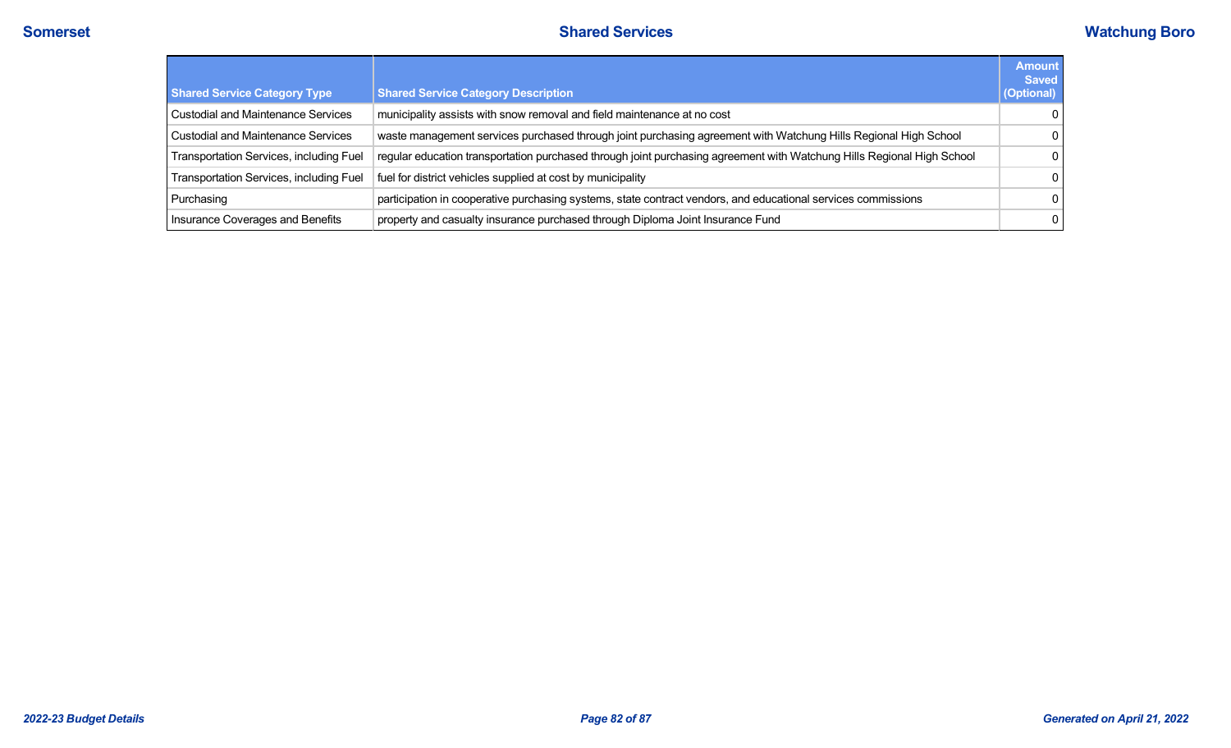| <b>Shared Service Category Type</b>       | <b>Shared Service Category Description</b>                                                                             | <b>Amount</b><br><b>Saved</b><br>(Optional) |
|-------------------------------------------|------------------------------------------------------------------------------------------------------------------------|---------------------------------------------|
| <b>Custodial and Maintenance Services</b> | municipality assists with snow removal and field maintenance at no cost                                                | $\Omega$                                    |
| <b>Custodial and Maintenance Services</b> | waste management services purchased through joint purchasing agreement with Watchung Hills Regional High School        | $\Omega$                                    |
| Transportation Services, including Fuel   | regular education transportation purchased through joint purchasing agreement with Watchung Hills Regional High School | $\Omega$                                    |
| Transportation Services, including Fuel   | fuel for district vehicles supplied at cost by municipality                                                            | $\Omega$                                    |
| Purchasing                                | participation in cooperative purchasing systems, state contract vendors, and educational services commissions          | $\Omega$                                    |
| Insurance Coverages and Benefits          | property and casualty insurance purchased through Diploma Joint Insurance Fund                                         | $\mathbf{0}$                                |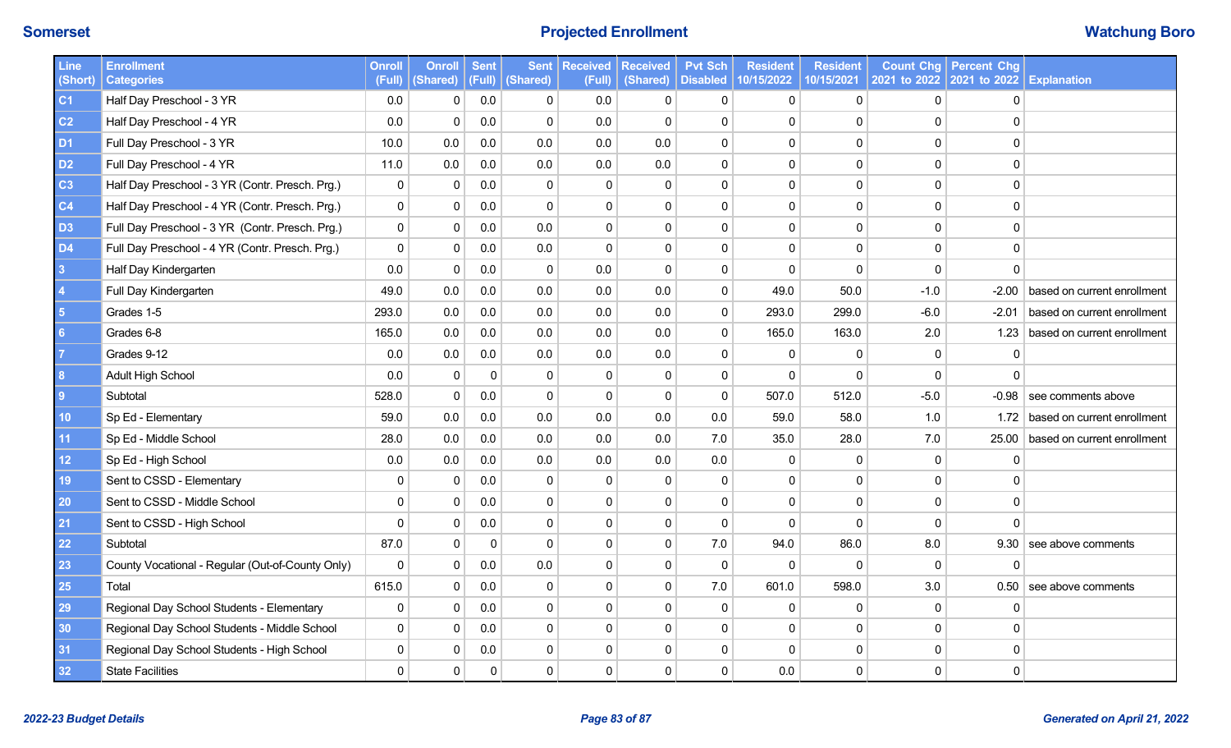# **Somerset Projected Enrollment Watchung Boro**

| <b>Line</b><br>(Short)  | <b>Enrollment</b><br><b>Categories</b>           | <b>Onroll</b><br>(Full) | <b>Onroll</b><br>(Shared) | <b>Sent</b> | <b>Sent</b><br>(Full) (Shared) | <b>Received</b><br>(Full) | <b>Received</b><br>(Shared) | <b>Pvt Sch</b><br><b>Disabled</b> | <b>Resident</b><br>10/15/2022 | <b>Resident</b><br>10/15/2021 | 2021 to 2022   2021 to 2022   Explanation | <b>Count Chg   Percent Chg</b> |                             |
|-------------------------|--------------------------------------------------|-------------------------|---------------------------|-------------|--------------------------------|---------------------------|-----------------------------|-----------------------------------|-------------------------------|-------------------------------|-------------------------------------------|--------------------------------|-----------------------------|
| C <sub>1</sub>          | Half Day Preschool - 3 YR                        | 0.0                     | $\mathbf{0}$              | 0.0         | 0                              | 0.0                       | $\mathbf{0}$                | $\mathbf{0}$                      | $\mathbf{0}$                  | $\mathbf{0}$                  | $\Omega$                                  | 0                              |                             |
| C <sub>2</sub>          | Half Day Preschool - 4 YR                        | 0.0                     | $\mathbf 0$               | 0.0         | $\mathbf 0$                    | 0.0                       | $\mathbf 0$                 | $\mathbf 0$                       | $\mathbf 0$                   | $\Omega$                      | $\Omega$                                  | $\Omega$                       |                             |
| D <sub>1</sub>          | Full Day Preschool - 3 YR                        | 10.0                    | 0.0                       | 0.0         | 0.0                            | 0.0                       | 0.0                         | $\mathbf 0$                       | $\mathbf 0$                   | $\pmb{0}$                     | $\Omega$                                  | 0                              |                             |
| D <sub>2</sub>          | Full Day Preschool - 4 YR                        | 11.0                    | $0.0\,$                   | 0.0         | 0.0                            | 0.0                       | 0.0                         | $\mathbf 0$                       | $\Omega$                      | $\mathbf 0$                   | $\Omega$                                  | $\Omega$                       |                             |
| C <sub>3</sub>          | Half Day Preschool - 3 YR (Contr. Presch. Prg.)  | $\pmb{0}$               | $\mathbf{0}$              | 0.0         | 0                              | $\Omega$                  | $\mathbf{0}$                | $\mathbf{0}$                      | $\mathbf 0$                   | $\mathbf 0$                   | $\Omega$                                  | 0                              |                             |
| C <sub>4</sub>          | Half Day Preschool - 4 YR (Contr. Presch. Prg.)  | $\pmb{0}$               | 0                         | 0.0         | $\mathbf{0}$                   | 0                         | $\mathbf 0$                 | $\mathbf 0$                       | $\overline{0}$                | $\overline{0}$                | $\Omega$                                  | $\mathbf 0$                    |                             |
| D <sub>3</sub>          | Full Day Preschool - 3 YR (Contr. Presch. Prg.)  | $\mathbf 0$             | 0                         | 0.0         | 0.0                            | 0                         | $\mathbf 0$                 | $\mathbf 0$                       | $\mathbf 0$                   | $\mathbf 0$                   | 0                                         | $\mathbf 0$                    |                             |
| <b>D4</b>               | Full Day Preschool - 4 YR (Contr. Presch. Prg.)  | $\mathbf 0$             | $\mathbf 0$               | 0.0         | 0.0                            | 0                         | $\mathbf 0$                 | $\mathbf 0$                       | $\Omega$                      | $\mathbf 0$                   | $\Omega$                                  | $\mathbf 0$                    |                             |
| $\overline{\mathbf{3}}$ | Half Day Kindergarten                            | 0.0                     | $\Omega$                  | 0.0         | $\mathbf 0$                    | 0.0                       | $\mathbf 0$                 | $\mathbf{0}$                      | $\Omega$                      | $\Omega$                      | $\Omega$                                  | $\Omega$                       |                             |
| $\vert$ 4               | Full Day Kindergarten                            | 49.0                    | 0.0                       | 0.0         | 0.0                            | 0.0                       | 0.0                         | $\mathbf 0$                       | 49.0                          | 50.0                          | $-1.0$                                    | $-2.00$                        | based on current enrollment |
| $5\overline{5}$         | Grades 1-5                                       | 293.0                   | 0.0                       | 0.0         | 0.0                            | 0.0                       | 0.0                         | $\mathbf 0$                       | 293.0                         | 299.0                         | $-6.0$                                    | $-2.01$                        | based on current enrollment |
| $6\phantom{a}6$         | Grades 6-8                                       | 165.0                   | 0.0                       | 0.0         | 0.0                            | 0.0                       | 0.0                         | $\mathbf 0$                       | 165.0                         | 163.0                         | 2.0                                       | 1.23                           | based on current enrollment |
| -7                      | Grades 9-12                                      | 0.0                     | 0.0                       | 0.0         | 0.0                            | 0.0                       | 0.0                         | $\mathbf{0}$                      | $\mathbf{0}$                  | $\Omega$                      | $\Omega$                                  | $\Omega$                       |                             |
| 8                       | Adult High School                                | 0.0                     | 0                         | $\Omega$    | 0                              | 0                         | $\mathbf{0}$                | $\mathbf 0$                       | $\Omega$                      | $\Omega$                      | $\Omega$                                  | $\Omega$                       |                             |
| 9                       | Subtotal                                         | 528.0                   | $\Omega$                  | 0.0         | 0                              | 0                         | $\Omega$                    | $\mathbf{0}$                      | 507.0                         | 512.0                         | $-5.0$                                    | -0.98                          | see comments above          |
| 10                      | Sp Ed - Elementary                               | 59.0                    | 0.0                       | 0.0         | 0.0                            | 0.0                       | 0.0                         | 0.0                               | 59.0                          | 58.0                          | 1.0                                       | 1.72                           | based on current enrollment |
| 11                      | Sp Ed - Middle School                            | 28.0                    | 0.0                       | 0.0         | 0.0                            | 0.0                       | 0.0                         | 7.0                               | 35.0                          | 28.0                          | 7.0                                       | 25.00                          | based on current enrollment |
| 12 <sub>2</sub>         | Sp Ed - High School                              | 0.0                     | 0.0                       | 0.0         | 0.0                            | $0.0\,$                   | 0.0                         | $0.0\,$                           | $\mathbf{0}$                  | 0                             | $\mathbf{0}$                              | 0                              |                             |
| 19                      | Sent to CSSD - Elementary                        | 0                       | 0                         | 0.0         | 0                              | 0                         | $\mathbf{0}$                | $\mathbf{0}$                      | $\Omega$                      | $\Omega$                      | $\Omega$                                  | 0                              |                             |
| 20                      | Sent to CSSD - Middle School                     | $\mathbf 0$             | $\mathbf{0}$              | 0.0         | $\mathbf 0$                    | 0                         | $\mathbf 0$                 | $\mathbf 0$                       | $\mathbf{0}$                  | $\mathbf 0$                   | 0                                         | $\mathbf 0$                    |                             |
| 21                      | Sent to CSSD - High School                       | $\Omega$                | 0                         | 0.0         | $\mathbf 0$                    | 0                         | $\mathbf 0$                 | $\mathbf 0$                       | $\Omega$                      | $\Omega$                      | $\Omega$                                  | $\Omega$                       |                             |
| 22                      | Subtotal                                         | 87.0                    | 0                         | 0           | $\mathbf 0$                    | 0                         | $\mathbf 0$                 | $7.0\,$                           | 94.0                          | 86.0                          | 8.0                                       | 9.30                           | see above comments          |
| 23                      | County Vocational - Regular (Out-of-County Only) | $\mathbf{0}$            | 0                         | 0.0         | 0.0                            | $\Omega$                  | $\mathbf{0}$                | $\mathbf{0}$                      | $\Omega$                      | $\mathbf{0}$                  | $\mathbf{0}$                              | $\Omega$                       |                             |
| 25                      | Total                                            | 615.0                   | $\mathbf{0}$              | 0.0         | $\mathbf{0}$                   | 0                         | $\mathbf{0}$                | $7.0$                             | 601.0                         | 598.0                         | 3.0                                       |                                | $0.50$ see above comments   |
| 29                      | Regional Day School Students - Elementary        | $\mathbf 0$             | 0                         | 0.0         | $\mathbf 0$                    | $\Omega$                  | $\mathbf 0$                 | $\mathbf 0$                       | $\mathbf 0$                   | $\Omega$                      | $\Omega$                                  | 0                              |                             |
| 30                      | Regional Day School Students - Middle School     | 0                       | 0                         | 0.0         | $\mathbf 0$                    | $\Omega$                  | $\Omega$                    | $\Omega$                          | $\Omega$                      | 0                             | $\Omega$                                  | 0                              |                             |
| 31                      | Regional Day School Students - High School       | $\mathbf{0}$            | $\mathbf{0}$              | 0.0         | $\mathbf 0$                    | $\Omega$                  | $\Omega$                    | $\mathbf{0}$                      | $\Omega$                      | $\mathbf{0}$                  | 0                                         | 0                              |                             |
| 32                      | <b>State Facilities</b>                          | $\mathbf{0}$            | $\Omega$                  | 0           | $\mathbf 0$                    | $\Omega$                  | $\mathbf{0}$                | $\mathbf{0}$                      | 0.0                           | $\mathbf{0}$                  | $\Omega$                                  | $\mathbf{0}$                   |                             |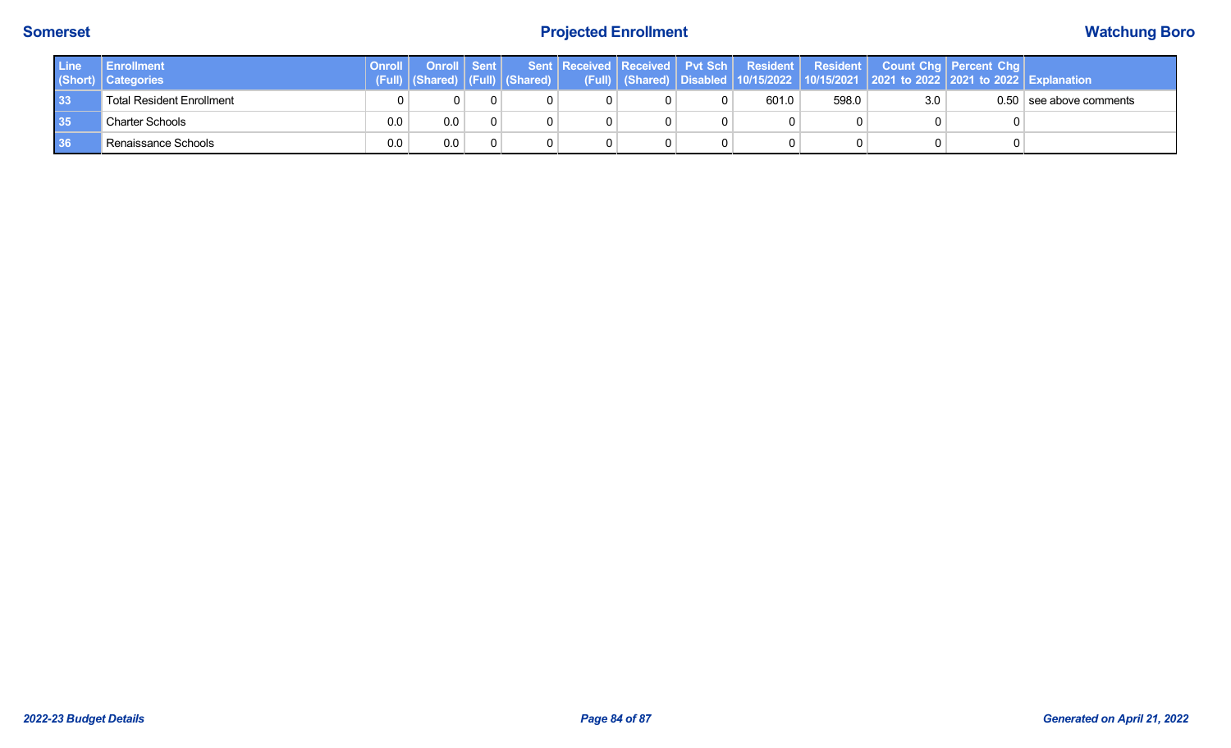# **Somerset Projected Enrollment Watchung Boro**

| Line | <b>Enrollment</b><br>(Short) Categories | Onroll | Onroll Sent |  |  |       |       |     | Sent Received Received Pvt Sch Resident Resident Count Chg Percent Chg |                           |
|------|-----------------------------------------|--------|-------------|--|--|-------|-------|-----|------------------------------------------------------------------------|---------------------------|
| 33   | <b>Total Resident Enrollment</b>        |        | 0.          |  |  | 601.0 | 598.0 | 3.0 |                                                                        | $0.50$ see above comments |
| 35   | <b>Charter Schools</b>                  | 0.0    | 0.0         |  |  |       |       |     |                                                                        |                           |
| 36   | <sup>1</sup> Renaissance Schools        | 0.0    | 0.0         |  |  |       |       |     |                                                                        |                           |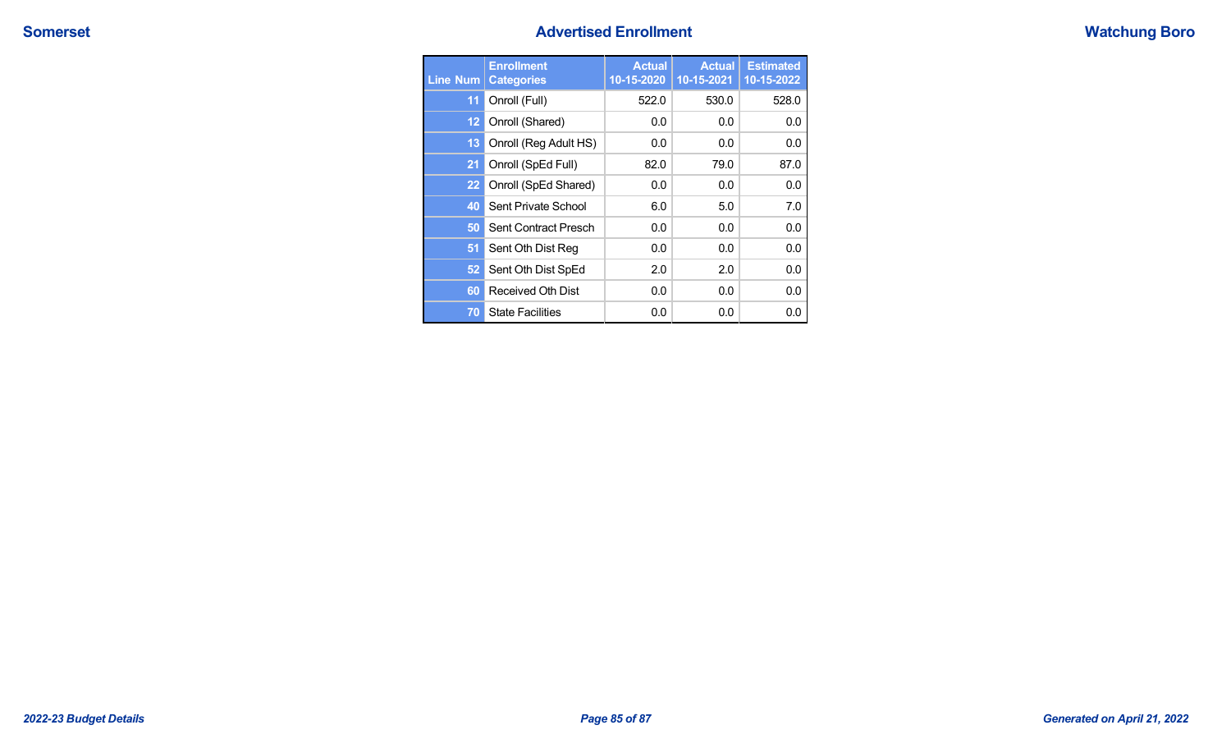## **Somerset Advertised Enrollment Advertised Enrollment**

|  |  |  |  | <b>Watchung Boro</b> |
|--|--|--|--|----------------------|
|--|--|--|--|----------------------|

| <b>Line Num</b>   | <b>Enrollment</b><br><b>Categories</b> | <b>Actual</b><br>10-15-2020 | <b>Actual</b><br>10-15-2021 | <b>Estimated</b><br>10-15-2022 |
|-------------------|----------------------------------------|-----------------------------|-----------------------------|--------------------------------|
| 11                | Onroll (Full)                          | 522.0                       | 530.0                       | 528.0                          |
| $12 \overline{ }$ | Onroll (Shared)                        | 0.0                         | 0.0                         | 0.0                            |
| 13                | Onroll (Reg Adult HS)                  | 0.0                         | 0.0                         | 0.0                            |
| 21                | Onroll (SpEd Full)                     | 82.0                        | 79.0                        | 87.0                           |
| 22                | Onroll (SpEd Shared)                   | 0.0                         | 0.0                         | 0.0                            |
| 40                | Sent Private School                    | 6.0                         | 5.0                         | 7.0                            |
| 50                | Sent Contract Presch                   | 0.0                         | 0.0                         | 0.0                            |
| 51                | Sent Oth Dist Reg                      | 0.0                         | 0.0                         | 0.0                            |
| 52                | Sent Oth Dist SpEd                     | 2.0                         | 2.0                         | 0.0                            |
| 60                | Received Oth Dist                      | 0.0                         | 0.0                         | 0.0                            |
| 70                | <b>State Facilities</b>                | 0.0                         | 0.0                         | 0.0                            |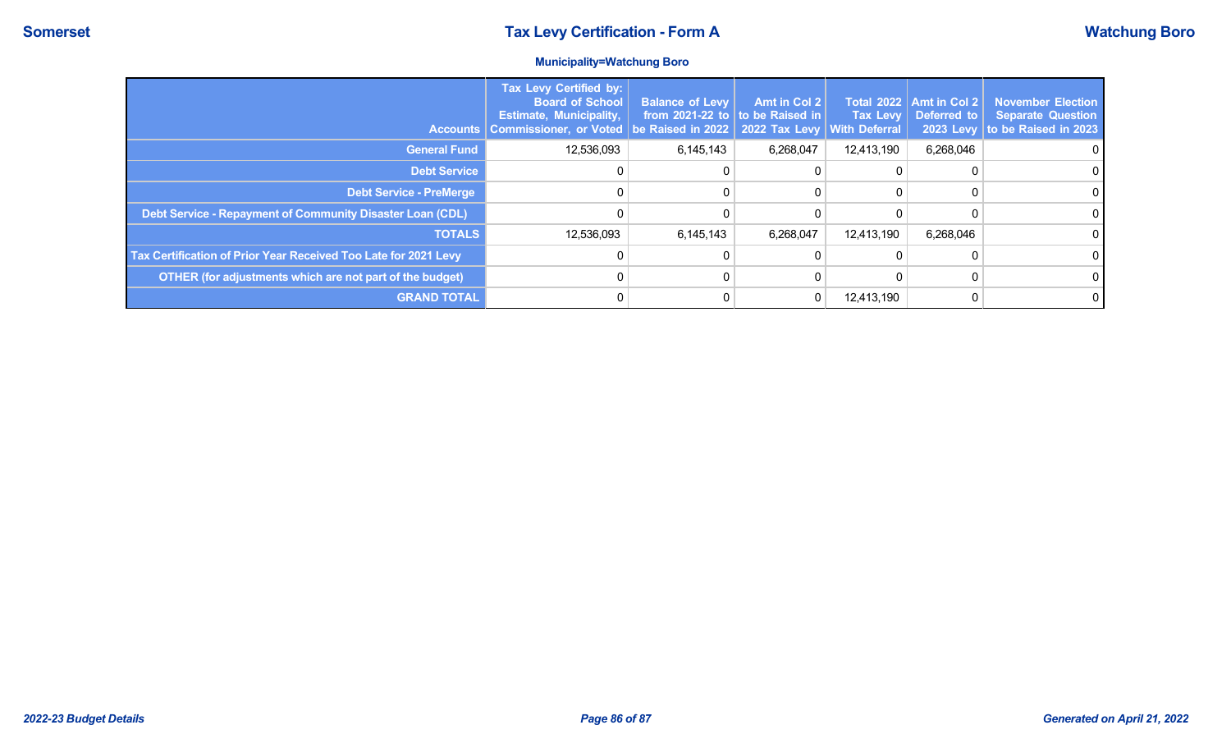## **Municipality=Watchung Boro**

| <b>Accounts</b>                                                 | <b>Tax Levy Certified by:</b><br><b>Board of School</b><br><b>Estimate, Municipality,</b><br><b>Commissioner, or Voted</b> | <b>Balance of Levy</b><br>from 2021-22 to to be Raised in<br>be Raised in 2022   2022 Tax Levy | Amt in Col 2 | <b>Total 2022</b><br><b>Tax Levy</b><br><b>With Deferral</b> | <b>Amt in Col 2</b><br>Deferred to | <b>November Election</b><br><b>Separate Question</b><br>2023 Levy to be Raised in 2023 |
|-----------------------------------------------------------------|----------------------------------------------------------------------------------------------------------------------------|------------------------------------------------------------------------------------------------|--------------|--------------------------------------------------------------|------------------------------------|----------------------------------------------------------------------------------------|
| <b>General Fund</b>                                             | 12,536,093                                                                                                                 | 6,145,143                                                                                      | 6,268,047    | 12,413,190                                                   | 6,268,046                          | $\Omega$                                                                               |
| <b>Debt Service</b>                                             |                                                                                                                            |                                                                                                |              |                                                              |                                    |                                                                                        |
| <b>Debt Service - PreMerge</b>                                  |                                                                                                                            |                                                                                                |              |                                                              |                                    | 0                                                                                      |
| Debt Service - Repayment of Community Disaster Loan (CDL)       |                                                                                                                            |                                                                                                |              |                                                              |                                    | $\Omega$                                                                               |
| <b>TOTALS</b>                                                   | 12,536,093                                                                                                                 | 6,145,143                                                                                      | 6,268,047    | 12,413,190                                                   | 6,268,046                          |                                                                                        |
| Tax Certification of Prior Year Received Too Late for 2021 Levy |                                                                                                                            |                                                                                                |              |                                                              |                                    | $\Omega$                                                                               |
| OTHER (for adjustments which are not part of the budget)        |                                                                                                                            |                                                                                                |              |                                                              |                                    | $\Omega$                                                                               |
| <b>GRAND TOTAL</b>                                              |                                                                                                                            |                                                                                                |              | 12,413,190                                                   |                                    | $\Omega$                                                                               |